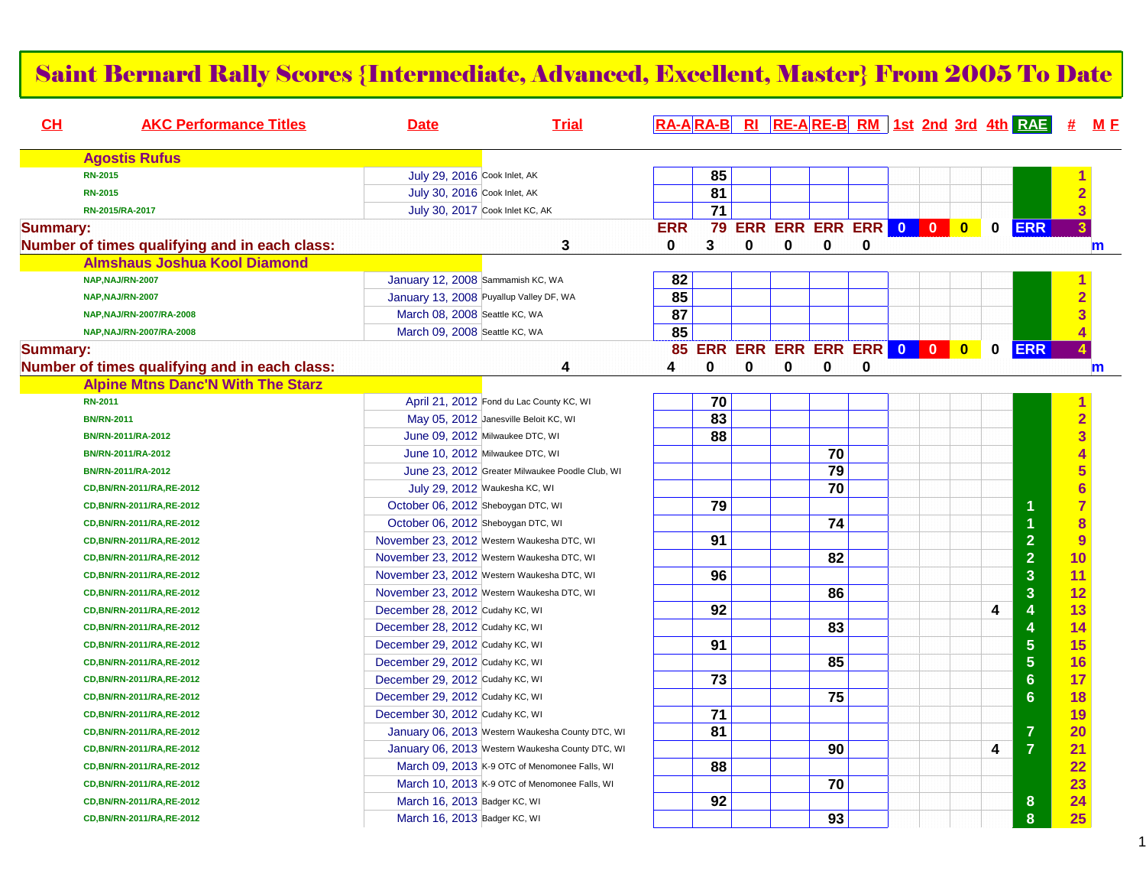|                 | <b>Saint Bernard Rally Scores {Intermediate, Advanced, Excellent, Master} From 2005 To Date</b> |                                    |                                                  |            |    |   |   |    |                            |  |           |   |                                             |                |
|-----------------|-------------------------------------------------------------------------------------------------|------------------------------------|--------------------------------------------------|------------|----|---|---|----|----------------------------|--|-----------|---|---------------------------------------------|----------------|
| CL              | <b>AKC Performance Titles</b>                                                                   | <b>Date</b>                        | <b>Trial</b>                                     |            |    |   |   |    |                            |  |           |   | RA-ARA-B RI RE-ARE-B RM 1st 2nd 3rd 4th RAE | M E            |
|                 | <b>Agostis Rufus</b>                                                                            |                                    |                                                  |            |    |   |   |    |                            |  |           |   |                                             |                |
|                 | <b>RN-2015</b>                                                                                  | July 29, 2016 Cook Inlet, AK       |                                                  |            | 85 |   |   |    |                            |  |           |   |                                             |                |
|                 | <b>RN-2015</b>                                                                                  | July 30, 2016 Cook Inlet, AK       |                                                  |            | 81 |   |   |    |                            |  |           |   |                                             | $\overline{2}$ |
|                 | RN-2015/RA-2017                                                                                 |                                    | July 30, 2017 Cook Inlet KC, AK                  |            | 71 |   |   |    |                            |  |           |   |                                             | 3              |
| <b>Summary:</b> |                                                                                                 |                                    |                                                  | <b>ERR</b> | 79 |   |   |    | ERR ERR ERR ERR 0 0        |  | $\bullet$ | 0 | <b>ERR</b>                                  | 3 <sup>5</sup> |
|                 | Number of times qualifying and in each class:                                                   |                                    | 3                                                | 0          | 3  | 0 | 0 | 0  | 0                          |  |           |   |                                             | m              |
|                 | <b>Almshaus Joshua Kool Diamond</b>                                                             |                                    |                                                  |            |    |   |   |    |                            |  |           |   |                                             |                |
|                 | NAP, NAJ/RN-2007                                                                                | January 12, 2008 Sammamish KC, WA  |                                                  | 82         |    |   |   |    |                            |  |           |   |                                             |                |
|                 | NAP, NAJ/RN-2007                                                                                |                                    | January 13, 2008 Puyallup Valley DF, WA          | 85         |    |   |   |    |                            |  |           |   |                                             | $\overline{2}$ |
|                 | NAP, NAJ/RN-2007/RA-2008                                                                        | March 08, 2008 Seattle KC, WA      |                                                  | 87         |    |   |   |    |                            |  |           |   |                                             |                |
|                 | NAP, NAJ/RN-2007/RA-2008                                                                        | March 09, 2008 Seattle KC, WA      |                                                  | 85         |    |   |   |    |                            |  |           |   |                                             |                |
| <b>Summary:</b> |                                                                                                 |                                    |                                                  |            |    |   |   |    | 85 ERR ERR ERR ERR ERR 0 0 |  | $\bullet$ | 0 | <b>ERR</b>                                  |                |
|                 | Number of times qualifying and in each class:                                                   |                                    | 4                                                | 4          | 0  | 0 | 0 | 0  | 0                          |  |           |   |                                             | m              |
|                 | <b>Alpine Mtns Danc'N With The Starz</b>                                                        |                                    |                                                  |            |    |   |   |    |                            |  |           |   |                                             |                |
|                 | <b>RN-2011</b>                                                                                  |                                    | April 21, 2012 Fond du Lac County KC, WI         |            | 70 |   |   |    |                            |  |           |   |                                             |                |
|                 | <b>BN/RN-2011</b>                                                                               |                                    | May 05, 2012 Janesville Beloit KC, WI            |            | 83 |   |   |    |                            |  |           |   |                                             | $\overline{2}$ |
|                 | BN/RN-2011/RA-2012                                                                              |                                    | June 09, 2012 Milwaukee DTC, WI                  |            | 88 |   |   |    |                            |  |           |   |                                             | 3              |
|                 | BN/RN-2011/RA-2012                                                                              |                                    | June 10, 2012 Milwaukee DTC, WI                  |            |    |   |   | 70 |                            |  |           |   |                                             |                |
|                 | BN/RN-2011/RA-2012                                                                              |                                    | June 23, 2012 Greater Milwaukee Poodle Club, WI  |            |    |   |   | 79 |                            |  |           |   |                                             |                |
|                 | CD, BN/RN-2011/RA, RE-2012                                                                      |                                    | July 29, 2012 Waukesha KC, WI                    |            |    |   |   | 70 |                            |  |           |   |                                             |                |
|                 | CD, BN/RN-2011/RA, RE-2012                                                                      | October 06, 2012 Sheboygan DTC, WI |                                                  |            | 79 |   |   |    |                            |  |           |   |                                             | $\overline{7}$ |
|                 | CD, BN/RN-2011/RA, RE-2012                                                                      | October 06, 2012 Sheboygan DTC, WI |                                                  |            |    |   |   | 74 |                            |  |           |   |                                             | 8              |
|                 | CD, BN/RN-2011/RA, RE-2012                                                                      |                                    | November 23, 2012 Western Waukesha DTC, WI       |            | 91 |   |   |    |                            |  |           |   | $\overline{2}$                              | 9              |
|                 | CD, BN/RN-2011/RA, RE-2012                                                                      |                                    | November 23, 2012 Western Waukesha DTC, WI       |            |    |   |   | 82 |                            |  |           |   | $\overline{2}$                              | 10             |
|                 | CD, BN/RN-2011/RA, RE-2012                                                                      |                                    | November 23, 2012 Western Waukesha DTC, WI       |            | 96 |   |   |    |                            |  |           |   | 3                                           | 11             |
|                 | CD, BN/RN-2011/RA, RE-2012                                                                      |                                    | November 23, 2012 Western Waukesha DTC, WI       |            |    |   |   | 86 |                            |  |           |   | 3                                           | 12             |
|                 | CD, BN/RN-2011/RA, RE-2012                                                                      | December 28, 2012 Cudahy KC, WI    |                                                  |            | 92 |   |   |    |                            |  |           | 4 | 4                                           | 13             |
|                 | CD, BN/RN-2011/RA, RE-2012                                                                      | December 28, 2012 Cudahy KC, WI    |                                                  |            |    |   |   | 83 |                            |  |           |   | 4                                           | 14             |
|                 | CD, BN/RN-2011/RA, RE-2012                                                                      | December 29, 2012 Cudahy KC, WI    |                                                  |            | 91 |   |   |    |                            |  |           |   | $\overline{5}$                              | 15             |
|                 | CD, BN/RN-2011/RA, RE-2012                                                                      | December 29, 2012 Cudahy KC, WI    |                                                  |            |    |   |   | 85 |                            |  |           |   | $\overline{5}$                              | 16             |
|                 | CD, BN/RN-2011/RA, RE-2012                                                                      | December 29, 2012 Cudahy KC, WI    |                                                  |            | 73 |   |   |    |                            |  |           |   | 6                                           | 17             |
|                 | CD, BN/RN-2011/RA, RE-2012                                                                      | December 29, 2012 Cudahy KC, WI    |                                                  |            |    |   |   | 75 |                            |  |           |   | 6                                           | 18             |
|                 | CD, BN/RN-2011/RA, RE-2012                                                                      | December 30, 2012 Cudahy KC, WI    |                                                  |            | 71 |   |   |    |                            |  |           |   |                                             | <u> 19</u>     |
|                 | CD, BN/RN-2011/RA, RE-2012                                                                      |                                    | January 06, 2013 Western Waukesha County DTC, WI |            | 81 |   |   |    |                            |  |           |   | $\overline{7}$                              | 20             |
|                 | CD, BN/RN-2011/RA, RE-2012                                                                      |                                    | January 06, 2013 Western Waukesha County DTC, WI |            |    |   |   | 90 |                            |  |           | 4 | $\overline{7}$                              | 21             |
|                 | CD, BN/RN-2011/RA, RE-2012                                                                      |                                    | March 09, 2013 K-9 OTC of Menomonee Falls, WI    |            | 88 |   |   |    |                            |  |           |   |                                             | 22             |
|                 | CD, BN/RN-2011/RA, RE-2012                                                                      |                                    | March 10, 2013 K-9 OTC of Menomonee Falls, WI    |            |    |   |   | 70 |                            |  |           |   |                                             | 23             |
|                 | CD, BN/RN-2011/RA, RE-2012                                                                      | March 16, 2013 Badger KC, WI       |                                                  |            | 92 |   |   |    |                            |  |           |   | 8                                           | 24             |
|                 | CD, BN/RN-2011/RA, RE-2012                                                                      | March 16, 2013 Badger KC, WI       |                                                  |            |    |   |   | 93 |                            |  |           |   | 8                                           | 25             |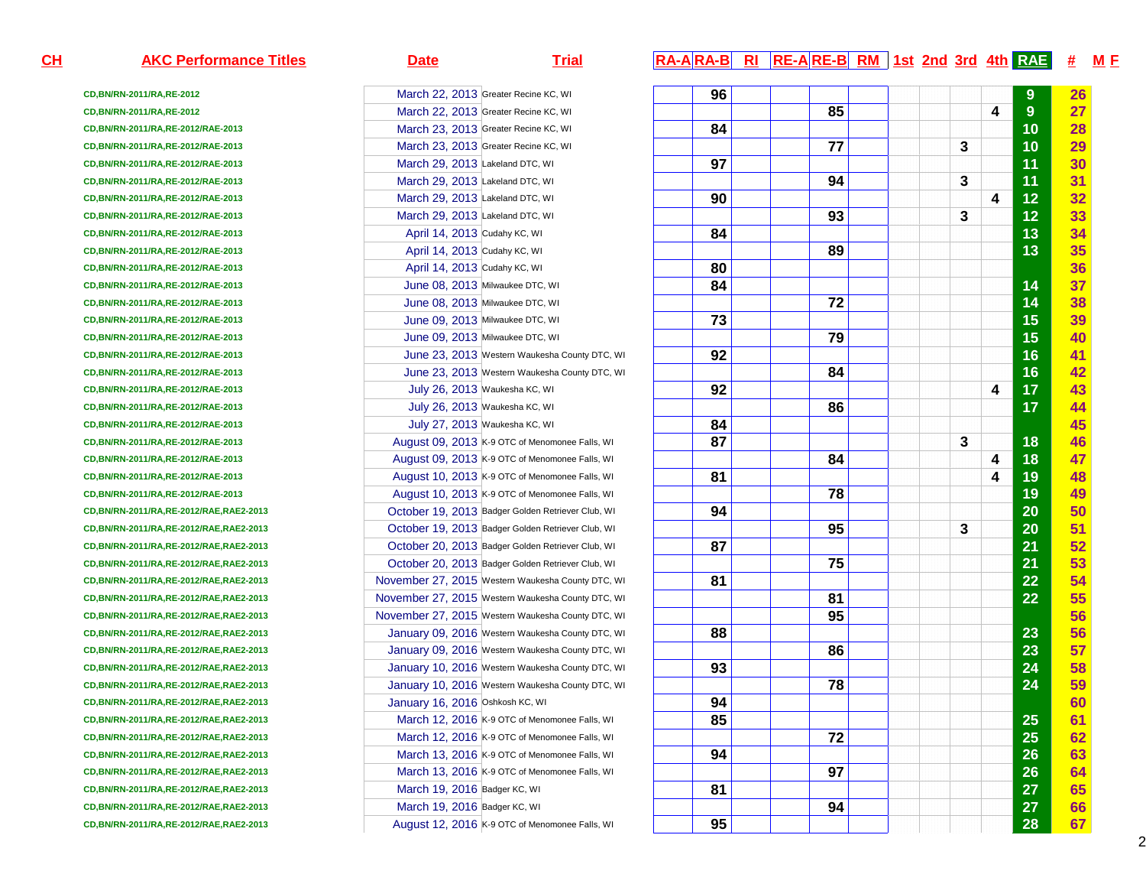**CD,BN/RN-2011/RA,RE-2012CD,BN/RN-2011/RA,RE-2012CD,BN/RN-2011/RA,RE-2012/RAE-2013CD,BN/RN-2011/RA,RE-2012/RAE-2013CD,BN/RN-2011/RA,RE-2012/RAE-2013CD,BN/RN-2011/RA,RE-2012/RAE-2013CD,BN/RN-2011/RA,RE-2012/RAE-2013CD,BN/RN-2011/RA,RE-2012/RAE-2013CD,BN/RN-2011/RA,RE-2012/RAE-2013CD,BN/RN-2011/RA,RE-2012/RAE-2013CD,BN/RN-2011/RA,RE-2012/RAE-2013CD,BN/RN-2011/RA,RE-2012/RAE-2013CD,BN/RN-2011/RA,RE-2012/RAE-2013CD,BN/RN-2011/RA,RE-2012/RAE-2013CD,BN/RN-2011/RA,RE-2012/RAE-2013CD,BN/RN-2011/RA,RE-2012/RAE-2013CD,BN/RN-2011/RA,RE-2012/RAE-2013CD,BN/RN-2011/RA,RE-2012/RAE-2013CD,BN/RN-2011/RA,RE-2012/RAE-2013CD,BN/RN-2011/RA,RE-2012/RAE-2013CD,BN/RN-2011/RA,RE-2012/RAE-2013CD,BN/RN-2011/RA,RE-2012/RAE-2013CD,BN/RN-2011/RA,RE-2012/RAE-2013CD,BN/RN-2011/RA,RE-2012/RAE-2013CD,BN/RN-2011/RA,RE-2012/RAE,RAE2-2013CD,BN/RN-2011/RA,RE-2012/RAE,RAE2-2013CD,BN/RN-2011/RA,RE-2012/RAE,RAE2-2013CD,BN/RN-2011/RA,RE-2012/RAE,RAE2-2013CD,BN/RN-2011/RA,RE-2012/RAE,RAE2-2013CD,BN/RN-2011/RA,RE-2012/RAE,RAE2-2013CD,BN/RN-2011/RA,RE-2012/RAE,RAE2-2013CD,BN/RN-2011/RA,RE-2012/RAE,RAE2-2013CD,BN/RN-2011/RA,RE-2012/RAE,RAE2-2013CD,BN/RN-2011/RA,RE-2012/RAE,RAE2-2013CD,BN/RN-2011/RA,RE-2012/RAE,RAE2-2013CD,BN/RN-2011/RA,RE-2012/RAE,RAE2-2013CD,BN/RN-2011/RA,RE-2012/RAE,RAE2-2013CD,BN/RN-2011/RA,RE-2012/RAE,RAE2-2013CD,BN/RN-2011/RA,RE-2012/RAE,RAE2-2013CD,BN/RN-2011/RA,RE-2012/RAE,RAE2-2013CD,BN/RN-2011/RA,RE-2012/RAE,RAE2-2013CD,BN/RN-2011/RA,RE-2012/RAE,RAE2-2013CD,BN/RN-2011/RA,RE-2012/RAE,RAE2-2013**

### March 22, 2013 Greater Recine KC, WI March 22, 2013 Greater Recine KC, WI March 23, 2013 Greater Recine KC, WI March 23, 2013 Greater Recine KC, WI **March 29, 2013 Lakeland DTC, WI** March 29, 2013 Lakeland DTC, WI **March 29, 2013 Lakeland DTC, WI**  March 29, 2013 Lakeland DTC, WI **93 3 12 33**  April 14, 2013 Cudahy KC, WI **84 13 34**  April 14, 2013 Cudahy KC, WI **89 13 35**  April 14, 2013 Cudahy KC, WI **80 36**  June 08, 2013 Milwaukee DTC, WI **84 14 37**  June 08, 2013 Milwaukee DTC, WI **72 14 38**  June 09, 2013 Milwaukee DTC, WI **73 15 39**  June 09, 2013 Milwaukee DTC, WI **79 15 40** June 23, 2013 Western Waukesha County DTC, WI June 23, 2013 Western Waukesha County DTC, WI **84 16 42 July 26, 2013** Waukesha KC, WI July 26, 2013 Waukesha KC, WI **86 17 44**  July 27, 2013 Waukesha KC, WI **84 45** August 09, 2013 K-9 OTC of Menomonee Falls, WI August 09, 2013 K-9 OTC of Menomonee Falls, WI August 10, 2013 K-9 OTC of Menomonee Falls, WI August 10, 2013 K-9 OTC of Menomonee Falls, WI October 19, 2013 Badger Golden Retriever Club, WI October 19, 2013 Badger Golden Retriever Club, WI October 20, 2013 Badger Golden Retriever Club, WI October 20, 2013 Badger Golden Retriever Club, WI November 27, 2015 Western Waukesha County DTC, WI November 27, 2015 Western Waukesha County DTC, WI November 27, 2015 Western Waukesha County DTC, WI **95 56**  January 09, 2016 Western Waukesha County DTC, WI **88 23 56**  January 09, 2016 Western Waukesha County DTC, WI **86 23 57**  January 10, 2016 Western Waukesha County DTC, WI **93 24 58**  January 10, 2016 Western Waukesha County DTC, WI **78 24 59**  January 16, 2016 Oshkosh KC, WI **94 60** March 12, 2016 K-9 OTC of Menomonee Falls, WI March 12, 2016 K-9 OTC of Menomonee Falls, WI March 13, 2016 K-9 OTC of Menomonee Falls, WI March 13, 2016 K-9 OTC of Menomonee Falls, WI **March 19, 2016 Badger KC, WI**  March 19, 2016 Badger KC, WI **94 27 66** August 12, 2016 K-9 OTC of Menomonee Falls, WI

# **AKC Performance Titles Date Trial RA-A RA-B RI RE-A RE-B RM 1st 2nd 3rd 4th RAE # <sup>M</sup> <sup>F</sup>**

| 96              |                 |                         |                         | 9              | 26 |
|-----------------|-----------------|-------------------------|-------------------------|----------------|----|
|                 | 85              |                         | 4                       | $\overline{9}$ | 27 |
| 84              |                 |                         |                         | 10             | 28 |
|                 | 77              | 3                       |                         | 10             | 29 |
| 97              |                 |                         |                         | 11             | 30 |
|                 | 94              | 3                       |                         | 11             | 31 |
| 90              |                 |                         | 4                       | 12             | 32 |
|                 | 93              | 3                       |                         | 12             | 33 |
| 84              |                 |                         |                         | 13             | 34 |
|                 | 89              |                         |                         | 13             | 35 |
| 80              |                 |                         |                         |                | 36 |
| 84              |                 |                         |                         | 14             | 37 |
|                 | 72              |                         |                         | 14             | 38 |
| $\overline{73}$ |                 |                         |                         | 15             | 39 |
|                 | $\overline{79}$ |                         |                         | 15             | 40 |
| 92              |                 |                         |                         | 16             | 41 |
|                 | 84              |                         |                         | 16             | 42 |
| 92              |                 |                         | 4                       | 17             | 43 |
|                 | 86              |                         |                         | 17             | 44 |
| 84              |                 |                         |                         |                | 45 |
| 87              |                 | 3                       |                         | 18             | 46 |
|                 | 84              |                         | 4                       | 18             | 47 |
| 81              |                 |                         | $\overline{\mathbf{4}}$ | 19             | 48 |
|                 | 78              |                         |                         | 19             | 49 |
| 94              |                 |                         |                         | 20             | 50 |
|                 | 95              | $\overline{\mathbf{3}}$ |                         | 20             | 51 |
| 87              |                 |                         |                         | 21             | 52 |
|                 | $\overline{75}$ |                         |                         | 21             | 53 |
| 81              |                 |                         |                         | 22             | 54 |
|                 | 81              |                         |                         | 22             | 55 |
|                 | $\overline{95}$ |                         |                         |                | 56 |
| 88              |                 |                         |                         | 23             | 56 |
|                 | 86              |                         |                         | 23             | 57 |
| 93              |                 |                         |                         | 24             | 58 |
|                 | 78              |                         |                         | 24             | 59 |
| 94              |                 |                         |                         |                | 60 |
| $\overline{85}$ |                 |                         |                         | 25             | 61 |
|                 | $\overline{72}$ |                         |                         | 25             | 62 |
| 94              |                 |                         |                         | 26             | 63 |
|                 | $\overline{97}$ |                         |                         | 26             | 64 |
| 81              |                 |                         |                         | 27             | 65 |
|                 | 94              |                         |                         | 27             | 66 |
| 95              |                 |                         |                         | 28             | 67 |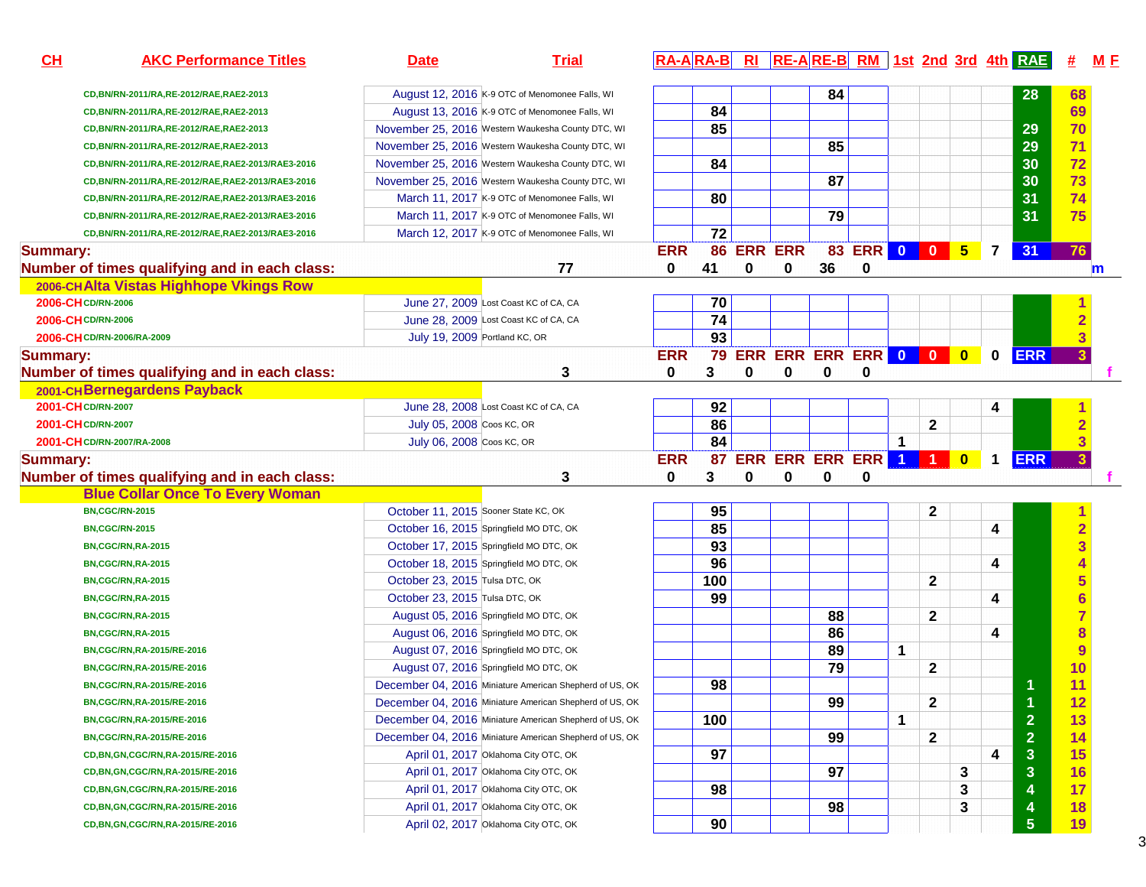| CH                 | <b>AKC Performance Titles</b>                       | <b>Date</b>                          | <b>Trial</b>                                            |            |     |                |   |    |                          |             |              |           |             | RA-ARA-B RI RE-ARE-B RM 1st 2nd 3rd 4th RAE | #                       | M E         |
|--------------------|-----------------------------------------------------|--------------------------------------|---------------------------------------------------------|------------|-----|----------------|---|----|--------------------------|-------------|--------------|-----------|-------------|---------------------------------------------|-------------------------|-------------|
|                    | CD, BN/RN-2011/RA, RE-2012/RAE, RAE2-2013           |                                      | August 12, 2016 K-9 OTC of Menomonee Falls, WI          |            |     |                |   | 84 |                          |             |              |           |             | 28                                          | 68                      |             |
|                    | CD, BN/RN-2011/RA, RE-2012/RAE, RAE2-2013           |                                      | August 13, 2016 K-9 OTC of Menomonee Falls, WI          |            | 84  |                |   |    |                          |             |              |           |             |                                             | 69                      |             |
|                    | CD, BN/RN-2011/RA, RE-2012/RAE, RAE2-2013           |                                      | November 25, 2016 Western Waukesha County DTC, WI       |            | 85  |                |   |    |                          |             |              |           |             | 29                                          | 70                      |             |
|                    | CD, BN/RN-2011/RA, RE-2012/RAE, RAE2-2013           |                                      | November 25, 2016 Western Waukesha County DTC, WI       |            |     |                |   | 85 |                          |             |              |           |             | 29                                          | 71                      |             |
|                    | CD, BN/RN-2011/RA, RE-2012/RAE, RAE2-2013/RAE3-2016 |                                      | November 25, 2016 Western Waukesha County DTC, WI       |            | 84  |                |   |    |                          |             |              |           |             | 30                                          | 72                      |             |
|                    | CD, BN/RN-2011/RA, RE-2012/RAE, RAE2-2013/RAE3-2016 |                                      | November 25, 2016 Western Waukesha County DTC, WI       |            |     |                |   | 87 |                          |             |              |           |             | 30                                          | 73                      |             |
|                    | CD, BN/RN-2011/RA, RE-2012/RAE, RAE2-2013/RAE3-2016 |                                      | March 11, 2017 K-9 OTC of Menomonee Falls, WI           |            | 80  |                |   |    |                          |             |              |           |             | 31                                          | 74                      |             |
|                    | CD, BN/RN-2011/RA, RE-2012/RAE, RAE2-2013/RAE3-2016 |                                      | March 11, 2017 K-9 OTC of Menomonee Falls, WI           |            |     |                |   | 79 |                          |             |              |           |             | 31                                          | 75                      |             |
|                    | CD, BN/RN-2011/RA, RE-2012/RAE, RAE2-2013/RAE3-2016 |                                      | March 12, 2017 K-9 OTC of Menomonee Falls, WI           |            | 72  |                |   |    |                          |             |              |           |             |                                             |                         |             |
| <b>Summary:</b>    |                                                     |                                      |                                                         | <b>ERR</b> | 86  | <b>ERR ERR</b> |   |    | 83 ERR 0 0 5 7           |             |              |           |             | 31                                          | 76                      |             |
|                    | Number of times qualifying and in each class:       |                                      | 77                                                      | 0          | 41  | 0              | 0 | 36 | 0                        |             |              |           |             |                                             |                         | $\mathbf m$ |
|                    | 2006-CHAlta Vistas Highhope Vkings Row              |                                      |                                                         |            |     |                |   |    |                          |             |              |           |             |                                             |                         |             |
| 2006-CH CD/RN-2006 |                                                     |                                      | June 27, 2009 Lost Coast KC of CA, CA                   |            | 70  |                |   |    |                          |             |              |           |             |                                             |                         |             |
| 2006-CH CD/RN-2006 |                                                     |                                      | June 28, 2009 Lost Coast KC of CA, CA                   |            | 74  |                |   |    |                          |             |              |           |             |                                             |                         |             |
|                    | 2006-CH CD/RN-2006/RA-2009                          | July 19, 2009 Portland KC, OR        |                                                         |            | 93  |                |   |    |                          |             |              |           |             |                                             | $\overline{\mathbf{3}}$ |             |
| <b>Summary:</b>    |                                                     |                                      |                                                         | <b>ERR</b> |     |                |   |    | 79 ERR ERR ERR ERR 0 0 0 |             |              |           | $\mathbf 0$ | <b>ERR</b>                                  |                         |             |
|                    | Number of times qualifying and in each class:       |                                      | 3                                                       | 0          | 3   | 0              | 0 | 0  | 0                        |             |              |           |             |                                             |                         |             |
|                    | 2001-CHBernegardens Payback                         |                                      |                                                         |            |     |                |   |    |                          |             |              |           |             |                                             |                         |             |
| 2001-CH CD/RN-2007 |                                                     |                                      | June 28, 2008 Lost Coast KC of CA, CA                   |            | 92  |                |   |    |                          |             |              |           | 4           |                                             |                         |             |
| 2001-CH CD/RN-2007 |                                                     | July 05, 2008 Coos KC, OR            |                                                         |            | 86  |                |   |    |                          |             | 2            |           |             |                                             |                         |             |
|                    | 2001-CH CD/RN-2007/RA-2008                          | July 06, 2008 Coos KC, OR            |                                                         |            | 84  |                |   |    |                          | $\mathbf 1$ |              |           |             |                                             | 3                       |             |
| <b>Summary:</b>    |                                                     |                                      |                                                         | <b>ERR</b> | 87  |                |   |    | ERR ERR ERR ERR 1 1      |             |              | $\bullet$ | $\mathbf 1$ | <b>ERR</b>                                  |                         |             |
|                    | Number of times qualifying and in each class:       |                                      | 3                                                       | 0          | 3   | 0              | 0 | 0  | 0                        |             |              |           |             |                                             |                         |             |
|                    | <b>Blue Collar Once To Every Woman</b>              |                                      |                                                         |            |     |                |   |    |                          |             |              |           |             |                                             |                         |             |
|                    | <b>BN,CGC/RN-2015</b>                               | October 11, 2015 Sooner State KC, OK |                                                         |            | 95  |                |   |    |                          |             | 2            |           |             |                                             | 1                       |             |
|                    | <b>BN,CGC/RN-2015</b>                               |                                      | October 16, 2015 Springfield MO DTC, OK                 |            | 85  |                |   |    |                          |             |              |           | 4           |                                             | $\overline{\mathbf{2}}$ |             |
|                    | BN,CGC/RN,RA-2015                                   |                                      | October 17, 2015 Springfield MO DTC, OK                 |            | 93  |                |   |    |                          |             |              |           |             |                                             | 3                       |             |
|                    | BN,CGC/RN,RA-2015                                   |                                      | October 18, 2015 Springfield MO DTC, OK                 |            | 96  |                |   |    |                          |             |              |           | 4           |                                             |                         |             |
|                    | BN,CGC/RN,RA-2015                                   | October 23, 2015 Tulsa DTC, OK       |                                                         |            | 100 |                |   |    |                          |             | $\mathbf{2}$ |           |             |                                             | 5                       |             |
|                    | BN,CGC/RN,RA-2015                                   | October 23, 2015 Tulsa DTC, OK       |                                                         |            | 99  |                |   |    |                          |             |              |           | 4           |                                             | $6\phantom{1}6$         |             |
|                    | BN,CGC/RN,RA-2015                                   |                                      | August 05, 2016 Springfield MO DTC, OK                  |            |     |                |   | 88 |                          |             | $\mathbf{2}$ |           |             |                                             |                         |             |
|                    | BN,CGC/RN,RA-2015                                   |                                      | August 06, 2016 Springfield MO DTC, OK                  |            |     |                |   | 86 |                          |             |              |           | 4           |                                             | 8                       |             |
|                    | BN, CGC/RN, RA-2015/RE-2016                         |                                      | August 07, 2016 Springfield MO DTC, OK                  |            |     |                |   | 89 |                          | 1           |              |           |             |                                             | 9                       |             |
|                    | BN, CGC/RN, RA-2015/RE-2016                         |                                      | August 07, 2016 Springfield MO DTC, OK                  |            |     |                |   | 79 |                          |             | $\mathbf{2}$ |           |             |                                             | 10                      |             |
|                    | BN, CGC/RN, RA-2015/RE-2016                         |                                      | December 04, 2016 Miniature American Shepherd of US, OK |            | 98  |                |   |    |                          |             |              |           |             |                                             | 11                      |             |
|                    | BN,CGC/RN,RA-2015/RE-2016                           |                                      | December 04, 2016 Miniature American Shepherd of US, OK |            |     |                |   | 99 |                          |             | $\mathbf{2}$ |           |             |                                             | 12                      |             |
|                    | BN,CGC/RN,RA-2015/RE-2016                           |                                      | December 04, 2016 Miniature American Shepherd of US, OK |            | 100 |                |   |    |                          | 1           |              |           |             | $\overline{2}$                              | 13                      |             |
|                    | BN,CGC/RN,RA-2015/RE-2016                           |                                      | December 04, 2016 Miniature American Shepherd of US, OK |            |     |                |   | 99 |                          |             | $\mathbf{2}$ |           |             | $\overline{2}$                              | 14                      |             |
|                    | CD, BN, GN, CGC/RN, RA-2015/RE-2016                 |                                      | April 01, 2017 Oklahoma City OTC, OK                    |            | 97  |                |   |    |                          |             |              |           | 4           | $\mathbf{3}$                                | 15                      |             |
|                    | CD, BN, GN, CGC/RN, RA-2015/RE-2016                 |                                      | April 01, 2017 Oklahoma City OTC, OK                    |            |     |                |   | 97 |                          |             |              | 3         |             | $\mathbf{3}$                                | 16                      |             |
|                    | CD, BN, GN, CGC/RN, RA-2015/RE-2016                 |                                      | April 01, 2017 Oklahoma City OTC, OK                    |            | 98  |                |   |    |                          |             |              | 3         |             | 4                                           | 17                      |             |
|                    | CD, BN, GN, CGC/RN, RA-2015/RE-2016                 |                                      | April 01, 2017 Oklahoma City OTC, OK                    |            |     |                |   | 98 |                          |             |              | 3         |             | 4                                           | 18                      |             |
|                    | CD, BN, GN, CGC/RN, RA-2015/RE-2016                 |                                      | April 02, 2017 Oklahoma City OTC, OK                    |            | 90  |                |   |    |                          |             |              |           |             | $5\phantom{.0}$                             | 19                      |             |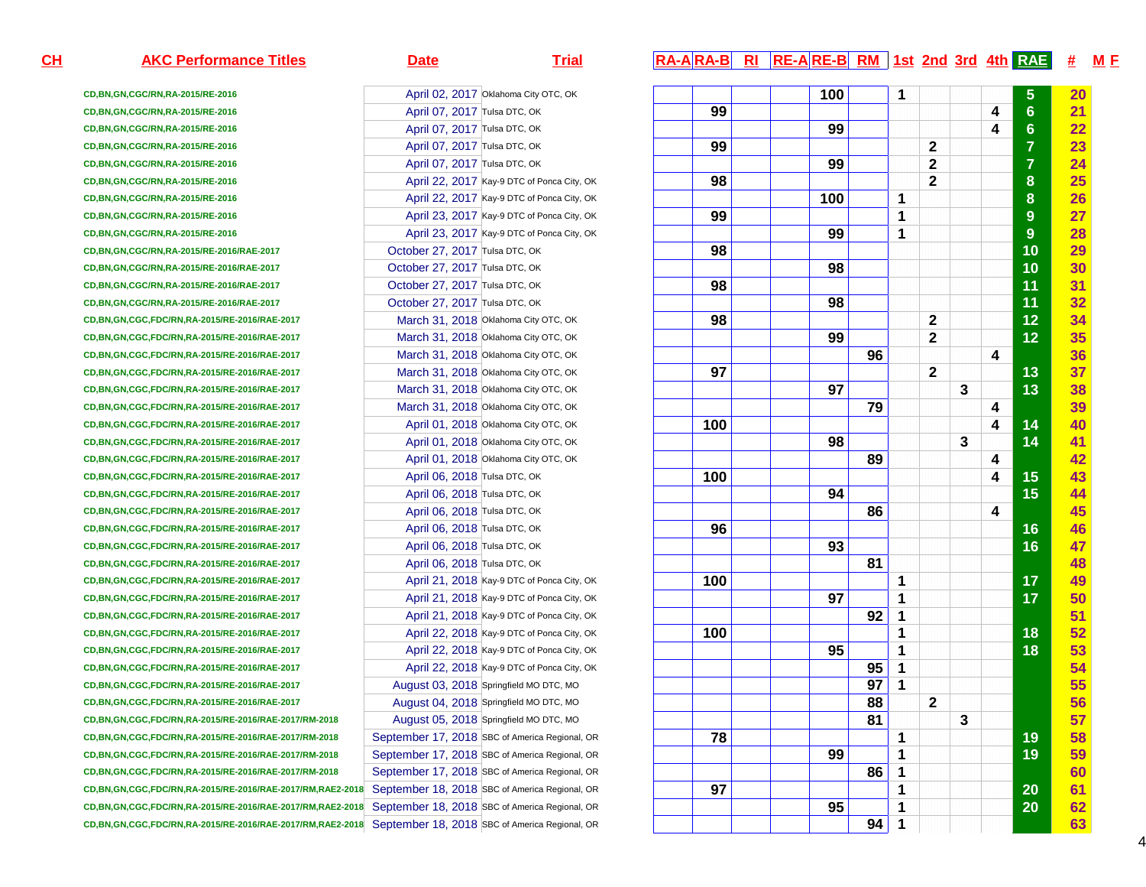| CD, BN, GN, CGC/RN, RA-2015/RE-2016                             |                                | April 02, 2017 Oklahoma City OTC, OK           |
|-----------------------------------------------------------------|--------------------------------|------------------------------------------------|
| CD, BN, GN, CGC/RN, RA-2015/RE-2016                             | April 07, 2017 Tulsa DTC, OK   |                                                |
| CD, BN, GN, CGC/RN, RA-2015/RE-2016                             | April 07, 2017 Tulsa DTC, OK   |                                                |
| CD, BN, GN, CGC/RN, RA-2015/RE-2016                             | April 07, 2017 Tulsa DTC, OK   |                                                |
| CD, BN, GN, CGC/RN, RA-2015/RE-2016                             | April 07, 2017 Tulsa DTC, OK   |                                                |
| CD, BN, GN, CGC/RN, RA-2015/RE-2016                             |                                | April 22, 2017 Kay-9 DTC of Ponca City, OK     |
| CD, BN, GN, CGC/RN, RA-2015/RE-2016                             |                                | April 22, 2017 Kay-9 DTC of Ponca City, OK     |
| CD, BN, GN, CGC/RN, RA-2015/RE-2016                             |                                | April 23, 2017 Kay-9 DTC of Ponca City, OK     |
| CD, BN, GN, CGC/RN, RA-2015/RE-2016                             |                                | April 23, 2017 Kay-9 DTC of Ponca City, OK     |
| CD, BN, GN, CGC/RN, RA-2015/RE-2016/RAE-2017                    | October 27, 2017 Tulsa DTC, OK |                                                |
| CD, BN, GN, CGC/RN, RA-2015/RE-2016/RAE-2017                    | October 27, 2017 Tulsa DTC, OK |                                                |
| CD, BN, GN, CGC/RN, RA-2015/RE-2016/RAE-2017                    | October 27, 2017 Tulsa DTC, OK |                                                |
| CD, BN, GN, CGC/RN, RA-2015/RE-2016/RAE-2017                    | October 27, 2017 Tulsa DTC, OK |                                                |
| CD, BN, GN, CGC, FDC/RN, RA-2015/RE-2016/RAE-2017               |                                | March 31, 2018 Oklahoma City OTC, OK           |
| CD, BN, GN, CGC, FDC/RN, RA-2015/RE-2016/RAE-2017               |                                | March 31, 2018 Oklahoma City OTC, OK           |
| CD, BN, GN, CGC, FDC/RN, RA-2015/RE-2016/RAE-2017               |                                | March 31, 2018 Oklahoma City OTC, OK           |
| CD, BN, GN, CGC, FDC/RN, RA-2015/RE-2016/RAE-2017               |                                | March 31, 2018 Oklahoma City OTC, OK           |
| CD, BN, GN, CGC, FDC/RN, RA-2015/RE-2016/RAE-2017               |                                | March 31, 2018 Oklahoma City OTC, OK           |
| CD, BN, GN, CGC, FDC/RN, RA-2015/RE-2016/RAE-2017               |                                | March 31, 2018 Oklahoma City OTC, OK           |
| CD, BN, GN, CGC, FDC/RN, RA-2015/RE-2016/RAE-2017               |                                | April 01, 2018 Oklahoma City OTC, OK           |
| CD, BN, GN, CGC, FDC/RN, RA-2015/RE-2016/RAE-2017               |                                | April 01, 2018 Oklahoma City OTC, OK           |
| CD, BN, GN, CGC, FDC/RN, RA-2015/RE-2016/RAE-2017               |                                | April 01, 2018 Oklahoma City OTC, OK           |
| CD, BN, GN, CGC, FDC/RN, RA-2015/RE-2016/RAE-2017               | April 06, 2018 Tulsa DTC, OK   |                                                |
| CD, BN, GN, CGC, FDC/RN, RA-2015/RE-2016/RAE-2017               | April 06, 2018 Tulsa DTC, OK   |                                                |
| CD, BN, GN, CGC, FDC/RN, RA-2015/RE-2016/RAE-2017               | April 06, 2018 Tulsa DTC, OK   |                                                |
| CD, BN, GN, CGC, FDC/RN, RA-2015/RE-2016/RAE-2017               | April 06, 2018 Tulsa DTC, OK   |                                                |
| CD, BN, GN, CGC, FDC/RN, RA-2015/RE-2016/RAE-2017               | April 06, 2018 Tulsa DTC, OK   |                                                |
| CD, BN, GN, CGC, FDC/RN, RA-2015/RE-2016/RAE-2017               | April 06, 2018 Tulsa DTC, OK   |                                                |
| CD, BN, GN, CGC, FDC/RN, RA-2015/RE-2016/RAE-2017               |                                | April 21, 2018 Kay-9 DTC of Ponca City, OK     |
| CD, BN, GN, CGC, FDC/RN, RA-2015/RE-2016/RAE-2017               |                                | April 21, 2018 Kay-9 DTC of Ponca City, OK     |
| CD, BN, GN, CGC, FDC/RN, RA-2015/RE-2016/RAE-2017               |                                | April 21, 2018 Kay-9 DTC of Ponca City, OK     |
| CD, BN, GN, CGC, FDC/RN, RA-2015/RE-2016/RAE-2017               |                                | April 22, 2018 Kay-9 DTC of Ponca City, OK     |
| CD, BN, GN, CGC, FDC/RN, RA-2015/RE-2016/RAE-2017               |                                | April 22, 2018 Kay-9 DTC of Ponca City, OK     |
| CD, BN, GN, CGC, FDC/RN, RA-2015/RE-2016/RAE-2017               |                                | April 22, 2018 Kay-9 DTC of Ponca City, OK     |
| CD, BN, GN, CGC, FDC/RN, RA-2015/RE-2016/RAE-2017               |                                | August 03, 2018 Springfield MO DTC, MO         |
| CD, BN, GN, CGC, FDC/RN, RA-2015/RE-2016/RAE-2017               |                                | August 04, 2018 Springfield MO DTC, MO         |
| CD, BN, GN, CGC, FDC/RN, RA-2015/RE-2016/RAE-2017/RM-2018       |                                | August 05, 2018 Springfield MO DTC, MO         |
| CD, BN, GN, CGC, FDC/RN, RA-2015/RE-2016/RAE-2017/RM-2018       |                                | September 17, 2018 SBC of America Regional, OR |
| CD, BN, GN, CGC, FDC/RN, RA-2015/RE-2016/RAE-2017/RM-2018       |                                | September 17, 2018 SBC of America Regional, OR |
| CD, BN, GN, CGC, FDC/RN, RA-2015/RE-2016/RAE-2017/RM-2018       |                                | September 17, 2018 SBC of America Regional, OR |
| CD, BN, GN, CGC, FDC/RN, RA-2015/RE-2016/RAE-2017/RM, RAE2-2018 |                                | September 18, 2018 SBC of America Regional, OR |
| CD, BN, GN, CGC, FDC/RN, RA-2015/RE-2016/RAE-2017/RM, RAE2-2018 |                                | September 18, 2018 SBC of America Regional, OR |
| CD, BN, GN, CGC, FDC/RN, RA-2015/RE-2016/RAE-2017/RM, RAE2-2018 |                                | September 18, 2018 SBC of America Regional, OR |

# **AKC Performance Titles Date Trial RA-A RA-B RI RE-A RE-B RM 1st 2nd 3rd 4th RAE # <sup>M</sup> <sup>F</sup>**

| y OTC, OK       |     | 100 |    | 1              |                         |   |   | 5              | 20 <sub>2</sub> |
|-----------------|-----|-----|----|----------------|-------------------------|---|---|----------------|-----------------|
| Κ               | 99  |     |    |                |                         |   | 4 | $6\phantom{a}$ | 21              |
| Κ               |     | 99  |    |                |                         |   | 4 | $6\phantom{a}$ | 22              |
| Κ               | 99  |     |    |                | $\mathbf 2$             |   |   | $\overline{7}$ | 23              |
| Κ               |     | 99  |    |                | $\mathbf{2}$            |   |   | $\overline{7}$ | 24              |
| Ponca City, OK  | 98  |     |    |                | $\overline{2}$          |   |   | 8              | 25              |
| Ponca City, OK  |     | 100 |    | 1              |                         |   |   | 8              | 26              |
| Ponca City, OK  | 99  |     |    | 1              |                         |   |   | 9              | 27              |
| Ponca City, OK  |     | 99  |    | 1              |                         |   |   | 9              | 28              |
| Κ               | 98  |     |    |                |                         |   |   | 10             | 29              |
| Κ               |     | 98  |    |                |                         |   |   | 10             | 30              |
| Κ               | 98  |     |    |                |                         |   |   | 11             | 31              |
| Κ               |     | 98  |    |                |                         |   |   | 11             | 32              |
| y OTC, OK       | 98  |     |    |                | $\mathbf{2}$            |   |   | 12             | 34 <sup>°</sup> |
| y OTC, OK       |     | 99  |    |                | $\mathbf 2$             |   |   | 12             | 35 <sub>5</sub> |
| y OTC, OK       |     |     | 96 |                |                         |   | 4 |                | 36              |
| y OTC, OK       | 97  |     |    |                | $\overline{\mathbf{2}}$ |   |   | 13             | 37              |
| y OTC, OK       |     | 97  |    |                |                         | 3 |   | 13             | 38              |
| y OTC, OK       |     |     | 79 |                |                         |   | 4 |                | 39              |
| y OTC, OK       | 100 |     |    |                |                         |   | 4 | 14             | 40              |
| y OTC, OK       |     | 98  |    |                |                         | 3 |   | 14             | 41              |
| y OTC, OK       |     |     | 89 |                |                         |   | 4 |                | 42              |
| Κ               | 100 |     |    |                |                         |   | 4 | 15             | 43              |
| Κ               |     | 94  |    |                |                         |   |   | 15             | 44              |
| Κ               |     |     | 86 |                |                         |   | 4 |                | 45              |
| Κ               | 96  |     |    |                |                         |   |   | 16             | 46              |
| Κ               |     | 93  |    |                |                         |   |   | 16             | 47              |
| Κ               |     |     | 81 |                |                         |   |   |                | 48              |
| Ponca City, OK  | 100 |     |    | 1              |                         |   |   | 17             | 49              |
| Ponca City, OK  |     | 97  |    | 1              |                         |   |   | 17             | 50              |
| Ponca City, OK  |     |     | 92 | 1              |                         |   |   |                | 51              |
| Ponca City, OK  | 100 |     |    | 1              |                         |   |   | 18             | 52              |
| Ponca City, OK  |     | 95  |    | 1              |                         |   |   | 18             | 53              |
| Ponca City, OK  |     |     | 95 | 1              |                         |   |   |                | 54              |
| O DTC, MO       |     |     | 97 | 1              |                         |   |   |                | 55              |
| O DTC, MO       |     |     | 88 |                | $\mathbf 2$             |   |   |                | 56              |
| O DTC, MO       |     |     | 81 |                |                         | 3 |   |                | 57              |
| ca Regional, OR | 78  |     |    | 1              |                         |   |   | 19             | 58              |
| ca Regional, OR |     | 99  |    | $\overline{1}$ |                         |   |   | 19             | 59              |
| ca Regional, OR |     |     | 86 | 1              |                         |   |   |                | 60              |
| ca Regional, OR | 97  |     |    | 1              |                         |   |   | 20             | 61              |
| ca Regional, OR |     | 95  |    | 1              |                         |   |   | 20             | 62              |
| ca Regional, OR |     |     | 94 | 1              |                         |   |   |                | 63              |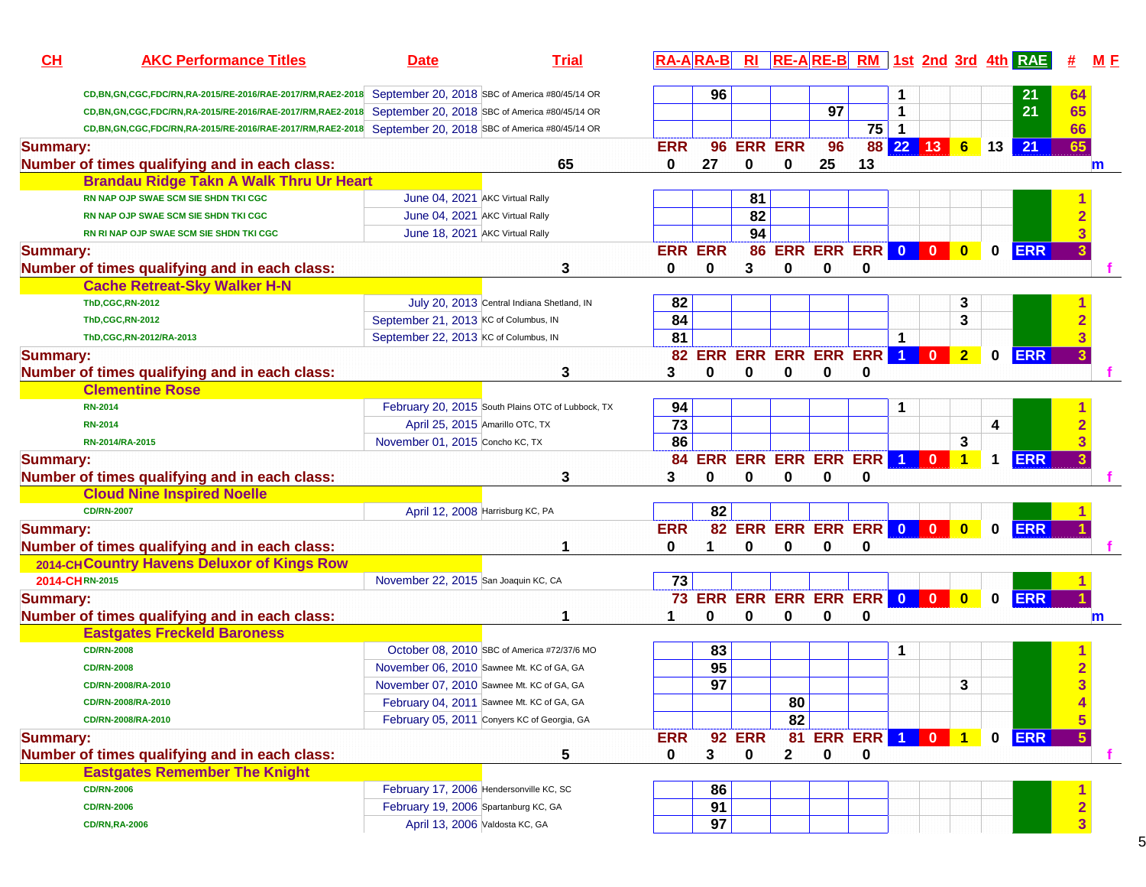| CL              | <b>AKC Performance Titles</b>                                                        | <b>Date</b>                                       | <b>Trial</b> |                 | $RA-A$ $RA-B$   |               |                |                 |                                 |                     |                                                                    |                |          | $R1$ $R2 - A$ $R3 - B$ $R1$ $R1$ $R2 - B$ $R1$ $R3 - B$ $R1$ $R4$ $R1$ $R1$ $R1$ |            | M E          |
|-----------------|--------------------------------------------------------------------------------------|---------------------------------------------------|--------------|-----------------|-----------------|---------------|----------------|-----------------|---------------------------------|---------------------|--------------------------------------------------------------------|----------------|----------|----------------------------------------------------------------------------------|------------|--------------|
|                 | CD, BN, GN, CGC, FDC/RN, RA-2015/RE-2016/RAE-2017/RM, RAE2-2018                      | September 20, 2018 SBC of America #80/45/14 OR    |              |                 | 96              |               |                |                 |                                 |                     |                                                                    |                |          | 21                                                                               | 64         |              |
|                 | CD,BN,GN,CGC,FDC/RN,RA-2015/RE-2016/RAE-2017/RM,RAE2-2018                            | September 20, 2018 SBC of America #80/45/14 OR    |              |                 |                 |               |                | $\overline{97}$ |                                 | 1                   |                                                                    |                |          | 21                                                                               | 65         |              |
|                 | CD, BN, GN, CGC, FDC/RN, RA-2015/RE-2016/RAE-2017/RM, RAE2-2018                      | September 20, 2018 SBC of America #80/45/14 OR    |              |                 |                 |               |                |                 | 75                              | $\mathbf{1}$        |                                                                    |                |          |                                                                                  | 66         |              |
| <b>Summary:</b> |                                                                                      |                                                   |              | <b>ERR</b>      | 96              |               | <b>ERR ERR</b> | 96              |                                 | 88 22 13 6          |                                                                    |                |          | $13$ 21                                                                          | 65         |              |
|                 | Number of times qualifying and in each class:                                        |                                                   | 65           | 0               | 27              | 0             | 0              | 25              | 13                              |                     |                                                                    |                |          |                                                                                  |            | $\mathbf{m}$ |
|                 | <b>Brandau Ridge Takn A Walk Thru Ur Heart</b>                                       |                                                   |              |                 |                 |               |                |                 |                                 |                     |                                                                    |                |          |                                                                                  |            |              |
|                 | RN NAP OJP SWAE SCM SIE SHDN TKI CGC                                                 | June 04, 2021 AKC Virtual Rally                   |              |                 |                 | 81            |                |                 |                                 |                     |                                                                    |                |          |                                                                                  |            |              |
|                 | RN NAP OJP SWAE SCM SIE SHDN TKI CGC                                                 | June 04, 2021 AKC Virtual Rally                   |              |                 |                 | 82            |                |                 |                                 |                     |                                                                    |                |          |                                                                                  |            |              |
|                 | <b>RN RI NAP OJP SWAE SCM SIE SHDN TKI CGC</b>                                       | June 18, 2021 AKC Virtual Rally                   |              |                 |                 | 94            |                |                 |                                 |                     |                                                                    |                |          |                                                                                  |            |              |
| <b>Summary:</b> |                                                                                      |                                                   |              | <b>ERR ERR</b>  |                 |               |                |                 | <b>86 ERR ERR ERR 0</b>         |                     | $\overline{\mathbf{0}}$                                            | $\mathbf{0}$   | $\bf{0}$ | <b>ERR</b>                                                                       |            |              |
|                 |                                                                                      |                                                   | 3            | 0               | 0               | 3             | $\bf{0}$       | 0               | $\bf{0}$                        |                     |                                                                    |                |          |                                                                                  |            |              |
|                 | Number of times qualifying and in each class:<br><b>Cache Retreat-Sky Walker H-N</b> |                                                   |              |                 |                 |               |                |                 |                                 |                     |                                                                    |                |          |                                                                                  |            |              |
|                 | <b>ThD,CGC,RN-2012</b>                                                               |                                                   |              | 82              |                 |               |                |                 |                                 |                     |                                                                    |                |          |                                                                                  |            |              |
|                 |                                                                                      | July 20, 2013 Central Indiana Shetland, IN        |              | 84              |                 |               |                |                 |                                 |                     |                                                                    | 3              |          |                                                                                  |            |              |
|                 | <b>ThD,CGC,RN-2012</b>                                                               | September 21, 2013 KC of Columbus, IN             |              |                 |                 |               |                |                 |                                 |                     |                                                                    | 3              |          |                                                                                  |            |              |
|                 | ThD,CGC,RN-2012/RA-2013                                                              | September 22, 2013 KC of Columbus, IN             |              | 81              |                 |               |                |                 | <b>82 ERR ERR ERR ERR ERR</b>   | 1<br>$\overline{1}$ | $\mathbf{0}$                                                       |                |          |                                                                                  |            |              |
| <b>Summary:</b> |                                                                                      |                                                   |              |                 |                 |               |                |                 |                                 |                     |                                                                    | $\overline{2}$ | $\bf{0}$ | <b>ERR</b>                                                                       |            |              |
|                 | Number of times qualifying and in each class:                                        |                                                   | 3            | 3               | 0               | 0             | $\bf{0}$       | 0               | 0                               |                     |                                                                    |                |          |                                                                                  |            |              |
|                 | <b>Clementine Rose</b>                                                               |                                                   |              |                 |                 |               |                |                 |                                 |                     |                                                                    |                |          |                                                                                  |            |              |
|                 | <b>RN-2014</b>                                                                       | February 20, 2015 South Plains OTC of Lubbock, TX |              | 94              |                 |               |                |                 |                                 | 1                   |                                                                    |                |          |                                                                                  |            |              |
|                 | <b>RN-2014</b>                                                                       | April 25, 2015 Amarillo OTC, TX                   |              | $\overline{73}$ |                 |               |                |                 |                                 |                     |                                                                    |                | 4        |                                                                                  |            |              |
|                 | RN-2014/RA-2015                                                                      | November 01, 2015 Concho KC, TX                   |              | 86              |                 |               |                |                 |                                 |                     |                                                                    | 3              |          |                                                                                  |            |              |
| <b>Summary:</b> |                                                                                      |                                                   |              | 84              |                 |               |                |                 | <b>ERR ERR ERR ERR ERR</b>      | $\overline{1}$      | $\overline{0}$                                                     | $\mathbf 1$    | 1        | <b>ERR</b>                                                                       |            |              |
|                 | Number of times qualifying and in each class:                                        |                                                   | 3            | 3               | 0               | 0             | $\bf{0}$       | 0               | $\bf{0}$                        |                     |                                                                    |                |          |                                                                                  |            |              |
|                 | <b>Cloud Nine Inspired Noelle</b>                                                    |                                                   |              |                 |                 |               |                |                 |                                 |                     |                                                                    |                |          |                                                                                  |            |              |
|                 | <b>CD/RN-2007</b>                                                                    | April 12, 2008 Harrisburg KC, PA                  |              |                 | 82              |               |                |                 |                                 |                     |                                                                    |                |          |                                                                                  |            |              |
| <b>Summary:</b> |                                                                                      |                                                   |              | <b>ERR</b>      |                 |               |                |                 | 82 ERR ERR ERR ERR 0            |                     | $\begin{array}{ c c c c c }\n\hline\n0 & 0 \\ \hline\n\end{array}$ |                | $\bf{0}$ | <b>ERR</b>                                                                       |            |              |
|                 | Number of times qualifying and in each class:                                        |                                                   |              | 0               | 1               | 0             | $\bf{0}$       | 0               | 0                               |                     |                                                                    |                |          |                                                                                  |            |              |
|                 | 2014-CHCountry Havens Deluxor of Kings Row                                           |                                                   |              |                 |                 |               |                |                 |                                 |                     |                                                                    |                |          |                                                                                  |            |              |
|                 | 2014-CHRN-2015                                                                       | November 22, 2015 San Joaquin KC, CA              |              | 73              |                 |               |                |                 |                                 |                     |                                                                    |                |          |                                                                                  |            |              |
| <b>Summary:</b> |                                                                                      |                                                   |              |                 |                 |               |                |                 | <b>73 ERR ERR ERR ERR ERR 0</b> |                     | $\bullet$                                                          | $\mathbf{0}$   | $\bf{0}$ | <b>ERR</b>                                                                       |            |              |
|                 | Number of times qualifying and in each class:                                        |                                                   | 1            | 1               | 0               | 0             | $\bf{0}$       | 0               | 0                               |                     |                                                                    |                |          |                                                                                  |            | m            |
|                 | <b>Eastgates Freckeld Baroness</b>                                                   |                                                   |              |                 |                 |               |                |                 |                                 |                     |                                                                    |                |          |                                                                                  |            |              |
|                 | <b>CD/RN-2008</b>                                                                    | October 08, 2010 SBC of America #72/37/6 MO       |              |                 | 83              |               |                |                 |                                 | 1                   |                                                                    |                |          |                                                                                  |            |              |
|                 | <b>CD/RN-2008</b>                                                                    | November 06, 2010 Sawnee Mt. KC of GA, GA         |              |                 | 95              |               |                |                 |                                 |                     |                                                                    |                |          |                                                                                  |            |              |
|                 | CD/RN-2008/RA-2010                                                                   | November 07, 2010 Sawnee Mt. KC of GA, GA         |              |                 | $\overline{97}$ |               |                |                 |                                 |                     |                                                                    | 3              |          |                                                                                  |            |              |
|                 | CD/RN-2008/RA-2010                                                                   | February 04, 2011 Sawnee Mt. KC of GA, GA         |              |                 |                 |               | 80             |                 |                                 |                     |                                                                    |                |          |                                                                                  |            |              |
|                 | CD/RN-2008/RA-2010                                                                   | February 05, 2011 Conyers KC of Georgia, GA       |              |                 |                 |               | 82             |                 |                                 |                     |                                                                    |                |          |                                                                                  |            |              |
| <b>Summary:</b> |                                                                                      |                                                   |              | <b>ERR</b>      |                 | <b>92 ERR</b> |                |                 | 81 ERR ERR 1 0 1                |                     |                                                                    |                | $\bf{0}$ | <b>ERR</b>                                                                       | $\sqrt{5}$ |              |
|                 | Number of times qualifying and in each class:                                        |                                                   | 5            | 0               | 3               | 0             | $\mathbf{2}$   | 0               | 0                               |                     |                                                                    |                |          |                                                                                  |            | -1           |
|                 | <b>Eastgates Remember The Knight</b>                                                 |                                                   |              |                 |                 |               |                |                 |                                 |                     |                                                                    |                |          |                                                                                  |            |              |
|                 | <b>CD/RN-2006</b>                                                                    | February 17, 2006 Hendersonville KC, SC           |              |                 | 86              |               |                |                 |                                 |                     |                                                                    |                |          |                                                                                  |            |              |
|                 | <b>CD/RN-2006</b>                                                                    | February 19, 2006 Spartanburg KC, GA              |              |                 | 91              |               |                |                 |                                 |                     |                                                                    |                |          |                                                                                  |            |              |
|                 | <b>CD/RN,RA-2006</b>                                                                 | April 13, 2006 Valdosta KC, GA                    |              |                 | 97              |               |                |                 |                                 |                     |                                                                    |                |          |                                                                                  |            |              |
|                 |                                                                                      |                                                   |              |                 |                 |               |                |                 |                                 |                     |                                                                    |                |          |                                                                                  |            |              |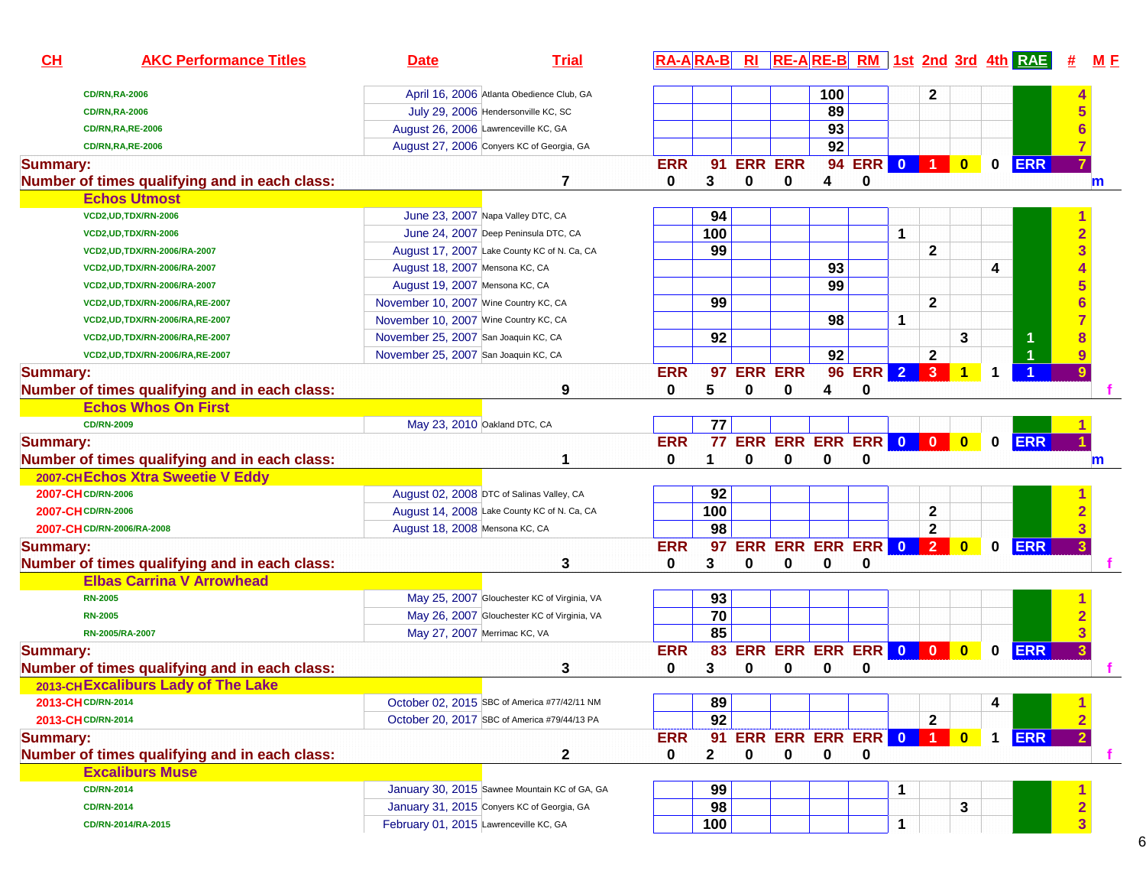| CH<br><b>AKC Performance Titles</b>           | <b>Date</b>                                  | <b>Trial</b>                                  | $RA-A$ $RA-B$ |              | Rl          |                               |     |            |             |              |                         |   | $RE-A$ RE-B RM 1st 2nd 3rd 4th RAE |                         | M E          |
|-----------------------------------------------|----------------------------------------------|-----------------------------------------------|---------------|--------------|-------------|-------------------------------|-----|------------|-------------|--------------|-------------------------|---|------------------------------------|-------------------------|--------------|
| <b>CD/RN,RA-2006</b>                          |                                              | April 16, 2006 Atlanta Obedience Club, GA     |               |              |             |                               | 100 |            |             | 2            |                         |   |                                    |                         |              |
| <b>CD/RN,RA-2006</b>                          | July 29, 2006 Hendersonville KC, SC          |                                               |               |              |             |                               | 89  |            |             |              |                         |   |                                    |                         |              |
| <b>CD/RN,RA,RE-2006</b>                       | August 26, 2006 Lawrenceville KC, GA         |                                               |               |              |             |                               | 93  |            |             |              |                         |   |                                    |                         |              |
| <b>CD/RN,RA,RE-2006</b>                       | August 27, 2006 Conyers KC of Georgia, GA    |                                               |               |              |             |                               | 92  |            |             |              |                         |   |                                    |                         |              |
| <b>Summary:</b>                               |                                              |                                               | <b>ERR</b>    |              | 91 ERR ERR  |                               |     | 94 ERR 0 1 |             |              | $\mathbf{0}$            |   | $0$ ERR                            |                         |              |
| Number of times qualifying and in each class: |                                              |                                               | 0             | 3            | $\mathbf 0$ | 0                             | 4   | 0          |             |              |                         |   |                                    |                         | m            |
| <b>Echos Utmost</b>                           |                                              |                                               |               |              |             |                               |     |            |             |              |                         |   |                                    |                         |              |
| VCD2, UD, TDX/RN-2006                         | June 23, 2007 Napa Valley DTC, CA            |                                               |               | 94           |             |                               |     |            |             |              |                         |   |                                    |                         |              |
| VCD2, UD, TDX/RN-2006                         | June 24, 2007 Deep Peninsula DTC, CA         |                                               |               | 100          |             |                               |     |            | 1           |              |                         |   |                                    | $\overline{2}$          |              |
| VCD2, UD, TDX/RN-2006/RA-2007                 | August 17, 2007 Lake County KC of N. Ca, CA  |                                               |               | 99           |             |                               |     |            |             | 2            |                         |   |                                    | 3                       |              |
| VCD2, UD, TDX/RN-2006/RA-2007                 | August 18, 2007 Mensona KC, CA               |                                               |               |              |             |                               | 93  |            |             |              |                         | 4 |                                    |                         |              |
| VCD2, UD, TDX/RN-2006/RA-2007                 | August 19, 2007 Mensona KC, CA               |                                               |               |              |             |                               | 99  |            |             |              |                         |   |                                    |                         |              |
| VCD2, UD, TDX/RN-2006/RA, RE-2007             | November 10, 2007 Wine Country KC, CA        |                                               |               | 99           |             |                               |     |            |             | $\mathbf{2}$ |                         |   |                                    |                         |              |
| VCD2, UD, TDX/RN-2006/RA, RE-2007             | November 10, 2007 Wine Country KC, CA        |                                               |               |              |             |                               | 98  |            | $\mathbf 1$ |              |                         |   |                                    |                         |              |
| VCD2, UD, TDX/RN-2006/RA, RE-2007             | November 25, 2007 San Joaquin KC, CA         |                                               |               | 92           |             |                               |     |            |             |              | 3                       |   | 1                                  |                         |              |
| VCD2, UD, TDX/RN-2006/RA, RE-2007             | November 25, 2007 San Joaquin KC, CA         |                                               |               |              |             |                               | 92  |            |             | $\mathbf 2$  |                         |   |                                    |                         |              |
| <b>Summary:</b>                               |                                              |                                               | <b>ERR</b>    |              | 97 ERR ERR  |                               |     | 96 ERR 2 3 |             |              | 1                       | 1 |                                    | 9                       |              |
| Number of times qualifying and in each class: |                                              | 9                                             | 0             | 5            | $\mathbf 0$ | 0                             | 4   | 0          |             |              |                         |   |                                    |                         |              |
| <b>Echos Whos On First</b>                    |                                              |                                               |               |              |             |                               |     |            |             |              |                         |   |                                    |                         |              |
| <b>CD/RN-2009</b>                             | May 23, 2010 Oakland DTC, CA                 |                                               |               | 77           |             |                               |     |            |             |              |                         |   |                                    |                         |              |
| <b>Summary:</b>                               |                                              |                                               | <b>ERR</b>    |              |             | <b>77 ERR ERR ERR ERR 0 0</b> |     |            |             |              | $\overline{\mathbf{0}}$ |   | $0$ ERR                            |                         |              |
| Number of times qualifying and in each class: |                                              | 1                                             | 0             | 1.           | 0           | 0                             | 0   | 0          |             |              |                         |   |                                    |                         | $\mathbf{m}$ |
| 2007-CHEchos Xtra Sweetie V Eddy              |                                              |                                               |               |              |             |                               |     |            |             |              |                         |   |                                    |                         |              |
| 2007-CH CD/RN-2006                            | August 02, 2008 DTC of Salinas Valley, CA    |                                               |               | 92           |             |                               |     |            |             |              |                         |   |                                    |                         |              |
| 2007-CH CD/RN-2006                            | August 14, 2008 Lake County KC of N. Ca, CA  |                                               |               | 100          |             |                               |     |            |             | $\mathbf{2}$ |                         |   |                                    |                         |              |
| 2007-CH CD/RN-2006/RA-2008                    | August 18, 2008 Mensona KC, CA               |                                               |               | 98           |             |                               |     |            |             | $\mathbf{2}$ |                         |   |                                    | 3                       |              |
| <b>Summary:</b>                               |                                              |                                               | <b>ERR</b>    |              |             | 97 ERR ERR ERR ERR 0 2        |     |            |             |              | $\bullet$               |   | $0$ ERR                            | $\overline{\mathbf{3}}$ |              |
| Number of times qualifying and in each class: |                                              | 3                                             | 0             | 3            | 0           | 0                             | 0   | 0          |             |              |                         |   |                                    |                         |              |
| <b>Elbas Carrina V Arrowhead</b>              |                                              |                                               |               |              |             |                               |     |            |             |              |                         |   |                                    |                         |              |
| <b>RN-2005</b>                                |                                              | May 25, 2007 Glouchester KC of Virginia, VA   |               | 93           |             |                               |     |            |             |              |                         |   |                                    |                         |              |
| <b>RN-2005</b>                                |                                              | May 26, 2007 Glouchester KC of Virginia, VA   |               | 70           |             |                               |     |            |             |              |                         |   |                                    |                         |              |
| RN-2005/RA-2007                               | May 27, 2007 Merrimac KC, VA                 |                                               |               | 85           |             |                               |     |            |             |              |                         |   |                                    | 3                       |              |
| <b>Summary:</b>                               |                                              |                                               | <b>ERR</b>    | 83           |             | ERR ERR ERR ERR 0 0           |     |            |             |              | $\bullet$               |   | $0$ ERR                            | $\overline{\mathbf{3}}$ |              |
| Number of times qualifying and in each class: |                                              | 3                                             | 0             | 3            | 0           | 0                             | 0   | 0          |             |              |                         |   |                                    |                         |              |
| 2013-CHExcaliburs Lady of The Lake            |                                              |                                               |               |              |             |                               |     |            |             |              |                         |   |                                    |                         |              |
| 2013-CH CD/RN-2014                            |                                              | October 02, 2015 SBC of America #77/42/11 NM  |               | 89           |             |                               |     |            |             |              |                         | 4 |                                    |                         |              |
| 2013-CH CD/RN-2014                            | October 20, 2017 SBC of America #79/44/13 PA |                                               |               | 92           |             |                               |     |            |             | $\mathbf{2}$ |                         |   |                                    | $\overline{\mathbf{2}}$ |              |
| <b>Summary:</b>                               |                                              |                                               | <b>ERR</b>    |              |             | 91 ERR ERR ERR ERR 0 1        |     |            |             |              | $\bullet$               |   | 1 ERR                              | $\overline{2}$          |              |
| Number of times qualifying and in each class: |                                              | 2                                             | 0             | $\mathbf{2}$ | 0           | 0                             | 0   | 0          |             |              |                         |   |                                    |                         |              |
| <b>Excaliburs Muse</b>                        |                                              |                                               |               |              |             |                               |     |            |             |              |                         |   |                                    |                         |              |
| <b>CD/RN-2014</b>                             |                                              | January 30, 2015 Sawnee Mountain KC of GA, GA |               | 99           |             |                               |     |            | 1           |              |                         |   |                                    |                         |              |
| <b>CD/RN-2014</b>                             | January 31, 2015 Convers KC of Georgia, GA   |                                               |               | 98           |             |                               |     |            |             |              | 3                       |   |                                    |                         |              |
| CD/RN-2014/RA-2015                            | February 01, 2015 Lawrenceville KC, GA       |                                               |               | 100          |             |                               |     |            | 1           |              |                         |   |                                    | $\overline{\mathbf{3}}$ |              |
|                                               |                                              |                                               |               |              |             |                               |     |            |             |              |                         |   |                                    |                         |              |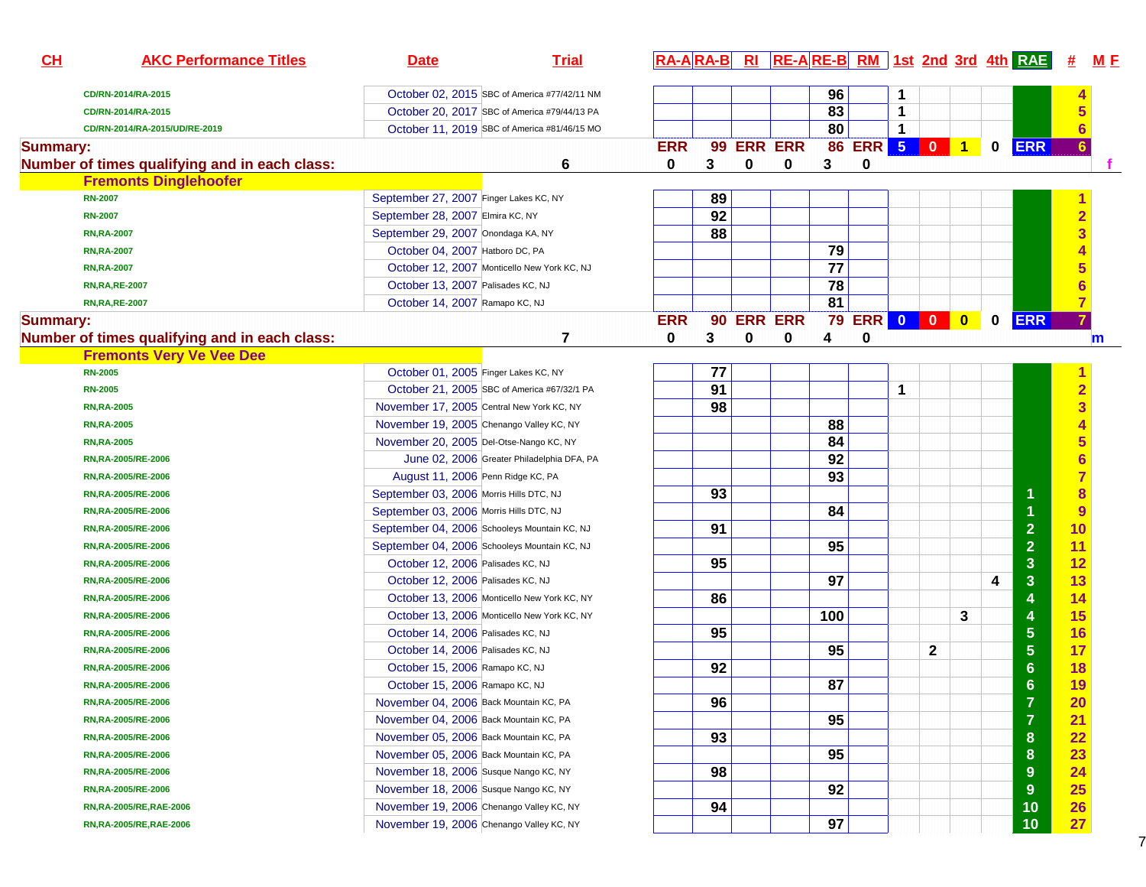| CH              | <b>AKC Performance Titles</b>                 | <b>Date</b>                               | <b>Trial</b>                                 |            |    |                |   |                 |              |   |              |   |             | RA-ARA-B RI RE-ARE-B RM 1st 2nd 3rd 4th RAE # | <u>M F</u>              |
|-----------------|-----------------------------------------------|-------------------------------------------|----------------------------------------------|------------|----|----------------|---|-----------------|--------------|---|--------------|---|-------------|-----------------------------------------------|-------------------------|
|                 | CD/RN-2014/RA-2015                            |                                           | October 02, 2015 SBC of America #77/42/11 NM |            |    |                |   | 96              |              | 1 |              |   |             |                                               |                         |
|                 | CD/RN-2014/RA-2015                            |                                           | October 20, 2017 SBC of America #79/44/13 PA |            |    |                |   | 83              |              | 1 |              |   |             |                                               | 5                       |
|                 | CD/RN-2014/RA-2015/UD/RE-2019                 |                                           | October 11, 2019 SBC of America #81/46/15 MO |            |    |                |   | 80              |              | 1 |              |   |             |                                               | $6\phantom{1}6$         |
| <b>Summary:</b> |                                               |                                           |                                              | <b>ERR</b> |    | 99 ERR ERR     |   |                 | 86 ERR 5 0 1 |   |              |   | $\mathbf 0$ | <b>ERR</b>                                    | 6                       |
|                 | Number of times qualifying and in each class: |                                           | 6                                            | 0          | 3  | $\mathbf 0$    | 0 | 3               | 0            |   |              |   |             |                                               |                         |
|                 | <b>Fremonts Dinglehoofer</b>                  |                                           |                                              |            |    |                |   |                 |              |   |              |   |             |                                               |                         |
|                 | <b>RN-2007</b>                                | September 27, 2007 Finger Lakes KC, NY    |                                              |            | 89 |                |   |                 |              |   |              |   |             |                                               |                         |
|                 | <b>RN-2007</b>                                | September 28, 2007 Elmira KC, NY          |                                              |            | 92 |                |   |                 |              |   |              |   |             |                                               | $\overline{2}$          |
|                 | <b>RN, RA-2007</b>                            | September 29, 2007 Onondaga KA, NY        |                                              |            | 88 |                |   |                 |              |   |              |   |             |                                               | $\overline{\mathbf{3}}$ |
|                 | <b>RN, RA-2007</b>                            | October 04, 2007 Hatboro DC, PA           |                                              |            |    |                |   | 79              |              |   |              |   |             |                                               |                         |
|                 | <b>RN, RA-2007</b>                            |                                           | October 12, 2007 Monticello New York KC, NJ  |            |    |                |   | 77              |              |   |              |   |             |                                               | 5                       |
|                 | <b>RN, RA, RE-2007</b>                        | October 13, 2007 Palisades KC, NJ         |                                              |            |    |                |   | 78              |              |   |              |   |             |                                               | 6                       |
|                 | <b>RN,RA,RE-2007</b>                          | October 14, 2007 Ramapo KC, NJ            |                                              |            |    |                |   | $\overline{81}$ |              |   |              |   |             |                                               | $\overline{7}$          |
| <b>Summary:</b> |                                               |                                           |                                              | <b>ERR</b> | 90 | <b>ERR ERR</b> |   | 79              | ERR 0 0 0    |   |              |   | $\mathbf 0$ | <b>ERR</b>                                    |                         |
|                 | Number of times qualifying and in each class: |                                           | 7                                            | 0          | 3  | 0              | 0 | 4               | $\mathbf 0$  |   |              |   |             |                                               | $\mathbf{m}$            |
|                 | <b>Fremonts Very Ve Vee Dee</b>               |                                           |                                              |            |    |                |   |                 |              |   |              |   |             |                                               |                         |
|                 | <b>RN-2005</b>                                | October 01, 2005 Finger Lakes KC, NY      |                                              |            | 77 |                |   |                 |              |   |              |   |             |                                               |                         |
|                 | <b>RN-2005</b>                                |                                           | October 21, 2005 SBC of America #67/32/1 PA  |            | 91 |                |   |                 |              | 1 |              |   |             |                                               | $\overline{2}$          |
|                 | <b>RN, RA-2005</b>                            | November 17, 2005 Central New York KC, NY |                                              |            | 98 |                |   |                 |              |   |              |   |             |                                               | $\overline{\mathbf{3}}$ |
|                 | <b>RN, RA-2005</b>                            | November 19, 2005 Chenango Valley KC, NY  |                                              |            |    |                |   | 88              |              |   |              |   |             |                                               | $\overline{4}$          |
|                 | <b>RN, RA-2005</b>                            | November 20, 2005 Del-Otse-Nango KC, NY   |                                              |            |    |                |   | 84              |              |   |              |   |             |                                               | $5\phantom{1}$          |
|                 | RN, RA-2005/RE-2006                           |                                           | June 02, 2006 Greater Philadelphia DFA, PA   |            |    |                |   | 92              |              |   |              |   |             |                                               | 6                       |
|                 | RN, RA-2005/RE-2006                           | August 11, 2006 Penn Ridge KC, PA         |                                              |            |    |                |   | 93              |              |   |              |   |             |                                               | $\overline{7}$          |
|                 | RN, RA-2005/RE-2006                           | September 03, 2006 Morris Hills DTC, NJ   |                                              |            | 93 |                |   |                 |              |   |              |   |             |                                               | $\bf{8}$                |
|                 | RN, RA-2005/RE-2006                           | September 03, 2006 Morris Hills DTC, NJ   |                                              |            |    |                |   | 84              |              |   |              |   |             |                                               | 9                       |
|                 | RN, RA-2005/RE-2006                           |                                           | September 04, 2006 Schooleys Mountain KC, NJ |            | 91 |                |   |                 |              |   |              |   |             | $\overline{2}$                                | 10                      |
|                 | RN, RA-2005/RE-2006                           |                                           | September 04, 2006 Schooleys Mountain KC, NJ |            |    |                |   | 95              |              |   |              |   |             | $\overline{2}$                                | 11                      |
|                 | RN, RA-2005/RE-2006                           | October 12, 2006 Palisades KC, NJ         |                                              |            | 95 |                |   |                 |              |   |              |   |             | $\mathbf{3}$                                  | 12                      |
|                 | RN, RA-2005/RE-2006                           | October 12, 2006 Palisades KC, NJ         |                                              |            |    |                |   | 97              |              |   |              |   | 4           | $\mathbf{3}$                                  | 13                      |
|                 | RN, RA-2005/RE-2006                           |                                           | October 13, 2006 Monticello New York KC, NY  |            | 86 |                |   |                 |              |   |              |   |             | 4                                             | 14                      |
|                 | RN, RA-2005/RE-2006                           |                                           | October 13, 2006 Monticello New York KC, NY  |            |    |                |   | 100             |              |   |              | 3 |             | 4                                             | <b>15</b>               |
|                 | RN, RA-2005/RE-2006                           | October 14, 2006 Palisades KC, NJ         |                                              |            | 95 |                |   |                 |              |   |              |   |             | $\overline{5}$                                | 16                      |
|                 | RN, RA-2005/RE-2006                           | October 14, 2006 Palisades KC, NJ         |                                              |            |    |                |   | 95              |              |   | $\mathbf{2}$ |   |             | $\overline{5}$                                | 17                      |
|                 | RN, RA-2005/RE-2006                           | October 15, 2006 Ramapo KC, NJ            |                                              |            | 92 |                |   |                 |              |   |              |   |             | $6\phantom{1}6$                               | <b>18</b>               |
|                 | RN, RA-2005/RE-2006                           | October 15, 2006 Ramapo KC, NJ            |                                              |            |    |                |   | 87              |              |   |              |   |             | $6 \,$                                        | 19                      |
|                 | RN, RA-2005/RE-2006                           | November 04, 2006 Back Mountain KC, PA    |                                              |            | 96 |                |   |                 |              |   |              |   |             | 7                                             | 20                      |
|                 | RN, RA-2005/RE-2006                           | November 04, 2006 Back Mountain KC, PA    |                                              |            |    |                |   | 95              |              |   |              |   |             | $\overline{7}$                                | 21                      |
|                 | RN, RA-2005/RE-2006                           | November 05, 2006 Back Mountain KC, PA    |                                              |            | 93 |                |   |                 |              |   |              |   |             | 8                                             | 22                      |
|                 | RN, RA-2005/RE-2006                           | November 05, 2006 Back Mountain KC, PA    |                                              |            |    |                |   | 95              |              |   |              |   |             | 8                                             | 23                      |
|                 | RN, RA-2005/RE-2006                           | November 18, 2006 Susque Nango KC, NY     |                                              |            | 98 |                |   |                 |              |   |              |   |             | 9                                             | 24                      |
|                 | RN, RA-2005/RE-2006                           | November 18, 2006 Susque Nango KC, NY     |                                              |            |    |                |   | 92              |              |   |              |   |             | 9                                             | 25                      |
|                 | RN, RA-2005/RE, RAE-2006                      | November 19, 2006 Chenango Valley KC, NY  |                                              |            | 94 |                |   |                 |              |   |              |   |             | 10                                            | 26                      |
|                 | RN, RA-2005/RE, RAE-2006                      | November 19, 2006 Chenango Valley KC, NY  |                                              |            |    |                |   | 97              |              |   |              |   |             | 10                                            | 27                      |
|                 |                                               |                                           |                                              |            |    |                |   |                 |              |   |              |   |             |                                               |                         |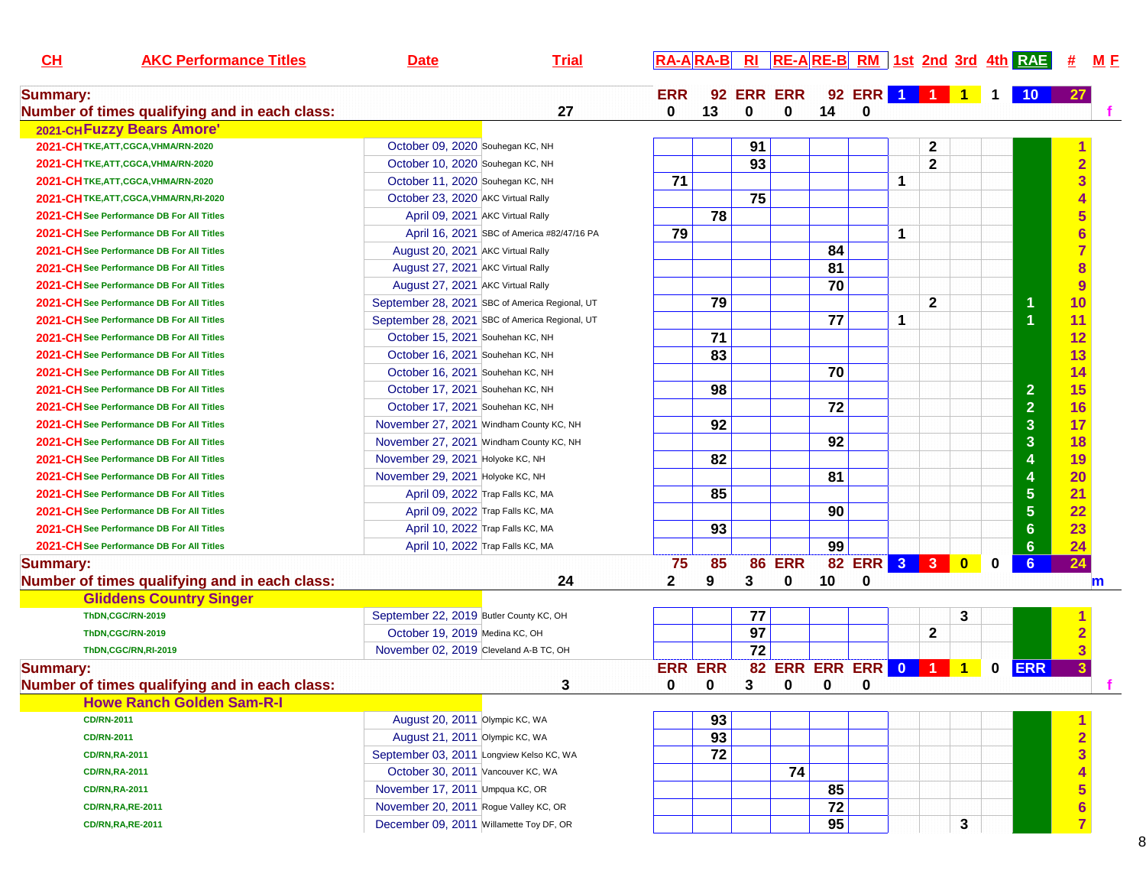| CH              | <b>AKC Performance Titles</b>                 | <b>Date</b>                                    | <b>Trial</b>                               |                | <b>RA-ARA-B</b> |                 |                    |    |                |             |              |                      |          | RI RE-ARE-B RM 1st 2nd 3rd 4th RAE | #              | M E         |
|-----------------|-----------------------------------------------|------------------------------------------------|--------------------------------------------|----------------|-----------------|-----------------|--------------------|----|----------------|-------------|--------------|----------------------|----------|------------------------------------|----------------|-------------|
| <b>Summary:</b> |                                               |                                                |                                            | <b>ERR</b>     |                 |                 | 92 ERR ERR         |    | 92 ERR 1 1 1 1 |             |              |                      |          | 10                                 |                |             |
|                 | Number of times qualifying and in each class: |                                                | 27                                         | 0              | 13              | 0               | 0                  | 14 | $\mathbf 0$    |             |              |                      |          |                                    |                |             |
|                 | 2021-CHFuzzy Bears Amore'                     |                                                |                                            |                |                 |                 |                    |    |                |             |              |                      |          |                                    |                |             |
|                 | 2021-CHTKE, ATT, CGCA, VHMA/RN-2020           | October 09, 2020 Souhegan KC, NH               |                                            |                |                 | 91              |                    |    |                |             | 2            |                      |          |                                    |                |             |
|                 | 2021-CHTKE, ATT, CGCA, VHMA/RN-2020           | October 10, 2020 Souhegan KC, NH               |                                            |                |                 | 93              |                    |    |                |             | $\mathbf{2}$ |                      |          |                                    |                |             |
|                 | 2021-CH TKE, ATT, CGCA, VHMA/RN-2020          | October 11, 2020 Souhegan KC, NH               |                                            | 71             |                 |                 |                    |    |                | 1           |              |                      |          |                                    |                |             |
|                 | 2021-CHTKE.ATT.CGCA.VHMA/RN.RI-2020           | October 23, 2020 AKC Virtual Rally             |                                            |                |                 | 75              |                    |    |                |             |              |                      |          |                                    |                |             |
|                 | 2021-CH See Performance DB For All Titles     | April 09, 2021 AKC Virtual Rally               |                                            |                | 78              |                 |                    |    |                |             |              |                      |          |                                    |                |             |
|                 | 2021-CH See Performance DB For All Titles     |                                                | April 16, 2021 SBC of America #82/47/16 PA | 79             |                 |                 |                    |    |                | $\mathbf 1$ |              |                      |          |                                    |                |             |
|                 | 2021-CH See Performance DB For All Titles     | August 20, 2021 AKC Virtual Rally              |                                            |                |                 |                 |                    | 84 |                |             |              |                      |          |                                    |                |             |
|                 | 2021-CH See Performance DB For All Titles     | August 27, 2021 AKC Virtual Rally              |                                            |                |                 |                 |                    | 81 |                |             |              |                      |          |                                    |                |             |
|                 | 2021-CH See Performance DB For All Titles     | August 27, 2021 AKC Virtual Rally              |                                            |                |                 |                 |                    | 70 |                |             |              |                      |          |                                    |                |             |
|                 | 2021-CH See Performance DB For All Titles     | September 28, 2021 SBC of America Regional, UT |                                            |                | 79              |                 |                    |    |                |             | $\mathbf{2}$ |                      |          | 1                                  | 10             |             |
|                 | 2021-CH See Performance DB For All Titles     | September 28, 2021 SBC of America Regional, UT |                                            |                |                 |                 |                    | 77 |                | 1           |              |                      |          | $\overline{1}$                     | 11             |             |
|                 | 2021-CH See Performance DB For All Titles     | October 15, 2021 Souhehan KC, NH               |                                            |                | 71              |                 |                    |    |                |             |              |                      |          |                                    | 12             |             |
|                 | 2021-CH See Performance DB For All Titles     | October 16, 2021 Souhehan KC, NH               |                                            |                | 83              |                 |                    |    |                |             |              |                      |          |                                    | 13             |             |
|                 | 2021-CH See Performance DB For All Titles     | October 16, 2021 Souhehan KC, NH               |                                            |                |                 |                 |                    | 70 |                |             |              |                      |          |                                    | 14             |             |
|                 | 2021-CH See Performance DB For All Titles     | October 17, 2021 Souhehan KC, NH               |                                            |                | 98              |                 |                    |    |                |             |              |                      |          | 2 <sup>1</sup>                     | 15             |             |
|                 | 2021-CH See Performance DB For All Titles     | October 17, 2021 Souhehan KC, NH               |                                            |                |                 |                 |                    | 72 |                |             |              |                      |          | $\overline{2}$                     | 16             |             |
|                 | 2021-CH See Performance DB For All Titles     | November 27, 2021 Windham County KC, NH        |                                            |                | 92              |                 |                    |    |                |             |              |                      |          | $\overline{3}$                     | 17             |             |
|                 | 2021-CH See Performance DB For All Titles     | November 27, 2021 Windham County KC, NH        |                                            |                |                 |                 |                    | 92 |                |             |              |                      |          | $\overline{3}$                     | 18             |             |
|                 | 2021-CH See Performance DB For All Titles     | November 29, 2021 Holyoke KC, NH               |                                            |                | 82              |                 |                    |    |                |             |              |                      |          | 4                                  | 19             |             |
|                 | 2021-CH See Performance DB For All Titles     | November 29, 2021 Holyoke KC, NH               |                                            |                |                 |                 |                    | 81 |                |             |              |                      |          | $\overline{\mathbf{4}}$            | 20             |             |
|                 | 2021-CH See Performance DB For All Titles     | April 09, 2022 Trap Falls KC, MA               |                                            |                | 85              |                 |                    |    |                |             |              |                      |          | $5\phantom{.}$                     | 21             |             |
|                 | 2021-CH See Performance DB For All Titles     | April 09, 2022 Trap Falls KC, MA               |                                            |                |                 |                 |                    | 90 |                |             |              |                      |          | $5\phantom{1}$                     | 22             |             |
|                 | 2021-CH See Performance DB For All Titles     | April 10, 2022 Trap Falls KC, MA               |                                            |                | 93              |                 |                    |    |                |             |              |                      |          | 6 <sup>1</sup>                     | 23             |             |
|                 | 2021-CH See Performance DB For All Titles     | April 10, 2022 Trap Falls KC, MA               |                                            |                |                 |                 |                    | 99 |                |             |              |                      |          | 6 <sup>1</sup>                     | 24             |             |
| <b>Summary:</b> |                                               |                                                |                                            | 75             | 85              | 86              | <b>ERR</b>         |    | 82 ERR 3 3 0   |             |              |                      | $\bf{0}$ | 6 <sup>°</sup>                     | 24             |             |
|                 | Number of times qualifying and in each class: |                                                | 24                                         | $\mathbf{2}$   | 9               | 3               | 0                  | 10 | 0              |             |              |                      |          |                                    |                | $\mathbf m$ |
|                 | <b>Gliddens Country Singer</b>                |                                                |                                            |                |                 |                 |                    |    |                |             |              |                      |          |                                    |                |             |
|                 | ThDN,CGC/RN-2019                              | September 22, 2019 Butler County KC, OH        |                                            |                |                 | 77              |                    |    |                |             |              | 3                    |          |                                    |                |             |
|                 | ThDN,CGC/RN-2019                              | October 19, 2019 Medina KC, OH                 |                                            |                |                 | $\overline{97}$ |                    |    |                |             | $\mathbf{2}$ |                      |          |                                    |                |             |
|                 | ThDN.CGC/RN.RI-2019                           | November 02, 2019 Cleveland A-B TC, OH         |                                            |                |                 | 72              |                    |    |                |             |              |                      |          |                                    |                |             |
| <b>Summary:</b> |                                               |                                                |                                            | <b>ERR ERR</b> |                 |                 | 82 ERR ERR ERR 0 1 |    |                |             |              | $\blacktriangleleft$ | $\bf{0}$ | <b>ERR</b>                         |                |             |
|                 | Number of times qualifying and in each class: |                                                | 3                                          | 0              | 0               | 3               | 0                  | 0  | 0              |             |              |                      |          |                                    |                |             |
|                 | <b>Howe Ranch Golden Sam-R-I</b>              |                                                |                                            |                |                 |                 |                    |    |                |             |              |                      |          |                                    |                |             |
|                 | <b>CD/RN-2011</b>                             | August 20, 2011 Olympic KC, WA                 |                                            |                | 93              |                 |                    |    |                |             |              |                      |          |                                    |                |             |
|                 | <b>CD/RN-2011</b>                             | August 21, 2011 Olympic KC, WA                 |                                            |                | 93              |                 |                    |    |                |             |              |                      |          |                                    |                |             |
|                 | <b>CD/RN,RA-2011</b>                          | September 03, 2011 Longview Kelso KC, WA       |                                            |                | 72              |                 |                    |    |                |             |              |                      |          |                                    |                |             |
|                 | <b>CD/RN,RA-2011</b>                          | October 30, 2011 Vancouver KC, WA              |                                            |                |                 |                 | 74                 |    |                |             |              |                      |          |                                    |                |             |
|                 | <b>CD/RN,RA-2011</b>                          | November 17, 2011 Umpqua KC, OR                |                                            |                |                 |                 |                    | 85 |                |             |              |                      |          |                                    | 5              |             |
|                 | <b>CD/RN,RA,RE-2011</b>                       | November 20, 2011 Rogue Valley KC, OR          |                                            |                |                 |                 |                    | 72 |                |             |              |                      |          |                                    |                |             |
|                 | <b>CD/RN,RA,RE-2011</b>                       | December 09, 2011 Willamette Toy DF, OR        |                                            |                |                 |                 |                    | 95 |                |             |              | 3                    |          |                                    | $\overline{7}$ |             |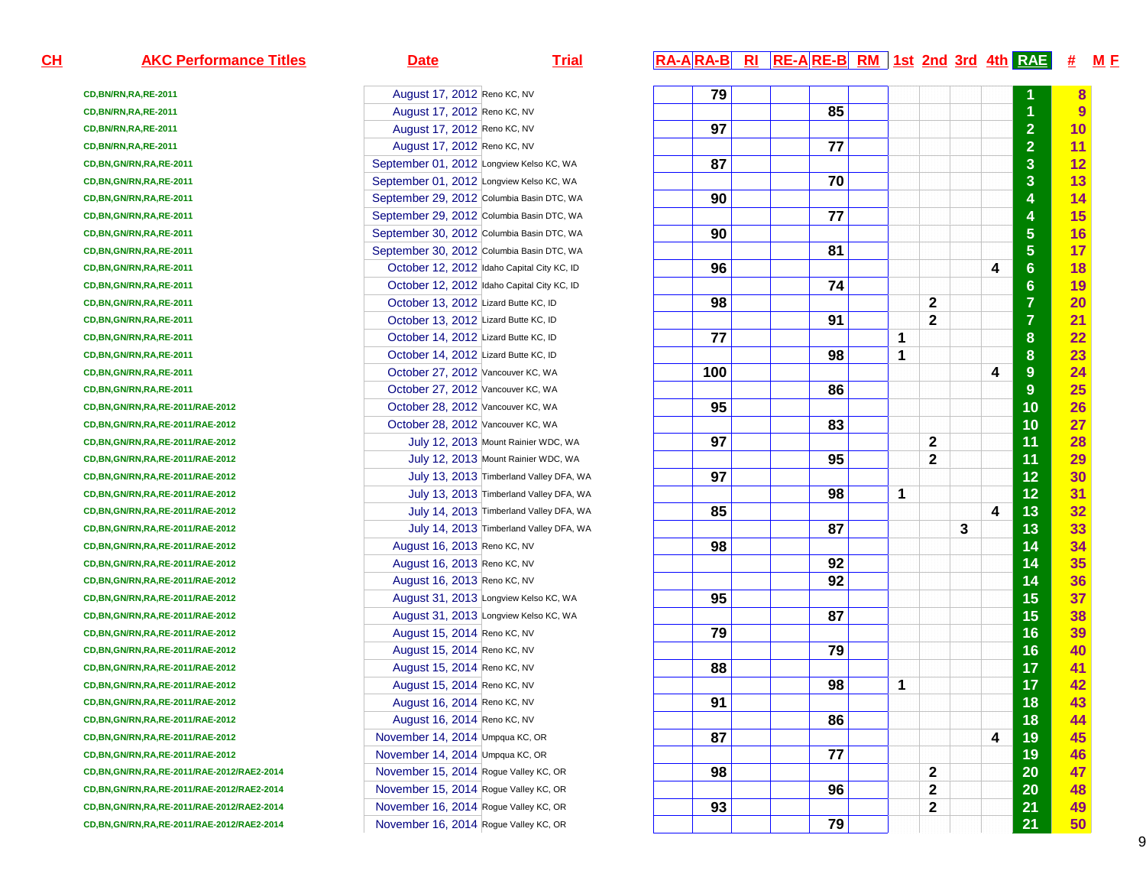| $CH$ | <b>AKC Performance Titles</b>                 | <b>Date</b>                                | <b>Trial</b>                            | RA-ARA-B RI RE-ARE-B RM 1st 2nd 3rd 4th RAE |    |   |                  |   |   |                         | $#$ M F   |  |
|------|-----------------------------------------------|--------------------------------------------|-----------------------------------------|---------------------------------------------|----|---|------------------|---|---|-------------------------|-----------|--|
|      | CD, BN/RN, RA, RE-2011                        | August 17, 2012 Reno KC, NV                |                                         | 79                                          |    |   |                  |   |   |                         | 8         |  |
|      | CD, BN/RN, RA, RE-2011                        | August 17, 2012 Reno KC, NV                |                                         |                                             | 85 |   |                  |   |   |                         | 9         |  |
|      | CD, BN/RN, RA, RE-2011                        | August 17, 2012 Reno KC, NV                |                                         | 97                                          |    |   |                  |   |   | $\overline{\mathbf{2}}$ | 10        |  |
|      | CD, BN/RN, RA, RE-2011                        | August 17, 2012 Reno KC, NV                |                                         |                                             | 77 |   |                  |   |   | $\overline{2}$          | 11        |  |
|      | CD, BN, GN/RN, RA, RE-2011                    | September 01, 2012 Longview Kelso KC, WA   |                                         | 87                                          |    |   |                  |   |   | 3                       | 12        |  |
|      | CD, BN, GN/RN, RA, RE-2011                    | September 01, 2012 Longview Kelso KC, WA   |                                         |                                             | 70 |   |                  |   |   | 3                       | 13        |  |
|      | CD, BN, GN/RN, RA, RE-2011                    | September 29, 2012 Columbia Basin DTC, WA  |                                         | 90                                          |    |   |                  |   |   | 4                       | 14        |  |
|      | CD, BN, GN/RN, RA, RE-2011                    | September 29, 2012 Columbia Basin DTC, WA  |                                         |                                             | 77 |   |                  |   |   | 4                       | 15        |  |
|      | CD, BN, GN/RN, RA, RE-2011                    | September 30, 2012 Columbia Basin DTC, WA  |                                         | 90                                          |    |   |                  |   |   | $\overline{\mathbf{5}}$ | 16        |  |
|      | CD, BN, GN/RN, RA, RE-2011                    | September 30, 2012 Columbia Basin DTC, WA  |                                         |                                             | 81 |   |                  |   |   | $\overline{5}$          | 17        |  |
|      | CD, BN, GN/RN, RA, RE-2011                    | October 12, 2012 Idaho Capital City KC, ID |                                         | 96                                          |    |   |                  |   | 4 | $6\phantom{1}6$         | 18        |  |
|      | CD, BN, GN/RN, RA, RE-2011                    | October 12, 2012 Idaho Capital City KC, ID |                                         |                                             | 74 |   |                  |   |   | $6\phantom{1}$          | 19        |  |
|      | CD, BN, GN/RN, RA, RE-2011                    | October 13, 2012 Lizard Butte KC, ID       |                                         | 98                                          |    |   | 2                |   |   | $\overline{7}$          | 20        |  |
|      | CD, BN, GN/RN, RA, RE-2011                    | October 13, 2012 Lizard Butte KC, ID       |                                         |                                             | 91 |   | $\mathbf{2}$     |   |   | $\overline{7}$          | <u>21</u> |  |
|      | CD, BN, GN/RN, RA, RE-2011                    | October 14, 2012 Lizard Butte KC, ID       |                                         | 77                                          |    | 1 |                  |   |   | $\boldsymbol{8}$        | 22        |  |
|      | CD, BN, GN/RN, RA, RE-2011                    | October 14, 2012 Lizard Butte KC, ID       |                                         |                                             | 98 | 1 |                  |   |   | $\boldsymbol{8}$        | 23        |  |
|      | CD, BN, GN/RN, RA, RE-2011                    | October 27, 2012 Vancouver KC, WA          |                                         | 100                                         |    |   |                  |   | 4 | 9                       | 24        |  |
|      | CD, BN, GN/RN, RA, RE-2011                    | October 27, 2012 Vancouver KC, WA          |                                         |                                             | 86 |   |                  |   |   | 9                       | 25        |  |
|      | CD, BN, GN/RN, RA, RE-2011/RAE-2012           | October 28, 2012 Vancouver KC, WA          |                                         | 95                                          |    |   |                  |   |   | 10                      | 26        |  |
|      | CD, BN, GN/RN, RA, RE-2011/RAE-2012           | October 28, 2012 Vancouver KC, WA          |                                         |                                             | 83 |   |                  |   |   | 10                      | 27        |  |
|      | CD, BN, GN/RN, RA, RE-2011/RAE-2012           | July 12, 2013 Mount Rainier WDC, WA        |                                         | 97                                          |    |   | 2                |   |   | 11                      | 28        |  |
|      | CD, BN, GN/RN, RA, RE-2011/RAE-2012           | July 12, 2013 Mount Rainier WDC, WA        |                                         |                                             | 95 |   | $\mathbf 2$      |   |   | 11                      | 29        |  |
|      | CD, BN, GN/RN, RA, RE-2011/RAE-2012           |                                            | July 13, 2013 Timberland Valley DFA, WA | 97                                          |    |   |                  |   |   | 12                      | 30        |  |
|      | CD, BN, GN/RN, RA, RE-2011/RAE-2012           |                                            | July 13, 2013 Timberland Valley DFA, WA |                                             | 98 | 1 |                  |   |   | 12                      | 31        |  |
|      | CD, BN, GN/RN, RA, RE-2011/RAE-2012           |                                            | July 14, 2013 Timberland Valley DFA, WA | 85                                          |    |   |                  |   | 4 | 13                      | 32        |  |
|      | CD, BN, GN/RN, RA, RE-2011/RAE-2012           |                                            | July 14, 2013 Timberland Valley DFA, WA |                                             | 87 |   |                  | 3 |   | 13                      | 33        |  |
|      | CD, BN, GN/RN, RA, RE-2011/RAE-2012           | August 16, 2013 Reno KC, NV                |                                         | 98                                          |    |   |                  |   |   | 14                      | 34        |  |
|      | CD, BN, GN/RN, RA, RE-2011/RAE-2012           | August 16, 2013 Reno KC, NV                |                                         |                                             | 92 |   |                  |   |   | 14                      | 35        |  |
|      | CD, BN, GN/RN, RA, RE-2011/RAE-2012           | August 16, 2013 Reno KC, NV                |                                         |                                             | 92 |   |                  |   |   | 14                      | 36        |  |
|      | CD, BN, GN/RN, RA, RE-2011/RAE-2012           | August 31, 2013 Longview Kelso KC, WA      |                                         | 95                                          |    |   |                  |   |   | 15                      | 37        |  |
|      | CD, BN, GN/RN, RA, RE-2011/RAE-2012           | August 31, 2013 Longview Kelso KC, WA      |                                         |                                             | 87 |   |                  |   |   | 15                      | 38        |  |
|      | CD, BN, GN/RN, RA, RE-2011/RAE-2012           | August 15, 2014 Reno KC, NV                |                                         | 79                                          |    |   |                  |   |   | 16                      | 39        |  |
|      | CD, BN, GN/RN, RA, RE-2011/RAE-2012           | August 15, 2014 Reno KC, NV                |                                         |                                             | 79 |   |                  |   |   | 16                      | 40        |  |
|      | CD, BN, GN/RN, RA, RE-2011/RAE-2012           | August 15, 2014 Reno KC, NV                |                                         | 88                                          |    |   |                  |   |   | 17                      | <u>41</u> |  |
|      | CD, BN, GN/RN, RA, RE-2011/RAE-2012           | August 15, 2014 Reno KC, NV                |                                         |                                             | 98 | 1 |                  |   |   | 17                      | 42        |  |
|      | CD, BN, GN/RN, RA, RE-2011/RAE-2012           | August 16, 2014 Reno KC, NV                |                                         | 91                                          |    |   |                  |   |   | 18                      | 43        |  |
|      | CD, BN, GN/RN, RA, RE-2011/RAE-2012           | August 16, 2014 Reno KC, NV                |                                         |                                             | 86 |   |                  |   |   | 18                      | 44        |  |
|      | CD, BN, GN/RN, RA, RE-2011/RAE-2012           | November 14, 2014 Umpqua KC, OR            |                                         | 87                                          |    |   |                  |   | 4 | 19                      | 45        |  |
|      | CD, BN, GN/RN, RA, RE-2011/RAE-2012           | November 14, 2014 Umpqua KC, OR            |                                         |                                             | 77 |   |                  |   |   | 19                      | 46        |  |
|      | CD, BN, GN/RN, RA, RE-2011/RAE-2012/RAE2-2014 | November 15, 2014 Rogue Valley KC, OR      |                                         | 98                                          |    |   | $\mathbf{2}$     |   |   | 20                      | 47        |  |
|      | CD, BN, GN/RN, RA, RE-2011/RAE-2012/RAE2-2014 | November 15, 2014 Rogue Valley KC, OR      |                                         |                                             | 96 |   | $\boldsymbol{2}$ |   |   | 20                      | 48        |  |
|      | CD, BN, GN/RN, RA, RE-2011/RAE-2012/RAE2-2014 | November 16, 2014 Rogue Valley KC, OR      |                                         | 93                                          |    |   | $\mathbf 2$      |   |   | 21                      | 49        |  |
|      | CD, BN, GN/RN, RA, RE-2011/RAE-2012/RAE2-2014 | November 16, 2014 Rogue Valley KC, OR      |                                         |                                             | 79 |   |                  |   |   | 21                      | 50        |  |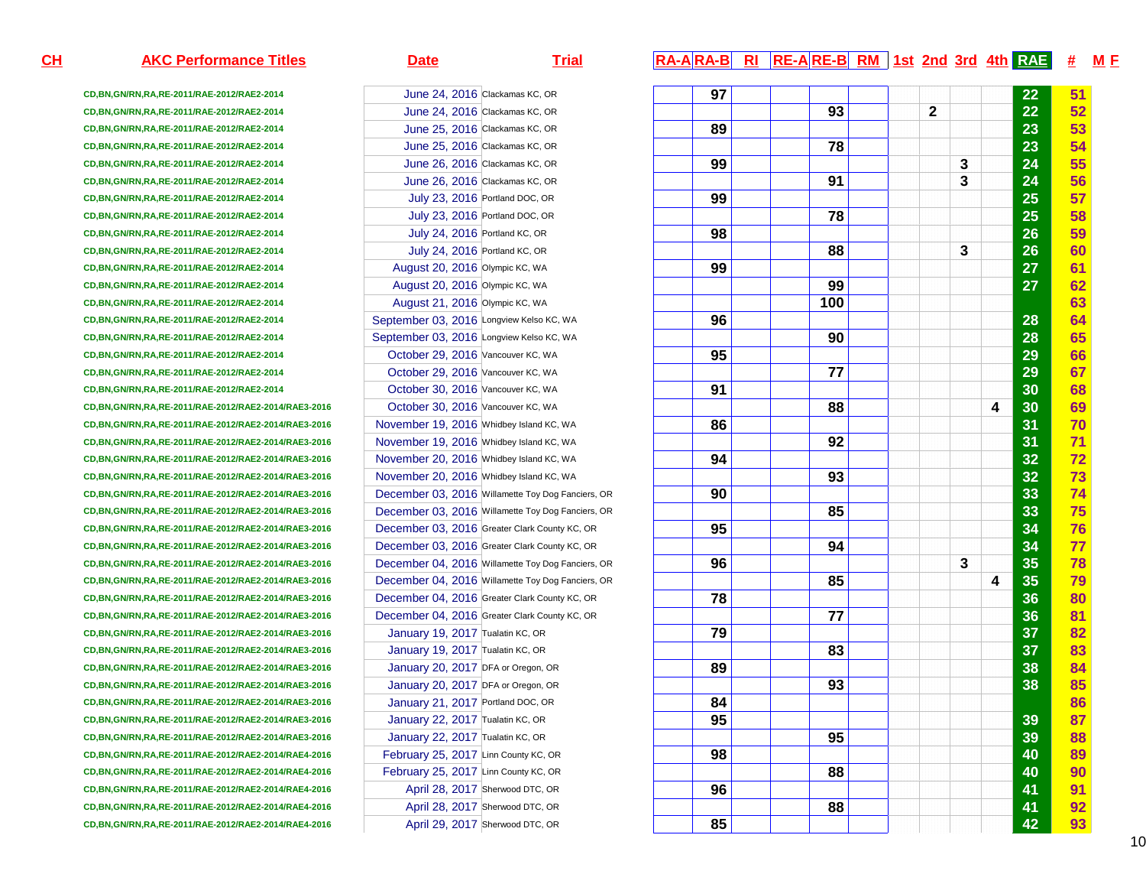**CD,BN,GN/RN,RA,RE-2011/RAE-2012/RAE2-2014CD,BN,GN/RN,RA,RE-2011/RAE-2012/RAE2-2014CD,BN,GN/RN,RA,RE-2011/RAE-2012/RAE2-2014CD,BN,GN/RN,RA,RE-2011/RAE-2012/RAE2-2014CD,BN,GN/RN,RA,RE-2011/RAE-2012/RAE2-2014CD,BN,GN/RN,RA,RE-2011/RAE-2012/RAE2-2014CD,BN,GN/RN,RA,RE-2011/RAE-2012/RAE2-2014CD,BN,GN/RN,RA,RE-2011/RAE-2012/RAE2-2014CD,BN,GN/RN,RA,RE-2011/RAE-2012/RAE2-2014CD,BN,GN/RN,RA,RE-2011/RAE-2012/RAE2-2014CD,BN,GN/RN,RA,RE-2011/RAE-2012/RAE2-2014CD,BN,GN/RN,RA,RE-2011/RAE-2012/RAE2-2014CD,BN,GN/RN,RA,RE-2011/RAE-2012/RAE2-2014CD,BN,GN/RN,RA,RE-2011/RAE-2012/RAE2-2014CD,BN,GN/RN,RA,RE-2011/RAE-2012/RAE2-2014CD,BN,GN/RN,RA,RE-2011/RAE-2012/RAE2-2014CD,BN,GN/RN,RA,RE-2011/RAE-2012/RAE2-2014CD,BN,GN/RN,RA,RE-2011/RAE-2012/RAE2-2014CD,BN,GN/RN,RA,RE-2011/RAE-2012/RAE2-2014/RAE3-2016CD,BN,GN/RN,RA,RE-2011/RAE-2012/RAE2-2014/RAE3-2016CD,BN,GN/RN,RA,RE-2011/RAE-2012/RAE2-2014/RAE3-2016CD,BN,GN/RN,RA,RE-2011/RAE-2012/RAE2-2014/RAE3-2016CD,BN,GN/RN,RA,RE-2011/RAE-2012/RAE2-2014/RAE3-2016CD,BN,GN/RN,RA,RE-2011/RAE-2012/RAE2-2014/RAE3-2016CD,BN,GN/RN,RA,RE-2011/RAE-2012/RAE2-2014/RAE3-2016CD,BN,GN/RN,RA,RE-2011/RAE-2012/RAE2-2014/RAE3-2016CD,BN,GN/RN,RA,RE-2011/RAE-2012/RAE2-2014/RAE3-2016CD,BN,GN/RN,RA,RE-2011/RAE-2012/RAE2-2014/RAE3-2016CD,BN,GN/RN,RA,RE-2011/RAE-2012/RAE2-2014/RAE3-2016CD,BN,GN/RN,RA,RE-2011/RAE-2012/RAE2-2014/RAE3-2016CD,BN,GN/RN,RA,RE-2011/RAE-2012/RAE2-2014/RAE3-2016CD,BN,GN/RN,RA,RE-2011/RAE-2012/RAE2-2014/RAE3-2016CD,BN,GN/RN,RA,RE-2011/RAE-2012/RAE2-2014/RAE3-2016CD,BN,GN/RN,RA,RE-2011/RAE-2012/RAE2-2014/RAE3-2016CD,BN,GN/RN,RA,RE-2011/RAE-2012/RAE2-2014/RAE3-2016CD,BN,GN/RN,RA,RE-2011/RAE-2012/RAE2-2014/RAE3-2016CD,BN,GN/RN,RA,RE-2011/RAE-2012/RAE2-2014/RAE3-2016CD,BN,GN/RN,RA,RE-2011/RAE-2012/RAE2-2014/RAE3-2016CD,BN,GN/RN,RA,RE-2011/RAE-2012/RAE2-2014/RAE4-2016CD,BN,GN/RN,RA,RE-2011/RAE-2012/RAE2-2014/RAE4-2016CD,BN,GN/RN,RA,RE-2011/RAE-2012/RAE2-2014/RAE4-2016CD,BN,GN/RN,RA,RE-2011/RAE-2012/RAE2-2014/RAE4-2016CD,BN,GN/RN,RA,RE-2011/RAE-2012/RAE2-2014/RAE4-2016**

### June 24, 2016 Clackamas KC, OR June 24, 2016 Clackamas KC, OR June 25, 2016 Clackamas KC, OR June 25, 2016 Clackamas KC, OR June 26, 2016 Clackamas KC, OR June 26, 2016 Clackamas KC, OR July 23, 2016 Portland DOC, OR July 23, 2016 Portland DOC, OR July 24, 2016 Portland KC, OR July 24, 2016 Portland KC, OR August 20, 2016 Olympic KC, WA August 20, 2016 Olympic KC, WA August 21, 2016 Olympic KC, WA September 03, 2016 Longview Kelso KC, WASeptember 03, 2016 Longview Kelso KC, WA October 29, 2016 Vancouver KC, WA October 29, 2016 Vancouver KC, WAOctober 30, 2016 Vancouver KC, WA October 30, 2016 Vancouver KC, WA November 19, 2016 Whidbey Island KC, WA November 19, 2016 Whidbey Island KC, WA November 20, 2016 Whidbey Island KC, WA November 20, 2016 Whidbey Island KC, WA December 03, 2016 Willamette Toy Dog Fanciers, OR December 03, 2016 Willamette Toy Dog Fanciers, OR December 03, 2016 Greater Clark County KC, OR December 03, 2016 Greater Clark County KC, OR December 04, 2016 Willamette Toy Dog Fanciers, OR December 04, 2016 Willamette Toy Dog Fanciers, ORDecember 04, 2016 Greater Clark County KC, OR December 04, 2016 Greater Clark County KC, ORJanuary 19, 2017 Tualatin KC, OR January 19, 2017 Tualatin KC, OR January 20, 2017 DFA or Oregon, OR January 20, 2017 DFA or Oregon, OR January 21, 2017 Portland DOC, OR January 22, 2017 Tualatin KC, OR January 22, 2017 Tualatin KC, OR February 25, 2017 Linn County KC, OR February 25, 2017 Linn County KC, OR April 28, 2017 Sherwood DTC, OR April 28, 2017 Sherwood DTC, ORApril 29, 2017 Sherwood DTC, OR

## **AKC Performance Titles Date Trial RA-A RA-B RI RE-A RE-B RM 1st 2nd 3rd 4th RAE # <sup>M</sup> <sup>F</sup>**

| , OR             | 97 |     |                | $\overline{22}$ | 51 |
|------------------|----|-----|----------------|-----------------|----|
| , OR             |    | 93  | $\overline{2}$ | 22              | 52 |
| , OR             | 89 |     |                | 23              | 53 |
| , OR             |    | 78  |                | 23              | 54 |
| , OR             | 99 |     | 3              | 24              | 55 |
| , OR             |    | 91  | 3              | 24              | 56 |
| OR               | 99 |     |                | 25              | 57 |
| OR               |    | 78  |                | 25              | 58 |
| R.               | 98 |     |                | 26              | 59 |
| R                |    | 88  | 3              | 26              | 60 |
| ΙA               | 99 |     |                | 27              | 61 |
| A                |    | 99  |                | 27              | 62 |
| A                |    | 100 |                |                 | 63 |
| o KC, WA         | 96 |     |                | 28              | 64 |
| o KC, WA         |    | 90  |                | 28              | 65 |
| WA               | 95 |     |                | 29              | 66 |
| <b>WA</b>        |    | 77  |                | 29              | 67 |
| WA               | 91 |     |                | 30              | 68 |
| WA               |    | 88  |                | 4<br>30         | 69 |
| I KC, WA         | 86 |     |                | 31              | 70 |
| J KC, WA         |    | 92  |                | 31              | 71 |
| <b>IKC, WA</b>   | 94 |     |                | 32              | 72 |
| J KC, WA         |    | 93  |                | 32              | 73 |
| Dog Fanciers, OR | 90 |     |                | 33              | 74 |
| Dog Fanciers, OR |    | 85  |                | 33              | 75 |
| County KC, OR    | 95 |     |                | 34              | 76 |
| County KC, OR    |    | 94  |                | 34              | 77 |
| Dog Fanciers, OR | 96 |     | 3              | 35              | 78 |
| Dog Fanciers, OR |    | 85  |                | 35<br>4         | 79 |
| County KC, OR    | 78 |     |                | 36              | 80 |
| County KC, OR    |    | 77  |                | 36              | 81 |
| R                | 79 |     |                | 37              | 82 |
| R                |    | 83  |                | 37              | 83 |
| ı, OR            | 89 |     |                | 38              | 84 |
| i, OR            |    | 93  |                | 38              | 85 |
| OR               | 84 |     |                |                 | 86 |
| R                | 95 |     |                | 39              | 87 |
| R                |    | 95  |                | 39              | 88 |
| C, OR            | 98 |     |                | 40              | 89 |
| C, OR            |    | 88  |                | 40              | 90 |
| , OR             | 96 |     |                | 41              | 91 |
| , OR             |    | 88  |                | 41              | 92 |
| , OR             | 85 |     |                | 42              | 93 |
|                  |    |     |                |                 |    |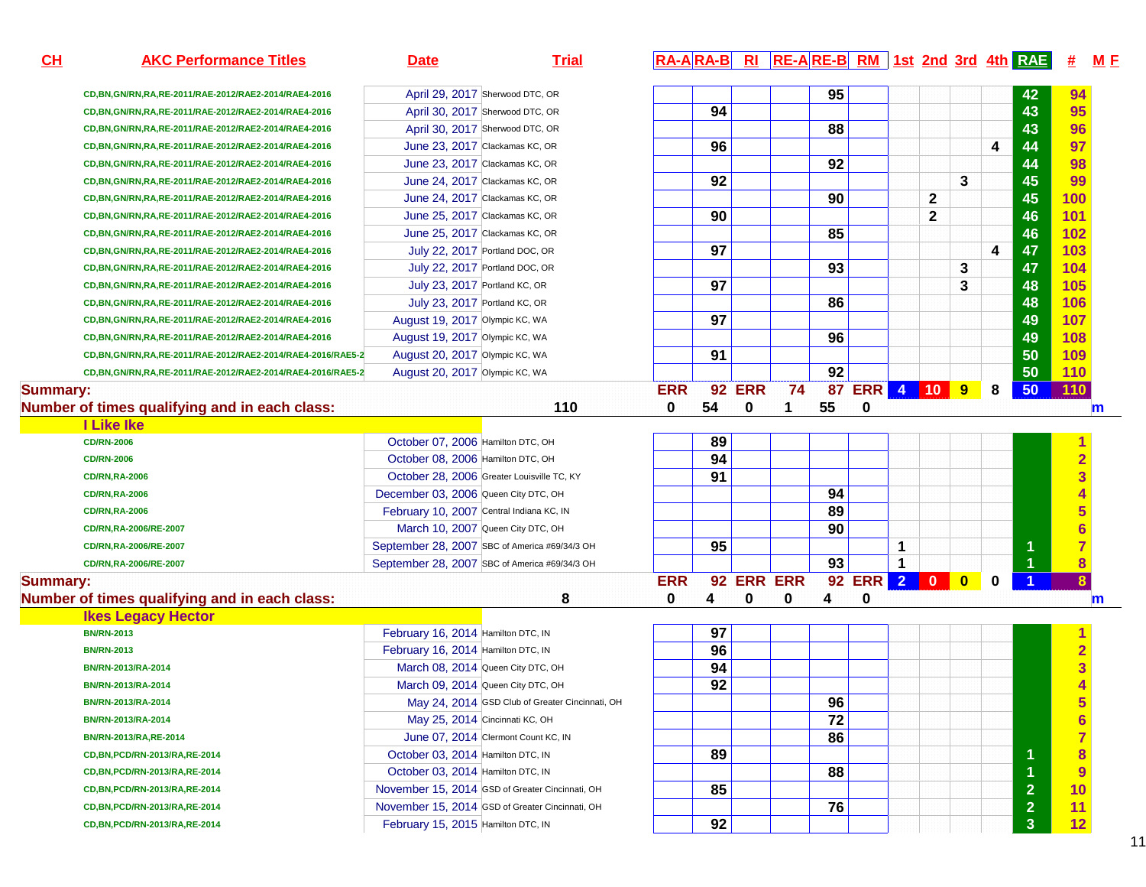| CH              | <b>AKC Performance Titles</b>                              | <b>Date</b>                              | <b>Trial</b>                                    |            |    |               |            |    |            |              |              |           |             | RA-ARA-B RI RE-ARE-B RM 1st 2nd 3rd 4th RAE | 坓                       | M E         |
|-----------------|------------------------------------------------------------|------------------------------------------|-------------------------------------------------|------------|----|---------------|------------|----|------------|--------------|--------------|-----------|-------------|---------------------------------------------|-------------------------|-------------|
|                 | CD, BN, GN/RN, RA, RE-2011/RAE-2012/RAE2-2014/RAE4-2016    |                                          | April 29, 2017 Sherwood DTC, OR                 |            |    |               |            | 95 |            |              |              |           |             | 42                                          | 94                      |             |
|                 | CD, BN, GN/RN, RA, RE-2011/RAE-2012/RAE2-2014/RAE4-2016    |                                          | April 30, 2017 Sherwood DTC, OR                 |            | 94 |               |            |    |            |              |              |           |             | 43                                          | 95                      |             |
|                 | CD, BN, GN/RN, RA, RE-2011/RAE-2012/RAE2-2014/RAE4-2016    |                                          | April 30, 2017 Sherwood DTC, OR                 |            |    |               |            | 88 |            |              |              |           |             | 43                                          | 96                      |             |
|                 | CD, BN, GN/RN, RA, RE-2011/RAE-2012/RAE2-2014/RAE4-2016    |                                          | June 23, 2017 Clackamas KC, OR                  |            | 96 |               |            |    |            |              |              |           | 4           | 44                                          | 97                      |             |
|                 | CD, BN, GN/RN, RA, RE-2011/RAE-2012/RAE2-2014/RAE4-2016    |                                          | June 23, 2017 Clackamas KC, OR                  |            |    |               |            | 92 |            |              |              |           |             | 44                                          | 98                      |             |
|                 | CD, BN, GN/RN, RA, RE-2011/RAE-2012/RAE2-2014/RAE4-2016    |                                          | June 24, 2017 Clackamas KC, OR                  |            | 92 |               |            |    |            |              |              | 3         |             | 45                                          | 99                      |             |
|                 | CD, BN, GN/RN, RA, RE-2011/RAE-2012/RAE2-2014/RAE4-2016    |                                          | June 24, 2017 Clackamas KC, OR                  |            |    |               |            | 90 |            |              | 2            |           |             | 45                                          | 100                     |             |
|                 | CD, BN, GN/RN, RA, RE-2011/RAE-2012/RAE2-2014/RAE4-2016    |                                          | June 25, 2017 Clackamas KC, OR                  |            | 90 |               |            |    |            |              | $\mathbf{2}$ |           |             | 46                                          | 101                     |             |
|                 | CD, BN, GN/RN, RA, RE-2011/RAE-2012/RAE2-2014/RAE4-2016    |                                          | June 25, 2017 Clackamas KC, OR                  |            |    |               |            | 85 |            |              |              |           |             | 46                                          | 102                     |             |
|                 | CD, BN, GN/RN, RA, RE-2011/RAE-2012/RAE2-2014/RAE4-2016    |                                          | July 22, 2017 Portland DOC, OR                  |            | 97 |               |            |    |            |              |              |           | 4           | 47                                          | 103                     |             |
|                 | CD, BN, GN/RN, RA, RE-2011/RAE-2012/RAE2-2014/RAE4-2016    |                                          | July 22, 2017 Portland DOC, OR                  |            |    |               |            | 93 |            |              |              | 3         |             | 47                                          | 104                     |             |
|                 | CD, BN, GN/RN, RA, RE-2011/RAE-2012/RAE2-2014/RAE4-2016    | July 23, 2017 Portland KC, OR            |                                                 |            | 97 |               |            |    |            |              |              | 3         |             | 48                                          | 105                     |             |
|                 | CD, BN, GN/RN, RA, RE-2011/RAE-2012/RAE2-2014/RAE4-2016    | July 23, 2017 Portland KC, OR            |                                                 |            |    |               |            | 86 |            |              |              |           |             | 48                                          | 106                     |             |
|                 | CD, BN, GN/RN, RA, RE-2011/RAE-2012/RAE2-2014/RAE4-2016    | August 19, 2017 Olympic KC, WA           |                                                 |            | 97 |               |            |    |            |              |              |           |             | 49                                          | 107                     |             |
|                 | CD, BN, GN/RN, RA, RE-2011/RAE-2012/RAE2-2014/RAE4-2016    | August 19, 2017 Olympic KC, WA           |                                                 |            |    |               |            | 96 |            |              |              |           |             | 49                                          | 108                     |             |
|                 | CD,BN,GN/RN,RA,RE-2011/RAE-2012/RAE2-2014/RAE4-2016/RAE5-2 | August 20, 2017 Olympic KC, WA           |                                                 |            | 91 |               |            |    |            |              |              |           |             | 50                                          | 109                     |             |
|                 | CD,BN,GN/RN,RA,RE-2011/RAE-2012/RAE2-2014/RAE4-2016/RAE5-2 | August 20, 2017 Olympic KC, WA           |                                                 |            |    |               |            | 92 |            |              |              |           |             | 50                                          | 110                     |             |
| <b>Summary:</b> |                                                            |                                          |                                                 | <b>ERR</b> |    | <b>92 ERR</b> | 74         | 87 | ERR 4 10 9 |              |              |           | 8           | 50                                          | 110                     |             |
|                 | Number of times qualifying and in each class:              |                                          | 110                                             | 0          | 54 | 0             | 1          | 55 | 0          |              |              |           |             |                                             |                         | m           |
|                 | <b>I Like Ike</b>                                          |                                          |                                                 |            |    |               |            |    |            |              |              |           |             |                                             |                         |             |
|                 | <b>CD/RN-2006</b>                                          | October 07, 2006 Hamilton DTC, OH        |                                                 |            | 89 |               |            |    |            |              |              |           |             |                                             | 1                       |             |
|                 | <b>CD/RN-2006</b>                                          | October 08, 2006 Hamilton DTC, OH        |                                                 |            | 94 |               |            |    |            |              |              |           |             |                                             | $\overline{\mathbf{2}}$ |             |
|                 | <b>CD/RN,RA-2006</b>                                       |                                          | October 28, 2006 Greater Louisville TC, KY      |            | 91 |               |            |    |            |              |              |           |             |                                             | 3                       |             |
|                 | <b>CD/RN,RA-2006</b>                                       | December 03, 2006 Queen City DTC, OH     |                                                 |            |    |               |            | 94 |            |              |              |           |             |                                             |                         |             |
|                 | <b>CD/RN,RA-2006</b>                                       | February 10, 2007 Central Indiana KC, IN |                                                 |            |    |               |            | 89 |            |              |              |           |             |                                             | 5                       |             |
|                 | CD/RN,RA-2006/RE-2007                                      | March 10, 2007 Queen City DTC, OH        |                                                 |            |    |               |            | 90 |            |              |              |           |             |                                             | $\overline{\bf{6}}$     |             |
|                 | CD/RN,RA-2006/RE-2007                                      |                                          | September 28, 2007 SBC of America #69/34/3 OH   |            | 95 |               |            |    |            | 1            |              |           |             |                                             |                         |             |
|                 | CD/RN,RA-2006/RE-2007                                      |                                          | September 28, 2007 SBC of America #69/34/3 OH   |            |    |               |            | 93 |            | $\mathbf{1}$ |              |           |             |                                             | 8                       |             |
| <b>Summary:</b> |                                                            |                                          |                                                 | <b>ERR</b> |    |               | 92 ERR ERR |    | 92 ERR 2 0 |              |              | $\bullet$ | $\mathbf 0$ |                                             |                         |             |
|                 | Number of times qualifying and in each class:              |                                          | 8                                               | 0          | 4  | 0             | 0          | 4  | 0          |              |              |           |             |                                             |                         | $\mathbf m$ |
|                 | <b>Ikes Legacy Hector</b>                                  |                                          |                                                 |            |    |               |            |    |            |              |              |           |             |                                             |                         |             |
|                 | <b>BN/RN-2013</b>                                          | February 16, 2014 Hamilton DTC, IN       |                                                 |            | 97 |               |            |    |            |              |              |           |             |                                             |                         |             |
|                 | <b>BN/RN-2013</b>                                          | February 16, 2014 Hamilton DTC, IN       |                                                 |            | 96 |               |            |    |            |              |              |           |             |                                             | $\overline{\mathbf{2}}$ |             |
|                 | BN/RN-2013/RA-2014                                         | March 08, 2014 Queen City DTC, OH        |                                                 |            | 94 |               |            |    |            |              |              |           |             |                                             |                         |             |
|                 | BN/RN-2013/RA-2014                                         | March 09, 2014 Queen City DTC, OH        |                                                 |            | 92 |               |            |    |            |              |              |           |             |                                             |                         |             |
|                 | BN/RN-2013/RA-2014                                         |                                          | May 24, 2014 GSD Club of Greater Cincinnati, OH |            |    |               |            | 96 |            |              |              |           |             |                                             | $\overline{\mathbf{5}}$ |             |
|                 | BN/RN-2013/RA-2014                                         | May 25, 2014 Cincinnati KC, OH           |                                                 |            |    |               |            | 72 |            |              |              |           |             |                                             | $6\phantom{1}6$         |             |
|                 | BN/RN-2013/RA, RE-2014                                     |                                          | June 07, 2014 Clermont Count KC, IN             |            |    |               |            | 86 |            |              |              |           |             |                                             | $\overline{7}$          |             |
|                 | CD, BN, PCD/RN-2013/RA, RE-2014                            | October 03, 2014 Hamilton DTC, IN        |                                                 |            | 89 |               |            |    |            |              |              |           |             |                                             | $\bf{8}$                |             |
|                 | CD, BN, PCD/RN-2013/RA, RE-2014                            | October 03, 2014 Hamilton DTC, IN        |                                                 |            |    |               |            | 88 |            |              |              |           |             |                                             | 9                       |             |
|                 | CD, BN, PCD/RN-2013/RA, RE-2014                            |                                          | November 15, 2014 GSD of Greater Cincinnati, OH |            | 85 |               |            |    |            |              |              |           |             | $\overline{2}$                              | 10                      |             |
|                 | CD, BN, PCD/RN-2013/RA, RE-2014                            |                                          | November 15, 2014 GSD of Greater Cincinnati, OH |            |    |               |            | 76 |            |              |              |           |             | $\overline{2}$                              | 11                      |             |
|                 | CD, BN, PCD/RN-2013/RA, RE-2014                            | February 15, 2015 Hamilton DTC, IN       |                                                 |            | 92 |               |            |    |            |              |              |           |             | 3 <sup>5</sup>                              | 12                      |             |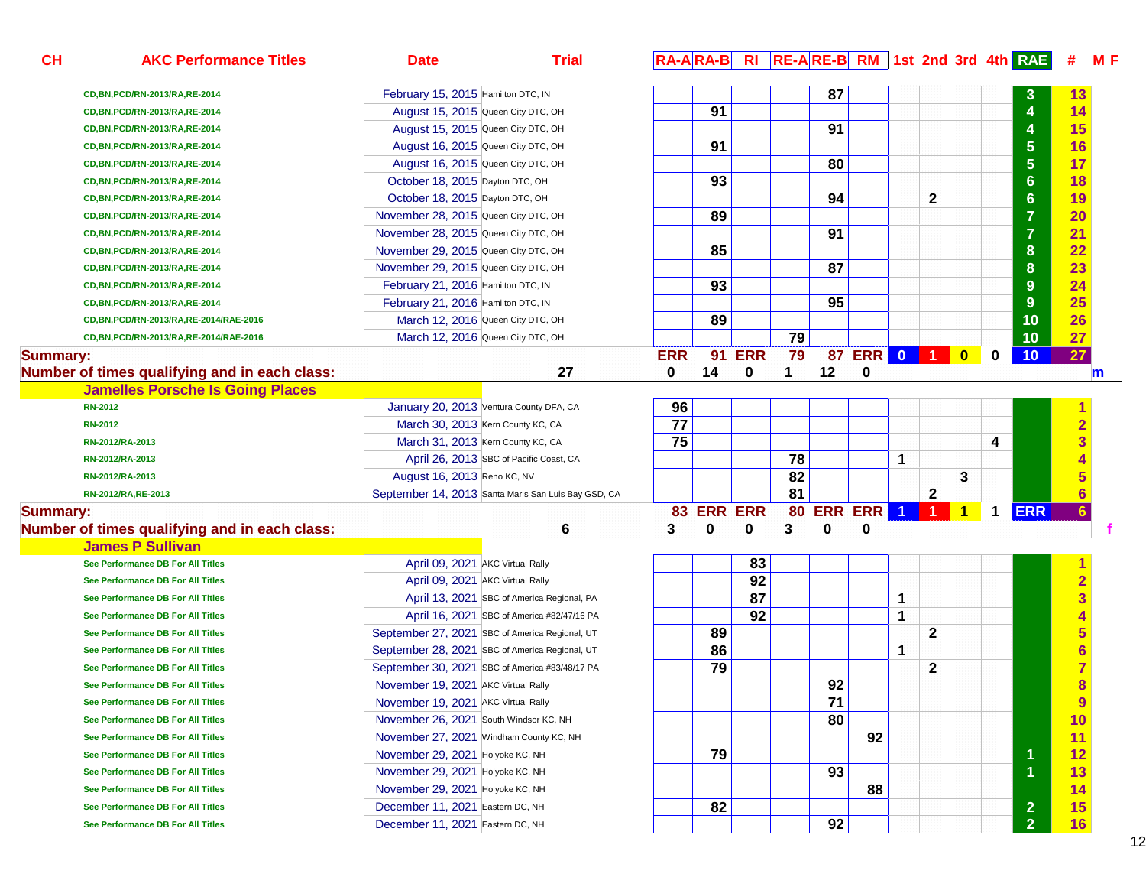| CH              | <b>AKC Performance Titles</b>                 | <b>Date</b>                                    | <b>Trial</b>                                        |            |            |                 |                 |    |                  |   |              |   |             | RA-ARA-B RI RE-ARE-B RM 1st 2nd 3rd 4th RAE | 坓                       | M E         |
|-----------------|-----------------------------------------------|------------------------------------------------|-----------------------------------------------------|------------|------------|-----------------|-----------------|----|------------------|---|--------------|---|-------------|---------------------------------------------|-------------------------|-------------|
|                 | CD, BN, PCD/RN-2013/RA, RE-2014               | February 15, 2015 Hamilton DTC, IN             |                                                     |            |            |                 |                 | 87 |                  |   |              |   |             | $\mathbf{3}$                                | 13                      |             |
|                 | CD, BN, PCD/RN-2013/RA, RE-2014               | August 15, 2015 Queen City DTC, OH             |                                                     |            | 91         |                 |                 |    |                  |   |              |   |             | $\overline{\mathbf{4}}$                     | 14                      |             |
|                 | CD, BN, PCD/RN-2013/RA, RE-2014               | August 15, 2015 Queen City DTC, OH             |                                                     |            |            |                 |                 | 91 |                  |   |              |   |             | $\overline{4}$                              | 15                      |             |
|                 | CD, BN, PCD/RN-2013/RA, RE-2014               | August 16, 2015 Queen City DTC, OH             |                                                     |            | 91         |                 |                 |    |                  |   |              |   |             | $\overline{5}$                              | 16                      |             |
|                 | CD, BN, PCD/RN-2013/RA, RE-2014               | August 16, 2015 Queen City DTC, OH             |                                                     |            |            |                 |                 | 80 |                  |   |              |   |             | $\overline{5}$                              | 17                      |             |
|                 | CD, BN, PCD/RN-2013/RA, RE-2014               | October 18, 2015 Dayton DTC, OH                |                                                     |            | 93         |                 |                 |    |                  |   |              |   |             | $6\phantom{a}$                              | 18                      |             |
|                 | CD, BN, PCD/RN-2013/RA, RE-2014               | October 18, 2015 Dayton DTC, OH                |                                                     |            |            |                 |                 | 94 |                  |   | $\mathbf{2}$ |   |             | $6\phantom{a}$                              | 19                      |             |
|                 | CD, BN, PCD/RN-2013/RA, RE-2014               | November 28, 2015 Queen City DTC, OH           |                                                     |            | 89         |                 |                 |    |                  |   |              |   |             | $\overline{7}$                              | 20                      |             |
|                 | CD, BN, PCD/RN-2013/RA, RE-2014               | November 28, 2015 Queen City DTC, OH           |                                                     |            |            |                 |                 | 91 |                  |   |              |   |             | $\overline{7}$                              | 21                      |             |
|                 | CD, BN, PCD/RN-2013/RA, RE-2014               | November 29, 2015 Queen City DTC, OH           |                                                     |            | 85         |                 |                 |    |                  |   |              |   |             | 8                                           | 22                      |             |
|                 | CD, BN, PCD/RN-2013/RA, RE-2014               | November 29, 2015 Queen City DTC, OH           |                                                     |            |            |                 |                 | 87 |                  |   |              |   |             | $\boldsymbol{8}$                            | 23                      |             |
|                 | CD, BN, PCD/RN-2013/RA, RE-2014               | February 21, 2016 Hamilton DTC, IN             |                                                     |            | 93         |                 |                 |    |                  |   |              |   |             | 9                                           | 24                      |             |
|                 | CD, BN, PCD/RN-2013/RA, RE-2014               | February 21, 2016 Hamilton DTC, IN             |                                                     |            |            |                 |                 | 95 |                  |   |              |   |             | 9                                           | 25                      |             |
|                 | CD, BN, PCD/RN-2013/RA, RE-2014/RAE-2016      | March 12, 2016 Queen City DTC, OH              |                                                     |            | 89         |                 |                 |    |                  |   |              |   |             | 10                                          | 26                      |             |
|                 | CD, BN, PCD/RN-2013/RA, RE-2014/RAE-2016      | March 12, 2016 Queen City DTC, OH              |                                                     |            |            |                 | 79              |    |                  |   |              |   |             | 10                                          | 27                      |             |
| <b>Summary:</b> |                                               |                                                |                                                     | <b>ERR</b> |            | <b>91 ERR</b>   | 79              |    | 87 ERR 0 1 0     |   |              |   | $\mathbf 0$ | 10                                          | 27                      |             |
|                 | Number of times qualifying and in each class: |                                                | 27                                                  | 0          | 14         | 0               | 1               | 12 | 0                |   |              |   |             |                                             |                         | $\mathbf m$ |
|                 | <b>Jamelles Porsche Is Going Places</b>       |                                                |                                                     |            |            |                 |                 |    |                  |   |              |   |             |                                             |                         |             |
|                 | <b>RN-2012</b>                                | January 20, 2013 Ventura County DFA, CA        |                                                     | 96         |            |                 |                 |    |                  |   |              |   |             |                                             |                         |             |
|                 | <b>RN-2012</b>                                | March 30, 2013 Kern County KC, CA              |                                                     | 77         |            |                 |                 |    |                  |   |              |   |             |                                             | $\overline{2}$          |             |
|                 | RN-2012/RA-2013                               | March 31, 2013 Kern County KC, CA              |                                                     | 75         |            |                 |                 |    |                  |   |              |   | 4           |                                             | 3                       |             |
|                 | RN-2012/RA-2013                               |                                                | April 26, 2013 SBC of Pacific Coast, CA             |            |            |                 | 78              |    |                  | 1 |              |   |             |                                             |                         |             |
|                 | RN-2012/RA-2013                               | August 16, 2013 Reno KC, NV                    |                                                     |            |            |                 | 82              |    |                  |   |              | 3 |             |                                             |                         |             |
|                 | RN-2012/RA, RE-2013                           |                                                | September 14, 2013 Santa Maris San Luis Bay GSD, CA |            |            |                 | $\overline{81}$ |    |                  |   | 2            |   |             |                                             | $6\phantom{a}$          |             |
| <b>Summary:</b> |                                               |                                                |                                                     |            | 83 ERR ERR |                 |                 |    | 80 ERR ERR 1 1 1 |   |              |   | $\mathbf 1$ | <b>ERR</b>                                  | $6\phantom{a}$          |             |
|                 | Number of times qualifying and in each class: |                                                | 6                                                   | 3          | 0          | 0               | 3               | 0  | 0                |   |              |   |             |                                             |                         |             |
|                 | <b>James P Sullivan</b>                       |                                                |                                                     |            |            |                 |                 |    |                  |   |              |   |             |                                             |                         |             |
|                 | See Performance DB For All Titles             | April 09, 2021 AKC Virtual Rally               |                                                     |            |            | 83              |                 |    |                  |   |              |   |             |                                             |                         |             |
|                 | See Performance DB For All Titles             | April 09, 2021 AKC Virtual Rally               |                                                     |            |            | $\overline{92}$ |                 |    |                  |   |              |   |             |                                             | $\overline{2}$          |             |
|                 | See Performance DB For All Titles             |                                                | April 13, 2021 SBC of America Regional, PA          |            |            | 87              |                 |    |                  | 1 |              |   |             |                                             | $\overline{\mathbf{3}}$ |             |
|                 | See Performance DB For All Titles             |                                                | April 16, 2021 SBC of America #82/47/16 PA          |            |            | 92              |                 |    |                  | 1 |              |   |             |                                             |                         |             |
|                 | See Performance DB For All Titles             | September 27, 2021 SBC of America Regional, UT |                                                     |            | 89         |                 |                 |    |                  |   | $\mathbf{2}$ |   |             |                                             | 5                       |             |
|                 | See Performance DB For All Titles             | September 28, 2021 SBC of America Regional, UT |                                                     |            | 86         |                 |                 |    |                  | 1 |              |   |             |                                             | $\overline{\bf{6}}$     |             |
|                 | See Performance DB For All Titles             |                                                | September 30, 2021 SBC of America #83/48/17 PA      |            | 79         |                 |                 |    |                  |   | $\mathbf 2$  |   |             |                                             |                         |             |
|                 | See Performance DB For All Titles             | November 19, 2021 AKC Virtual Rally            |                                                     |            |            |                 |                 | 92 |                  |   |              |   |             |                                             | 8                       |             |
|                 | See Performance DB For All Titles             | November 19, 2021 AKC Virtual Rally            |                                                     |            |            |                 |                 | 71 |                  |   |              |   |             |                                             | 9                       |             |
|                 | See Performance DB For All Titles             | November 26, 2021 South Windsor KC, NH         |                                                     |            |            |                 |                 | 80 |                  |   |              |   |             |                                             | 10                      |             |
|                 | See Performance DB For All Titles             | November 27, 2021 Windham County KC, NH        |                                                     |            |            |                 |                 |    | 92               |   |              |   |             |                                             | 11                      |             |
|                 | See Performance DB For All Titles             | November 29, 2021 Holyoke KC, NH               |                                                     |            | 79         |                 |                 |    |                  |   |              |   |             | 1                                           | 12                      |             |
|                 | See Performance DB For All Titles             | November 29, 2021 Holyoke KC, NH               |                                                     |            |            |                 |                 | 93 |                  |   |              |   |             | $\overline{1}$                              | 13                      |             |
|                 | See Performance DB For All Titles             | November 29, 2021 Holyoke KC, NH               |                                                     |            |            |                 |                 |    | 88               |   |              |   |             |                                             | 14                      |             |
|                 | See Performance DB For All Titles             | December 11, 2021 Eastern DC, NH               |                                                     |            | 82         |                 |                 |    |                  |   |              |   |             | $\overline{2}$                              | 15                      |             |
|                 | See Performance DB For All Titles             | December 11, 2021 Eastern DC, NH               |                                                     |            |            |                 |                 | 92 |                  |   |              |   |             | 2 <sup>1</sup>                              | 16                      |             |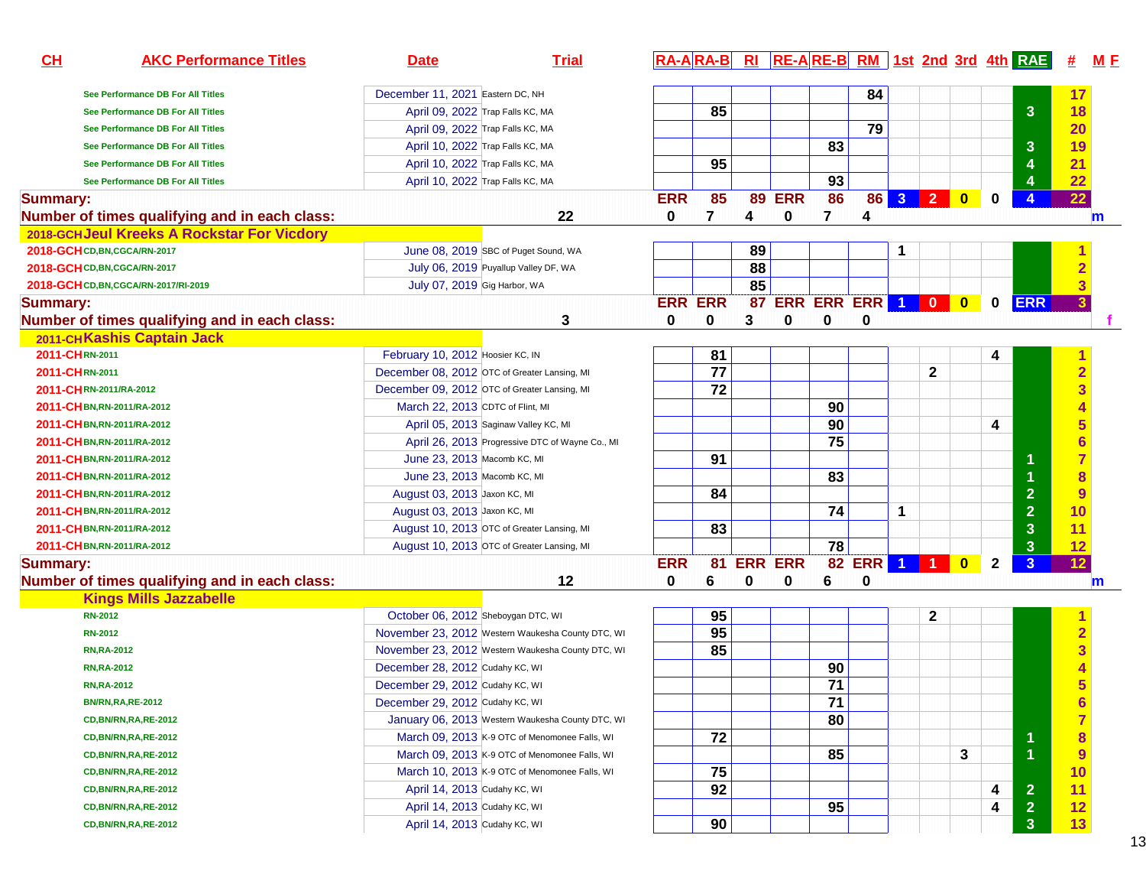| CH<br><b>AKC Performance Titles</b>           | <b>Date</b>                                       | <b>Trial</b> | $RA-ARA-B$     |    | Rl             |                    |                 |     |                      |                   |                         |              | <b>RE-A RE-B RM</b> 1st 2nd 3rd 4th RAE | <u>#</u>                | <u>M F</u>   |
|-----------------------------------------------|---------------------------------------------------|--------------|----------------|----|----------------|--------------------|-----------------|-----|----------------------|-------------------|-------------------------|--------------|-----------------------------------------|-------------------------|--------------|
| See Performance DB For All Titles             | December 11, 2021 Eastern DC, NH                  |              |                |    |                |                    |                 | 84  |                      |                   |                         |              |                                         | 17                      |              |
| See Performance DB For All Titles             | April 09, 2022 Trap Falls KC, MA                  |              |                | 85 |                |                    |                 |     |                      |                   |                         |              | $\overline{3}$                          | 18                      |              |
| See Performance DB For All Titles             | April 09, 2022 Trap Falls KC, MA                  |              |                |    |                |                    |                 | 79  |                      |                   |                         |              |                                         | 20                      |              |
| See Performance DB For All Titles             | April 10, 2022 Trap Falls KC, MA                  |              |                |    |                |                    | 83              |     |                      |                   |                         |              | $\mathbf{3}$                            | 19                      |              |
| See Performance DB For All Titles             | April 10, 2022 Trap Falls KC, MA                  |              |                | 95 |                |                    |                 |     |                      |                   |                         |              | 4                                       | 21                      |              |
| See Performance DB For All Titles             | April 10, 2022 Trap Falls KC, MA                  |              |                |    |                |                    | 93              |     |                      |                   |                         |              | 4                                       | 22                      |              |
| <b>Summary:</b>                               |                                                   |              | <b>ERR</b>     | 85 |                | <b>89 ERR</b>      | 86              | 86  | 3 <sup>1</sup>       | $\vert$ 2 $\vert$ | $\overline{\mathbf{0}}$ | 0            | $\overline{4}$                          | 22                      |              |
| Number of times qualifying and in each class: |                                                   | 22           | 0              | 7  | 4              | 0                  | 7               | 4   |                      |                   |                         |              |                                         |                         | $\mathbf{m}$ |
| 2018-GCHJeul Kreeks A Rockstar For Vicdory    |                                                   |              |                |    |                |                    |                 |     |                      |                   |                         |              |                                         |                         |              |
| 2018-GCH CD, BN, CGCA/RN-2017                 | June 08, 2019 SBC of Puget Sound, WA              |              |                |    | 89             |                    |                 |     | 1                    |                   |                         |              |                                         |                         |              |
| 2018-GCHCD, BN, CGCA/RN-2017                  | July 06, 2019 Puyallup Valley DF, WA              |              |                |    | 88             |                    |                 |     |                      |                   |                         |              |                                         | $\overline{2}$          |              |
| 2018-GCH CD, BN, CGCA/RN-2017/RI-2019         | July 07, 2019 Gig Harbor, WA                      |              |                |    | 85             |                    |                 |     |                      |                   |                         |              |                                         | $\overline{3}$          |              |
| <b>Summary:</b>                               |                                                   |              | <b>ERR ERR</b> |    |                | 87 ERR ERR ERR 1 0 |                 |     |                      |                   | $\bullet$               | $\mathbf 0$  | <b>ERR</b>                              | 3                       |              |
| Number of times qualifying and in each class: |                                                   | 3            | 0              | 0  | 3              | 0                  | 0               | 0   |                      |                   |                         |              |                                         |                         |              |
| 2011-CHKashis Captain Jack                    |                                                   |              |                |    |                |                    |                 |     |                      |                   |                         |              |                                         |                         |              |
| 2011-CHRN-2011                                | February 10, 2012 Hoosier KC, IN                  |              |                | 81 |                |                    |                 |     |                      |                   |                         | 4            |                                         |                         |              |
| 2011-CHRN-2011                                | December 08, 2012 OTC of Greater Lansing, MI      |              |                | 77 |                |                    |                 |     |                      | $\mathbf{2}$      |                         |              |                                         | $\overline{2}$          |              |
| 2011-CHRN-2011/RA-2012                        | December 09, 2012 OTC of Greater Lansing, MI      |              |                | 72 |                |                    |                 |     |                      |                   |                         |              |                                         | $\overline{\mathbf{3}}$ |              |
| 2011-CH BN, RN-2011/RA-2012                   | March 22, 2013 CDTC of Flint, MI                  |              |                |    |                |                    | 90              |     |                      |                   |                         |              |                                         |                         |              |
| 2011-CH BN, RN-2011/RA-2012                   | April 05, 2013 Saginaw Valley KC, MI              |              |                |    |                |                    | 90              |     |                      |                   |                         | 4            |                                         | 5                       |              |
| 2011-CH BN, RN-2011/RA-2012                   | April 26, 2013 Progressive DTC of Wayne Co., MI   |              |                |    |                |                    | $\overline{75}$ |     |                      |                   |                         |              |                                         | $\overline{\bf{6}}$     |              |
| 2011-CH BN, RN-2011/RA-2012                   | June 23, 2013 Macomb KC, MI                       |              |                | 91 |                |                    |                 |     |                      |                   |                         |              | 1                                       | $\overline{7}$          |              |
| 2011-CH BN, RN-2011/RA-2012                   | June 23, 2013 Macomb KC, MI                       |              |                |    |                |                    | 83              |     |                      |                   |                         |              |                                         | 8                       |              |
| 2011-CH BN, RN-2011/RA-2012                   | August 03, 2013 Jaxon KC, MI                      |              |                | 84 |                |                    |                 |     |                      |                   |                         |              | $\overline{2}$                          | 9                       |              |
| 2011-CH BN, RN-2011/RA-2012                   | August 03, 2013 Jaxon KC, MI                      |              |                |    |                |                    | 74              |     | 1                    |                   |                         |              | $\overline{2}$                          | 10                      |              |
| 2011-CH BN, RN-2011/RA-2012                   | August 10, 2013 OTC of Greater Lansing, MI        |              |                | 83 |                |                    |                 |     |                      |                   |                         |              | $\mathbf{3}$                            | 11                      |              |
| 2011-CH BN, RN-2011/RA-2012                   | August 10, 2013 OTC of Greater Lansing, MI        |              |                |    |                |                    | $\overline{78}$ |     |                      |                   |                         |              | $\mathbf{3}$                            | 12                      |              |
| <b>Summary:</b>                               |                                                   |              | <b>ERR</b>     | 81 | <b>ERR ERR</b> |                    | $\overline{82}$ | ERR | $\blacktriangleleft$ |                   | $\mathbf{0}$            | $\mathbf{2}$ | 3                                       | 12                      |              |
| Number of times qualifying and in each class: |                                                   | 12           | 0              | 6  | 0              | 0                  | 6               | 0   |                      |                   |                         |              |                                         |                         | $\mathbf m$  |
| <b>Kings Mills Jazzabelle</b>                 |                                                   |              |                |    |                |                    |                 |     |                      |                   |                         |              |                                         |                         |              |
| <b>RN-2012</b>                                | October 06, 2012 Sheboygan DTC, WI                |              |                | 95 |                |                    |                 |     |                      | 2                 |                         |              |                                         |                         |              |
| <b>RN-2012</b>                                | November 23, 2012 Western Waukesha County DTC, WI |              |                | 95 |                |                    |                 |     |                      |                   |                         |              |                                         | $\overline{2}$          |              |
| <b>RN, RA-2012</b>                            | November 23, 2012 Western Waukesha County DTC, WI |              |                | 85 |                |                    |                 |     |                      |                   |                         |              |                                         | 3                       |              |
| <b>RN, RA-2012</b>                            | December 28, 2012 Cudahy KC, WI                   |              |                |    |                |                    | 90              |     |                      |                   |                         |              |                                         |                         |              |
| <b>RN, RA-2012</b>                            | December 29, 2012 Cudahy KC, WI                   |              |                |    |                |                    | $\overline{71}$ |     |                      |                   |                         |              |                                         |                         |              |
| <b>BN/RN, RA, RE-2012</b>                     | December 29, 2012 Cudahy KC, WI                   |              |                |    |                |                    | 71              |     |                      |                   |                         |              |                                         | 6                       |              |
| <b>CD, BN/RN, RA, RE-2012</b>                 | January 06, 2013 Western Waukesha County DTC, WI  |              |                |    |                |                    | 80              |     |                      |                   |                         |              |                                         | $\overline{7}$          |              |
| <b>CD, BN/RN, RA, RE-2012</b>                 | March 09, 2013 K-9 OTC of Menomonee Falls, WI     |              |                | 72 |                |                    |                 |     |                      |                   |                         |              | 1                                       | $\boldsymbol{8}$        |              |
| <b>CD, BN/RN, RA, RE-2012</b>                 | March 09, 2013 K-9 OTC of Menomonee Falls, WI     |              |                |    |                |                    | 85              |     |                      |                   | 3                       |              | $\overline{1}$                          | $\overline{9}$          |              |
| <b>CD, BN/RN, RA, RE-2012</b>                 | March 10, 2013 K-9 OTC of Menomonee Falls, WI     |              |                | 75 |                |                    |                 |     |                      |                   |                         |              |                                         | 10                      |              |
| CD, BN/RN, RA, RE-2012                        | April 14, 2013 Cudahy KC, WI                      |              |                | 92 |                |                    |                 |     |                      |                   |                         | 4            | $\overline{2}$                          | 11                      |              |
| <b>CD, BN/RN, RA, RE-2012</b>                 | April 14, 2013 Cudahy KC, WI                      |              |                |    |                |                    | 95              |     |                      |                   |                         | 4            | $\overline{2}$                          | 12                      |              |
| <b>CD, BN/RN, RA, RE-2012</b>                 | April 14, 2013 Cudahy KC, WI                      |              |                | 90 |                |                    |                 |     |                      |                   |                         |              | 3 <sup>2</sup>                          | 13                      |              |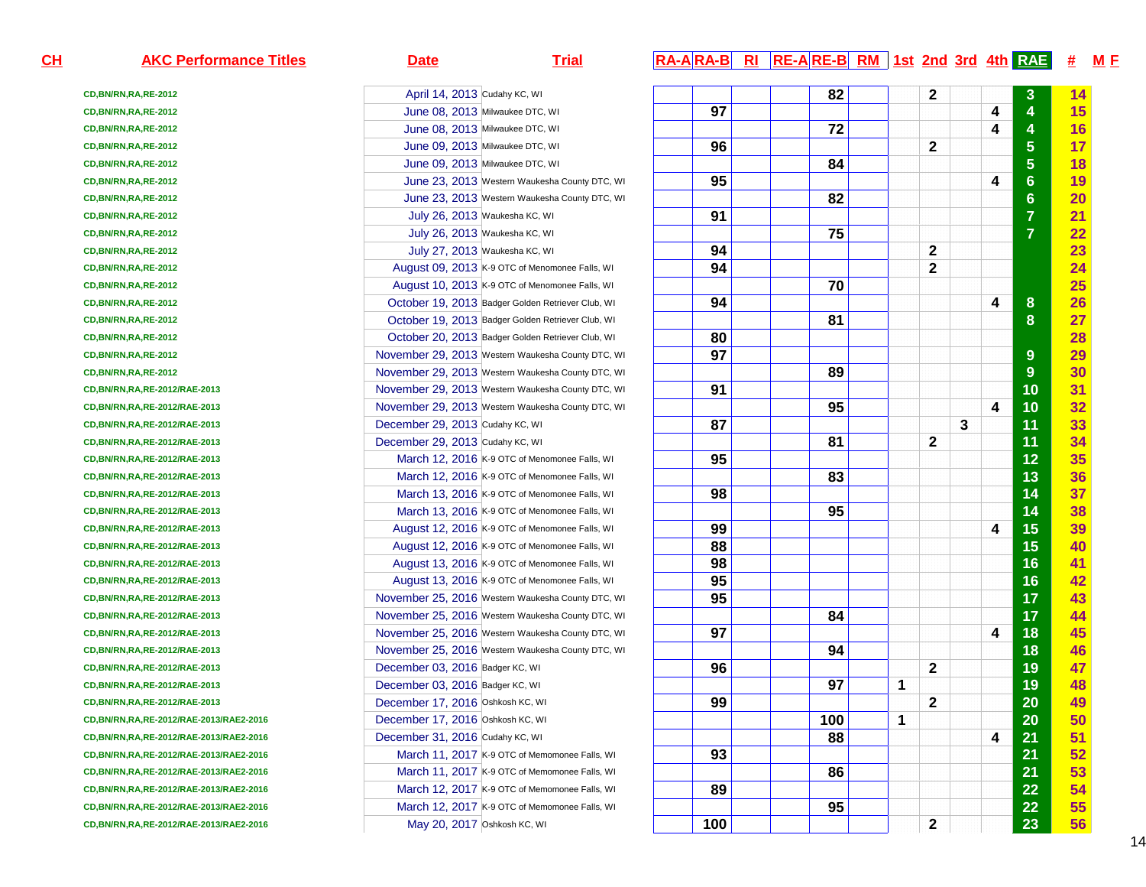| CL | <b>AKC Performance Titles</b>             | <b>Date</b>                      | <b>Trial</b>                                      |                 | $R\overline{A-A}$ $R\overline{A-B}$ $R\overline{I}$ $R\overline{E-A}$ $R\overline{E-B}$ $R\overline{M}$ 1st 2nd 3rd 4th $R\overline{A}E$ |             |              |   |                         | #  | M E |
|----|-------------------------------------------|----------------------------------|---------------------------------------------------|-----------------|------------------------------------------------------------------------------------------------------------------------------------------|-------------|--------------|---|-------------------------|----|-----|
|    | <b>CD, BN/RN, RA, RE-2012</b>             | April 14, 2013 Cudahy KC, WI     |                                                   |                 | 82                                                                                                                                       |             | $\mathbf{2}$ |   | 3                       | 14 |     |
|    | CD, BN/RN, RA, RE-2012                    |                                  | June 08, 2013 Milwaukee DTC, WI                   | 97              |                                                                                                                                          |             |              | 4 | $\overline{\mathbf{4}}$ | 15 |     |
|    | <b>CD, BN/RN, RA, RE-2012</b>             |                                  | June 08, 2013 Milwaukee DTC, WI                   |                 | 72                                                                                                                                       |             |              | 4 | $\overline{\mathbf{4}}$ | 16 |     |
|    | CD, BN/RN, RA, RE-2012                    |                                  | June 09, 2013 Milwaukee DTC, WI                   | 96              |                                                                                                                                          |             | $\mathbf{2}$ |   | $5\phantom{a}$          | 17 |     |
|    | CD, BN/RN, RA, RE-2012                    |                                  | June 09, 2013 Milwaukee DTC, WI                   |                 | 84                                                                                                                                       |             |              |   | $5\phantom{a}$          | 18 |     |
|    | CD, BN/RN, RA, RE-2012                    |                                  | June 23, 2013 Western Waukesha County DTC, WI     | 95              |                                                                                                                                          |             |              | 4 | 6 <sup>°</sup>          | 19 |     |
|    | CD, BN/RN, RA, RE-2012                    |                                  | June 23, 2013 Western Waukesha County DTC, WI     |                 | 82                                                                                                                                       |             |              |   | $6\phantom{a}$          | 20 |     |
|    | CD, BN/RN, RA, RE-2012                    |                                  | July 26, 2013 Waukesha KC, WI                     | 91              |                                                                                                                                          |             |              |   | $\overline{7}$          | 21 |     |
|    | CD, BN/RN, RA, RE-2012                    |                                  | July 26, 2013 Waukesha KC, WI                     |                 | 75                                                                                                                                       |             |              |   | $\overline{7}$          | 22 |     |
|    | CD, BN/RN, RA, RE-2012                    |                                  | July 27, 2013 Waukesha KC, WI                     | 94              |                                                                                                                                          |             | 2            |   |                         | 23 |     |
|    | CD, BN/RN, RA, RE-2012                    |                                  | August 09, 2013 K-9 OTC of Menomonee Falls, WI    | 94              |                                                                                                                                          |             | $\mathbf{2}$ |   |                         | 24 |     |
|    | CD, BN/RN, RA, RE-2012                    |                                  | August 10, 2013 K-9 OTC of Menomonee Falls, WI    |                 | 70                                                                                                                                       |             |              |   |                         | 25 |     |
|    | CD, BN/RN, RA, RE-2012                    |                                  | October 19, 2013 Badger Golden Retriever Club, WI | 94              |                                                                                                                                          |             |              | 4 | 8                       | 26 |     |
|    | CD, BN/RN, RA, RE-2012                    |                                  | October 19, 2013 Badger Golden Retriever Club, WI |                 | 81                                                                                                                                       |             |              |   | 8                       | 27 |     |
|    | CD, BN/RN, RA, RE-2012                    |                                  | October 20, 2013 Badger Golden Retriever Club, WI | 80              |                                                                                                                                          |             |              |   |                         | 28 |     |
|    | CD, BN/RN, RA, RE-2012                    |                                  | November 29, 2013 Western Waukesha County DTC, WI | 97              |                                                                                                                                          |             |              |   | $9\,$                   | 29 |     |
|    | CD, BN/RN, RA, RE-2012                    |                                  | November 29, 2013 Western Waukesha County DTC, WI |                 | 89                                                                                                                                       |             |              |   | 9                       | 30 |     |
|    | CD, BN/RN, RA, RE-2012/RAE-2013           |                                  | November 29, 2013 Western Waukesha County DTC, WI | 91              |                                                                                                                                          |             |              |   | 10                      | 31 |     |
|    | CD, BN/RN, RA, RE-2012/RAE-2013           |                                  | November 29, 2013 Western Waukesha County DTC, WI |                 | 95                                                                                                                                       |             |              | 4 | 10                      | 32 |     |
|    | CD, BN/RN, RA, RE-2012/RAE-2013           | December 29, 2013 Cudahy KC, WI  |                                                   | 87              |                                                                                                                                          |             | 3            |   | 11                      | 33 |     |
|    | CD, BN/RN, RA, RE-2012/RAE-2013           | December 29, 2013 Cudahy KC, WI  |                                                   |                 | 81                                                                                                                                       |             | $\mathbf{2}$ |   | 11                      | 34 |     |
|    | CD, BN/RN, RA, RE-2012/RAE-2013           |                                  | March 12, 2016 K-9 OTC of Menomonee Falls, WI     | 95              |                                                                                                                                          |             |              |   | 12                      | 35 |     |
|    | CD, BN/RN, RA, RE-2012/RAE-2013           |                                  | March 12, 2016 K-9 OTC of Menomonee Falls, WI     |                 | 83                                                                                                                                       |             |              |   | 13                      | 36 |     |
|    | CD, BN/RN, RA, RE-2012/RAE-2013           |                                  | March 13, 2016 K-9 OTC of Menomonee Falls, WI     | 98              |                                                                                                                                          |             |              |   | 14                      | 37 |     |
|    | CD, BN/RN, RA, RE-2012/RAE-2013           |                                  | March 13, 2016 K-9 OTC of Menomonee Falls, WI     |                 | 95                                                                                                                                       |             |              |   | 14                      | 38 |     |
|    | CD, BN/RN, RA, RE-2012/RAE-2013           |                                  | August 12, 2016 K-9 OTC of Menomonee Falls, WI    | 99              |                                                                                                                                          |             |              | 4 | 15                      | 39 |     |
|    | CD, BN/RN, RA, RE-2012/RAE-2013           |                                  | August 12, 2016 K-9 OTC of Menomonee Falls, WI    | 88              |                                                                                                                                          |             |              |   | 15                      | 40 |     |
|    | CD, BN/RN, RA, RE-2012/RAE-2013           |                                  | August 13, 2016 K-9 OTC of Menomonee Falls, WI    | 98              |                                                                                                                                          |             |              |   | 16                      | 41 |     |
|    | CD, BN/RN, RA, RE-2012/RAE-2013           |                                  | August 13, 2016 K-9 OTC of Menomonee Falls, WI    | $\overline{95}$ |                                                                                                                                          |             |              |   | 16                      | 42 |     |
|    | CD, BN/RN, RA, RE-2012/RAE-2013           |                                  | November 25, 2016 Western Waukesha County DTC, WI | 95              |                                                                                                                                          |             |              |   | 17                      | 43 |     |
|    | CD, BN/RN, RA, RE-2012/RAE-2013           |                                  | November 25, 2016 Western Waukesha County DTC, WI |                 | 84                                                                                                                                       |             |              |   | 17                      | 44 |     |
|    | CD, BN/RN, RA, RE-2012/RAE-2013           |                                  | November 25, 2016 Western Waukesha County DTC, WI | 97              |                                                                                                                                          |             |              | 4 | 18                      | 45 |     |
|    | CD, BN/RN, RA, RE-2012/RAE-2013           |                                  | November 25, 2016 Western Waukesha County DTC, WI |                 | 94                                                                                                                                       |             |              |   | 18                      | 46 |     |
|    | CD, BN/RN, RA, RE-2012/RAE-2013           | December 03, 2016 Badger KC, WI  |                                                   | 96              |                                                                                                                                          |             | $\mathbf{2}$ |   | 19                      | 47 |     |
|    | CD, BN/RN, RA, RE-2012/RAE-2013           | December 03, 2016 Badger KC, WI  |                                                   |                 | 97                                                                                                                                       | 1           |              |   | 19                      | 48 |     |
|    | CD, BN/RN, RA, RE-2012/RAE-2013           | December 17, 2016 Oshkosh KC, WI |                                                   | 99              |                                                                                                                                          |             | $\mathbf{2}$ |   | <b>20</b>               | 49 |     |
|    | CD, BN/RN, RA, RE-2012/RAE-2013/RAE2-2016 | December 17, 2016 Oshkosh KC, WI |                                                   |                 | 100                                                                                                                                      | $\mathbf 1$ |              |   | 20                      | 50 |     |
|    | CD, BN/RN, RA, RE-2012/RAE-2013/RAE2-2016 | December 31, 2016 Cudahy KC, WI  |                                                   |                 | 88                                                                                                                                       |             |              | 4 | 21                      | 51 |     |
|    | CD, BN/RN, RA, RE-2012/RAE-2013/RAE2-2016 |                                  | March 11, 2017 K-9 OTC of Memomonee Falls, WI     | 93              |                                                                                                                                          |             |              |   | 21                      | 52 |     |
|    | CD, BN/RN, RA, RE-2012/RAE-2013/RAE2-2016 |                                  | March 11, 2017 K-9 OTC of Memomonee Falls, WI     |                 | 86                                                                                                                                       |             |              |   | 21                      | 53 |     |
|    | CD, BN/RN, RA, RE-2012/RAE-2013/RAE2-2016 |                                  | March 12, 2017 K-9 OTC of Memomonee Falls, WI     | 89              |                                                                                                                                          |             |              |   | 22                      | 54 |     |
|    | CD, BN/RN, RA, RE-2012/RAE-2013/RAE2-2016 |                                  | March 12, 2017 K-9 OTC of Memomonee Falls, WI     |                 | 95                                                                                                                                       |             |              |   | 22                      | 55 |     |
|    | CD, BN/RN, RA, RE-2012/RAE-2013/RAE2-2016 | May 20, 2017 Oshkosh KC, WI      |                                                   | 100             |                                                                                                                                          |             | $\mathbf{2}$ |   | 23                      | 56 |     |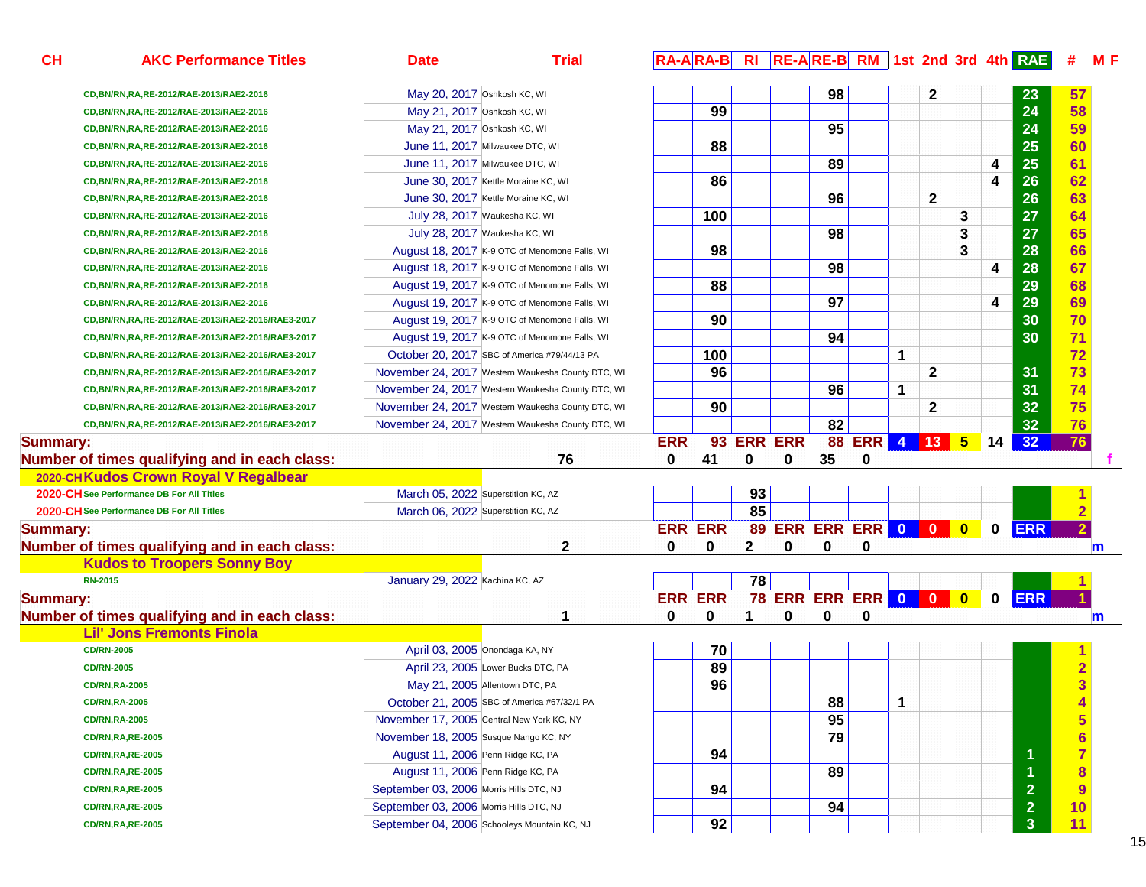| 98<br>$\mathbf{2}$<br>May 20, 2017 Oshkosh KC, WI<br>23<br>57<br>CD, BN/RN, RA, RE-2012/RAE-2013/RAE2-2016<br>24<br>99<br>58<br>May 21, 2017 Oshkosh KC, WI<br>CD, BN/RN, RA, RE-2012/RAE-2013/RAE2-2016<br>24<br>95<br>59<br>May 21, 2017 Oshkosh KC, WI<br>CD, BN/RN, RA, RE-2012/RAE-2013/RAE2-2016<br>25<br>88<br>60<br>June 11, 2017 Milwaukee DTC, WI<br>CD, BN/RN, RA, RE-2012/RAE-2013/RAE2-2016<br>25<br>89<br>61<br>4<br>June 11, 2017 Milwaukee DTC, WI<br>CD, BN/RN, RA, RE-2012/RAE-2013/RAE2-2016<br>26<br>62<br>86<br>4<br>June 30, 2017 Kettle Moraine KC, WI<br>CD, BN/RN, RA, RE-2012/RAE-2013/RAE2-2016<br>96<br>26<br>63<br>$\mathbf{2}$<br>June 30, 2017 Kettle Moraine KC, WI<br>CD, BN/RN, RA, RE-2012/RAE-2013/RAE2-2016<br>27<br>64<br>100<br>3<br>July 28, 2017 Waukesha KC, WI<br>CD, BN/RN, RA, RE-2012/RAE-2013/RAE2-2016<br>98<br>27<br>65<br>3<br>July 28, 2017 Waukesha KC, WI<br>CD, BN/RN, RA, RE-2012/RAE-2013/RAE2-2016<br>28<br>66<br>98<br>3<br>August 18, 2017 K-9 OTC of Menomone Falls, WI<br>CD, BN/RN, RA, RE-2012/RAE-2013/RAE2-2016<br>67<br>98<br>28<br>4<br>August 18, 2017 K-9 OTC of Menomone Falls, WI<br>CD, BN/RN, RA, RE-2012/RAE-2013/RAE2-2016<br>29<br>88<br>68<br>August 19, 2017 K-9 OTC of Menomone Falls, WI<br>CD, BN/RN, RA, RE-2012/RAE-2013/RAE2-2016<br>97<br>29<br>69<br>4<br>August 19, 2017 K-9 OTC of Menomone Falls, WI<br>CD, BN/RN, RA, RE-2012/RAE-2013/RAE2-2016<br>30<br>70<br>90<br>August 19, 2017 K-9 OTC of Menomone Falls, WI<br>CD, BN/RN, RA, RE-2012/RAE-2013/RAE2-2016/RAE3-2017<br>71<br>94<br>30<br>August 19, 2017 K-9 OTC of Menomone Falls, WI<br>CD,BN/RN,RA,RE-2012/RAE-2013/RAE2-2016/RAE3-2017<br>72<br>100<br>$\mathbf{1}$<br>October 20, 2017 SBC of America #79/44/13 PA<br>CD, BN/RN, RA, RE-2012/RAE-2013/RAE2-2016/RAE3-2017<br>73<br>96<br>31<br>$\mathbf{2}$<br>November 24, 2017 Western Waukesha County DTC, WI<br>CD, BN/RN, RA, RE-2012/RAE-2013/RAE2-2016/RAE3-2017<br>74<br>31<br>96<br>1<br>November 24, 2017 Western Waukesha County DTC, WI<br>CD, BN/RN, RA, RE-2012/RAE-2013/RAE2-2016/RAE3-2017<br>75<br>32<br>90<br>$\mathbf{2}$<br>November 24, 2017 Western Waukesha County DTC, WI<br>CD, BN/RN, RA, RE-2012/RAE-2013/RAE2-2016/RAE3-2017<br>82<br>32<br>76<br>November 24, 2017 Western Waukesha County DTC, WI<br>CD, BN/RN, RA, RE-2012/RAE-2013/RAE2-2016/RAE3-2017<br><b>ERR ERR</b><br>88<br>ERR 4 13 5<br><b>ERR</b><br>93<br>32<br>76<br><b>Summary:</b><br>14<br>35<br>Number of times qualifying and in each class:<br>76<br>0<br>41<br>0<br>0<br>0<br>2020-CHKudos Crown Royal V Regalbear<br>93<br>2020-CH See Performance DB For All Titles<br>March 05, 2022 Superstition KC, AZ<br>85<br>$\overline{2}$<br>2020-CH See Performance DB For All Titles<br>March 06, 2022 Superstition KC, AZ<br>89 ERR ERR ERR 0 0 0<br><b>ERR ERR</b><br><b>ERR</b><br>$\overline{2}$<br><b>Summary:</b><br>$\mathbf 0$<br>2<br>2<br>Number of times qualifying and in each class:<br>0<br>0<br>0<br>0<br>0<br>m<br><b>Kudos to Troopers Sonny Boy</b><br>January 29, 2022 Kachina KC, AZ<br>78<br><b>RN-2015</b><br><b>78 ERR ERR ERR 0 0 0</b><br><b>ERR ERR</b><br>$\mathbf 0$<br><b>ERR</b><br><b>Summary:</b><br>Number of times qualifying and in each class:<br>0<br>0<br>1<br>0<br>0<br>0<br>$\mathsf{m}$<br><b>Lil' Jons Fremonts Finola</b><br>70<br>April 03, 2005 Onondaga KA, NY<br><b>CD/RN-2005</b><br>89<br>$\overline{\mathbf{2}}$<br>April 23, 2005 Lower Bucks DTC, PA<br><b>CD/RN-2005</b><br>$\overline{3}$<br>96<br>May 21, 2005 Allentown DTC, PA<br><b>CD/RN,RA-2005</b><br>88<br>1<br>$\overline{\mathbf{4}}$<br>October 21, 2005 SBC of America #67/32/1 PA<br><b>CD/RN,RA-2005</b><br>$\overline{\mathbf{5}}$<br>95<br>November 17, 2005 Central New York KC, NY<br><b>CD/RN,RA-2005</b><br>$6\phantom{a}$<br>79<br>November 18, 2005 Susque Nango KC, NY<br><b>CD/RN,RA,RE-2005</b><br>$\overline{7}$<br>94<br>-1<br>August 11, 2006 Penn Ridge KC, PA<br><b>CD/RN, RA, RE-2005</b><br>8<br>89<br>$\blacktriangleleft$<br>August 11, 2006 Penn Ridge KC, PA<br><b>CD/RN, RA, RE-2005</b><br>9<br>$\overline{2}$<br>94<br>September 03, 2006 Morris Hills DTC, NJ<br><b>CD/RN,RA,RE-2005</b><br>10<br>$\overline{2}$<br>94<br>September 03, 2006 Morris Hills DTC, NJ<br><b>CD/RN,RA,RE-2005</b><br>92<br>11<br>$\mathbf{3}$<br>September 04, 2006 Schooleys Mountain KC, NJ<br><b>CD/RN,RA,RE-2005</b> | CH | <b>AKC Performance Titles</b> | <b>Date</b> | <b>Trial</b> |  |  |  |  |  | RA-ARA-B RI RE-ARE-B RM 1st 2nd 3rd 4th RAE | # | M E |
|-------------------------------------------------------------------------------------------------------------------------------------------------------------------------------------------------------------------------------------------------------------------------------------------------------------------------------------------------------------------------------------------------------------------------------------------------------------------------------------------------------------------------------------------------------------------------------------------------------------------------------------------------------------------------------------------------------------------------------------------------------------------------------------------------------------------------------------------------------------------------------------------------------------------------------------------------------------------------------------------------------------------------------------------------------------------------------------------------------------------------------------------------------------------------------------------------------------------------------------------------------------------------------------------------------------------------------------------------------------------------------------------------------------------------------------------------------------------------------------------------------------------------------------------------------------------------------------------------------------------------------------------------------------------------------------------------------------------------------------------------------------------------------------------------------------------------------------------------------------------------------------------------------------------------------------------------------------------------------------------------------------------------------------------------------------------------------------------------------------------------------------------------------------------------------------------------------------------------------------------------------------------------------------------------------------------------------------------------------------------------------------------------------------------------------------------------------------------------------------------------------------------------------------------------------------------------------------------------------------------------------------------------------------------------------------------------------------------------------------------------------------------------------------------------------------------------------------------------------------------------------------------------------------------------------------------------------------------------------------------------------------------------------------------------------------------------------------------------------------------------------------------------------------------------------------------------------------------------------------------------------------------------------------------------------------------------------------------------------------------------------------------------------------------------------------------------------------------------------------------------------------------------------------------------------------------------------------------------------------------------------------------------------------------------------------------------------------------------------------------------------------------------------------------------------------------------------------------------------------------------------------------------------------------------------------------------------------------------------------------------------------------------------------------------------------------------------------------------------------------------------------------------------------------------------------------------------------------------------------------------------------------------------------------------------------------------------------------------------------------------------------------------------------------------------------------------------|----|-------------------------------|-------------|--------------|--|--|--|--|--|---------------------------------------------|---|-----|
|                                                                                                                                                                                                                                                                                                                                                                                                                                                                                                                                                                                                                                                                                                                                                                                                                                                                                                                                                                                                                                                                                                                                                                                                                                                                                                                                                                                                                                                                                                                                                                                                                                                                                                                                                                                                                                                                                                                                                                                                                                                                                                                                                                                                                                                                                                                                                                                                                                                                                                                                                                                                                                                                                                                                                                                                                                                                                                                                                                                                                                                                                                                                                                                                                                                                                                                                                                                                                                                                                                                                                                                                                                                                                                                                                                                                                                                                                                                                                                                                                                                                                                                                                                                                                                                                                                                                                                                                                                                       |    |                               |             |              |  |  |  |  |  |                                             |   |     |
|                                                                                                                                                                                                                                                                                                                                                                                                                                                                                                                                                                                                                                                                                                                                                                                                                                                                                                                                                                                                                                                                                                                                                                                                                                                                                                                                                                                                                                                                                                                                                                                                                                                                                                                                                                                                                                                                                                                                                                                                                                                                                                                                                                                                                                                                                                                                                                                                                                                                                                                                                                                                                                                                                                                                                                                                                                                                                                                                                                                                                                                                                                                                                                                                                                                                                                                                                                                                                                                                                                                                                                                                                                                                                                                                                                                                                                                                                                                                                                                                                                                                                                                                                                                                                                                                                                                                                                                                                                                       |    |                               |             |              |  |  |  |  |  |                                             |   |     |
|                                                                                                                                                                                                                                                                                                                                                                                                                                                                                                                                                                                                                                                                                                                                                                                                                                                                                                                                                                                                                                                                                                                                                                                                                                                                                                                                                                                                                                                                                                                                                                                                                                                                                                                                                                                                                                                                                                                                                                                                                                                                                                                                                                                                                                                                                                                                                                                                                                                                                                                                                                                                                                                                                                                                                                                                                                                                                                                                                                                                                                                                                                                                                                                                                                                                                                                                                                                                                                                                                                                                                                                                                                                                                                                                                                                                                                                                                                                                                                                                                                                                                                                                                                                                                                                                                                                                                                                                                                                       |    |                               |             |              |  |  |  |  |  |                                             |   |     |
|                                                                                                                                                                                                                                                                                                                                                                                                                                                                                                                                                                                                                                                                                                                                                                                                                                                                                                                                                                                                                                                                                                                                                                                                                                                                                                                                                                                                                                                                                                                                                                                                                                                                                                                                                                                                                                                                                                                                                                                                                                                                                                                                                                                                                                                                                                                                                                                                                                                                                                                                                                                                                                                                                                                                                                                                                                                                                                                                                                                                                                                                                                                                                                                                                                                                                                                                                                                                                                                                                                                                                                                                                                                                                                                                                                                                                                                                                                                                                                                                                                                                                                                                                                                                                                                                                                                                                                                                                                                       |    |                               |             |              |  |  |  |  |  |                                             |   |     |
|                                                                                                                                                                                                                                                                                                                                                                                                                                                                                                                                                                                                                                                                                                                                                                                                                                                                                                                                                                                                                                                                                                                                                                                                                                                                                                                                                                                                                                                                                                                                                                                                                                                                                                                                                                                                                                                                                                                                                                                                                                                                                                                                                                                                                                                                                                                                                                                                                                                                                                                                                                                                                                                                                                                                                                                                                                                                                                                                                                                                                                                                                                                                                                                                                                                                                                                                                                                                                                                                                                                                                                                                                                                                                                                                                                                                                                                                                                                                                                                                                                                                                                                                                                                                                                                                                                                                                                                                                                                       |    |                               |             |              |  |  |  |  |  |                                             |   |     |
|                                                                                                                                                                                                                                                                                                                                                                                                                                                                                                                                                                                                                                                                                                                                                                                                                                                                                                                                                                                                                                                                                                                                                                                                                                                                                                                                                                                                                                                                                                                                                                                                                                                                                                                                                                                                                                                                                                                                                                                                                                                                                                                                                                                                                                                                                                                                                                                                                                                                                                                                                                                                                                                                                                                                                                                                                                                                                                                                                                                                                                                                                                                                                                                                                                                                                                                                                                                                                                                                                                                                                                                                                                                                                                                                                                                                                                                                                                                                                                                                                                                                                                                                                                                                                                                                                                                                                                                                                                                       |    |                               |             |              |  |  |  |  |  |                                             |   |     |
|                                                                                                                                                                                                                                                                                                                                                                                                                                                                                                                                                                                                                                                                                                                                                                                                                                                                                                                                                                                                                                                                                                                                                                                                                                                                                                                                                                                                                                                                                                                                                                                                                                                                                                                                                                                                                                                                                                                                                                                                                                                                                                                                                                                                                                                                                                                                                                                                                                                                                                                                                                                                                                                                                                                                                                                                                                                                                                                                                                                                                                                                                                                                                                                                                                                                                                                                                                                                                                                                                                                                                                                                                                                                                                                                                                                                                                                                                                                                                                                                                                                                                                                                                                                                                                                                                                                                                                                                                                                       |    |                               |             |              |  |  |  |  |  |                                             |   |     |
|                                                                                                                                                                                                                                                                                                                                                                                                                                                                                                                                                                                                                                                                                                                                                                                                                                                                                                                                                                                                                                                                                                                                                                                                                                                                                                                                                                                                                                                                                                                                                                                                                                                                                                                                                                                                                                                                                                                                                                                                                                                                                                                                                                                                                                                                                                                                                                                                                                                                                                                                                                                                                                                                                                                                                                                                                                                                                                                                                                                                                                                                                                                                                                                                                                                                                                                                                                                                                                                                                                                                                                                                                                                                                                                                                                                                                                                                                                                                                                                                                                                                                                                                                                                                                                                                                                                                                                                                                                                       |    |                               |             |              |  |  |  |  |  |                                             |   |     |
|                                                                                                                                                                                                                                                                                                                                                                                                                                                                                                                                                                                                                                                                                                                                                                                                                                                                                                                                                                                                                                                                                                                                                                                                                                                                                                                                                                                                                                                                                                                                                                                                                                                                                                                                                                                                                                                                                                                                                                                                                                                                                                                                                                                                                                                                                                                                                                                                                                                                                                                                                                                                                                                                                                                                                                                                                                                                                                                                                                                                                                                                                                                                                                                                                                                                                                                                                                                                                                                                                                                                                                                                                                                                                                                                                                                                                                                                                                                                                                                                                                                                                                                                                                                                                                                                                                                                                                                                                                                       |    |                               |             |              |  |  |  |  |  |                                             |   |     |
|                                                                                                                                                                                                                                                                                                                                                                                                                                                                                                                                                                                                                                                                                                                                                                                                                                                                                                                                                                                                                                                                                                                                                                                                                                                                                                                                                                                                                                                                                                                                                                                                                                                                                                                                                                                                                                                                                                                                                                                                                                                                                                                                                                                                                                                                                                                                                                                                                                                                                                                                                                                                                                                                                                                                                                                                                                                                                                                                                                                                                                                                                                                                                                                                                                                                                                                                                                                                                                                                                                                                                                                                                                                                                                                                                                                                                                                                                                                                                                                                                                                                                                                                                                                                                                                                                                                                                                                                                                                       |    |                               |             |              |  |  |  |  |  |                                             |   |     |
|                                                                                                                                                                                                                                                                                                                                                                                                                                                                                                                                                                                                                                                                                                                                                                                                                                                                                                                                                                                                                                                                                                                                                                                                                                                                                                                                                                                                                                                                                                                                                                                                                                                                                                                                                                                                                                                                                                                                                                                                                                                                                                                                                                                                                                                                                                                                                                                                                                                                                                                                                                                                                                                                                                                                                                                                                                                                                                                                                                                                                                                                                                                                                                                                                                                                                                                                                                                                                                                                                                                                                                                                                                                                                                                                                                                                                                                                                                                                                                                                                                                                                                                                                                                                                                                                                                                                                                                                                                                       |    |                               |             |              |  |  |  |  |  |                                             |   |     |
|                                                                                                                                                                                                                                                                                                                                                                                                                                                                                                                                                                                                                                                                                                                                                                                                                                                                                                                                                                                                                                                                                                                                                                                                                                                                                                                                                                                                                                                                                                                                                                                                                                                                                                                                                                                                                                                                                                                                                                                                                                                                                                                                                                                                                                                                                                                                                                                                                                                                                                                                                                                                                                                                                                                                                                                                                                                                                                                                                                                                                                                                                                                                                                                                                                                                                                                                                                                                                                                                                                                                                                                                                                                                                                                                                                                                                                                                                                                                                                                                                                                                                                                                                                                                                                                                                                                                                                                                                                                       |    |                               |             |              |  |  |  |  |  |                                             |   |     |
|                                                                                                                                                                                                                                                                                                                                                                                                                                                                                                                                                                                                                                                                                                                                                                                                                                                                                                                                                                                                                                                                                                                                                                                                                                                                                                                                                                                                                                                                                                                                                                                                                                                                                                                                                                                                                                                                                                                                                                                                                                                                                                                                                                                                                                                                                                                                                                                                                                                                                                                                                                                                                                                                                                                                                                                                                                                                                                                                                                                                                                                                                                                                                                                                                                                                                                                                                                                                                                                                                                                                                                                                                                                                                                                                                                                                                                                                                                                                                                                                                                                                                                                                                                                                                                                                                                                                                                                                                                                       |    |                               |             |              |  |  |  |  |  |                                             |   |     |
|                                                                                                                                                                                                                                                                                                                                                                                                                                                                                                                                                                                                                                                                                                                                                                                                                                                                                                                                                                                                                                                                                                                                                                                                                                                                                                                                                                                                                                                                                                                                                                                                                                                                                                                                                                                                                                                                                                                                                                                                                                                                                                                                                                                                                                                                                                                                                                                                                                                                                                                                                                                                                                                                                                                                                                                                                                                                                                                                                                                                                                                                                                                                                                                                                                                                                                                                                                                                                                                                                                                                                                                                                                                                                                                                                                                                                                                                                                                                                                                                                                                                                                                                                                                                                                                                                                                                                                                                                                                       |    |                               |             |              |  |  |  |  |  |                                             |   |     |
|                                                                                                                                                                                                                                                                                                                                                                                                                                                                                                                                                                                                                                                                                                                                                                                                                                                                                                                                                                                                                                                                                                                                                                                                                                                                                                                                                                                                                                                                                                                                                                                                                                                                                                                                                                                                                                                                                                                                                                                                                                                                                                                                                                                                                                                                                                                                                                                                                                                                                                                                                                                                                                                                                                                                                                                                                                                                                                                                                                                                                                                                                                                                                                                                                                                                                                                                                                                                                                                                                                                                                                                                                                                                                                                                                                                                                                                                                                                                                                                                                                                                                                                                                                                                                                                                                                                                                                                                                                                       |    |                               |             |              |  |  |  |  |  |                                             |   |     |
|                                                                                                                                                                                                                                                                                                                                                                                                                                                                                                                                                                                                                                                                                                                                                                                                                                                                                                                                                                                                                                                                                                                                                                                                                                                                                                                                                                                                                                                                                                                                                                                                                                                                                                                                                                                                                                                                                                                                                                                                                                                                                                                                                                                                                                                                                                                                                                                                                                                                                                                                                                                                                                                                                                                                                                                                                                                                                                                                                                                                                                                                                                                                                                                                                                                                                                                                                                                                                                                                                                                                                                                                                                                                                                                                                                                                                                                                                                                                                                                                                                                                                                                                                                                                                                                                                                                                                                                                                                                       |    |                               |             |              |  |  |  |  |  |                                             |   |     |
|                                                                                                                                                                                                                                                                                                                                                                                                                                                                                                                                                                                                                                                                                                                                                                                                                                                                                                                                                                                                                                                                                                                                                                                                                                                                                                                                                                                                                                                                                                                                                                                                                                                                                                                                                                                                                                                                                                                                                                                                                                                                                                                                                                                                                                                                                                                                                                                                                                                                                                                                                                                                                                                                                                                                                                                                                                                                                                                                                                                                                                                                                                                                                                                                                                                                                                                                                                                                                                                                                                                                                                                                                                                                                                                                                                                                                                                                                                                                                                                                                                                                                                                                                                                                                                                                                                                                                                                                                                                       |    |                               |             |              |  |  |  |  |  |                                             |   |     |
|                                                                                                                                                                                                                                                                                                                                                                                                                                                                                                                                                                                                                                                                                                                                                                                                                                                                                                                                                                                                                                                                                                                                                                                                                                                                                                                                                                                                                                                                                                                                                                                                                                                                                                                                                                                                                                                                                                                                                                                                                                                                                                                                                                                                                                                                                                                                                                                                                                                                                                                                                                                                                                                                                                                                                                                                                                                                                                                                                                                                                                                                                                                                                                                                                                                                                                                                                                                                                                                                                                                                                                                                                                                                                                                                                                                                                                                                                                                                                                                                                                                                                                                                                                                                                                                                                                                                                                                                                                                       |    |                               |             |              |  |  |  |  |  |                                             |   |     |
|                                                                                                                                                                                                                                                                                                                                                                                                                                                                                                                                                                                                                                                                                                                                                                                                                                                                                                                                                                                                                                                                                                                                                                                                                                                                                                                                                                                                                                                                                                                                                                                                                                                                                                                                                                                                                                                                                                                                                                                                                                                                                                                                                                                                                                                                                                                                                                                                                                                                                                                                                                                                                                                                                                                                                                                                                                                                                                                                                                                                                                                                                                                                                                                                                                                                                                                                                                                                                                                                                                                                                                                                                                                                                                                                                                                                                                                                                                                                                                                                                                                                                                                                                                                                                                                                                                                                                                                                                                                       |    |                               |             |              |  |  |  |  |  |                                             |   |     |
|                                                                                                                                                                                                                                                                                                                                                                                                                                                                                                                                                                                                                                                                                                                                                                                                                                                                                                                                                                                                                                                                                                                                                                                                                                                                                                                                                                                                                                                                                                                                                                                                                                                                                                                                                                                                                                                                                                                                                                                                                                                                                                                                                                                                                                                                                                                                                                                                                                                                                                                                                                                                                                                                                                                                                                                                                                                                                                                                                                                                                                                                                                                                                                                                                                                                                                                                                                                                                                                                                                                                                                                                                                                                                                                                                                                                                                                                                                                                                                                                                                                                                                                                                                                                                                                                                                                                                                                                                                                       |    |                               |             |              |  |  |  |  |  |                                             |   |     |
|                                                                                                                                                                                                                                                                                                                                                                                                                                                                                                                                                                                                                                                                                                                                                                                                                                                                                                                                                                                                                                                                                                                                                                                                                                                                                                                                                                                                                                                                                                                                                                                                                                                                                                                                                                                                                                                                                                                                                                                                                                                                                                                                                                                                                                                                                                                                                                                                                                                                                                                                                                                                                                                                                                                                                                                                                                                                                                                                                                                                                                                                                                                                                                                                                                                                                                                                                                                                                                                                                                                                                                                                                                                                                                                                                                                                                                                                                                                                                                                                                                                                                                                                                                                                                                                                                                                                                                                                                                                       |    |                               |             |              |  |  |  |  |  |                                             |   |     |
|                                                                                                                                                                                                                                                                                                                                                                                                                                                                                                                                                                                                                                                                                                                                                                                                                                                                                                                                                                                                                                                                                                                                                                                                                                                                                                                                                                                                                                                                                                                                                                                                                                                                                                                                                                                                                                                                                                                                                                                                                                                                                                                                                                                                                                                                                                                                                                                                                                                                                                                                                                                                                                                                                                                                                                                                                                                                                                                                                                                                                                                                                                                                                                                                                                                                                                                                                                                                                                                                                                                                                                                                                                                                                                                                                                                                                                                                                                                                                                                                                                                                                                                                                                                                                                                                                                                                                                                                                                                       |    |                               |             |              |  |  |  |  |  |                                             |   |     |
|                                                                                                                                                                                                                                                                                                                                                                                                                                                                                                                                                                                                                                                                                                                                                                                                                                                                                                                                                                                                                                                                                                                                                                                                                                                                                                                                                                                                                                                                                                                                                                                                                                                                                                                                                                                                                                                                                                                                                                                                                                                                                                                                                                                                                                                                                                                                                                                                                                                                                                                                                                                                                                                                                                                                                                                                                                                                                                                                                                                                                                                                                                                                                                                                                                                                                                                                                                                                                                                                                                                                                                                                                                                                                                                                                                                                                                                                                                                                                                                                                                                                                                                                                                                                                                                                                                                                                                                                                                                       |    |                               |             |              |  |  |  |  |  |                                             |   |     |
|                                                                                                                                                                                                                                                                                                                                                                                                                                                                                                                                                                                                                                                                                                                                                                                                                                                                                                                                                                                                                                                                                                                                                                                                                                                                                                                                                                                                                                                                                                                                                                                                                                                                                                                                                                                                                                                                                                                                                                                                                                                                                                                                                                                                                                                                                                                                                                                                                                                                                                                                                                                                                                                                                                                                                                                                                                                                                                                                                                                                                                                                                                                                                                                                                                                                                                                                                                                                                                                                                                                                                                                                                                                                                                                                                                                                                                                                                                                                                                                                                                                                                                                                                                                                                                                                                                                                                                                                                                                       |    |                               |             |              |  |  |  |  |  |                                             |   |     |
|                                                                                                                                                                                                                                                                                                                                                                                                                                                                                                                                                                                                                                                                                                                                                                                                                                                                                                                                                                                                                                                                                                                                                                                                                                                                                                                                                                                                                                                                                                                                                                                                                                                                                                                                                                                                                                                                                                                                                                                                                                                                                                                                                                                                                                                                                                                                                                                                                                                                                                                                                                                                                                                                                                                                                                                                                                                                                                                                                                                                                                                                                                                                                                                                                                                                                                                                                                                                                                                                                                                                                                                                                                                                                                                                                                                                                                                                                                                                                                                                                                                                                                                                                                                                                                                                                                                                                                                                                                                       |    |                               |             |              |  |  |  |  |  |                                             |   |     |
|                                                                                                                                                                                                                                                                                                                                                                                                                                                                                                                                                                                                                                                                                                                                                                                                                                                                                                                                                                                                                                                                                                                                                                                                                                                                                                                                                                                                                                                                                                                                                                                                                                                                                                                                                                                                                                                                                                                                                                                                                                                                                                                                                                                                                                                                                                                                                                                                                                                                                                                                                                                                                                                                                                                                                                                                                                                                                                                                                                                                                                                                                                                                                                                                                                                                                                                                                                                                                                                                                                                                                                                                                                                                                                                                                                                                                                                                                                                                                                                                                                                                                                                                                                                                                                                                                                                                                                                                                                                       |    |                               |             |              |  |  |  |  |  |                                             |   |     |
|                                                                                                                                                                                                                                                                                                                                                                                                                                                                                                                                                                                                                                                                                                                                                                                                                                                                                                                                                                                                                                                                                                                                                                                                                                                                                                                                                                                                                                                                                                                                                                                                                                                                                                                                                                                                                                                                                                                                                                                                                                                                                                                                                                                                                                                                                                                                                                                                                                                                                                                                                                                                                                                                                                                                                                                                                                                                                                                                                                                                                                                                                                                                                                                                                                                                                                                                                                                                                                                                                                                                                                                                                                                                                                                                                                                                                                                                                                                                                                                                                                                                                                                                                                                                                                                                                                                                                                                                                                                       |    |                               |             |              |  |  |  |  |  |                                             |   |     |
|                                                                                                                                                                                                                                                                                                                                                                                                                                                                                                                                                                                                                                                                                                                                                                                                                                                                                                                                                                                                                                                                                                                                                                                                                                                                                                                                                                                                                                                                                                                                                                                                                                                                                                                                                                                                                                                                                                                                                                                                                                                                                                                                                                                                                                                                                                                                                                                                                                                                                                                                                                                                                                                                                                                                                                                                                                                                                                                                                                                                                                                                                                                                                                                                                                                                                                                                                                                                                                                                                                                                                                                                                                                                                                                                                                                                                                                                                                                                                                                                                                                                                                                                                                                                                                                                                                                                                                                                                                                       |    |                               |             |              |  |  |  |  |  |                                             |   |     |
|                                                                                                                                                                                                                                                                                                                                                                                                                                                                                                                                                                                                                                                                                                                                                                                                                                                                                                                                                                                                                                                                                                                                                                                                                                                                                                                                                                                                                                                                                                                                                                                                                                                                                                                                                                                                                                                                                                                                                                                                                                                                                                                                                                                                                                                                                                                                                                                                                                                                                                                                                                                                                                                                                                                                                                                                                                                                                                                                                                                                                                                                                                                                                                                                                                                                                                                                                                                                                                                                                                                                                                                                                                                                                                                                                                                                                                                                                                                                                                                                                                                                                                                                                                                                                                                                                                                                                                                                                                                       |    |                               |             |              |  |  |  |  |  |                                             |   |     |
|                                                                                                                                                                                                                                                                                                                                                                                                                                                                                                                                                                                                                                                                                                                                                                                                                                                                                                                                                                                                                                                                                                                                                                                                                                                                                                                                                                                                                                                                                                                                                                                                                                                                                                                                                                                                                                                                                                                                                                                                                                                                                                                                                                                                                                                                                                                                                                                                                                                                                                                                                                                                                                                                                                                                                                                                                                                                                                                                                                                                                                                                                                                                                                                                                                                                                                                                                                                                                                                                                                                                                                                                                                                                                                                                                                                                                                                                                                                                                                                                                                                                                                                                                                                                                                                                                                                                                                                                                                                       |    |                               |             |              |  |  |  |  |  |                                             |   |     |
|                                                                                                                                                                                                                                                                                                                                                                                                                                                                                                                                                                                                                                                                                                                                                                                                                                                                                                                                                                                                                                                                                                                                                                                                                                                                                                                                                                                                                                                                                                                                                                                                                                                                                                                                                                                                                                                                                                                                                                                                                                                                                                                                                                                                                                                                                                                                                                                                                                                                                                                                                                                                                                                                                                                                                                                                                                                                                                                                                                                                                                                                                                                                                                                                                                                                                                                                                                                                                                                                                                                                                                                                                                                                                                                                                                                                                                                                                                                                                                                                                                                                                                                                                                                                                                                                                                                                                                                                                                                       |    |                               |             |              |  |  |  |  |  |                                             |   |     |
|                                                                                                                                                                                                                                                                                                                                                                                                                                                                                                                                                                                                                                                                                                                                                                                                                                                                                                                                                                                                                                                                                                                                                                                                                                                                                                                                                                                                                                                                                                                                                                                                                                                                                                                                                                                                                                                                                                                                                                                                                                                                                                                                                                                                                                                                                                                                                                                                                                                                                                                                                                                                                                                                                                                                                                                                                                                                                                                                                                                                                                                                                                                                                                                                                                                                                                                                                                                                                                                                                                                                                                                                                                                                                                                                                                                                                                                                                                                                                                                                                                                                                                                                                                                                                                                                                                                                                                                                                                                       |    |                               |             |              |  |  |  |  |  |                                             |   |     |
|                                                                                                                                                                                                                                                                                                                                                                                                                                                                                                                                                                                                                                                                                                                                                                                                                                                                                                                                                                                                                                                                                                                                                                                                                                                                                                                                                                                                                                                                                                                                                                                                                                                                                                                                                                                                                                                                                                                                                                                                                                                                                                                                                                                                                                                                                                                                                                                                                                                                                                                                                                                                                                                                                                                                                                                                                                                                                                                                                                                                                                                                                                                                                                                                                                                                                                                                                                                                                                                                                                                                                                                                                                                                                                                                                                                                                                                                                                                                                                                                                                                                                                                                                                                                                                                                                                                                                                                                                                                       |    |                               |             |              |  |  |  |  |  |                                             |   |     |
|                                                                                                                                                                                                                                                                                                                                                                                                                                                                                                                                                                                                                                                                                                                                                                                                                                                                                                                                                                                                                                                                                                                                                                                                                                                                                                                                                                                                                                                                                                                                                                                                                                                                                                                                                                                                                                                                                                                                                                                                                                                                                                                                                                                                                                                                                                                                                                                                                                                                                                                                                                                                                                                                                                                                                                                                                                                                                                                                                                                                                                                                                                                                                                                                                                                                                                                                                                                                                                                                                                                                                                                                                                                                                                                                                                                                                                                                                                                                                                                                                                                                                                                                                                                                                                                                                                                                                                                                                                                       |    |                               |             |              |  |  |  |  |  |                                             |   |     |
|                                                                                                                                                                                                                                                                                                                                                                                                                                                                                                                                                                                                                                                                                                                                                                                                                                                                                                                                                                                                                                                                                                                                                                                                                                                                                                                                                                                                                                                                                                                                                                                                                                                                                                                                                                                                                                                                                                                                                                                                                                                                                                                                                                                                                                                                                                                                                                                                                                                                                                                                                                                                                                                                                                                                                                                                                                                                                                                                                                                                                                                                                                                                                                                                                                                                                                                                                                                                                                                                                                                                                                                                                                                                                                                                                                                                                                                                                                                                                                                                                                                                                                                                                                                                                                                                                                                                                                                                                                                       |    |                               |             |              |  |  |  |  |  |                                             |   |     |
|                                                                                                                                                                                                                                                                                                                                                                                                                                                                                                                                                                                                                                                                                                                                                                                                                                                                                                                                                                                                                                                                                                                                                                                                                                                                                                                                                                                                                                                                                                                                                                                                                                                                                                                                                                                                                                                                                                                                                                                                                                                                                                                                                                                                                                                                                                                                                                                                                                                                                                                                                                                                                                                                                                                                                                                                                                                                                                                                                                                                                                                                                                                                                                                                                                                                                                                                                                                                                                                                                                                                                                                                                                                                                                                                                                                                                                                                                                                                                                                                                                                                                                                                                                                                                                                                                                                                                                                                                                                       |    |                               |             |              |  |  |  |  |  |                                             |   |     |
|                                                                                                                                                                                                                                                                                                                                                                                                                                                                                                                                                                                                                                                                                                                                                                                                                                                                                                                                                                                                                                                                                                                                                                                                                                                                                                                                                                                                                                                                                                                                                                                                                                                                                                                                                                                                                                                                                                                                                                                                                                                                                                                                                                                                                                                                                                                                                                                                                                                                                                                                                                                                                                                                                                                                                                                                                                                                                                                                                                                                                                                                                                                                                                                                                                                                                                                                                                                                                                                                                                                                                                                                                                                                                                                                                                                                                                                                                                                                                                                                                                                                                                                                                                                                                                                                                                                                                                                                                                                       |    |                               |             |              |  |  |  |  |  |                                             |   |     |
|                                                                                                                                                                                                                                                                                                                                                                                                                                                                                                                                                                                                                                                                                                                                                                                                                                                                                                                                                                                                                                                                                                                                                                                                                                                                                                                                                                                                                                                                                                                                                                                                                                                                                                                                                                                                                                                                                                                                                                                                                                                                                                                                                                                                                                                                                                                                                                                                                                                                                                                                                                                                                                                                                                                                                                                                                                                                                                                                                                                                                                                                                                                                                                                                                                                                                                                                                                                                                                                                                                                                                                                                                                                                                                                                                                                                                                                                                                                                                                                                                                                                                                                                                                                                                                                                                                                                                                                                                                                       |    |                               |             |              |  |  |  |  |  |                                             |   |     |
|                                                                                                                                                                                                                                                                                                                                                                                                                                                                                                                                                                                                                                                                                                                                                                                                                                                                                                                                                                                                                                                                                                                                                                                                                                                                                                                                                                                                                                                                                                                                                                                                                                                                                                                                                                                                                                                                                                                                                                                                                                                                                                                                                                                                                                                                                                                                                                                                                                                                                                                                                                                                                                                                                                                                                                                                                                                                                                                                                                                                                                                                                                                                                                                                                                                                                                                                                                                                                                                                                                                                                                                                                                                                                                                                                                                                                                                                                                                                                                                                                                                                                                                                                                                                                                                                                                                                                                                                                                                       |    |                               |             |              |  |  |  |  |  |                                             |   |     |
|                                                                                                                                                                                                                                                                                                                                                                                                                                                                                                                                                                                                                                                                                                                                                                                                                                                                                                                                                                                                                                                                                                                                                                                                                                                                                                                                                                                                                                                                                                                                                                                                                                                                                                                                                                                                                                                                                                                                                                                                                                                                                                                                                                                                                                                                                                                                                                                                                                                                                                                                                                                                                                                                                                                                                                                                                                                                                                                                                                                                                                                                                                                                                                                                                                                                                                                                                                                                                                                                                                                                                                                                                                                                                                                                                                                                                                                                                                                                                                                                                                                                                                                                                                                                                                                                                                                                                                                                                                                       |    |                               |             |              |  |  |  |  |  |                                             |   |     |
|                                                                                                                                                                                                                                                                                                                                                                                                                                                                                                                                                                                                                                                                                                                                                                                                                                                                                                                                                                                                                                                                                                                                                                                                                                                                                                                                                                                                                                                                                                                                                                                                                                                                                                                                                                                                                                                                                                                                                                                                                                                                                                                                                                                                                                                                                                                                                                                                                                                                                                                                                                                                                                                                                                                                                                                                                                                                                                                                                                                                                                                                                                                                                                                                                                                                                                                                                                                                                                                                                                                                                                                                                                                                                                                                                                                                                                                                                                                                                                                                                                                                                                                                                                                                                                                                                                                                                                                                                                                       |    |                               |             |              |  |  |  |  |  |                                             |   |     |
|                                                                                                                                                                                                                                                                                                                                                                                                                                                                                                                                                                                                                                                                                                                                                                                                                                                                                                                                                                                                                                                                                                                                                                                                                                                                                                                                                                                                                                                                                                                                                                                                                                                                                                                                                                                                                                                                                                                                                                                                                                                                                                                                                                                                                                                                                                                                                                                                                                                                                                                                                                                                                                                                                                                                                                                                                                                                                                                                                                                                                                                                                                                                                                                                                                                                                                                                                                                                                                                                                                                                                                                                                                                                                                                                                                                                                                                                                                                                                                                                                                                                                                                                                                                                                                                                                                                                                                                                                                                       |    |                               |             |              |  |  |  |  |  |                                             |   |     |
|                                                                                                                                                                                                                                                                                                                                                                                                                                                                                                                                                                                                                                                                                                                                                                                                                                                                                                                                                                                                                                                                                                                                                                                                                                                                                                                                                                                                                                                                                                                                                                                                                                                                                                                                                                                                                                                                                                                                                                                                                                                                                                                                                                                                                                                                                                                                                                                                                                                                                                                                                                                                                                                                                                                                                                                                                                                                                                                                                                                                                                                                                                                                                                                                                                                                                                                                                                                                                                                                                                                                                                                                                                                                                                                                                                                                                                                                                                                                                                                                                                                                                                                                                                                                                                                                                                                                                                                                                                                       |    |                               |             |              |  |  |  |  |  |                                             |   |     |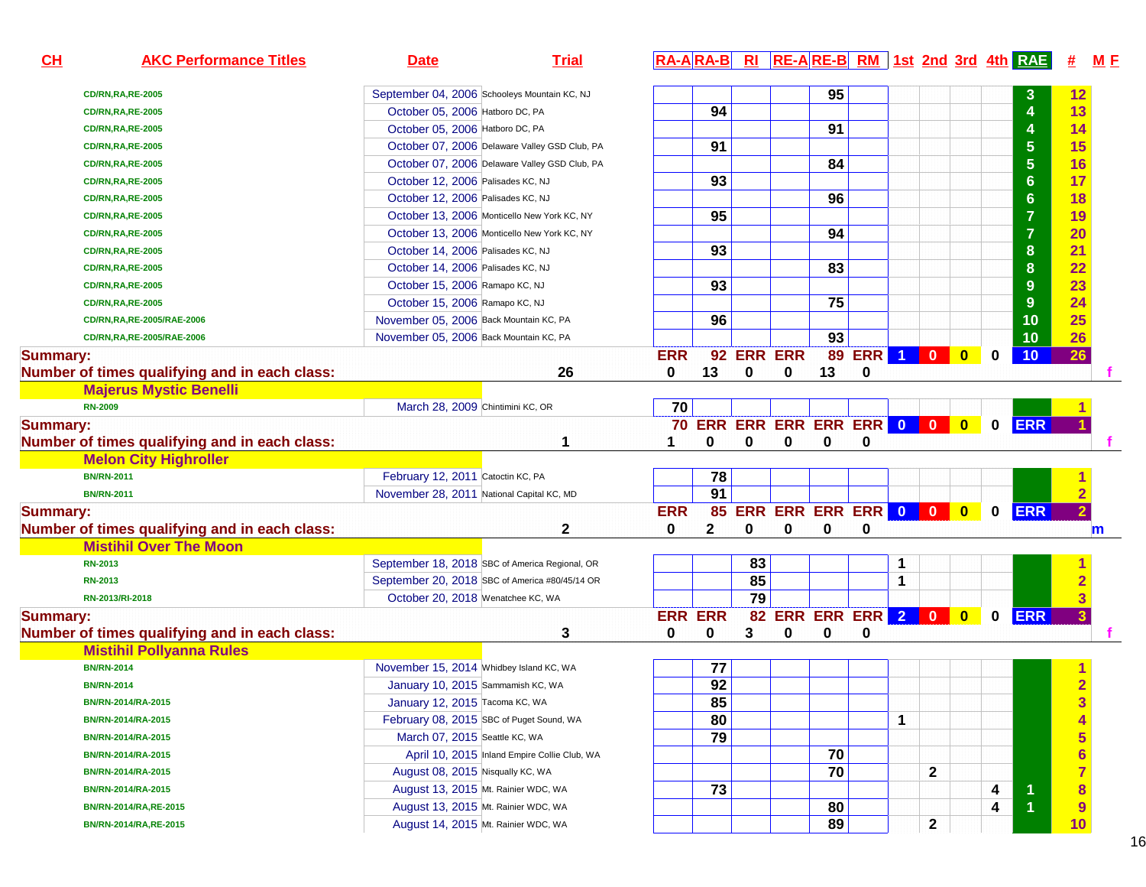| CH              | <b>AKC Performance Titles</b>                 | <b>Date</b>                                    | <b>Trial</b>                                 |                |              |            |                                     |    |               |                |                |                         |             | $R\overline{A - A} R\overline{A - B}$ RI RE-ARE-B RM 1st 2nd 3rd 4th RAE | 坓                       | <u>M F</u> |
|-----------------|-----------------------------------------------|------------------------------------------------|----------------------------------------------|----------------|--------------|------------|-------------------------------------|----|---------------|----------------|----------------|-------------------------|-------------|--------------------------------------------------------------------------|-------------------------|------------|
|                 | <b>CD/RN,RA,RE-2005</b>                       | September 04, 2006 Schooleys Mountain KC, NJ   |                                              |                |              |            |                                     | 95 |               |                |                |                         |             |                                                                          | 12                      |            |
|                 | <b>CD/RN,RA,RE-2005</b>                       | October 05, 2006 Hatboro DC, PA                |                                              |                | 94           |            |                                     |    |               |                |                |                         |             | $\overline{4}$                                                           | 13                      |            |
|                 | <b>CD/RN,RA,RE-2005</b>                       | October 05, 2006 Hatboro DC, PA                |                                              |                |              |            |                                     | 91 |               |                |                |                         |             | $\overline{\mathbf{A}}$                                                  | 14                      |            |
|                 | <b>CD/RN,RA,RE-2005</b>                       | October 07, 2006 Delaware Valley GSD Club, PA  |                                              |                | 91           |            |                                     |    |               |                |                |                         |             | $\overline{\mathbf{5}}$                                                  | 15                      |            |
|                 | <b>CD/RN,RA,RE-2005</b>                       | October 07, 2006 Delaware Valley GSD Club, PA  |                                              |                |              |            |                                     | 84 |               |                |                |                         |             | $\overline{\mathbf{5}}$                                                  | 16                      |            |
|                 | <b>CD/RN,RA,RE-2005</b>                       | October 12, 2006 Palisades KC, NJ              |                                              |                | 93           |            |                                     |    |               |                |                |                         |             | $6\phantom{a}$                                                           | 17                      |            |
|                 | <b>CD/RN,RA,RE-2005</b>                       | October 12, 2006 Palisades KC, NJ              |                                              |                |              |            |                                     | 96 |               |                |                |                         |             | $\bf 6$                                                                  | 18                      |            |
|                 | <b>CD/RN,RA,RE-2005</b>                       | October 13, 2006 Monticello New York KC, NY    |                                              |                | 95           |            |                                     |    |               |                |                |                         |             | $\overline{7}$                                                           | 19                      |            |
|                 | <b>CD/RN,RA,RE-2005</b>                       | October 13, 2006 Monticello New York KC, NY    |                                              |                |              |            |                                     | 94 |               |                |                |                         |             | $\overline{7}$                                                           | 20                      |            |
|                 | <b>CD/RN,RA,RE-2005</b>                       | October 14, 2006 Palisades KC, NJ              |                                              |                | 93           |            |                                     |    |               |                |                |                         |             | $\bf{8}$                                                                 | 21                      |            |
|                 | <b>CD/RN,RA,RE-2005</b>                       | October 14, 2006 Palisades KC, NJ              |                                              |                |              |            |                                     | 83 |               |                |                |                         |             | $\bf{8}$                                                                 | 22                      |            |
|                 | <b>CD/RN,RA,RE-2005</b>                       | October 15, 2006 Ramapo KC, NJ                 |                                              |                | 93           |            |                                     |    |               |                |                |                         |             | $\boldsymbol{9}$                                                         | 23                      |            |
|                 | <b>CD/RN,RA,RE-2005</b>                       | October 15, 2006 Ramapo KC, NJ                 |                                              |                |              |            |                                     | 75 |               |                |                |                         |             | $\overline{9}$                                                           | 24                      |            |
|                 | CD/RN,RA,RE-2005/RAE-2006                     | November 05, 2006 Back Mountain KC, PA         |                                              |                | 96           |            |                                     |    |               |                |                |                         |             | 10                                                                       | 25                      |            |
|                 | CD/RN,RA,RE-2005/RAE-2006                     | November 05, 2006 Back Mountain KC, PA         |                                              |                |              |            |                                     | 93 |               |                |                |                         |             | 10                                                                       | 26                      |            |
| <b>Summary:</b> |                                               |                                                |                                              | <b>ERR</b>     |              | 92 ERR ERR |                                     |    | <b>89 ERR</b> | 1 <sup>1</sup> | $\overline{0}$ | $\mathbf{0}$            | 0           | 10                                                                       | $\overline{26}$         |            |
|                 | Number of times qualifying and in each class: |                                                | 26                                           | 0              | 13           | 0          | 0                                   | 13 | 0             |                |                |                         |             |                                                                          |                         |            |
|                 | <b>Majerus Mystic Benelli</b>                 |                                                |                                              |                |              |            |                                     |    |               |                |                |                         |             |                                                                          |                         |            |
|                 | <b>RN-2009</b>                                | March 28, 2009 Chintimini KC, OR               |                                              | 70             |              |            |                                     |    |               |                |                |                         |             |                                                                          |                         |            |
| <b>Summary:</b> |                                               |                                                |                                              |                |              |            | <b>70 ERR ERR ERR ERR ERR 0 0 0</b> |    |               |                |                | $\overline{\mathbf{0}}$ | $\mathbf 0$ | <b>ERR</b>                                                               |                         |            |
|                 | Number of times qualifying and in each class: |                                                |                                              |                | 0            | 0          | 0                                   | 0  | 0             |                |                |                         |             |                                                                          |                         |            |
|                 | <b>Melon City Highroller</b>                  |                                                |                                              |                |              |            |                                     |    |               |                |                |                         |             |                                                                          |                         |            |
|                 | <b>BN/RN-2011</b>                             | February 12, 2011 Catoctin KC, PA              |                                              |                | 78           |            |                                     |    |               |                |                |                         |             |                                                                          |                         |            |
|                 | <b>BN/RN-2011</b>                             | November 28, 2011 National Capital KC, MD      |                                              |                | 91           |            |                                     |    |               |                |                |                         |             |                                                                          |                         |            |
| <b>Summary:</b> |                                               |                                                |                                              | <b>ERR</b>     |              |            | 85 ERR ERR ERR ERR 0 0              |    |               |                |                | $\bullet$               | 0           | <b>ERR</b>                                                               | $\overline{2}$          |            |
|                 | Number of times qualifying and in each class: |                                                | $\mathbf 2$                                  | 0              | $\mathbf{2}$ | 0          | 0                                   | 0  | 0             |                |                |                         |             |                                                                          | m                       |            |
|                 | <b>Mistihil Over The Moon</b>                 |                                                |                                              |                |              |            |                                     |    |               |                |                |                         |             |                                                                          |                         |            |
|                 | RN-2013                                       | September 18, 2018 SBC of America Regional, OR |                                              |                |              | 83         |                                     |    |               | 1              |                |                         |             |                                                                          |                         |            |
|                 | <b>RN-2013</b>                                | September 20, 2018 SBC of America #80/45/14 OR |                                              |                |              | 85         |                                     |    |               | 1              |                |                         |             |                                                                          | $\overline{2}$          |            |
|                 | RN-2013/RI-2018                               | October 20, 2018 Wenatchee KC, WA              |                                              |                |              | 79         |                                     |    |               |                |                |                         |             |                                                                          | $\overline{3}$          |            |
| <b>Summary:</b> |                                               |                                                |                                              | <b>ERR ERR</b> |              |            | 82 ERR ERR ERR 2 0                  |    |               |                |                | $\bullet$               | $\mathbf 0$ | <b>ERR</b>                                                               | $\overline{\mathbf{3}}$ |            |
|                 | Number of times qualifying and in each class: |                                                | 3                                            | 0              | 0            | 3          | 0                                   | 0  | 0             |                |                |                         |             |                                                                          |                         |            |
|                 | <b>Mistihil Pollyanna Rules</b>               |                                                |                                              |                |              |            |                                     |    |               |                |                |                         |             |                                                                          |                         |            |
|                 | <b>BN/RN-2014</b>                             | November 15, 2014 Whidbey Island KC, WA        |                                              |                | 77           |            |                                     |    |               |                |                |                         |             |                                                                          |                         |            |
|                 | <b>BN/RN-2014</b>                             | January 10, 2015 Sammamish KC, WA              |                                              |                | 92           |            |                                     |    |               |                |                |                         |             |                                                                          | $\overline{2}$          |            |
|                 | BN/RN-2014/RA-2015                            | January 12, 2015 Tacoma KC, WA                 |                                              |                | 85           |            |                                     |    |               |                |                |                         |             |                                                                          | 3                       |            |
|                 | BN/RN-2014/RA-2015                            | February 08, 2015 SBC of Puget Sound, WA       |                                              |                | 80           |            |                                     |    |               | 1              |                |                         |             |                                                                          | $\overline{\mathbf{4}}$ |            |
|                 | BN/RN-2014/RA-2015                            | March 07, 2015 Seattle KC, WA                  |                                              |                | 79           |            |                                     |    |               |                |                |                         |             |                                                                          | 5                       |            |
|                 | BN/RN-2014/RA-2015                            |                                                | April 10, 2015 Inland Empire Collie Club, WA |                |              |            |                                     | 70 |               |                |                |                         |             |                                                                          | $\frac{6}{7}$           |            |
|                 | BN/RN-2014/RA-2015                            | August 08, 2015 Nisqually KC, WA               |                                              |                |              |            |                                     | 70 |               |                | $\mathbf{2}$   |                         |             |                                                                          |                         |            |
|                 | BN/RN-2014/RA-2015                            | August 13, 2015 Mt. Rainier WDC, WA            |                                              |                | 73           |            |                                     |    |               |                |                |                         | 4           | 1                                                                        | $\bf{8}$                |            |
|                 | BN/RN-2014/RA, RE-2015                        | August 13, 2015 Mt. Rainier WDC, WA            |                                              |                |              |            |                                     | 80 |               |                |                |                         | 4           | $\overline{1}$                                                           | 9                       |            |
|                 | BN/RN-2014/RA, RE-2015                        | August 14, 2015 Mt. Rainier WDC, WA            |                                              |                |              |            |                                     | 89 |               |                | $\mathbf{2}$   |                         |             |                                                                          | 10                      |            |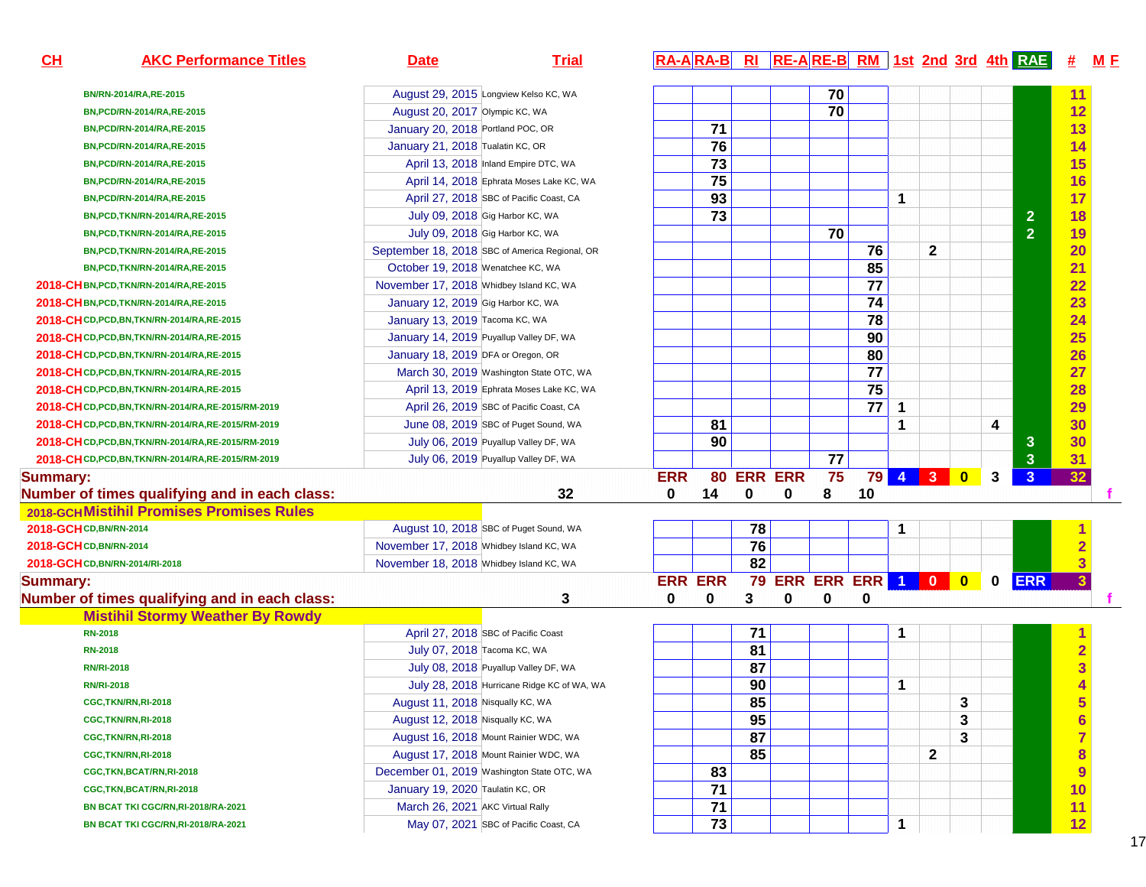| CL              | <b>AKC Performance Titles</b>                        | <b>Date</b>                             | <b>Trial</b>                                   |                |                 |    |                |                 |                 |              |                 |                         |             | RA-ARA-B RI RE-ARE-B RM 1st 2nd 3rd 4th RAE | #                       | M E |
|-----------------|------------------------------------------------------|-----------------------------------------|------------------------------------------------|----------------|-----------------|----|----------------|-----------------|-----------------|--------------|-----------------|-------------------------|-------------|---------------------------------------------|-------------------------|-----|
|                 | BN/RN-2014/RA, RE-2015                               |                                         | August 29, 2015 Longview Kelso KC, WA          |                |                 |    |                | 70              |                 |              |                 |                         |             |                                             | 11                      |     |
|                 | BN, PCD/RN-2014/RA, RE-2015                          | August 20, 2017 Olympic KC, WA          |                                                |                |                 |    |                | 70              |                 |              |                 |                         |             |                                             | 12                      |     |
|                 | BN, PCD/RN-2014/RA, RE-2015                          | January 20, 2018 Portland POC, OR       |                                                |                | $\overline{71}$ |    |                |                 |                 |              |                 |                         |             |                                             | 13                      |     |
|                 | BN, PCD/RN-2014/RA, RE-2015                          | January 21, 2018 Tualatin KC, OR        |                                                |                | 76              |    |                |                 |                 |              |                 |                         |             |                                             | 14                      |     |
|                 | BN, PCD/RN-2014/RA, RE-2015                          |                                         | April 13, 2018 Inland Empire DTC, WA           |                | $\overline{73}$ |    |                |                 |                 |              |                 |                         |             |                                             | 15                      |     |
|                 | BN, PCD/RN-2014/RA, RE-2015                          |                                         | April 14, 2018 Ephrata Moses Lake KC, WA       |                | 75              |    |                |                 |                 |              |                 |                         |             |                                             | 16                      |     |
|                 | BN, PCD/RN-2014/RA, RE-2015                          |                                         | April 27, 2018 SBC of Pacific Coast, CA        |                | 93              |    |                |                 |                 | 1            |                 |                         |             |                                             | 17                      |     |
|                 | BN, PCD, TKN/RN-2014/RA, RE-2015                     |                                         | July 09, 2018 Gig Harbor KC, WA                |                | 73              |    |                |                 |                 |              |                 |                         |             | $\overline{2}$                              | 18                      |     |
|                 | BN, PCD, TKN/RN-2014/RA, RE-2015                     |                                         | July 09, 2018 Gig Harbor KC, WA                |                |                 |    |                | $\overline{70}$ |                 |              |                 |                         |             | $\overline{2}$                              | 19                      |     |
|                 | BN, PCD, TKN/RN-2014/RA, RE-2015                     |                                         | September 18, 2018 SBC of America Regional, OR |                |                 |    |                |                 | 76              |              | $\mathbf{2}$    |                         |             |                                             | 20                      |     |
|                 | BN, PCD, TKN/RN-2014/RA, RE-2015                     | October 19, 2018 Wenatchee KC, WA       |                                                |                |                 |    |                |                 | 85              |              |                 |                         |             |                                             | 21                      |     |
|                 | 2018-CHBN, PCD, TKN/RN-2014/RA, RE-2015              | November 17, 2018 Whidbey Island KC, WA |                                                |                |                 |    |                |                 | $\overline{77}$ |              |                 |                         |             |                                             | 22                      |     |
|                 | 2018-CH BN, PCD, TKN/RN-2014/RA, RE-2015             | January 12, 2019 Gig Harbor KC, WA      |                                                |                |                 |    |                |                 | 74              |              |                 |                         |             |                                             | 23                      |     |
|                 | 2018-CH CD, PCD, BN, TKN/RN-2014/RA, RE-2015         | January 13, 2019 Tacoma KC, WA          |                                                |                |                 |    |                |                 | 78              |              |                 |                         |             |                                             | 24                      |     |
|                 | 2018-CH CD, PCD, BN, TKN/RN-2014/RA, RE-2015         |                                         | January 14, 2019 Puyallup Valley DF, WA        |                |                 |    |                |                 | 90              |              |                 |                         |             |                                             | 25                      |     |
|                 | 2018-CH CD, PCD, BN, TKN/RN-2014/RA, RE-2015         | January 18, 2019 DFA or Oregon, OR      |                                                |                |                 |    |                |                 | 80              |              |                 |                         |             |                                             | 26                      |     |
|                 | 2018-CH CD, PCD, BN, TKN/RN-2014/RA, RE-2015         |                                         | March 30, 2019 Washington State OTC, WA        |                |                 |    |                |                 | $\overline{77}$ |              |                 |                         |             |                                             | 27                      |     |
|                 | 2018-CH CD, PCD, BN, TKN/RN-2014/RA, RE-2015         |                                         | April 13, 2019 Ephrata Moses Lake KC, WA       |                |                 |    |                |                 | 75              |              |                 |                         |             |                                             | 28                      |     |
|                 | 2018-CHCD, PCD, BN, TKN/RN-2014/RA, RE-2015/RM-2019  |                                         | April 26, 2019 SBC of Pacific Coast, CA        |                |                 |    |                |                 | $\overline{77}$ | $\mathbf{1}$ |                 |                         |             |                                             | 29                      |     |
|                 | 2018-CHCD, PCD, BN, TKN/RN-2014/RA, RE-2015/RM-2019  |                                         | June 08, 2019 SBC of Puget Sound, WA           |                | 81              |    |                |                 |                 | 1            |                 |                         | 4           |                                             | 30                      |     |
|                 | 2018-CHCD, PCD, BN, TKN/RN-2014/RA, RE-2015/RM-2019  |                                         | July 06, 2019 Puyallup Valley DF, WA           |                | 90              |    |                |                 |                 |              |                 |                         |             | $\mathbf{3}$                                | 30                      |     |
|                 | 2018-CH CD, PCD, BN, TKN/RN-2014/RA, RE-2015/RM-2019 |                                         | July 06, 2019 Puyallup Valley DF, WA           |                |                 |    |                | $\overline{77}$ |                 |              |                 |                         |             | 3 <sup>5</sup>                              | 31                      |     |
| <b>Summary:</b> |                                                      |                                         |                                                | <b>ERR</b>     | 80              |    | <b>ERR ERR</b> | 75              | 79              |              | $4 \mid 3 \mid$ | $\overline{\mathbf{0}}$ | 3           | 3 <sup>1</sup>                              | 32                      |     |
|                 | Number of times qualifying and in each class:        |                                         | 32                                             | $\mathbf{0}$   | 14              | 0  | 0              | 8               | 10              |              |                 |                         |             |                                             |                         |     |
|                 | 2018-GCH Mistihil Promises Promises Rules            |                                         |                                                |                |                 |    |                |                 |                 |              |                 |                         |             |                                             |                         |     |
|                 | 2018-GCH CD, BN/RN-2014                              |                                         | August 10, 2018 SBC of Puget Sound, WA         |                |                 | 78 |                |                 |                 | 1            |                 |                         |             |                                             |                         |     |
|                 | 2018-GCH CD, BN/RN-2014                              | November 17, 2018 Whidbey Island KC, WA |                                                |                |                 | 76 |                |                 |                 |              |                 |                         |             |                                             |                         |     |
|                 | 2018-GCH CD, BN/RN-2014/RI-2018                      | November 18, 2018 Whidbey Island KC, WA |                                                |                |                 | 82 |                |                 |                 |              |                 |                         |             |                                             | 3                       |     |
| <b>Summary:</b> |                                                      |                                         |                                                | <b>ERR ERR</b> |                 | 79 |                |                 | ERR ERR ERR 1 0 |              |                 | $\bullet$               | $\mathbf 0$ | <b>ERR</b>                                  | $\overline{3}$          |     |
|                 | Number of times qualifying and in each class:        |                                         | 3                                              | 0              | 0               | 3  | 0              | 0               | 0               |              |                 |                         |             |                                             |                         |     |
|                 | <b>Mistihil Stormy Weather By Rowdy</b>              |                                         |                                                |                |                 |    |                |                 |                 |              |                 |                         |             |                                             |                         |     |
|                 | <b>RN-2018</b>                                       |                                         | April 27, 2018 SBC of Pacific Coast            |                |                 | 71 |                |                 |                 | 1            |                 |                         |             |                                             |                         |     |
|                 | <b>RN-2018</b>                                       | July 07, 2018 Tacoma KC, WA             |                                                |                |                 | 81 |                |                 |                 |              |                 |                         |             |                                             | $\overline{2}$          |     |
|                 | <b>RN/RI-2018</b>                                    |                                         | July 08, 2018 Puyallup Valley DF, WA           |                |                 | 87 |                |                 |                 |              |                 |                         |             |                                             |                         |     |
|                 | <b>RN/RI-2018</b>                                    |                                         | July 28, 2018 Hurricane Ridge KC of WA, WA     |                |                 | 90 |                |                 |                 | $\mathbf{1}$ |                 |                         |             |                                             |                         |     |
|                 | CGC, TKN/RN, RI-2018                                 | August 11, 2018 Nisqually KC, WA        |                                                |                |                 | 85 |                |                 |                 |              |                 | 3                       |             |                                             | $\overline{\mathbf{5}}$ |     |
|                 | CGC,TKN/RN,RI-2018                                   | August 12, 2018 Nisqually KC, WA        |                                                |                |                 | 95 |                |                 |                 |              |                 | 3                       |             |                                             | $6\phantom{1}$          |     |
|                 | CGC,TKN/RN,RI-2018                                   |                                         | August 16, 2018 Mount Rainier WDC, WA          |                |                 | 87 |                |                 |                 |              |                 | 3                       |             |                                             | $\overline{7}$          |     |
|                 | CGC,TKN/RN,RI-2018                                   |                                         | August 17, 2018 Mount Rainier WDC, WA          |                |                 | 85 |                |                 |                 |              | $\mathbf 2$     |                         |             |                                             | 8                       |     |
|                 | CGC, TKN, BCAT/RN, RI-2018                           |                                         | December 01, 2019 Washington State OTC, WA     |                | 83              |    |                |                 |                 |              |                 |                         |             |                                             | $\overline{9}$          |     |
|                 | CGC,TKN,BCAT/RN,RI-2018                              | January 19, 2020 Taulatin KC, OR        |                                                |                | 71              |    |                |                 |                 |              |                 |                         |             |                                             | 10                      |     |
|                 | BN BCAT TKI CGC/RN, RI-2018/RA-2021                  | March 26, 2021 AKC Virtual Rally        |                                                |                | 71              |    |                |                 |                 |              |                 |                         |             |                                             | 11                      |     |
|                 | BN BCAT TKI CGC/RN, RI-2018/RA-2021                  |                                         | May 07, 2021 SBC of Pacific Coast, CA          |                | 73              |    |                |                 |                 | 1            |                 |                         |             |                                             | 12                      |     |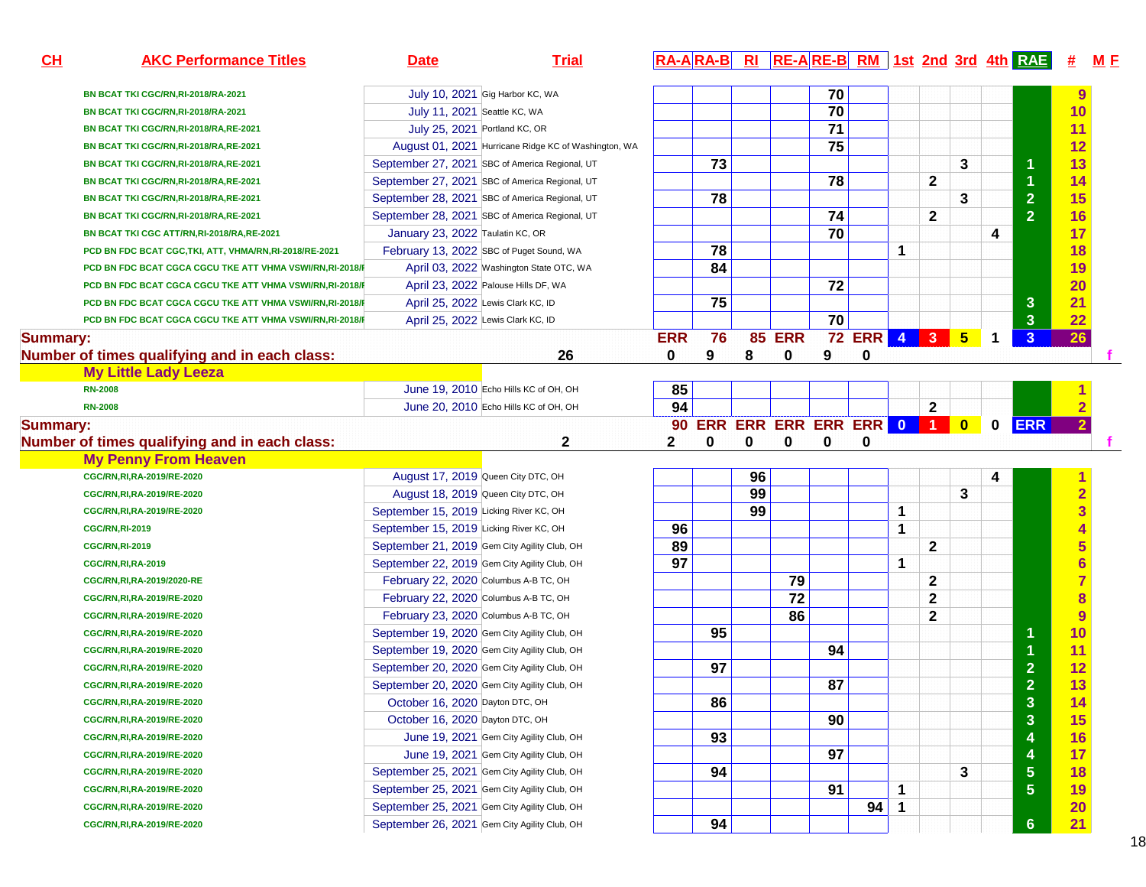| CL              | <b>AKC Performance Titles</b>                              | <b>Date</b>                                                                                  | <b>Trial</b>                                         |            |    |    |                            |                 |            |                 |                              |             |             | RA-ARA-B RI RE-ARE-B RM 1st 2nd 3rd 4th RAE # |                 | M E |
|-----------------|------------------------------------------------------------|----------------------------------------------------------------------------------------------|------------------------------------------------------|------------|----|----|----------------------------|-----------------|------------|-----------------|------------------------------|-------------|-------------|-----------------------------------------------|-----------------|-----|
|                 | BN BCAT TKI CGC/RN, RI-2018/RA-2021                        |                                                                                              | July 10, 2021 Gig Harbor KC, WA                      |            |    |    |                            | 70              |            |                 |                              |             |             |                                               |                 |     |
|                 | BN BCAT TKI CGC/RN, RI-2018/RA-2021                        | July 11, 2021 Seattle KC, WA                                                                 |                                                      |            |    |    |                            | $\overline{70}$ |            |                 |                              |             |             |                                               | 10              |     |
|                 | BN BCAT TKI CGC/RN, RI-2018/RA, RE-2021                    | July 25, 2021 Portland KC, OR                                                                |                                                      |            |    |    |                            | $\overline{71}$ |            |                 |                              |             |             |                                               |                 |     |
|                 | BN BCAT TKI CGC/RN, RI-2018/RA, RE-2021                    |                                                                                              | August 01, 2021 Hurricane Ridge KC of Washington, WA |            |    |    |                            | 75              |            |                 |                              |             |             |                                               |                 |     |
|                 | BN BCAT TKI CGC/RN, RI-2018/RA, RE-2021                    |                                                                                              | September 27, 2021 SBC of America Regional, UT       |            | 73 |    |                            |                 |            |                 |                              | 3           |             |                                               |                 |     |
|                 | BN BCAT TKI CGC/RN, RI-2018/RA, RE-2021                    |                                                                                              | September 27, 2021 SBC of America Regional, UT       |            |    |    |                            | 78              |            |                 | $\mathbf{2}$                 |             |             |                                               |                 |     |
|                 | BN BCAT TKI CGC/RN, RI-2018/RA, RE-2021                    |                                                                                              | September 28, 2021 SBC of America Regional, UT       |            | 78 |    |                            |                 |            |                 |                              | 3           |             | $\overline{2}$                                | 15              |     |
|                 | BN BCAT TKI CGC/RN, RI-2018/RA, RE-2021                    |                                                                                              | September 28, 2021 SBC of America Regional, UT       |            |    |    |                            | 74              |            |                 | $\mathbf{2}$                 |             |             | $\overline{2}$                                | 16              |     |
|                 | BN BCAT TKI CGC ATT/RN,RI-2018/RA,RE-2021                  | January 23, 2022 Taulatin KC, OR                                                             |                                                      |            |    |    |                            | $\overline{70}$ |            |                 |                              |             | 4           |                                               | 17              |     |
|                 | PCD BN FDC BCAT CGC, TKI, ATT, VHMA/RN, RI-2018/RE-2021    |                                                                                              | February 13, 2022 SBC of Puget Sound, WA             |            | 78 |    |                            |                 |            | 1               |                              |             |             |                                               |                 |     |
|                 | PCD BN FDC BCAT CGCA CGCU TKE ATT VHMA VSWI/RN,RI-2018/F   |                                                                                              | April 03, 2022 Washington State OTC, WA              |            | 84 |    |                            |                 |            |                 |                              |             |             |                                               | 19              |     |
|                 | PCD BN FDC BCAT CGCA CGCU TKE ATT VHMA VSWI/RN,RI-2018/F   |                                                                                              | April 23, 2022 Palouse Hills DF, WA                  |            |    |    |                            | 72              |            |                 |                              |             |             |                                               | 20              |     |
|                 | PCD BN FDC BCAT CGCA CGCU TKE ATT VHMA VSWI/RN,RI-2018/F   |                                                                                              | April 25, 2022 Lewis Clark KC, ID                    |            | 75 |    |                            |                 |            |                 |                              |             |             | $\mathbf{3}$                                  | 21              |     |
|                 | PCD BN FDC BCAT CGCA CGCU TKE ATT VHMA VSWI/RN,RI-2018/F   |                                                                                              | April 25, 2022 Lewis Clark KC, ID                    |            |    |    |                            | $\overline{70}$ |            |                 |                              |             |             | $\overline{\mathbf{3}}$                       | 22              |     |
| <b>Summary:</b> |                                                            |                                                                                              |                                                      | <b>ERR</b> | 76 |    | <b>85 ERR</b>              | 72              | <b>ERR</b> | $\vert 4 \vert$ | 3 <sup>1</sup>               | $5^{\circ}$ | 1           | $\mathbf{3}$                                  | 26              |     |
|                 | Number of times qualifying and in each class:              |                                                                                              | 26                                                   | 0          | 9  | 8  | 0                          | 9               | 0          |                 |                              |             |             |                                               |                 |     |
|                 | <b>My Little Lady Leeza</b>                                |                                                                                              |                                                      |            |    |    |                            |                 |            |                 |                              |             |             |                                               |                 |     |
|                 | <b>RN-2008</b>                                             |                                                                                              | June 19, 2010 Echo Hills KC of OH, OH                | 85         |    |    |                            |                 |            |                 |                              |             |             |                                               |                 |     |
|                 | <b>RN-2008</b>                                             |                                                                                              | June 20, 2010 Echo Hills KC of OH, OH                | 94         |    |    |                            |                 |            |                 | $\mathbf{2}$                 |             |             |                                               |                 |     |
| <b>Summary:</b> |                                                            |                                                                                              |                                                      |            |    |    | 90 ERR ERR ERR ERR ERR 0 1 |                 |            |                 |                              | $\bullet$   | $\mathbf 0$ | <b>ERR</b>                                    | $\overline{2}$  |     |
|                 | Number of times qualifying and in each class:              |                                                                                              | 2                                                    | 2          | 0  | 0  | 0                          | $\mathbf 0$     | $\bf{0}$   |                 |                              |             |             |                                               |                 |     |
|                 | <b>My Penny From Heaven</b>                                |                                                                                              |                                                      |            |    |    |                            |                 |            |                 |                              |             |             |                                               |                 |     |
|                 | CGC/RN, RI, RA-2019/RE-2020                                | August 17, 2019 Queen City DTC, OH                                                           |                                                      |            |    | 96 |                            |                 |            |                 |                              |             | 4           |                                               |                 |     |
|                 | CGC/RN, RI, RA-2019/RE-2020                                | August 18, 2019 Queen City DTC, OH                                                           |                                                      |            |    | 99 |                            |                 |            |                 |                              | 3           |             |                                               |                 |     |
|                 | CGC/RN, RI, RA-2019/RE-2020                                | September 15, 2019 Licking River KC, OH                                                      |                                                      |            |    | 99 |                            |                 |            | 1               |                              |             |             |                                               |                 |     |
|                 | <b>CGC/RN, RI-2019</b>                                     | September 15, 2019 Licking River KC, OH                                                      |                                                      | 96         |    |    |                            |                 |            | 1               |                              |             |             |                                               |                 |     |
|                 | <b>CGC/RN, RI-2019</b>                                     | September 21, 2019 Gem City Agility Club, OH                                                 |                                                      | 89         |    |    |                            |                 |            |                 | $\mathbf{2}$                 |             |             |                                               |                 |     |
|                 | <b>CGC/RN, RI, RA-2019</b>                                 | September 22, 2019 Gem City Agility Club, OH                                                 |                                                      | 97         |    |    |                            |                 |            | 1               |                              |             |             |                                               |                 |     |
|                 | CGC/RN, RI, RA-2019/2020-RE<br>CGC/RN, RI, RA-2019/RE-2020 | February 22, 2020 Columbus A-B TC, OH                                                        |                                                      |            |    |    | 79                         |                 |            |                 | $\mathbf{2}$<br>$\mathbf{2}$ |             |             |                                               |                 |     |
|                 | CGC/RN, RI, RA-2019/RE-2020                                | February 22, 2020 Columbus A-B TC, OH                                                        |                                                      |            |    |    | 72                         |                 |            |                 | $\mathbf{2}$                 |             |             |                                               |                 |     |
|                 | CGC/RN, RI, RA-2019/RE-2020                                | February 23, 2020 Columbus A-B TC, OH<br>September 19, 2020 Gem City Agility Club, OH        |                                                      |            |    |    | 86                         |                 |            |                 |                              |             |             |                                               |                 |     |
|                 | CGC/RN, RI, RA-2019/RE-2020                                |                                                                                              |                                                      |            | 95 |    |                            |                 |            |                 |                              |             |             |                                               |                 |     |
|                 | CGC/RN, RI, RA-2019/RE-2020                                | September 19, 2020 Gem City Agility Club, OH                                                 |                                                      |            |    |    |                            | 94              |            |                 |                              |             |             |                                               |                 |     |
|                 | CGC/RN, RI, RA-2019/RE-2020                                | September 20, 2020 Gem City Agility Club, OH<br>September 20, 2020 Gem City Agility Club, OH |                                                      |            | 97 |    |                            | 87              |            |                 |                              |             |             | $\overline{2}$<br>$\overline{2}$              | 13              |     |
|                 | CGC/RN, RI, RA-2019/RE-2020                                | October 16, 2020 Dayton DTC, OH                                                              |                                                      |            | 86 |    |                            |                 |            |                 |                              |             |             |                                               | $\overline{14}$ |     |
|                 | CGC/RN, RI, RA-2019/RE-2020                                | October 16, 2020 Dayton DTC, OH                                                              |                                                      |            |    |    |                            | 90              |            |                 |                              |             |             | $\boldsymbol{3}$                              | 15              |     |
|                 | CGC/RN, RI, RA-2019/RE-2020                                |                                                                                              | June 19, 2021 Gem City Agility Club, OH              |            | 93 |    |                            |                 |            |                 |                              |             |             | $\overline{\mathbf{3}}$<br>4                  | 16              |     |
|                 | CGC/RN, RI, RA-2019/RE-2020                                |                                                                                              | June 19, 2021 Gem City Agility Club, OH              |            |    |    |                            | 97              |            |                 |                              |             |             | 4                                             |                 |     |
|                 | CGC/RN, RI, RA-2019/RE-2020                                | September 25, 2021 Gem City Agility Club, OH                                                 |                                                      |            | 94 |    |                            |                 |            |                 |                              | 3           |             | $\overline{\mathbf{5}}$                       | 17<br>18        |     |
|                 | CGC/RN, RI, RA-2019/RE-2020                                | September 25, 2021 Gem City Agility Club, OH                                                 |                                                      |            |    |    |                            | 91              |            | 1               |                              |             |             | $\overline{\mathbf{5}}$                       | <b>19</b>       |     |
|                 | CGC/RN, RI, RA-2019/RE-2020                                | September 25, 2021 Gem City Agility Club, OH                                                 |                                                      |            |    |    |                            |                 | 94         | 1               |                              |             |             |                                               | <b>20</b><br>21 |     |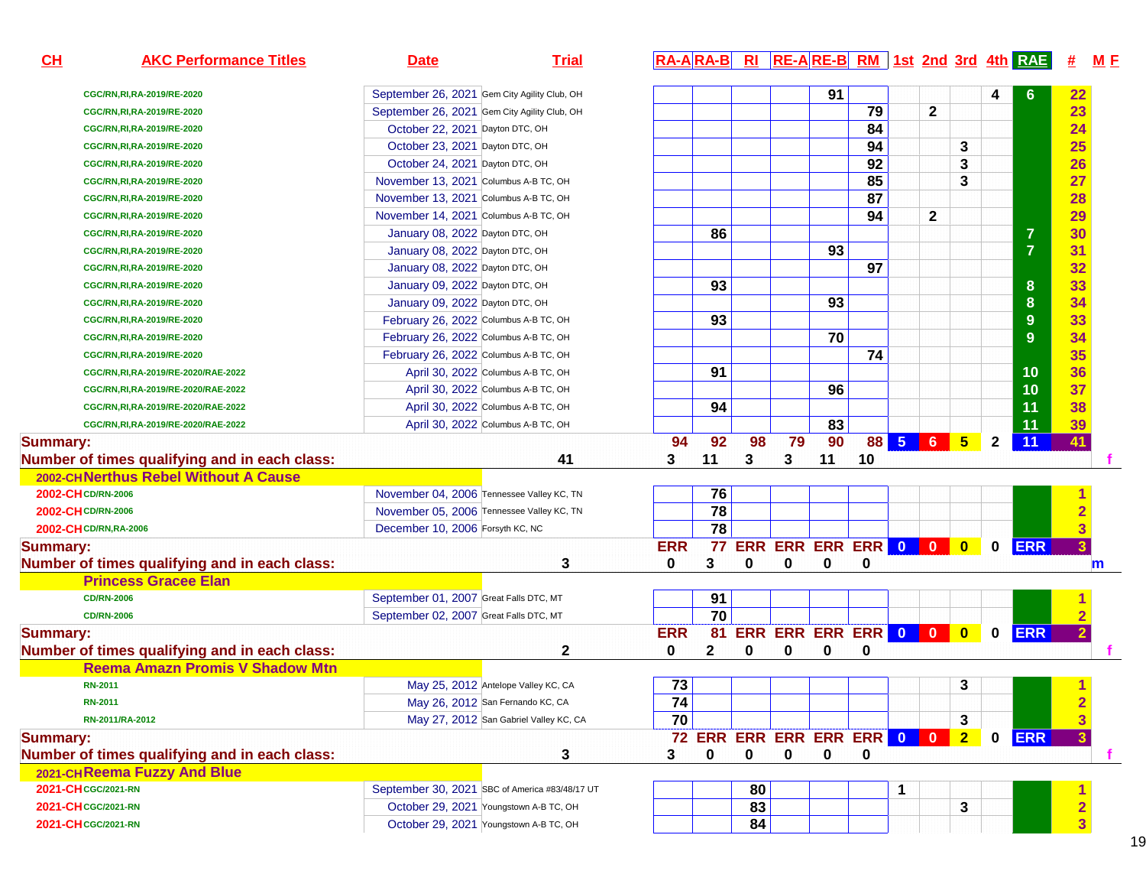| CL                     | <b>AKC Performance Titles</b>                 | <b>Date</b>                                    | <b>Trial</b>                           | <b>RA-ARA-B</b> |                 |    |             |    |                                   |   |              |                |              | <b>RI RE-ARE-B RM 1st 2nd 3rd 4th RAE</b> | M E<br><u>#</u>         |
|------------------------|-----------------------------------------------|------------------------------------------------|----------------------------------------|-----------------|-----------------|----|-------------|----|-----------------------------------|---|--------------|----------------|--------------|-------------------------------------------|-------------------------|
|                        | CGC/RN, RI, RA-2019/RE-2020                   | September 26, 2021 Gem City Agility Club, OH   |                                        |                 |                 |    |             | 91 |                                   |   |              |                | 4            | 6                                         | 22                      |
|                        | CGC/RN, RI, RA-2019/RE-2020                   | September 26, 2021 Gem City Agility Club, OH   |                                        |                 |                 |    |             |    | 79                                |   | $\mathbf{2}$ |                |              |                                           | 23                      |
|                        | CGC/RN, RI, RA-2019/RE-2020                   | October 22, 2021 Dayton DTC, OH                |                                        |                 |                 |    |             |    | 84                                |   |              |                |              |                                           | 24                      |
|                        | CGC/RN, RI, RA-2019/RE-2020                   | October 23, 2021 Dayton DTC, OH                |                                        |                 |                 |    |             |    | 94                                |   |              | 3              |              |                                           | 25                      |
|                        | CGC/RN, RI, RA-2019/RE-2020                   | October 24, 2021 Dayton DTC, OH                |                                        |                 |                 |    |             |    | 92                                |   |              | 3              |              |                                           | 26                      |
|                        | CGC/RN, RI, RA-2019/RE-2020                   | November 13, 2021 Columbus A-B TC, OH          |                                        |                 |                 |    |             |    | $\overline{85}$                   |   |              | 3              |              |                                           | 27                      |
|                        | CGC/RN, RI, RA-2019/RE-2020                   | November 13, 2021 Columbus A-B TC, OH          |                                        |                 |                 |    |             |    | 87                                |   |              |                |              |                                           | 28                      |
|                        | CGC/RN, RI, RA-2019/RE-2020                   | November 14, 2021 Columbus A-B TC, OH          |                                        |                 |                 |    |             |    | 94                                |   | $\mathbf{2}$ |                |              |                                           | 29                      |
|                        | CGC/RN, RI, RA-2019/RE-2020                   | January 08, 2022 Dayton DTC, OH                |                                        |                 | 86              |    |             |    |                                   |   |              |                |              | $\overline{7}$                            | 30                      |
|                        | CGC/RN, RI, RA-2019/RE-2020                   | January 08, 2022 Dayton DTC, OH                |                                        |                 |                 |    |             | 93 |                                   |   |              |                |              | $\overline{7}$                            | 31                      |
|                        | CGC/RN, RI, RA-2019/RE-2020                   | January 08, 2022 Dayton DTC, OH                |                                        |                 |                 |    |             |    | $\overline{97}$                   |   |              |                |              |                                           | 32                      |
|                        | CGC/RN, RI, RA-2019/RE-2020                   | January 09, 2022 Dayton DTC, OH                |                                        |                 | 93              |    |             |    |                                   |   |              |                |              | 8                                         | 33                      |
|                        | CGC/RN, RI, RA-2019/RE-2020                   | January 09, 2022 Dayton DTC, OH                |                                        |                 |                 |    |             | 93 |                                   |   |              |                |              | $\boldsymbol{8}$                          | 34                      |
|                        | CGC/RN, RI, RA-2019/RE-2020                   | February 26, 2022 Columbus A-B TC, OH          |                                        |                 | 93              |    |             |    |                                   |   |              |                |              | $9\,$                                     | 33                      |
|                        | CGC/RN, RI, RA-2019/RE-2020                   | February 26, 2022 Columbus A-B TC, OH          |                                        |                 |                 |    |             | 70 |                                   |   |              |                |              | 9                                         | 34                      |
|                        | CGC/RN, RI, RA-2019/RE-2020                   | February 26, 2022 Columbus A-B TC, OH          |                                        |                 |                 |    |             |    | 74                                |   |              |                |              |                                           | 35                      |
|                        | CGC/RN, RI, RA-2019/RE-2020/RAE-2022          | April 30, 2022 Columbus A-B TC, OH             |                                        |                 | 91              |    |             |    |                                   |   |              |                |              | 10                                        | 36                      |
|                        | CGC/RN, RI, RA-2019/RE-2020/RAE-2022          | April 30, 2022 Columbus A-B TC, OH             |                                        |                 |                 |    |             | 96 |                                   |   |              |                |              | 10                                        | 37                      |
|                        | CGC/RN, RI, RA-2019/RE-2020/RAE-2022          | April 30, 2022 Columbus A-B TC, OH             |                                        |                 | 94              |    |             |    |                                   |   |              |                |              | 11                                        | 38                      |
|                        | CGC/RN, RI, RA-2019/RE-2020/RAE-2022          | April 30, 2022 Columbus A-B TC, OH             |                                        |                 |                 |    |             | 83 |                                   |   |              |                |              | 11                                        | 39                      |
| <b>Summary:</b>        |                                               |                                                |                                        | 94              | 92              | 98 | 79          | 90 |                                   |   |              | 88 5 6 5       | $\mathbf{2}$ | 11                                        | 41                      |
|                        | Number of times qualifying and in each class: |                                                | 41                                     | 3               | 11              | 3  | 3           | 11 | 10                                |   |              |                |              |                                           |                         |
|                        | 2002-CHNerthus Rebel Without A Cause          |                                                |                                        |                 |                 |    |             |    |                                   |   |              |                |              |                                           |                         |
| 2002-CH CD/RN-2006     |                                               | November 04, 2006 Tennessee Valley KC, TN      |                                        |                 | 76              |    |             |    |                                   |   |              |                |              |                                           | 1                       |
| 2002-CH CD/RN-2006     |                                               | November 05, 2006 Tennessee Valley KC, TN      |                                        |                 | $\overline{78}$ |    |             |    |                                   |   |              |                |              |                                           | $\overline{2}$          |
| 2002-CH CD/RN, RA-2006 |                                               | December 10, 2006 Forsyth KC, NC               |                                        |                 | 78              |    |             |    |                                   |   |              |                |              |                                           | $\overline{\mathbf{3}}$ |
| <b>Summary:</b>        |                                               |                                                |                                        | <b>ERR</b>      |                 |    |             |    | 77 ERR ERR ERR ERR 0 0 0          |   |              |                | $\mathbf 0$  | <b>ERR</b>                                | $\overline{\mathbf{3}}$ |
|                        | Number of times qualifying and in each class: |                                                | 3                                      | 0               | 3               | 0  | 0           | 0  | 0                                 |   |              |                |              |                                           | $\mathsf{m}$            |
|                        | <b>Princess Gracee Elan</b>                   |                                                |                                        |                 |                 |    |             |    |                                   |   |              |                |              |                                           |                         |
|                        | <b>CD/RN-2006</b>                             | September 01, 2007 Great Falls DTC, MT         |                                        |                 | 91              |    |             |    |                                   |   |              |                |              |                                           |                         |
|                        | <b>CD/RN-2006</b>                             | September 02, 2007 Great Falls DTC, MT         |                                        |                 | 70              |    |             |    |                                   |   |              |                |              |                                           |                         |
| <b>Summary:</b>        |                                               |                                                |                                        | <b>ERR</b>      | 81              |    |             |    | ERR ERR ERR ERR 0 0 0 0           |   |              |                |              | <b>ERR</b>                                | $\overline{2}$          |
|                        | Number of times qualifying and in each class: |                                                | 2                                      | 0               | 2               | 0  | 0           | 0  | 0                                 |   |              |                |              |                                           |                         |
|                        | <b>Reema Amazn Promis V Shadow Mtn</b>        |                                                |                                        |                 |                 |    |             |    |                                   |   |              |                |              |                                           |                         |
|                        | <b>RN-2011</b>                                | May 25, 2012 Antelope Valley KC, CA            |                                        | 73              |                 |    |             |    |                                   |   |              | 3              |              |                                           | $\blacktriangleleft$    |
|                        | <b>RN-2011</b>                                | May 26, 2012 San Fernando KC, CA               |                                        | 74              |                 |    |             |    |                                   |   |              |                |              |                                           | $\overline{2}$          |
|                        | RN-2011/RA-2012                               |                                                | May 27, 2012 San Gabriel Valley KC, CA | 70              |                 |    |             |    |                                   |   |              | 3              |              |                                           |                         |
| <b>Summary:</b>        |                                               |                                                |                                        |                 |                 |    |             |    | <b>72 ERR ERR ERR ERR ERR 0 0</b> |   |              | 2 <sup>1</sup> | $\mathbf 0$  | <b>ERR</b>                                |                         |
|                        | Number of times qualifying and in each class: |                                                | 3                                      | 3               | 0               | 0  | $\mathbf 0$ | 0  | 0                                 |   |              |                |              |                                           |                         |
|                        | 2021-CHReema Fuzzy And Blue                   |                                                |                                        |                 |                 |    |             |    |                                   |   |              |                |              |                                           |                         |
| 2021-CH CGC/2021-RN    |                                               | September 30, 2021 SBC of America #83/48/17 UT |                                        |                 |                 | 80 |             |    |                                   | 1 |              |                |              |                                           |                         |
| 2021-CH CGC/2021-RN    |                                               | October 29, 2021 Youngstown A-B TC, OH         |                                        |                 |                 | 83 |             |    |                                   |   |              | 3              |              |                                           | $\overline{\mathbf{2}}$ |
| 2021-CH CGC/2021-RN    |                                               | October 29, 2021 Youngstown A-B TC, OH         |                                        |                 |                 | 84 |             |    |                                   |   |              |                |              |                                           | $\overline{3}$          |
|                        |                                               |                                                |                                        |                 |                 |    |             |    |                                   |   |              |                |              |                                           |                         |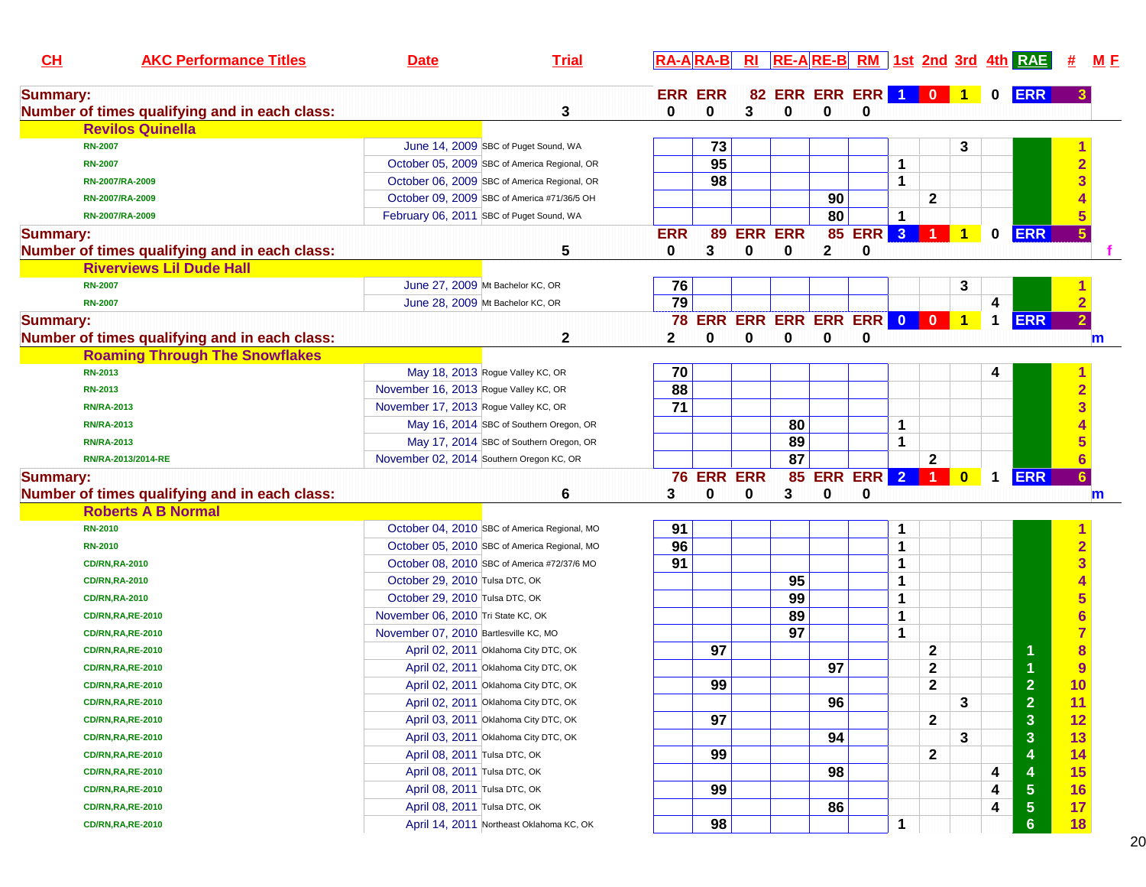| CL              | <b>AKC Performance Titles</b>                 | <b>Date</b>                           | <b>Trial</b>                                 |                 | <b>RA-ARA-B</b> |   |                                 |              |            |                         |                      |                      |                      | $R1$ $RE-A RE-B $ $RM$   1st 2nd 3rd 4th $RAE$ | <u>#</u>                | <u>M F</u>  |
|-----------------|-----------------------------------------------|---------------------------------------|----------------------------------------------|-----------------|-----------------|---|---------------------------------|--------------|------------|-------------------------|----------------------|----------------------|----------------------|------------------------------------------------|-------------------------|-------------|
| <b>Summary:</b> |                                               |                                       |                                              |                 | <b>ERR ERR</b>  |   | 82 ERR ERR ERR 1 0 1            |              |            |                         |                      |                      | $\mathbf 0$          | <b>ERR</b>                                     |                         |             |
|                 | Number of times qualifying and in each class: |                                       | 3                                            | 0               | 0               | 3 | 0                               | $\bf{0}$     | 0          |                         |                      |                      |                      |                                                |                         |             |
|                 | <b>Revilos Quinella</b>                       |                                       |                                              |                 |                 |   |                                 |              |            |                         |                      |                      |                      |                                                |                         |             |
|                 | <b>RN-2007</b>                                |                                       | June 14, 2009 SBC of Puget Sound, WA         |                 | 73              |   |                                 |              |            |                         |                      | 3                    |                      |                                                |                         |             |
|                 | <b>RN-2007</b>                                |                                       | October 05, 2009 SBC of America Regional, OR |                 | 95              |   |                                 |              |            | 1                       |                      |                      |                      |                                                | $\overline{2}$          |             |
|                 | RN-2007/RA-2009                               |                                       | October 06, 2009 SBC of America Regional, OR |                 | 98              |   |                                 |              |            | 1                       |                      |                      |                      |                                                | 3                       |             |
|                 | RN-2007/RA-2009                               |                                       | October 09, 2009 SBC of America #71/36/5 OH  |                 |                 |   |                                 | 90           |            |                         | $\mathbf 2$          |                      |                      |                                                |                         |             |
|                 | RN-2007/RA-2009                               |                                       | February 06, 2011 SBC of Puget Sound, WA     |                 |                 |   |                                 | 80           |            | 1                       |                      |                      |                      |                                                |                         |             |
| <b>Summary:</b> |                                               |                                       |                                              | <b>ERR</b>      | 89              |   | <b>ERR ERR</b>                  | 85           | <b>ERR</b> | $\overline{\mathbf{3}}$ |                      | $\blacktriangleleft$ | 0                    | <b>ERR</b>                                     | 5 <sup>5</sup>          |             |
|                 | Number of times qualifying and in each class: |                                       | 5                                            | 0               | 3               | 0 | 0                               | $\mathbf{2}$ | 0          |                         |                      |                      |                      |                                                |                         |             |
|                 | <b>Riverviews Lil Dude Hall</b>               |                                       |                                              |                 |                 |   |                                 |              |            |                         |                      |                      |                      |                                                |                         |             |
|                 | <b>RN-2007</b>                                |                                       | June 27, 2009 Mt Bachelor KC, OR             | 76              |                 |   |                                 |              |            |                         |                      | 3                    |                      |                                                |                         |             |
|                 | <b>RN-2007</b>                                |                                       | June 28, 2009 Mt Bachelor KC, OR             | $\overline{79}$ |                 |   |                                 |              |            |                         |                      |                      | 4                    |                                                | $\overline{2}$          |             |
| <b>Summary:</b> |                                               |                                       |                                              |                 |                 |   | <b>78 ERR ERR ERR ERR ERR 0</b> |              |            |                         | $\blacksquare$       | $\blacktriangleleft$ | $\mathbf 1$          | <b>ERR</b>                                     | $\overline{2}$          |             |
|                 | Number of times qualifying and in each class: |                                       | $\mathbf{2}$                                 | $\mathbf{2}$    | 0               | 0 | 0                               | $\bf{0}$     | 0          |                         |                      |                      |                      |                                                |                         | $\mathbf m$ |
|                 | <b>Roaming Through The Snowflakes</b>         |                                       |                                              |                 |                 |   |                                 |              |            |                         |                      |                      |                      |                                                |                         |             |
|                 | RN-2013                                       |                                       | May 18, 2013 Rogue Valley KC, OR             | 70              |                 |   |                                 |              |            |                         |                      |                      | 4                    |                                                |                         |             |
|                 | <b>RN-2013</b>                                | November 16, 2013 Rogue Valley KC, OR |                                              | 88              |                 |   |                                 |              |            |                         |                      |                      |                      |                                                | $\overline{2}$          |             |
|                 | <b>RN/RA-2013</b>                             | November 17, 2013 Rogue Valley KC, OR |                                              | 71              |                 |   |                                 |              |            |                         |                      |                      |                      |                                                | 3                       |             |
|                 | <b>RN/RA-2013</b>                             |                                       | May 16, 2014 SBC of Southern Oregon, OR      |                 |                 |   | 80                              |              |            | 1                       |                      |                      |                      |                                                |                         |             |
|                 | <b>RN/RA-2013</b>                             |                                       | May 17, 2014 SBC of Southern Oregon, OR      |                 |                 |   | 89                              |              |            | 1                       |                      |                      |                      |                                                |                         |             |
|                 | RN/RA-2013/2014-RE                            |                                       | November 02, 2014 Southern Oregon KC, OR     |                 |                 |   | $\overline{87}$                 |              |            |                         | $\mathbf 2$          |                      |                      |                                                |                         |             |
| <b>Summary:</b> |                                               |                                       |                                              |                 | 76 ERR ERR      |   |                                 | 85 ERR ERR   |            | $\overline{2}$          | $\blacktriangleleft$ | $\bf{0}$             | $\blacktriangleleft$ | <b>ERR</b>                                     | 6 <sup>°</sup>          |             |
|                 | Number of times qualifying and in each class: |                                       | 6                                            | 3               | 0               | 0 | 3                               | 0            | 0          |                         |                      |                      |                      |                                                |                         | $\mathbf m$ |
|                 | <b>Roberts A B Normal</b>                     |                                       |                                              |                 |                 |   |                                 |              |            |                         |                      |                      |                      |                                                |                         |             |
|                 | <b>RN-2010</b>                                |                                       | October 04, 2010 SBC of America Regional, MO | 91              |                 |   |                                 |              |            | 1                       |                      |                      |                      |                                                |                         |             |
|                 | <b>RN-2010</b>                                |                                       | October 05, 2010 SBC of America Regional, MO | 96              |                 |   |                                 |              |            | 1                       |                      |                      |                      |                                                | $\overline{\mathbf{2}}$ |             |
|                 | <b>CD/RN,RA-2010</b>                          |                                       | October 08, 2010 SBC of America #72/37/6 MO  | 91              |                 |   |                                 |              |            | 1                       |                      |                      |                      |                                                | $\overline{\mathbf{3}}$ |             |
|                 | <b>CD/RN,RA-2010</b>                          | October 29, 2010 Tulsa DTC, OK        |                                              |                 |                 |   | 95                              |              |            | 1                       |                      |                      |                      |                                                |                         |             |
|                 | <b>CD/RN,RA-2010</b>                          | October 29, 2010 Tulsa DTC, OK        |                                              |                 |                 |   | 99                              |              |            | 1                       |                      |                      |                      |                                                | 5                       |             |
|                 | <b>CD/RN,RA,RE-2010</b>                       | November 06, 2010 Tri State KC, OK    |                                              |                 |                 |   | 89                              |              |            | 1                       |                      |                      |                      |                                                |                         |             |
|                 | <b>CD/RN,RA,RE-2010</b>                       | November 07, 2010 Bartlesville KC, MO |                                              |                 |                 |   | 97                              |              |            | 1                       |                      |                      |                      |                                                | $\overline{7}$          |             |
|                 | <b>CD/RN,RA,RE-2010</b>                       |                                       | April 02, 2011 Oklahoma City DTC, OK         |                 | 97              |   |                                 |              |            |                         | $\mathbf{2}$         |                      |                      | 1                                              | $\bf{8}$                |             |
|                 | <b>CD/RN,RA,RE-2010</b>                       |                                       | April 02, 2011 Oklahoma City DTC, OK         |                 |                 |   |                                 | 97           |            |                         | 2                    |                      |                      |                                                | 9                       |             |
|                 | <b>CD/RN,RA,RE-2010</b>                       |                                       | April 02, 2011 Oklahoma City DTC, OK         |                 | 99              |   |                                 |              |            |                         | 2                    |                      |                      | $\overline{2}$                                 | 10                      |             |
|                 | <b>CD/RN,RA,RE-2010</b>                       |                                       | April 02, 2011 Oklahoma City DTC, OK         |                 |                 |   |                                 | 96           |            |                         |                      | 3                    |                      | $\overline{\mathbf{2}}$                        | 11                      |             |
|                 | <b>CD/RN,RA,RE-2010</b>                       |                                       | April 03, 2011 Oklahoma City DTC, OK         |                 | 97              |   |                                 |              |            |                         | $\mathbf{2}$         |                      |                      | $\mathbf{3}$                                   | 12                      |             |
|                 | <b>CD/RN,RA,RE-2010</b>                       |                                       | April 03, 2011 Oklahoma City DTC, OK         |                 |                 |   |                                 | 94           |            |                         |                      | 3                    |                      | $\mathbf{3}$                                   | 13                      |             |
|                 | <b>CD/RN,RA,RE-2010</b>                       | April 08, 2011 Tulsa DTC, OK          |                                              |                 | 99              |   |                                 |              |            |                         | $\mathbf{2}$         |                      |                      | 4                                              | 14                      |             |
|                 | <b>CD/RN,RA,RE-2010</b>                       | April 08, 2011 Tulsa DTC, OK          |                                              |                 |                 |   |                                 | 98           |            |                         |                      |                      | 4                    | 4                                              | <b>15</b>               |             |
|                 | <b>CD/RN,RA,RE-2010</b>                       | April 08, 2011 Tulsa DTC, OK          |                                              |                 | 99              |   |                                 |              |            |                         |                      |                      | 4                    | $\overline{\mathbf{5}}$                        | 16                      |             |
|                 | <b>CD/RN,RA,RE-2010</b>                       | April 08, 2011 Tulsa DTC, OK          |                                              |                 |                 |   |                                 | 86           |            |                         |                      |                      | 4                    | 5                                              | 17                      |             |
|                 | <b>CD/RN,RA,RE-2010</b>                       |                                       | April 14, 2011 Northeast Oklahoma KC, OK     |                 | 98              |   |                                 |              |            | 1                       |                      |                      |                      | $6\phantom{1}$                                 | 18                      |             |
|                 |                                               |                                       |                                              |                 |                 |   |                                 |              |            |                         |                      |                      |                      |                                                |                         |             |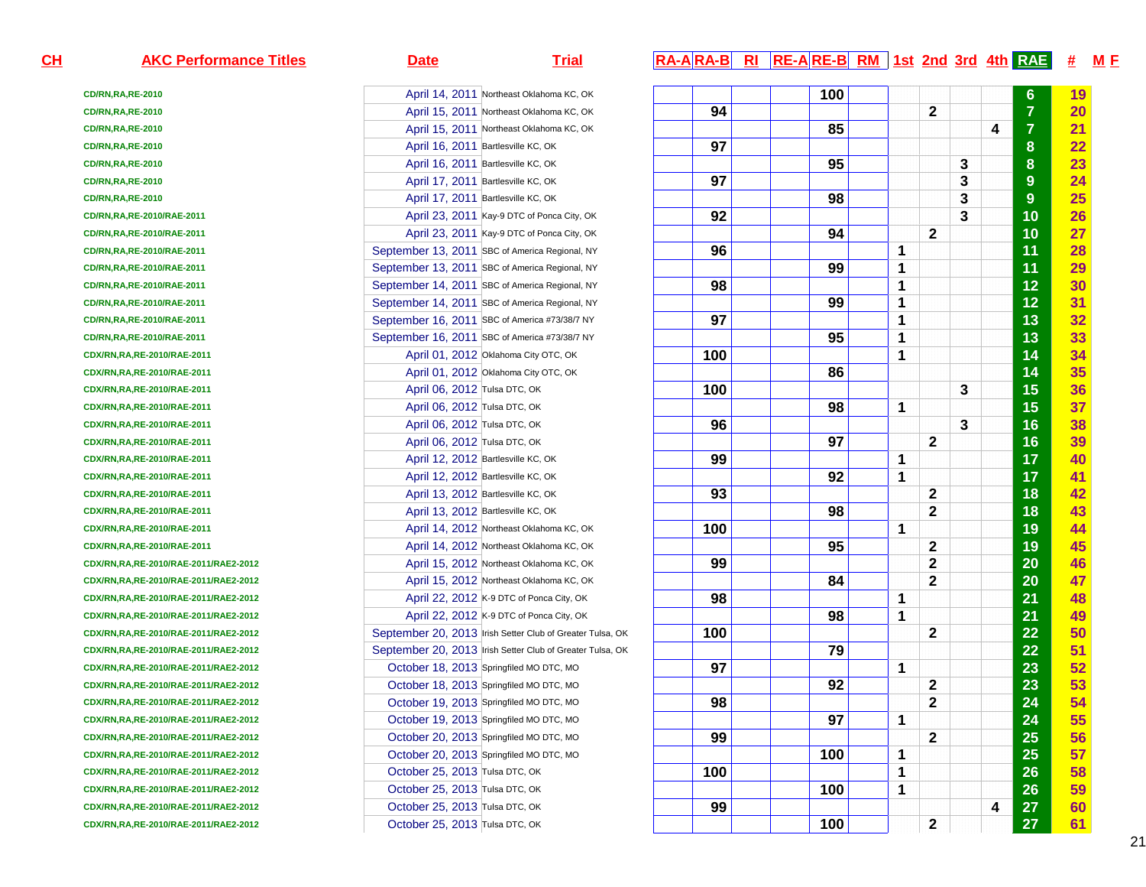**CD/RN,RA,RE-2010CD/RN,RA,RE-2010CD/RN,RA,RE-2010CD/RN,RA,RE-2010CD/RN,RA,RE-2010CD/RN,RA,RE-2010CD/RN,RA,RE-2010CD/RN,RA,RE-2010/RAE-2011CD/RN,RA,RE-2010/RAE-2011CD/RN,RA,RE-2010/RAE-2011CD/RN,RA,RE-2010/RAE-2011CD/RN,RA,RE-2010/RAE-2011CD/RN,RA,RE-2010/RAE-2011CD/RN,RA,RE-2010/RAE-2011CD/RN,RA,RE-2010/RAE-2011CDX/RN,RA,RE-2010/RAE-2011CDX/RN,RA,RE-2010/RAE-2011CDX/RN,RA,RE-2010/RAE-2011CDX/RN,RA,RE-2010/RAE-2011CDX/RN,RA,RE-2010/RAE-2011CDX/RN,RA,RE-2010/RAE-2011CDX/RN,RA,RE-2010/RAE-2011CDX/RN,RA,RE-2010/RAE-2011CDX/RN,RA,RE-2010/RAE-2011CDX/RN,RA,RE-2010/RAE-2011CDX/RN,RA,RE-2010/RAE-2011CDX/RN,RA,RE-2010/RAE-2011CDX/RN,RA,RE-2010/RAE-2011/RAE2-2012CDX/RN,RA,RE-2010/RAE-2011/RAE2-2012CDX/RN,RA,RE-2010/RAE-2011/RAE2-2012CDX/RN,RA,RE-2010/RAE-2011/RAE2-2012CDX/RN,RA,RE-2010/RAE-2011/RAE2-2012CDX/RN,RA,RE-2010/RAE-2011/RAE2-2012CDX/RN,RA,RE-2010/RAE-2011/RAE2-2012CDX/RN,RA,RE-2010/RAE-2011/RAE2-2012CDX/RN,RA,RE-2010/RAE-2011/RAE2-2012CDX/RN,RA,RE-2010/RAE-2011/RAE2-2012CDX/RN,RA,RE-2010/RAE-2011/RAE2-2012CDX/RN,RA,RE-2010/RAE-2011/RAE2-2012CDX/RN,RA,RE-2010/RAE-2011/RAE2-2012CDX/RN,RA,RE-2010/RAE-2011/RAE2-2012CDX/RN,RA,RE-2010/RAE-2011/RAE2-2012CDX/RN,RA,RE-2010/RAE-2011/RAE2-2012**

| April 14, 2011 Northeast Oklahoma KC, OK<br>0<br>April 15, 2011 Northeast Oklahoma KC, OK<br>0<br>0<br>April 15, 2011 Northeast Oklahoma KC, OK<br>April 16, 2011 Bartlesville KC, OK<br>0<br>April 16, 2011 Bartlesville KC, OK<br>0<br>April 17, 2011 Bartlesville KC, OK<br>0<br>April 17, 2011 Bartlesville KC, OK<br>0<br>April 23, 2011 Kay-9 DTC of Ponca City, OK<br>0/RAE-2011<br>April 23, 2011 Kay-9 DTC of Ponca City, OK<br>0/RAE-2011<br>September 13, 2011 SBC of America Regional, NY<br>0/RAE-2011<br>September 13, 2011 SBC of America Regional, NY<br>0/RAE-2011<br>September 14, 2011 SBC of America Regional, NY<br>0/RAE-2011<br>September 14, 2011 SBC of America Regional, NY<br>0/RAE-2011<br>0/RAE-2011<br>September 16, 2011 SBC of America #73/38/7 NY<br>September 16, 2011 SBC of America #73/38/7 NY<br>0/RAE-2011<br>April 01, 2012 Oklahoma City OTC, OK<br>10/RAE-2011<br>April 01, 2012 Oklahoma City OTC, OK<br>10/RAE-2011<br>10/RAE-2011<br><b>April 06, 2012 Tulsa DTC, OK</b><br>10/RAE-2011<br>April 06, 2012 Tulsa DTC, OK<br>April 06, 2012 Tulsa DTC, OK<br>10/RAE-2011<br>April 06, 2012 Tulsa DTC, OK<br>10/RAE-2011<br>April 12, 2012 Bartlesville KC, OK<br>10/RAE-2011<br>April 12, 2012 Bartlesville KC, OK<br>10/RAE-2011<br>April 13, 2012 Bartlesville KC, OK<br>10/RAE-2011<br>April 13, 2012 Bartlesville KC, OK<br>10/RAE-2011<br>April 14, 2012 Northeast Oklahoma KC, OK<br>10/RAE-2011<br>10/RAE-2011<br>April 14, 2012 Northeast Oklahoma KC, OK<br>April 15, 2012 Northeast Oklahoma KC, OK<br>10/RAE-2011/RAE2-2012<br>April 15, 2012 Northeast Oklahoma KC, OK<br>10/RAE-2011/RAE2-2012<br>April 22, 2012 K-9 DTC of Ponca City, OK<br>10/RAE-2011/RAE2-2012<br>April 22, 2012 K-9 DTC of Ponca City, OK<br>10/RAE-2011/RAE2-2012<br>10/RAE-2011/RAE2-2012<br>10/RAE-2011/RAE2-2012<br>October 18, 2013 Springfiled MO DTC, MO<br>10/RAE-2011/RAE2-2012<br>October 18, 2013 Springfiled MO DTC, MO<br>10/RAE-2011/RAE2-2012<br>October 19, 2013 Springfiled MO DTC, MO<br>10/RAE-2011/RAE2-2012<br>October 19, 2013 Springfiled MO DTC, MO<br>10/RAE-2011/RAE2-2012<br>October 20, 2013 Springfiled MO DTC, MO<br>10/RAE-2011/RAE2-2012<br>October 20, 2013 Springfiled MO DTC, MO<br>10/RAE-2011/RAE2-2012<br>October 25, 2013 Tulsa DTC, OK<br>10/RAE-2011/RAE2-2012<br>October 25, 2013 Tulsa DTC, OK<br>10/RAE-2011/RAE2-2012<br>10/RAE-2011/RAE2-2012<br>October 25, 2013 Tulsa DTC, OK<br>October 25, 2013 Tulsa DTC, OK<br>10/RAE-2011/RAE2-2012 |                                                           |
|------------------------------------------------------------------------------------------------------------------------------------------------------------------------------------------------------------------------------------------------------------------------------------------------------------------------------------------------------------------------------------------------------------------------------------------------------------------------------------------------------------------------------------------------------------------------------------------------------------------------------------------------------------------------------------------------------------------------------------------------------------------------------------------------------------------------------------------------------------------------------------------------------------------------------------------------------------------------------------------------------------------------------------------------------------------------------------------------------------------------------------------------------------------------------------------------------------------------------------------------------------------------------------------------------------------------------------------------------------------------------------------------------------------------------------------------------------------------------------------------------------------------------------------------------------------------------------------------------------------------------------------------------------------------------------------------------------------------------------------------------------------------------------------------------------------------------------------------------------------------------------------------------------------------------------------------------------------------------------------------------------------------------------------------------------------------------------------------------------------------------------------------------------------------------------------------------------------------------------------------------------------------------------------------------------------------------------------------------------------------------------------------------------------------------------------------------------------------------------------------------------------------|-----------------------------------------------------------|
|                                                                                                                                                                                                                                                                                                                                                                                                                                                                                                                                                                                                                                                                                                                                                                                                                                                                                                                                                                                                                                                                                                                                                                                                                                                                                                                                                                                                                                                                                                                                                                                                                                                                                                                                                                                                                                                                                                                                                                                                                                                                                                                                                                                                                                                                                                                                                                                                                                                                                                                        |                                                           |
|                                                                                                                                                                                                                                                                                                                                                                                                                                                                                                                                                                                                                                                                                                                                                                                                                                                                                                                                                                                                                                                                                                                                                                                                                                                                                                                                                                                                                                                                                                                                                                                                                                                                                                                                                                                                                                                                                                                                                                                                                                                                                                                                                                                                                                                                                                                                                                                                                                                                                                                        |                                                           |
|                                                                                                                                                                                                                                                                                                                                                                                                                                                                                                                                                                                                                                                                                                                                                                                                                                                                                                                                                                                                                                                                                                                                                                                                                                                                                                                                                                                                                                                                                                                                                                                                                                                                                                                                                                                                                                                                                                                                                                                                                                                                                                                                                                                                                                                                                                                                                                                                                                                                                                                        |                                                           |
|                                                                                                                                                                                                                                                                                                                                                                                                                                                                                                                                                                                                                                                                                                                                                                                                                                                                                                                                                                                                                                                                                                                                                                                                                                                                                                                                                                                                                                                                                                                                                                                                                                                                                                                                                                                                                                                                                                                                                                                                                                                                                                                                                                                                                                                                                                                                                                                                                                                                                                                        |                                                           |
|                                                                                                                                                                                                                                                                                                                                                                                                                                                                                                                                                                                                                                                                                                                                                                                                                                                                                                                                                                                                                                                                                                                                                                                                                                                                                                                                                                                                                                                                                                                                                                                                                                                                                                                                                                                                                                                                                                                                                                                                                                                                                                                                                                                                                                                                                                                                                                                                                                                                                                                        |                                                           |
|                                                                                                                                                                                                                                                                                                                                                                                                                                                                                                                                                                                                                                                                                                                                                                                                                                                                                                                                                                                                                                                                                                                                                                                                                                                                                                                                                                                                                                                                                                                                                                                                                                                                                                                                                                                                                                                                                                                                                                                                                                                                                                                                                                                                                                                                                                                                                                                                                                                                                                                        |                                                           |
|                                                                                                                                                                                                                                                                                                                                                                                                                                                                                                                                                                                                                                                                                                                                                                                                                                                                                                                                                                                                                                                                                                                                                                                                                                                                                                                                                                                                                                                                                                                                                                                                                                                                                                                                                                                                                                                                                                                                                                                                                                                                                                                                                                                                                                                                                                                                                                                                                                                                                                                        |                                                           |
|                                                                                                                                                                                                                                                                                                                                                                                                                                                                                                                                                                                                                                                                                                                                                                                                                                                                                                                                                                                                                                                                                                                                                                                                                                                                                                                                                                                                                                                                                                                                                                                                                                                                                                                                                                                                                                                                                                                                                                                                                                                                                                                                                                                                                                                                                                                                                                                                                                                                                                                        |                                                           |
|                                                                                                                                                                                                                                                                                                                                                                                                                                                                                                                                                                                                                                                                                                                                                                                                                                                                                                                                                                                                                                                                                                                                                                                                                                                                                                                                                                                                                                                                                                                                                                                                                                                                                                                                                                                                                                                                                                                                                                                                                                                                                                                                                                                                                                                                                                                                                                                                                                                                                                                        |                                                           |
|                                                                                                                                                                                                                                                                                                                                                                                                                                                                                                                                                                                                                                                                                                                                                                                                                                                                                                                                                                                                                                                                                                                                                                                                                                                                                                                                                                                                                                                                                                                                                                                                                                                                                                                                                                                                                                                                                                                                                                                                                                                                                                                                                                                                                                                                                                                                                                                                                                                                                                                        |                                                           |
|                                                                                                                                                                                                                                                                                                                                                                                                                                                                                                                                                                                                                                                                                                                                                                                                                                                                                                                                                                                                                                                                                                                                                                                                                                                                                                                                                                                                                                                                                                                                                                                                                                                                                                                                                                                                                                                                                                                                                                                                                                                                                                                                                                                                                                                                                                                                                                                                                                                                                                                        |                                                           |
|                                                                                                                                                                                                                                                                                                                                                                                                                                                                                                                                                                                                                                                                                                                                                                                                                                                                                                                                                                                                                                                                                                                                                                                                                                                                                                                                                                                                                                                                                                                                                                                                                                                                                                                                                                                                                                                                                                                                                                                                                                                                                                                                                                                                                                                                                                                                                                                                                                                                                                                        |                                                           |
|                                                                                                                                                                                                                                                                                                                                                                                                                                                                                                                                                                                                                                                                                                                                                                                                                                                                                                                                                                                                                                                                                                                                                                                                                                                                                                                                                                                                                                                                                                                                                                                                                                                                                                                                                                                                                                                                                                                                                                                                                                                                                                                                                                                                                                                                                                                                                                                                                                                                                                                        |                                                           |
|                                                                                                                                                                                                                                                                                                                                                                                                                                                                                                                                                                                                                                                                                                                                                                                                                                                                                                                                                                                                                                                                                                                                                                                                                                                                                                                                                                                                                                                                                                                                                                                                                                                                                                                                                                                                                                                                                                                                                                                                                                                                                                                                                                                                                                                                                                                                                                                                                                                                                                                        |                                                           |
|                                                                                                                                                                                                                                                                                                                                                                                                                                                                                                                                                                                                                                                                                                                                                                                                                                                                                                                                                                                                                                                                                                                                                                                                                                                                                                                                                                                                                                                                                                                                                                                                                                                                                                                                                                                                                                                                                                                                                                                                                                                                                                                                                                                                                                                                                                                                                                                                                                                                                                                        |                                                           |
|                                                                                                                                                                                                                                                                                                                                                                                                                                                                                                                                                                                                                                                                                                                                                                                                                                                                                                                                                                                                                                                                                                                                                                                                                                                                                                                                                                                                                                                                                                                                                                                                                                                                                                                                                                                                                                                                                                                                                                                                                                                                                                                                                                                                                                                                                                                                                                                                                                                                                                                        |                                                           |
|                                                                                                                                                                                                                                                                                                                                                                                                                                                                                                                                                                                                                                                                                                                                                                                                                                                                                                                                                                                                                                                                                                                                                                                                                                                                                                                                                                                                                                                                                                                                                                                                                                                                                                                                                                                                                                                                                                                                                                                                                                                                                                                                                                                                                                                                                                                                                                                                                                                                                                                        |                                                           |
|                                                                                                                                                                                                                                                                                                                                                                                                                                                                                                                                                                                                                                                                                                                                                                                                                                                                                                                                                                                                                                                                                                                                                                                                                                                                                                                                                                                                                                                                                                                                                                                                                                                                                                                                                                                                                                                                                                                                                                                                                                                                                                                                                                                                                                                                                                                                                                                                                                                                                                                        |                                                           |
|                                                                                                                                                                                                                                                                                                                                                                                                                                                                                                                                                                                                                                                                                                                                                                                                                                                                                                                                                                                                                                                                                                                                                                                                                                                                                                                                                                                                                                                                                                                                                                                                                                                                                                                                                                                                                                                                                                                                                                                                                                                                                                                                                                                                                                                                                                                                                                                                                                                                                                                        |                                                           |
|                                                                                                                                                                                                                                                                                                                                                                                                                                                                                                                                                                                                                                                                                                                                                                                                                                                                                                                                                                                                                                                                                                                                                                                                                                                                                                                                                                                                                                                                                                                                                                                                                                                                                                                                                                                                                                                                                                                                                                                                                                                                                                                                                                                                                                                                                                                                                                                                                                                                                                                        |                                                           |
|                                                                                                                                                                                                                                                                                                                                                                                                                                                                                                                                                                                                                                                                                                                                                                                                                                                                                                                                                                                                                                                                                                                                                                                                                                                                                                                                                                                                                                                                                                                                                                                                                                                                                                                                                                                                                                                                                                                                                                                                                                                                                                                                                                                                                                                                                                                                                                                                                                                                                                                        |                                                           |
|                                                                                                                                                                                                                                                                                                                                                                                                                                                                                                                                                                                                                                                                                                                                                                                                                                                                                                                                                                                                                                                                                                                                                                                                                                                                                                                                                                                                                                                                                                                                                                                                                                                                                                                                                                                                                                                                                                                                                                                                                                                                                                                                                                                                                                                                                                                                                                                                                                                                                                                        |                                                           |
|                                                                                                                                                                                                                                                                                                                                                                                                                                                                                                                                                                                                                                                                                                                                                                                                                                                                                                                                                                                                                                                                                                                                                                                                                                                                                                                                                                                                                                                                                                                                                                                                                                                                                                                                                                                                                                                                                                                                                                                                                                                                                                                                                                                                                                                                                                                                                                                                                                                                                                                        |                                                           |
|                                                                                                                                                                                                                                                                                                                                                                                                                                                                                                                                                                                                                                                                                                                                                                                                                                                                                                                                                                                                                                                                                                                                                                                                                                                                                                                                                                                                                                                                                                                                                                                                                                                                                                                                                                                                                                                                                                                                                                                                                                                                                                                                                                                                                                                                                                                                                                                                                                                                                                                        |                                                           |
|                                                                                                                                                                                                                                                                                                                                                                                                                                                                                                                                                                                                                                                                                                                                                                                                                                                                                                                                                                                                                                                                                                                                                                                                                                                                                                                                                                                                                                                                                                                                                                                                                                                                                                                                                                                                                                                                                                                                                                                                                                                                                                                                                                                                                                                                                                                                                                                                                                                                                                                        |                                                           |
|                                                                                                                                                                                                                                                                                                                                                                                                                                                                                                                                                                                                                                                                                                                                                                                                                                                                                                                                                                                                                                                                                                                                                                                                                                                                                                                                                                                                                                                                                                                                                                                                                                                                                                                                                                                                                                                                                                                                                                                                                                                                                                                                                                                                                                                                                                                                                                                                                                                                                                                        |                                                           |
|                                                                                                                                                                                                                                                                                                                                                                                                                                                                                                                                                                                                                                                                                                                                                                                                                                                                                                                                                                                                                                                                                                                                                                                                                                                                                                                                                                                                                                                                                                                                                                                                                                                                                                                                                                                                                                                                                                                                                                                                                                                                                                                                                                                                                                                                                                                                                                                                                                                                                                                        |                                                           |
|                                                                                                                                                                                                                                                                                                                                                                                                                                                                                                                                                                                                                                                                                                                                                                                                                                                                                                                                                                                                                                                                                                                                                                                                                                                                                                                                                                                                                                                                                                                                                                                                                                                                                                                                                                                                                                                                                                                                                                                                                                                                                                                                                                                                                                                                                                                                                                                                                                                                                                                        |                                                           |
|                                                                                                                                                                                                                                                                                                                                                                                                                                                                                                                                                                                                                                                                                                                                                                                                                                                                                                                                                                                                                                                                                                                                                                                                                                                                                                                                                                                                                                                                                                                                                                                                                                                                                                                                                                                                                                                                                                                                                                                                                                                                                                                                                                                                                                                                                                                                                                                                                                                                                                                        |                                                           |
|                                                                                                                                                                                                                                                                                                                                                                                                                                                                                                                                                                                                                                                                                                                                                                                                                                                                                                                                                                                                                                                                                                                                                                                                                                                                                                                                                                                                                                                                                                                                                                                                                                                                                                                                                                                                                                                                                                                                                                                                                                                                                                                                                                                                                                                                                                                                                                                                                                                                                                                        |                                                           |
|                                                                                                                                                                                                                                                                                                                                                                                                                                                                                                                                                                                                                                                                                                                                                                                                                                                                                                                                                                                                                                                                                                                                                                                                                                                                                                                                                                                                                                                                                                                                                                                                                                                                                                                                                                                                                                                                                                                                                                                                                                                                                                                                                                                                                                                                                                                                                                                                                                                                                                                        |                                                           |
|                                                                                                                                                                                                                                                                                                                                                                                                                                                                                                                                                                                                                                                                                                                                                                                                                                                                                                                                                                                                                                                                                                                                                                                                                                                                                                                                                                                                                                                                                                                                                                                                                                                                                                                                                                                                                                                                                                                                                                                                                                                                                                                                                                                                                                                                                                                                                                                                                                                                                                                        | September 20, 2013 Irish Setter Club of Greater Tulsa, OK |
|                                                                                                                                                                                                                                                                                                                                                                                                                                                                                                                                                                                                                                                                                                                                                                                                                                                                                                                                                                                                                                                                                                                                                                                                                                                                                                                                                                                                                                                                                                                                                                                                                                                                                                                                                                                                                                                                                                                                                                                                                                                                                                                                                                                                                                                                                                                                                                                                                                                                                                                        | September 20, 2013 Irish Setter Club of Greater Tulsa, OK |
|                                                                                                                                                                                                                                                                                                                                                                                                                                                                                                                                                                                                                                                                                                                                                                                                                                                                                                                                                                                                                                                                                                                                                                                                                                                                                                                                                                                                                                                                                                                                                                                                                                                                                                                                                                                                                                                                                                                                                                                                                                                                                                                                                                                                                                                                                                                                                                                                                                                                                                                        |                                                           |
|                                                                                                                                                                                                                                                                                                                                                                                                                                                                                                                                                                                                                                                                                                                                                                                                                                                                                                                                                                                                                                                                                                                                                                                                                                                                                                                                                                                                                                                                                                                                                                                                                                                                                                                                                                                                                                                                                                                                                                                                                                                                                                                                                                                                                                                                                                                                                                                                                                                                                                                        |                                                           |
|                                                                                                                                                                                                                                                                                                                                                                                                                                                                                                                                                                                                                                                                                                                                                                                                                                                                                                                                                                                                                                                                                                                                                                                                                                                                                                                                                                                                                                                                                                                                                                                                                                                                                                                                                                                                                                                                                                                                                                                                                                                                                                                                                                                                                                                                                                                                                                                                                                                                                                                        |                                                           |
|                                                                                                                                                                                                                                                                                                                                                                                                                                                                                                                                                                                                                                                                                                                                                                                                                                                                                                                                                                                                                                                                                                                                                                                                                                                                                                                                                                                                                                                                                                                                                                                                                                                                                                                                                                                                                                                                                                                                                                                                                                                                                                                                                                                                                                                                                                                                                                                                                                                                                                                        |                                                           |
|                                                                                                                                                                                                                                                                                                                                                                                                                                                                                                                                                                                                                                                                                                                                                                                                                                                                                                                                                                                                                                                                                                                                                                                                                                                                                                                                                                                                                                                                                                                                                                                                                                                                                                                                                                                                                                                                                                                                                                                                                                                                                                                                                                                                                                                                                                                                                                                                                                                                                                                        |                                                           |
|                                                                                                                                                                                                                                                                                                                                                                                                                                                                                                                                                                                                                                                                                                                                                                                                                                                                                                                                                                                                                                                                                                                                                                                                                                                                                                                                                                                                                                                                                                                                                                                                                                                                                                                                                                                                                                                                                                                                                                                                                                                                                                                                                                                                                                                                                                                                                                                                                                                                                                                        |                                                           |
|                                                                                                                                                                                                                                                                                                                                                                                                                                                                                                                                                                                                                                                                                                                                                                                                                                                                                                                                                                                                                                                                                                                                                                                                                                                                                                                                                                                                                                                                                                                                                                                                                                                                                                                                                                                                                                                                                                                                                                                                                                                                                                                                                                                                                                                                                                                                                                                                                                                                                                                        |                                                           |
|                                                                                                                                                                                                                                                                                                                                                                                                                                                                                                                                                                                                                                                                                                                                                                                                                                                                                                                                                                                                                                                                                                                                                                                                                                                                                                                                                                                                                                                                                                                                                                                                                                                                                                                                                                                                                                                                                                                                                                                                                                                                                                                                                                                                                                                                                                                                                                                                                                                                                                                        |                                                           |
|                                                                                                                                                                                                                                                                                                                                                                                                                                                                                                                                                                                                                                                                                                                                                                                                                                                                                                                                                                                                                                                                                                                                                                                                                                                                                                                                                                                                                                                                                                                                                                                                                                                                                                                                                                                                                                                                                                                                                                                                                                                                                                                                                                                                                                                                                                                                                                                                                                                                                                                        |                                                           |
|                                                                                                                                                                                                                                                                                                                                                                                                                                                                                                                                                                                                                                                                                                                                                                                                                                                                                                                                                                                                                                                                                                                                                                                                                                                                                                                                                                                                                                                                                                                                                                                                                                                                                                                                                                                                                                                                                                                                                                                                                                                                                                                                                                                                                                                                                                                                                                                                                                                                                                                        |                                                           |

# **AKC Performance Titles Date Trial RA-A RA-B RI RE-A RE-B RM 1st 2nd 3rd 4th RAE # <sup>M</sup> <sup>F</sup>**

| ahoma KC, OK            |     | 100 |   |                         |   |   | $6\phantom{1}6$ | 19 |
|-------------------------|-----|-----|---|-------------------------|---|---|-----------------|----|
| ahoma KC, OK            | 94  |     |   | $\overline{\mathbf{2}}$ |   |   | $\overline{7}$  | 20 |
| ahoma KC, OK            |     | 85  |   |                         |   | 4 | $\overline{7}$  | 21 |
| C, OK                   | 97  |     |   |                         |   |   | 8               | 22 |
| C, OK                   |     | 95  |   |                         | 3 |   | 8               | 23 |
| C, OK                   | 97  |     |   |                         | 3 |   | 9               | 24 |
| C, OK                   |     | 98  |   |                         | 3 |   | 9               | 25 |
| Ponca City, OK          | 92  |     |   |                         | 3 |   | 10              | 26 |
| Ponca City, OK          |     | 94  |   | $\mathbf{2}$            |   |   | 10              | 27 |
| ca Regional, NY         | 96  |     | 1 |                         |   |   | 11              | 28 |
| ca Regional, NY         |     | 99  | 1 |                         |   |   | 11              | 29 |
| ca Regional, NY         | 98  |     | 1 |                         |   |   | 12              | 30 |
| ca Regional, NY         |     | 99  | 1 |                         |   |   | 12              | 31 |
| ca #73/38/7 NY          | 97  |     | 1 |                         |   |   | 13              | 32 |
| ca #73/38/7 NY          |     | 95  | 1 |                         |   |   | 13              | 33 |
| y OTC, OK               | 100 |     | 1 |                         |   |   | 14              | 34 |
| y OTC, OK               |     | 86  |   |                         |   |   | 14              | 35 |
| Κ                       | 100 |     |   |                         | 3 |   | 15              | 36 |
| Κ                       |     | 98  | 1 |                         |   |   | 15              | 37 |
| Κ                       | 96  |     |   |                         | 3 |   | 16              | 38 |
| Κ                       |     | 97  |   | 2                       |   |   | 16              | 39 |
| C, OK                   | 99  |     | 1 |                         |   |   | 17              | 40 |
| C, OK                   |     | 92  | 1 |                         |   |   | 17              | 41 |
| C, OK                   | 93  |     |   | $\mathbf{2}$            |   |   | 18              | 42 |
| 5, OK                   |     | 98  |   | $\overline{2}$          |   |   | 18              | 43 |
| ahoma KC, OK            | 100 |     | 1 |                         |   |   | 19              | 44 |
| ahoma KC, OK            |     | 95  |   | $\mathbf{2}$            |   |   | 19              | 45 |
| ahoma KC, OK            | 99  |     |   | $\overline{2}$          |   |   | 20              | 46 |
| ahoma KC, OK            |     | 84  |   | $\overline{2}$          |   |   | 20              | 47 |
| onca City, OK           | 98  |     | 1 |                         |   |   | 21              | 48 |
| onca City, OK           |     | 98  | 1 |                         |   |   | 21              | 49 |
| ub of Greater Tulsa, OK | 100 |     |   | 2                       |   |   | 22              | 50 |
| ub of Greater Tulsa, OK |     | 79  |   |                         |   |   | 22              | 51 |
| O DTC, MO               | 97  |     | 1 |                         |   |   | 23              | 52 |
| O DTC, MO               |     | 92  |   | $\mathbf{2}$            |   |   | 23              | 53 |
| O DTC, MO               | 98  |     |   | $\overline{\mathbf{2}}$ |   |   | 24              | 54 |
| O DTC, MO               |     | 97  | 1 |                         |   |   | 24              | 55 |
| O DTC, MO               | 99  |     |   | $\mathbf 2$             |   |   | 25              | 56 |
| O DTC, MO               |     | 100 | 1 |                         |   |   | 25              | 57 |
| Κ                       | 100 |     | 1 |                         |   |   | 26              | 58 |
| Κ                       |     | 100 | 1 |                         |   |   | 26              | 59 |
| Κ                       | 99  |     |   |                         |   | 4 | 27              | 60 |
| K                       |     | 100 |   | 2                       |   |   | 27              | 61 |
|                         |     |     |   |                         |   |   |                 |    |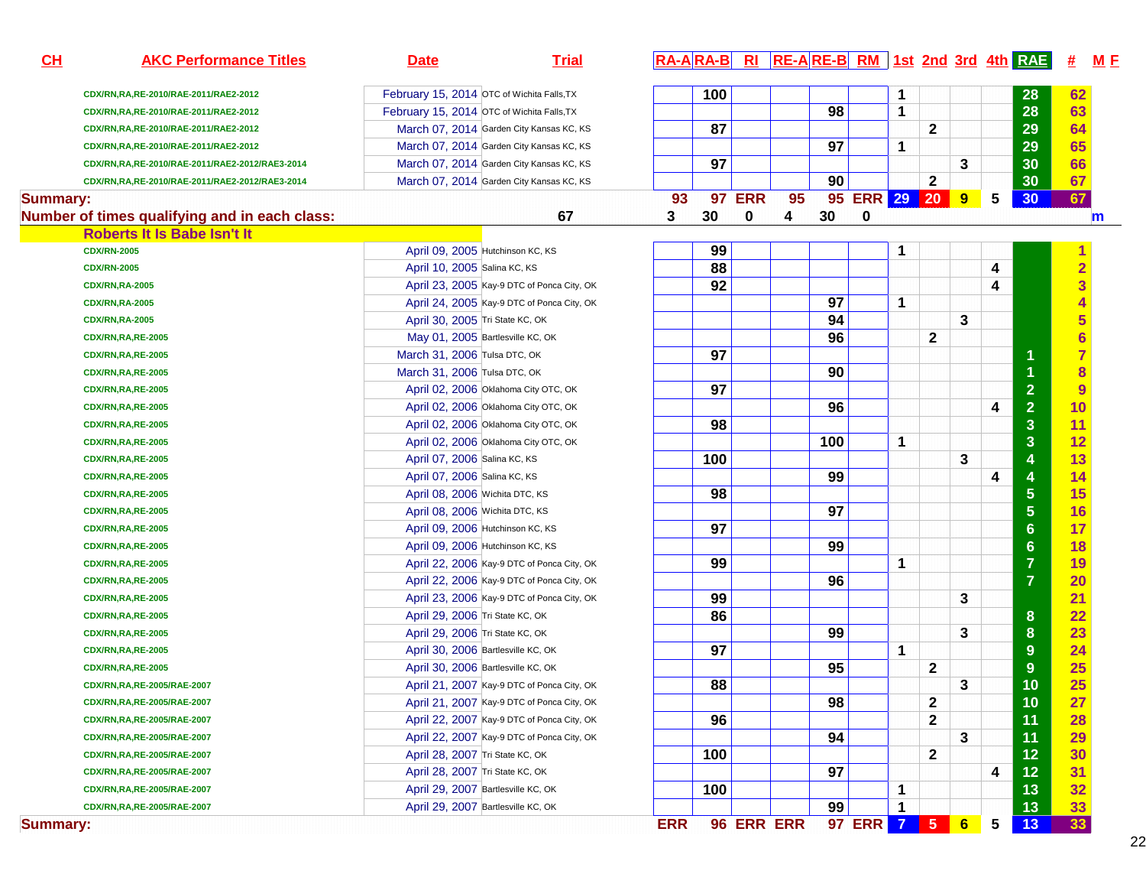| CDX/RN,RA,RE-2010/RAE-2011/RAE2-2012<br>CDX/RN,RA,RE-2010/RAE-2011/RAE2-2012 | February 15, 2014 OTC of Wichita Falls, TX                                                                                                                                                                                                                                                                                                                                                                                                                                                                                                                                                                                                                                                                                                                                                                                                                                                                                                                                                                                                                                                                                                                                    |    |                                                                                                                                                                                                                                                                                                                                                                                                                                                                                                                                                                                                                                                                                                                                                                                                                                                                                                                                                                                                                                                                                                                                                                                                                                                                                                                                                                                                               |                  |    |               |                  |    |              |              |                                 |                                     |                         |                                                               |                      |
|------------------------------------------------------------------------------|-------------------------------------------------------------------------------------------------------------------------------------------------------------------------------------------------------------------------------------------------------------------------------------------------------------------------------------------------------------------------------------------------------------------------------------------------------------------------------------------------------------------------------------------------------------------------------------------------------------------------------------------------------------------------------------------------------------------------------------------------------------------------------------------------------------------------------------------------------------------------------------------------------------------------------------------------------------------------------------------------------------------------------------------------------------------------------------------------------------------------------------------------------------------------------|----|---------------------------------------------------------------------------------------------------------------------------------------------------------------------------------------------------------------------------------------------------------------------------------------------------------------------------------------------------------------------------------------------------------------------------------------------------------------------------------------------------------------------------------------------------------------------------------------------------------------------------------------------------------------------------------------------------------------------------------------------------------------------------------------------------------------------------------------------------------------------------------------------------------------------------------------------------------------------------------------------------------------------------------------------------------------------------------------------------------------------------------------------------------------------------------------------------------------------------------------------------------------------------------------------------------------------------------------------------------------------------------------------------------------|------------------|----|---------------|------------------|----|--------------|--------------|---------------------------------|-------------------------------------|-------------------------|---------------------------------------------------------------|----------------------|
|                                                                              |                                                                                                                                                                                                                                                                                                                                                                                                                                                                                                                                                                                                                                                                                                                                                                                                                                                                                                                                                                                                                                                                                                                                                                               |    |                                                                                                                                                                                                                                                                                                                                                                                                                                                                                                                                                                                                                                                                                                                                                                                                                                                                                                                                                                                                                                                                                                                                                                                                                                                                                                                                                                                                               | 100              |    |               |                  |    | -1           |              |                                 |                                     | 28                      | 62                                                            |                      |
|                                                                              | February 15, 2014 OTC of Wichita Falls, TX                                                                                                                                                                                                                                                                                                                                                                                                                                                                                                                                                                                                                                                                                                                                                                                                                                                                                                                                                                                                                                                                                                                                    |    |                                                                                                                                                                                                                                                                                                                                                                                                                                                                                                                                                                                                                                                                                                                                                                                                                                                                                                                                                                                                                                                                                                                                                                                                                                                                                                                                                                                                               |                  |    |               | 98               |    | $\mathbf 1$  |              |                                 |                                     | 28                      | 63                                                            |                      |
| CDX/RN,RA,RE-2010/RAE-2011/RAE2-2012                                         | March 07, 2014 Garden City Kansas KC, KS                                                                                                                                                                                                                                                                                                                                                                                                                                                                                                                                                                                                                                                                                                                                                                                                                                                                                                                                                                                                                                                                                                                                      |    |                                                                                                                                                                                                                                                                                                                                                                                                                                                                                                                                                                                                                                                                                                                                                                                                                                                                                                                                                                                                                                                                                                                                                                                                                                                                                                                                                                                                               | 87               |    |               |                  |    |              | $\mathbf{2}$ |                                 |                                     | 29                      | 64                                                            |                      |
| CDX/RN,RA,RE-2010/RAE-2011/RAE2-2012                                         | March 07, 2014 Garden City Kansas KC, KS                                                                                                                                                                                                                                                                                                                                                                                                                                                                                                                                                                                                                                                                                                                                                                                                                                                                                                                                                                                                                                                                                                                                      |    |                                                                                                                                                                                                                                                                                                                                                                                                                                                                                                                                                                                                                                                                                                                                                                                                                                                                                                                                                                                                                                                                                                                                                                                                                                                                                                                                                                                                               |                  |    |               | 97               |    | $\mathbf 1$  |              |                                 |                                     | 29                      | 65                                                            |                      |
|                                                                              |                                                                                                                                                                                                                                                                                                                                                                                                                                                                                                                                                                                                                                                                                                                                                                                                                                                                                                                                                                                                                                                                                                                                                                               |    |                                                                                                                                                                                                                                                                                                                                                                                                                                                                                                                                                                                                                                                                                                                                                                                                                                                                                                                                                                                                                                                                                                                                                                                                                                                                                                                                                                                                               |                  |    |               |                  |    |              |              | 3                               |                                     |                         |                                                               |                      |
|                                                                              |                                                                                                                                                                                                                                                                                                                                                                                                                                                                                                                                                                                                                                                                                                                                                                                                                                                                                                                                                                                                                                                                                                                                                                               |    |                                                                                                                                                                                                                                                                                                                                                                                                                                                                                                                                                                                                                                                                                                                                                                                                                                                                                                                                                                                                                                                                                                                                                                                                                                                                                                                                                                                                               |                  |    |               |                  |    |              |              |                                 |                                     |                         |                                                               |                      |
|                                                                              |                                                                                                                                                                                                                                                                                                                                                                                                                                                                                                                                                                                                                                                                                                                                                                                                                                                                                                                                                                                                                                                                                                                                                                               |    |                                                                                                                                                                                                                                                                                                                                                                                                                                                                                                                                                                                                                                                                                                                                                                                                                                                                                                                                                                                                                                                                                                                                                                                                                                                                                                                                                                                                               |                  |    |               |                  |    |              |              |                                 | 5                                   |                         |                                                               |                      |
|                                                                              |                                                                                                                                                                                                                                                                                                                                                                                                                                                                                                                                                                                                                                                                                                                                                                                                                                                                                                                                                                                                                                                                                                                                                                               | 67 | 3                                                                                                                                                                                                                                                                                                                                                                                                                                                                                                                                                                                                                                                                                                                                                                                                                                                                                                                                                                                                                                                                                                                                                                                                                                                                                                                                                                                                             | 30               | 0  | 4             | 30               | 0  |              |              |                                 |                                     |                         |                                                               | m                    |
|                                                                              |                                                                                                                                                                                                                                                                                                                                                                                                                                                                                                                                                                                                                                                                                                                                                                                                                                                                                                                                                                                                                                                                                                                                                                               |    |                                                                                                                                                                                                                                                                                                                                                                                                                                                                                                                                                                                                                                                                                                                                                                                                                                                                                                                                                                                                                                                                                                                                                                                                                                                                                                                                                                                                               |                  |    |               |                  |    |              |              |                                 |                                     |                         |                                                               |                      |
|                                                                              |                                                                                                                                                                                                                                                                                                                                                                                                                                                                                                                                                                                                                                                                                                                                                                                                                                                                                                                                                                                                                                                                                                                                                                               |    |                                                                                                                                                                                                                                                                                                                                                                                                                                                                                                                                                                                                                                                                                                                                                                                                                                                                                                                                                                                                                                                                                                                                                                                                                                                                                                                                                                                                               | 99               |    |               |                  |    | -1           |              |                                 |                                     |                         |                                                               |                      |
|                                                                              |                                                                                                                                                                                                                                                                                                                                                                                                                                                                                                                                                                                                                                                                                                                                                                                                                                                                                                                                                                                                                                                                                                                                                                               |    |                                                                                                                                                                                                                                                                                                                                                                                                                                                                                                                                                                                                                                                                                                                                                                                                                                                                                                                                                                                                                                                                                                                                                                                                                                                                                                                                                                                                               | 88               |    |               |                  |    |              |              |                                 | 4                                   |                         | $\overline{\mathbf{2}}$                                       |                      |
|                                                                              |                                                                                                                                                                                                                                                                                                                                                                                                                                                                                                                                                                                                                                                                                                                                                                                                                                                                                                                                                                                                                                                                                                                                                                               |    |                                                                                                                                                                                                                                                                                                                                                                                                                                                                                                                                                                                                                                                                                                                                                                                                                                                                                                                                                                                                                                                                                                                                                                                                                                                                                                                                                                                                               | 92               |    |               |                  |    |              |              |                                 | 4                                   |                         | 3                                                             |                      |
|                                                                              |                                                                                                                                                                                                                                                                                                                                                                                                                                                                                                                                                                                                                                                                                                                                                                                                                                                                                                                                                                                                                                                                                                                                                                               |    |                                                                                                                                                                                                                                                                                                                                                                                                                                                                                                                                                                                                                                                                                                                                                                                                                                                                                                                                                                                                                                                                                                                                                                                                                                                                                                                                                                                                               |                  |    |               | 97               |    | $\mathbf 1$  |              |                                 |                                     |                         |                                                               |                      |
|                                                                              |                                                                                                                                                                                                                                                                                                                                                                                                                                                                                                                                                                                                                                                                                                                                                                                                                                                                                                                                                                                                                                                                                                                                                                               |    |                                                                                                                                                                                                                                                                                                                                                                                                                                                                                                                                                                                                                                                                                                                                                                                                                                                                                                                                                                                                                                                                                                                                                                                                                                                                                                                                                                                                               |                  |    |               | 94               |    |              |              | 3                               |                                     |                         |                                                               |                      |
|                                                                              |                                                                                                                                                                                                                                                                                                                                                                                                                                                                                                                                                                                                                                                                                                                                                                                                                                                                                                                                                                                                                                                                                                                                                                               |    |                                                                                                                                                                                                                                                                                                                                                                                                                                                                                                                                                                                                                                                                                                                                                                                                                                                                                                                                                                                                                                                                                                                                                                                                                                                                                                                                                                                                               |                  |    |               | 96               |    |              | 2            |                                 |                                     |                         |                                                               |                      |
|                                                                              |                                                                                                                                                                                                                                                                                                                                                                                                                                                                                                                                                                                                                                                                                                                                                                                                                                                                                                                                                                                                                                                                                                                                                                               |    |                                                                                                                                                                                                                                                                                                                                                                                                                                                                                                                                                                                                                                                                                                                                                                                                                                                                                                                                                                                                                                                                                                                                                                                                                                                                                                                                                                                                               | 97               |    |               |                  |    |              |              |                                 |                                     | 1                       | $\overline{7}$                                                |                      |
|                                                                              |                                                                                                                                                                                                                                                                                                                                                                                                                                                                                                                                                                                                                                                                                                                                                                                                                                                                                                                                                                                                                                                                                                                                                                               |    |                                                                                                                                                                                                                                                                                                                                                                                                                                                                                                                                                                                                                                                                                                                                                                                                                                                                                                                                                                                                                                                                                                                                                                                                                                                                                                                                                                                                               |                  |    |               | 90               |    |              |              |                                 |                                     | $\overline{1}$          | 8                                                             |                      |
|                                                                              |                                                                                                                                                                                                                                                                                                                                                                                                                                                                                                                                                                                                                                                                                                                                                                                                                                                                                                                                                                                                                                                                                                                                                                               |    |                                                                                                                                                                                                                                                                                                                                                                                                                                                                                                                                                                                                                                                                                                                                                                                                                                                                                                                                                                                                                                                                                                                                                                                                                                                                                                                                                                                                               | 97               |    |               |                  |    |              |              |                                 |                                     | $\overline{2}$          | 9                                                             |                      |
|                                                                              |                                                                                                                                                                                                                                                                                                                                                                                                                                                                                                                                                                                                                                                                                                                                                                                                                                                                                                                                                                                                                                                                                                                                                                               |    |                                                                                                                                                                                                                                                                                                                                                                                                                                                                                                                                                                                                                                                                                                                                                                                                                                                                                                                                                                                                                                                                                                                                                                                                                                                                                                                                                                                                               |                  |    |               | 96               |    |              |              |                                 | 4                                   |                         | 10                                                            |                      |
|                                                                              |                                                                                                                                                                                                                                                                                                                                                                                                                                                                                                                                                                                                                                                                                                                                                                                                                                                                                                                                                                                                                                                                                                                                                                               |    |                                                                                                                                                                                                                                                                                                                                                                                                                                                                                                                                                                                                                                                                                                                                                                                                                                                                                                                                                                                                                                                                                                                                                                                                                                                                                                                                                                                                               | 98               |    |               |                  |    |              |              |                                 |                                     | 3                       | 11                                                            |                      |
|                                                                              |                                                                                                                                                                                                                                                                                                                                                                                                                                                                                                                                                                                                                                                                                                                                                                                                                                                                                                                                                                                                                                                                                                                                                                               |    |                                                                                                                                                                                                                                                                                                                                                                                                                                                                                                                                                                                                                                                                                                                                                                                                                                                                                                                                                                                                                                                                                                                                                                                                                                                                                                                                                                                                               |                  |    |               | 100              |    | 1            |              |                                 |                                     |                         | 12                                                            |                      |
|                                                                              |                                                                                                                                                                                                                                                                                                                                                                                                                                                                                                                                                                                                                                                                                                                                                                                                                                                                                                                                                                                                                                                                                                                                                                               |    |                                                                                                                                                                                                                                                                                                                                                                                                                                                                                                                                                                                                                                                                                                                                                                                                                                                                                                                                                                                                                                                                                                                                                                                                                                                                                                                                                                                                               | 100              |    |               |                  |    |              |              | 3                               |                                     | $\overline{\mathbf{4}}$ | 13                                                            |                      |
|                                                                              |                                                                                                                                                                                                                                                                                                                                                                                                                                                                                                                                                                                                                                                                                                                                                                                                                                                                                                                                                                                                                                                                                                                                                                               |    |                                                                                                                                                                                                                                                                                                                                                                                                                                                                                                                                                                                                                                                                                                                                                                                                                                                                                                                                                                                                                                                                                                                                                                                                                                                                                                                                                                                                               |                  |    |               | 99               |    |              |              |                                 | 4                                   | 4                       | 14                                                            |                      |
|                                                                              |                                                                                                                                                                                                                                                                                                                                                                                                                                                                                                                                                                                                                                                                                                                                                                                                                                                                                                                                                                                                                                                                                                                                                                               |    |                                                                                                                                                                                                                                                                                                                                                                                                                                                                                                                                                                                                                                                                                                                                                                                                                                                                                                                                                                                                                                                                                                                                                                                                                                                                                                                                                                                                               | 98               |    |               |                  |    |              |              |                                 |                                     | 5                       | 15                                                            |                      |
|                                                                              |                                                                                                                                                                                                                                                                                                                                                                                                                                                                                                                                                                                                                                                                                                                                                                                                                                                                                                                                                                                                                                                                                                                                                                               |    |                                                                                                                                                                                                                                                                                                                                                                                                                                                                                                                                                                                                                                                                                                                                                                                                                                                                                                                                                                                                                                                                                                                                                                                                                                                                                                                                                                                                               |                  |    |               | 97               |    |              |              |                                 |                                     |                         | 16                                                            |                      |
|                                                                              |                                                                                                                                                                                                                                                                                                                                                                                                                                                                                                                                                                                                                                                                                                                                                                                                                                                                                                                                                                                                                                                                                                                                                                               |    |                                                                                                                                                                                                                                                                                                                                                                                                                                                                                                                                                                                                                                                                                                                                                                                                                                                                                                                                                                                                                                                                                                                                                                                                                                                                                                                                                                                                               | 97               |    |               |                  |    |              |              |                                 |                                     | $6\phantom{a}$          | 17                                                            |                      |
|                                                                              |                                                                                                                                                                                                                                                                                                                                                                                                                                                                                                                                                                                                                                                                                                                                                                                                                                                                                                                                                                                                                                                                                                                                                                               |    |                                                                                                                                                                                                                                                                                                                                                                                                                                                                                                                                                                                                                                                                                                                                                                                                                                                                                                                                                                                                                                                                                                                                                                                                                                                                                                                                                                                                               |                  |    |               | 99               |    |              |              |                                 |                                     | $6\phantom{a}$          | 18                                                            |                      |
|                                                                              |                                                                                                                                                                                                                                                                                                                                                                                                                                                                                                                                                                                                                                                                                                                                                                                                                                                                                                                                                                                                                                                                                                                                                                               |    |                                                                                                                                                                                                                                                                                                                                                                                                                                                                                                                                                                                                                                                                                                                                                                                                                                                                                                                                                                                                                                                                                                                                                                                                                                                                                                                                                                                                               | 99               |    |               |                  |    | -1           |              |                                 |                                     | $\overline{7}$          | 19                                                            |                      |
|                                                                              |                                                                                                                                                                                                                                                                                                                                                                                                                                                                                                                                                                                                                                                                                                                                                                                                                                                                                                                                                                                                                                                                                                                                                                               |    |                                                                                                                                                                                                                                                                                                                                                                                                                                                                                                                                                                                                                                                                                                                                                                                                                                                                                                                                                                                                                                                                                                                                                                                                                                                                                                                                                                                                               |                  |    |               | 96               |    |              |              |                                 |                                     | $\overline{7}$          | 20                                                            |                      |
|                                                                              |                                                                                                                                                                                                                                                                                                                                                                                                                                                                                                                                                                                                                                                                                                                                                                                                                                                                                                                                                                                                                                                                                                                                                                               |    |                                                                                                                                                                                                                                                                                                                                                                                                                                                                                                                                                                                                                                                                                                                                                                                                                                                                                                                                                                                                                                                                                                                                                                                                                                                                                                                                                                                                               | 99               |    |               |                  |    |              |              | 3                               |                                     |                         | 21                                                            |                      |
|                                                                              |                                                                                                                                                                                                                                                                                                                                                                                                                                                                                                                                                                                                                                                                                                                                                                                                                                                                                                                                                                                                                                                                                                                                                                               |    |                                                                                                                                                                                                                                                                                                                                                                                                                                                                                                                                                                                                                                                                                                                                                                                                                                                                                                                                                                                                                                                                                                                                                                                                                                                                                                                                                                                                               | 86               |    |               |                  |    |              |              |                                 |                                     | 8                       | 22                                                            |                      |
|                                                                              |                                                                                                                                                                                                                                                                                                                                                                                                                                                                                                                                                                                                                                                                                                                                                                                                                                                                                                                                                                                                                                                                                                                                                                               |    |                                                                                                                                                                                                                                                                                                                                                                                                                                                                                                                                                                                                                                                                                                                                                                                                                                                                                                                                                                                                                                                                                                                                                                                                                                                                                                                                                                                                               |                  |    |               | 99               |    |              |              | 3                               |                                     | 8                       | 23                                                            |                      |
|                                                                              |                                                                                                                                                                                                                                                                                                                                                                                                                                                                                                                                                                                                                                                                                                                                                                                                                                                                                                                                                                                                                                                                                                                                                                               |    |                                                                                                                                                                                                                                                                                                                                                                                                                                                                                                                                                                                                                                                                                                                                                                                                                                                                                                                                                                                                                                                                                                                                                                                                                                                                                                                                                                                                               | 97               |    |               |                  |    | 1            |              |                                 |                                     | 9                       | 24                                                            |                      |
|                                                                              |                                                                                                                                                                                                                                                                                                                                                                                                                                                                                                                                                                                                                                                                                                                                                                                                                                                                                                                                                                                                                                                                                                                                                                               |    |                                                                                                                                                                                                                                                                                                                                                                                                                                                                                                                                                                                                                                                                                                                                                                                                                                                                                                                                                                                                                                                                                                                                                                                                                                                                                                                                                                                                               |                  |    |               | 95               |    |              | $\mathbf{2}$ |                                 |                                     | 9                       | 25                                                            |                      |
|                                                                              |                                                                                                                                                                                                                                                                                                                                                                                                                                                                                                                                                                                                                                                                                                                                                                                                                                                                                                                                                                                                                                                                                                                                                                               |    |                                                                                                                                                                                                                                                                                                                                                                                                                                                                                                                                                                                                                                                                                                                                                                                                                                                                                                                                                                                                                                                                                                                                                                                                                                                                                                                                                                                                               | 88               |    |               |                  |    |              |              | 3                               |                                     | 10                      | 25                                                            |                      |
|                                                                              |                                                                                                                                                                                                                                                                                                                                                                                                                                                                                                                                                                                                                                                                                                                                                                                                                                                                                                                                                                                                                                                                                                                                                                               |    |                                                                                                                                                                                                                                                                                                                                                                                                                                                                                                                                                                                                                                                                                                                                                                                                                                                                                                                                                                                                                                                                                                                                                                                                                                                                                                                                                                                                               |                  |    |               | 98               |    |              | 2            |                                 |                                     | 10                      | <b>27</b>                                                     |                      |
|                                                                              |                                                                                                                                                                                                                                                                                                                                                                                                                                                                                                                                                                                                                                                                                                                                                                                                                                                                                                                                                                                                                                                                                                                                                                               |    |                                                                                                                                                                                                                                                                                                                                                                                                                                                                                                                                                                                                                                                                                                                                                                                                                                                                                                                                                                                                                                                                                                                                                                                                                                                                                                                                                                                                               | 96               |    |               |                  |    |              | 2            |                                 |                                     | 11                      | 28                                                            |                      |
|                                                                              |                                                                                                                                                                                                                                                                                                                                                                                                                                                                                                                                                                                                                                                                                                                                                                                                                                                                                                                                                                                                                                                                                                                                                                               |    |                                                                                                                                                                                                                                                                                                                                                                                                                                                                                                                                                                                                                                                                                                                                                                                                                                                                                                                                                                                                                                                                                                                                                                                                                                                                                                                                                                                                               |                  |    |               | 94               |    |              |              | 3                               |                                     | 11                      | 29                                                            |                      |
|                                                                              |                                                                                                                                                                                                                                                                                                                                                                                                                                                                                                                                                                                                                                                                                                                                                                                                                                                                                                                                                                                                                                                                                                                                                                               |    |                                                                                                                                                                                                                                                                                                                                                                                                                                                                                                                                                                                                                                                                                                                                                                                                                                                                                                                                                                                                                                                                                                                                                                                                                                                                                                                                                                                                               | 100              |    |               |                  |    |              | 2            |                                 |                                     | 12                      | 30                                                            |                      |
|                                                                              |                                                                                                                                                                                                                                                                                                                                                                                                                                                                                                                                                                                                                                                                                                                                                                                                                                                                                                                                                                                                                                                                                                                                                                               |    |                                                                                                                                                                                                                                                                                                                                                                                                                                                                                                                                                                                                                                                                                                                                                                                                                                                                                                                                                                                                                                                                                                                                                                                                                                                                                                                                                                                                               |                  |    |               | 97               |    |              |              |                                 | 4                                   | $12$                    | 31                                                            |                      |
|                                                                              |                                                                                                                                                                                                                                                                                                                                                                                                                                                                                                                                                                                                                                                                                                                                                                                                                                                                                                                                                                                                                                                                                                                                                                               |    |                                                                                                                                                                                                                                                                                                                                                                                                                                                                                                                                                                                                                                                                                                                                                                                                                                                                                                                                                                                                                                                                                                                                                                                                                                                                                                                                                                                                               | 100              |    |               |                  |    | -1           |              |                                 |                                     | 13                      | 32                                                            |                      |
|                                                                              |                                                                                                                                                                                                                                                                                                                                                                                                                                                                                                                                                                                                                                                                                                                                                                                                                                                                                                                                                                                                                                                                                                                                                                               |    |                                                                                                                                                                                                                                                                                                                                                                                                                                                                                                                                                                                                                                                                                                                                                                                                                                                                                                                                                                                                                                                                                                                                                                                                                                                                                                                                                                                                               |                  |    |               | 99               |    | $\mathbf{1}$ |              |                                 |                                     | 13                      | 33                                                            |                      |
|                                                                              | CDX/RN,RA,RE-2010/RAE-2011/RAE2-2012/RAE3-2014<br>CDX/RN,RA,RE-2010/RAE-2011/RAE2-2012/RAE3-2014<br><b>Summary:</b><br>Number of times qualifying and in each class:<br>Roberts It Is Babe Isn't It<br><b>CDX/RN-2005</b><br><b>CDX/RN-2005</b><br><b>CDX/RN,RA-2005</b><br><b>CDX/RN,RA-2005</b><br><b>CDX/RN,RA-2005</b><br><b>CDX/RN,RA,RE-2005</b><br><b>CDX/RN,RA,RE-2005</b><br><b>CDX/RN,RA,RE-2005</b><br><b>CDX/RN,RA,RE-2005</b><br><b>CDX/RN,RA,RE-2005</b><br><b>CDX/RN,RA,RE-2005</b><br><b>CDX/RN,RA,RE-2005</b><br><b>CDX/RN,RA,RE-2005</b><br><b>CDX/RN,RA,RE-2005</b><br><b>CDX/RN,RA,RE-2005</b><br><b>CDX/RN,RA,RE-2005</b><br><b>CDX/RN,RA,RE-2005</b><br><b>CDX/RN,RA,RE-2005</b><br><b>CDX/RN,RA,RE-2005</b><br><b>CDX/RN,RA,RE-2005</b><br><b>CDX/RN,RA,RE-2005</b><br><b>CDX/RN,RA,RE-2005</b><br><b>CDX/RN,RA,RE-2005</b><br><b>CDX/RN,RA,RE-2005</b><br><b>CDX/RN,RA,RE-2005</b><br>CDX/RN,RA,RE-2005/RAE-2007<br>CDX/RN,RA,RE-2005/RAE-2007<br>CDX/RN,RA,RE-2005/RAE-2007<br>CDX/RN,RA,RE-2005/RAE-2007<br>CDX/RN,RA,RE-2005/RAE-2007<br>CDX/RN,RA,RE-2005/RAE-2007<br>CDX/RN,RA,RE-2005/RAE-2007<br>CDX/RN,RA,RE-2005/RAE-2007<br><b>Summary:</b> |    | March 07, 2014 Garden City Kansas KC, KS<br>March 07, 2014 Garden City Kansas KC, KS<br>April 09, 2005 Hutchinson KC, KS<br>April 10, 2005 Salina KC, KS<br>April 23, 2005 Kay-9 DTC of Ponca City, OK<br>April 24, 2005 Kay-9 DTC of Ponca City, OK<br>April 30, 2005 Tri State KC, OK<br>May 01, 2005 Bartlesville KC, OK<br>March 31, 2006 Tulsa DTC, OK<br>March 31, 2006 Tulsa DTC, OK<br>April 02, 2006 Oklahoma City OTC, OK<br>April 02, 2006 Oklahoma City OTC, OK<br>April 02, 2006 Oklahoma City OTC, OK<br>April 02, 2006 Oklahoma City OTC, OK<br>April 07, 2006 Salina KC, KS<br>April 07, 2006 Salina KC, KS<br>April 08, 2006 Wichita DTC, KS<br>April 08, 2006 Wichita DTC, KS<br>April 09, 2006 Hutchinson KC, KS<br>April 09, 2006 Hutchinson KC, KS<br>April 22, 2006 Kay-9 DTC of Ponca City, OK<br>April 22, 2006 Kay-9 DTC of Ponca City, OK<br>April 23, 2006 Kay-9 DTC of Ponca City, OK<br>April 29, 2006 Tri State KC, OK<br>April 29, 2006 Tri State KC, OK<br>April 30, 2006 Bartlesville KC, OK<br>April 30, 2006 Bartlesville KC, OK<br>April 21, 2007 Kay-9 DTC of Ponca City, OK<br>April 21, 2007 Kay-9 DTC of Ponca City, OK<br>April 22, 2007 Kay-9 DTC of Ponca City, OK<br>April 22, 2007 Kay-9 DTC of Ponca City, OK<br>April 28, 2007 Tri State KC, OK<br>April 28, 2007 Tri State KC, OK<br>April 29, 2007 Bartlesville KC, OK<br>April 29, 2007 Bartlesville KC, OK | 93<br><b>ERR</b> | 97 | <b>97 ERR</b> | 95<br>96 ERR ERR | 90 |              |              | 2<br>97 ERR 7<br>5 <sub>1</sub> | 95 ERR 29 20<br>9<br>6 <sup>1</sup> | 5                       | 30<br>30<br>30<br>$\overline{2}$<br>3<br>$\overline{5}$<br>13 | 66<br>67<br>67<br>33 |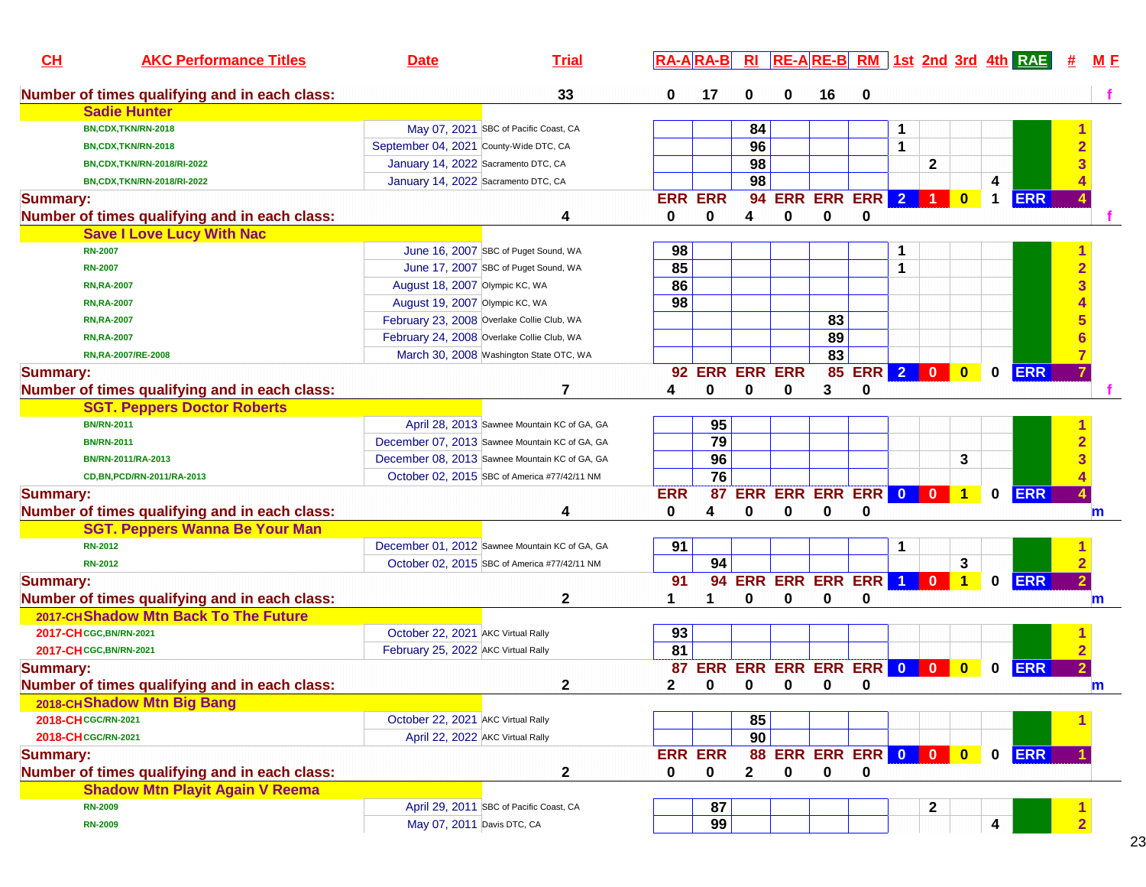| CL              | <b>AKC Performance Titles</b>                 | <b>Date</b>                            | <b>Trial</b>                                   |                 |                |                |   |                        |               |                |              |                |             | $R\text{A}-\text{A}$ $R\text{A}-\text{B}$ $R\text{I}$ $R\text{E}-\text{A}$ $R\text{E}-\text{B}$ $R\text{M}$ and $R\text{M}$ and $R\text{M}$ and $R\text{M}$ and $R\text{M}$ and $R\text{M}$ and $R\text{M}$ and $R\text{M}$ and $R\text{M}$ and $R\text{M}$ and $R\text{M}$ and $R\text{M}$ and | #                       | M E         |
|-----------------|-----------------------------------------------|----------------------------------------|------------------------------------------------|-----------------|----------------|----------------|---|------------------------|---------------|----------------|--------------|----------------|-------------|-------------------------------------------------------------------------------------------------------------------------------------------------------------------------------------------------------------------------------------------------------------------------------------------------|-------------------------|-------------|
|                 | Number of times qualifying and in each class: |                                        | 33                                             | 0               | 17             | 0              | 0 | 16                     | 0             |                |              |                |             |                                                                                                                                                                                                                                                                                                 |                         |             |
|                 | <b>Sadie Hunter</b>                           |                                        |                                                |                 |                |                |   |                        |               |                |              |                |             |                                                                                                                                                                                                                                                                                                 |                         |             |
|                 | BN,CDX,TKN/RN-2018                            |                                        | May 07, 2021 SBC of Pacific Coast, CA          |                 |                | 84             |   |                        |               |                |              |                |             |                                                                                                                                                                                                                                                                                                 |                         |             |
|                 | BN,CDX,TKN/RN-2018                            | September 04, 2021 County-Wide DTC, CA |                                                |                 |                | 96             |   |                        |               | 1              |              |                |             |                                                                                                                                                                                                                                                                                                 |                         |             |
|                 | BN,CDX,TKN/RN-2018/RI-2022                    | January 14, 2022 Sacramento DTC, CA    |                                                |                 |                | 98             |   |                        |               |                | 2            |                |             |                                                                                                                                                                                                                                                                                                 |                         |             |
|                 | BN,CDX,TKN/RN-2018/RI-2022                    | January 14, 2022 Sacramento DTC, CA    |                                                |                 |                | 98             |   |                        |               |                |              |                | 4           |                                                                                                                                                                                                                                                                                                 |                         |             |
| <b>Summary:</b> |                                               |                                        |                                                |                 | <b>ERR ERR</b> |                |   | 94 ERR ERR ERR 2       |               |                | -1           | $\mathbf{0}$   | $\mathbf 1$ | <b>ERR</b>                                                                                                                                                                                                                                                                                      |                         |             |
|                 | Number of times qualifying and in each class: |                                        | 4                                              | 0               | 0              | 4              | 0 | 0                      | 0             |                |              |                |             |                                                                                                                                                                                                                                                                                                 |                         |             |
|                 | <b>Save I Love Lucy With Nac</b>              |                                        |                                                |                 |                |                |   |                        |               |                |              |                |             |                                                                                                                                                                                                                                                                                                 |                         |             |
|                 | <b>RN-2007</b>                                |                                        | June 16, 2007 SBC of Puget Sound, WA           | 98              |                |                |   |                        |               |                |              |                |             |                                                                                                                                                                                                                                                                                                 |                         |             |
|                 | <b>RN-2007</b>                                |                                        | June 17, 2007 SBC of Puget Sound, WA           | 85              |                |                |   |                        |               | 1              |              |                |             |                                                                                                                                                                                                                                                                                                 | $\overline{2}$          |             |
|                 | <b>RN,RA-2007</b>                             | August 18, 2007 Olympic KC, WA         |                                                | 86              |                |                |   |                        |               |                |              |                |             |                                                                                                                                                                                                                                                                                                 | $\overline{\mathbf{3}}$ |             |
|                 | <b>RN,RA-2007</b>                             | August 19, 2007 Olympic KC, WA         |                                                | 98              |                |                |   |                        |               |                |              |                |             |                                                                                                                                                                                                                                                                                                 |                         |             |
|                 | <b>RN, RA-2007</b>                            |                                        | February 23, 2008 Overlake Collie Club, WA     |                 |                |                |   | 83                     |               |                |              |                |             |                                                                                                                                                                                                                                                                                                 |                         |             |
|                 | <b>RN,RA-2007</b>                             |                                        | February 24, 2008 Overlake Collie Club, WA     |                 |                |                |   | 89                     |               |                |              |                |             |                                                                                                                                                                                                                                                                                                 |                         |             |
|                 | RN.RA-2007/RE-2008                            |                                        | March 30, 2008 Washington State OTC, WA        |                 |                |                |   | $\overline{83}$        |               |                |              |                |             |                                                                                                                                                                                                                                                                                                 |                         |             |
| <b>Summary:</b> |                                               |                                        |                                                |                 |                | 92 ERR ERR ERR |   |                        | <b>85 ERR</b> |                | $2 \ 0$      | $\bullet$      | $\mathbf 0$ | <b>ERR</b>                                                                                                                                                                                                                                                                                      |                         |             |
|                 | Number of times qualifying and in each class: |                                        | 7                                              | 4               | 0              | 0              | 0 | 3                      | 0             |                |              |                |             |                                                                                                                                                                                                                                                                                                 |                         |             |
|                 | <b>SGT. Peppers Doctor Roberts</b>            |                                        |                                                |                 |                |                |   |                        |               |                |              |                |             |                                                                                                                                                                                                                                                                                                 |                         |             |
|                 | <b>BN/RN-2011</b>                             |                                        | April 28, 2013 Sawnee Mountain KC of GA, GA    |                 | 95             |                |   |                        |               |                |              |                |             |                                                                                                                                                                                                                                                                                                 |                         |             |
|                 | <b>BN/RN-2011</b>                             |                                        | December 07, 2013 Sawnee Mountain KC of GA, GA |                 | 79             |                |   |                        |               |                |              |                |             |                                                                                                                                                                                                                                                                                                 |                         |             |
|                 | BN/RN-2011/RA-2013                            |                                        | December 08, 2013 Sawnee Mountain KC of GA, GA |                 | 96             |                |   |                        |               |                |              | 3              |             |                                                                                                                                                                                                                                                                                                 |                         |             |
|                 | CD, BN, PCD/RN-2011/RA-2013                   |                                        | October 02, 2015 SBC of America #77/42/11 NM   |                 | 76             |                |   |                        |               |                |              |                |             |                                                                                                                                                                                                                                                                                                 |                         |             |
| <b>Summary:</b> |                                               |                                        |                                                | <b>ERR</b>      | 87             |                |   | ERR ERR ERR ERR 0 0    |               |                |              | $\overline{1}$ | 0           | <b>ERR</b>                                                                                                                                                                                                                                                                                      |                         |             |
|                 | Number of times qualifying and in each class: |                                        | 4                                              | 0               | 4              | 0              | 0 | 0                      | 0             |                |              |                |             |                                                                                                                                                                                                                                                                                                 |                         | $\mathbf m$ |
|                 | <b>SGT. Peppers Wanna Be Your Man</b>         |                                        |                                                |                 |                |                |   |                        |               |                |              |                |             |                                                                                                                                                                                                                                                                                                 |                         |             |
|                 | <b>RN-2012</b>                                |                                        | December 01, 2012 Sawnee Mountain KC of GA, GA | 91              |                |                |   |                        |               | 1              |              |                |             |                                                                                                                                                                                                                                                                                                 |                         |             |
|                 | <b>RN-2012</b>                                |                                        | October 02, 2015 SBC of America #77/42/11 NM   |                 | 94             |                |   |                        |               |                |              | 3              |             |                                                                                                                                                                                                                                                                                                 | $\overline{2}$          |             |
| <b>Summary:</b> |                                               |                                        |                                                | 91              | 94             |                |   | <b>ERR ERR ERR ERR</b> |               | $\overline{1}$ | $\mathbf{0}$ | $\overline{1}$ | 0           | <b>ERR</b>                                                                                                                                                                                                                                                                                      |                         |             |
|                 | Number of times qualifying and in each class: |                                        | 2                                              | 1               |                | 0              | 0 | 0                      | 0             |                |              |                |             |                                                                                                                                                                                                                                                                                                 |                         | $\mathbf m$ |
|                 | 2017-CH Shadow Mtn Back To The Future         |                                        |                                                |                 |                |                |   |                        |               |                |              |                |             |                                                                                                                                                                                                                                                                                                 |                         |             |
|                 | 2017-CH CGC, BN/RN-2021                       | October 22, 2021 AKC Virtual Rally     |                                                | 93              |                |                |   |                        |               |                |              |                |             |                                                                                                                                                                                                                                                                                                 |                         |             |
|                 | 2017-CH CGC, BN/RN-2021                       | February 25, 2022 AKC Virtual Rally    |                                                | $\overline{81}$ |                |                |   |                        |               |                |              |                |             |                                                                                                                                                                                                                                                                                                 |                         |             |
| <b>Summary:</b> |                                               |                                        |                                                | 87              |                |                |   | ERR ERR ERR ERR ERR    |               | $\bullet$      | $\bf{0}$     | $\bf{0}$       | 0           | <b>ERR</b>                                                                                                                                                                                                                                                                                      |                         |             |
|                 | Number of times qualifying and in each class: |                                        | 2                                              | 2               | 0              | 0              | 0 | 0                      | 0             |                |              |                |             |                                                                                                                                                                                                                                                                                                 |                         | $\mathbf m$ |
|                 | 2018-CH Shadow Mtn Big Bang                   |                                        |                                                |                 |                |                |   |                        |               |                |              |                |             |                                                                                                                                                                                                                                                                                                 |                         |             |
|                 | 2018-CH CGC/RN-2021                           | October 22, 2021 AKC Virtual Rally     |                                                |                 |                | 85             |   |                        |               |                |              |                |             |                                                                                                                                                                                                                                                                                                 |                         |             |
|                 | 2018-CH CGC/RN-2021                           |                                        | April 22, 2022 AKC Virtual Rally               |                 |                | 90             |   |                        |               |                |              |                |             |                                                                                                                                                                                                                                                                                                 |                         |             |
| <b>Summary:</b> |                                               |                                        |                                                |                 | <b>ERR ERR</b> |                |   | 88 ERR ERR ERR 0 0 0   |               |                |              |                | 0           | <b>ERR</b>                                                                                                                                                                                                                                                                                      |                         |             |
|                 | Number of times qualifying and in each class: |                                        | $\mathbf{2}$                                   | 0               | 0              | $\mathbf{2}$   | 0 | 0                      | 0             |                |              |                |             |                                                                                                                                                                                                                                                                                                 |                         |             |
|                 | <b>Shadow Mtn Playit Again V Reema</b>        |                                        |                                                |                 |                |                |   |                        |               |                |              |                |             |                                                                                                                                                                                                                                                                                                 |                         |             |
|                 | <b>RN-2009</b>                                |                                        | April 29, 2011 SBC of Pacific Coast, CA        |                 | 87             |                |   |                        |               |                | 2            |                |             |                                                                                                                                                                                                                                                                                                 |                         |             |
|                 | <b>RN-2009</b>                                | May 07, 2011 Davis DTC, CA             |                                                |                 | 99             |                |   |                        |               |                |              |                | 4           |                                                                                                                                                                                                                                                                                                 |                         |             |
|                 |                                               |                                        |                                                |                 |                |                |   |                        |               |                |              |                |             |                                                                                                                                                                                                                                                                                                 |                         |             |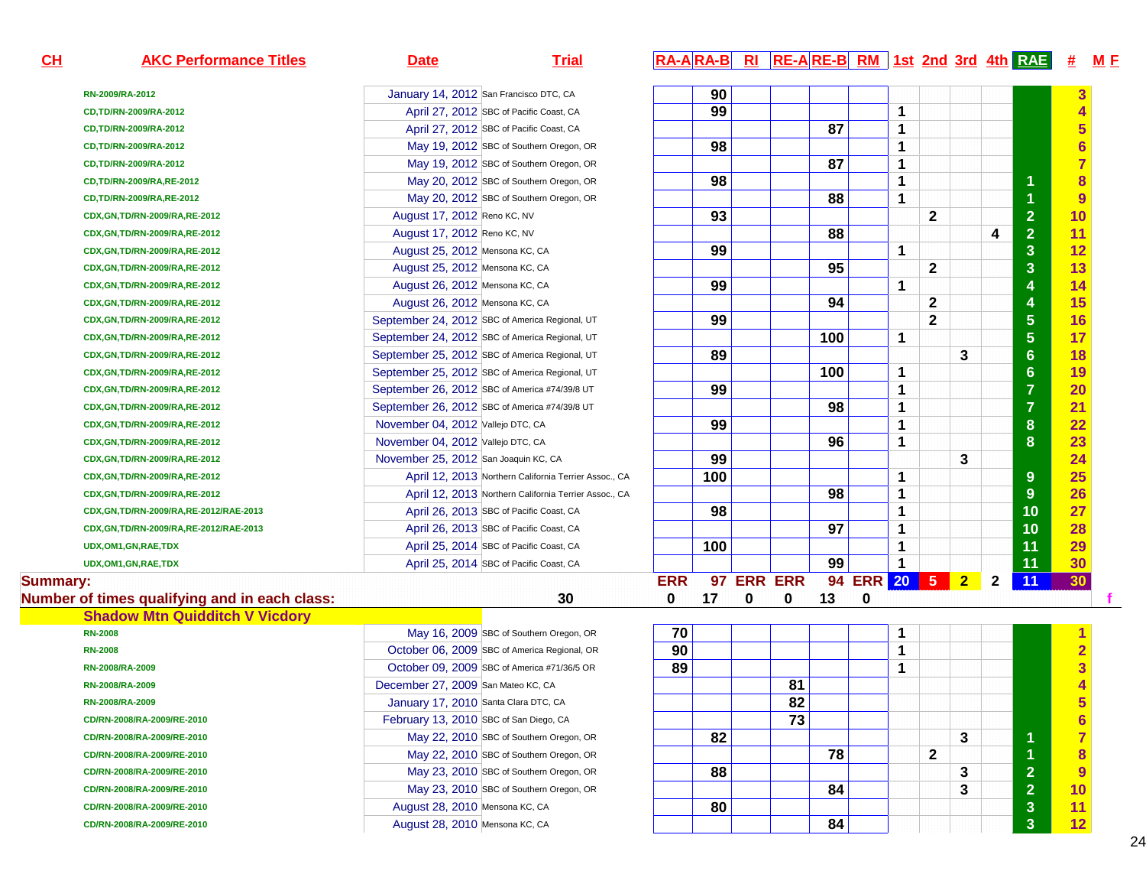| CL              | <b>AKC Performance Titles</b>                 | <b>Date</b>                            | <b>Trial</b>                                          |             |     |   |                 |     |             |              |              |                |              |                 | #                       | <u>M E</u> |
|-----------------|-----------------------------------------------|----------------------------------------|-------------------------------------------------------|-------------|-----|---|-----------------|-----|-------------|--------------|--------------|----------------|--------------|-----------------|-------------------------|------------|
|                 | RN-2009/RA-2012                               |                                        | January 14, 2012 San Francisco DTC, CA                |             | 90  |   |                 |     |             |              |              |                |              |                 |                         |            |
|                 | CD,TD/RN-2009/RA-2012                         |                                        | April 27, 2012 SBC of Pacific Coast, CA               |             | 99  |   |                 |     |             | 1            |              |                |              |                 | 4                       |            |
|                 | CD,TD/RN-2009/RA-2012                         |                                        | April 27, 2012 SBC of Pacific Coast, CA               |             |     |   |                 | 87  |             | 1            |              |                |              |                 | 5                       |            |
|                 | CD,TD/RN-2009/RA-2012                         |                                        | May 19, 2012 SBC of Southern Oregon, OR               |             | 98  |   |                 |     |             | 1            |              |                |              |                 |                         |            |
|                 | CD,TD/RN-2009/RA-2012                         |                                        | May 19, 2012 SBC of Southern Oregon, OR               |             |     |   |                 | 87  |             | $\mathbf 1$  |              |                |              |                 |                         |            |
|                 | CD, TD/RN-2009/RA, RE-2012                    |                                        | May 20, 2012 SBC of Southern Oregon, OR               |             | 98  |   |                 |     |             | 1            |              |                |              | 1               | 8                       |            |
|                 | CD, TD/RN-2009/RA, RE-2012                    |                                        | May 20, 2012 SBC of Southern Oregon, OR               |             |     |   |                 | 88  |             | 1            |              |                |              | 1               | 9                       |            |
|                 | CDX, GN, TD/RN-2009/RA, RE-2012               | August 17, 2012 Reno KC, NV            |                                                       |             | 93  |   |                 |     |             |              | $\mathbf{2}$ |                |              | $\overline{2}$  | 10                      |            |
|                 | CDX, GN, TD/RN-2009/RA, RE-2012               | August 17, 2012 Reno KC, NV            |                                                       |             |     |   |                 | 88  |             |              |              |                | 4            | $\overline{2}$  | 11                      |            |
|                 | CDX, GN, TD/RN-2009/RA, RE-2012               | August 25, 2012 Mensona KC, CA         |                                                       |             | 99  |   |                 |     |             | 1            |              |                |              | 3               | 12                      |            |
|                 | CDX, GN, TD/RN-2009/RA, RE-2012               | August 25, 2012 Mensona KC, CA         |                                                       |             |     |   |                 | 95  |             |              | $\mathbf 2$  |                |              | 3               | 13                      |            |
|                 | CDX, GN, TD/RN-2009/RA, RE-2012               | August 26, 2012 Mensona KC, CA         |                                                       |             | 99  |   |                 |     |             | 1            |              |                |              | 4               | 14                      |            |
|                 | CDX, GN, TD/RN-2009/RA, RE-2012               | August 26, 2012 Mensona KC, CA         |                                                       |             |     |   |                 | 94  |             |              | 2            |                |              | 4               | 15                      |            |
|                 | CDX, GN, TD/RN-2009/RA, RE-2012               |                                        | September 24, 2012 SBC of America Regional, UT        |             | 99  |   |                 |     |             |              | $\mathbf{2}$ |                |              | 5               | 16                      |            |
|                 | CDX, GN, TD/RN-2009/RA, RE-2012               |                                        | September 24, 2012 SBC of America Regional, UT        |             |     |   |                 | 100 |             | 1            |              |                |              | $\overline{5}$  | 17                      |            |
|                 | CDX, GN, TD/RN-2009/RA, RE-2012               |                                        | September 25, 2012 SBC of America Regional, UT        |             | 89  |   |                 |     |             |              |              | 3              |              | $6\phantom{1}6$ | 18                      |            |
|                 | CDX, GN, TD/RN-2009/RA, RE-2012               |                                        | September 25, 2012 SBC of America Regional, UT        |             |     |   |                 | 100 |             | 1            |              |                |              | $6\phantom{1}6$ | 19                      |            |
|                 | CDX, GN, TD/RN-2009/RA, RE-2012               |                                        | September 26, 2012 SBC of America #74/39/8 UT         |             | 99  |   |                 |     |             | 1            |              |                |              | $\overline{7}$  | 20                      |            |
|                 | CDX, GN, TD/RN-2009/RA, RE-2012               |                                        | September 26, 2012 SBC of America #74/39/8 UT         |             |     |   |                 | 98  |             | $\mathbf{1}$ |              |                |              | $\overline{7}$  | 21                      |            |
|                 | CDX, GN, TD/RN-2009/RA, RE-2012               | November 04, 2012 Vallejo DTC, CA      |                                                       |             | 99  |   |                 |     |             | 1            |              |                |              | 8               | 22                      |            |
|                 | CDX, GN, TD/RN-2009/RA, RE-2012               | November 04, 2012 Vallejo DTC, CA      |                                                       |             |     |   |                 | 96  |             | 1            |              |                |              | 8               | 23                      |            |
|                 | CDX, GN, TD/RN-2009/RA, RE-2012               | November 25, 2012 San Joaquin KC, CA   |                                                       |             | 99  |   |                 |     |             |              |              | 3              |              |                 | 24                      |            |
|                 | CDX, GN, TD/RN-2009/RA, RE-2012               |                                        | April 12, 2013 Northern California Terrier Assoc., CA |             | 100 |   |                 |     |             | 1            |              |                |              | 9               | 25                      |            |
|                 | CDX, GN, TD/RN-2009/RA, RE-2012               |                                        | April 12, 2013 Northern California Terrier Assoc., CA |             |     |   |                 | 98  |             | $\mathbf 1$  |              |                |              | 9               | 26                      |            |
|                 | CDX, GN, TD/RN-2009/RA, RE-2012/RAE-2013      |                                        | April 26, 2013 SBC of Pacific Coast, CA               |             | 98  |   |                 |     |             | 1            |              |                |              | 10              | 27                      |            |
|                 | CDX, GN, TD/RN-2009/RA, RE-2012/RAE-2013      |                                        | April 26, 2013 SBC of Pacific Coast, CA               |             |     |   |                 | 97  |             | 1            |              |                |              | 10              | 28                      |            |
|                 | UDX, OM1, GN, RAE, TDX                        |                                        | April 25, 2014 SBC of Pacific Coast, CA               |             | 100 |   |                 |     |             | 1            |              |                |              | 11              | 29                      |            |
|                 | UDX, OM1, GN, RAE, TDX                        |                                        | April 25, 2014 SBC of Pacific Coast, CA               |             |     |   |                 | 99  |             | $\mathbf 1$  |              |                |              | 11              | 30                      |            |
| <b>Summary:</b> |                                               |                                        |                                                       | <b>ERR</b>  |     |   | 97 ERR ERR      |     | 94 ERR 20 5 |              |              | $\overline{2}$ | $\mathbf{2}$ | 11              | 30                      |            |
|                 | Number of times qualifying and in each class: |                                        | 30                                                    | $\mathbf 0$ | 17  | 0 | 0               | 13  | 0           |              |              |                |              |                 |                         |            |
|                 | <b>Shadow Mtn Quidditch V Vicdory</b>         |                                        |                                                       |             |     |   |                 |     |             |              |              |                |              |                 |                         |            |
|                 | <b>RN-2008</b>                                |                                        | May 16, 2009 SBC of Southern Oregon, OR               | 70          |     |   |                 |     |             | 1            |              |                |              |                 |                         |            |
|                 | <b>RN-2008</b>                                |                                        | October 06, 2009 SBC of America Regional, OR          | 90          |     |   |                 |     |             | 1            |              |                |              |                 | $\overline{\mathbf{2}}$ |            |
|                 | RN-2008/RA-2009                               |                                        | October 09, 2009 SBC of America #71/36/5 OR           | 89          |     |   |                 |     |             | 1            |              |                |              |                 | $\overline{3}$          |            |
|                 | RN-2008/RA-2009                               | December 27, 2009 San Mateo KC, CA     |                                                       |             |     |   | 81              |     |             |              |              |                |              |                 |                         |            |
|                 | RN-2008/RA-2009                               |                                        | January 17, 2010 Santa Clara DTC, CA                  |             |     |   | $\overline{82}$ |     |             |              |              |                |              |                 | 片                       |            |
|                 | CD/RN-2008/RA-2009/RE-2010                    | February 13, 2010 SBC of San Diego, CA |                                                       |             |     |   | 73              |     |             |              |              |                |              |                 | $6\phantom{1}6$         |            |
|                 | CD/RN-2008/RA-2009/RE-2010                    |                                        | May 22, 2010 SBC of Southern Oregon, OR               |             | 82  |   |                 |     |             |              |              | 3              |              | 1               | $\overline{7}$          |            |
|                 | CD/RN-2008/RA-2009/RE-2010                    |                                        | May 22, 2010 SBC of Southern Oregon, OR               |             |     |   |                 | 78  |             |              | $\mathbf{2}$ |                |              | 1               | 8                       |            |
|                 | CD/RN-2008/RA-2009/RE-2010                    |                                        | May 23, 2010 SBC of Southern Oregon, OR               |             | 88  |   |                 |     |             |              |              | 3              |              | $\overline{2}$  | 9                       |            |
|                 | CD/RN-2008/RA-2009/RE-2010                    |                                        | May 23, 2010 SBC of Southern Oregon, OR               |             |     |   |                 | 84  |             |              |              | 3              |              | $\overline{2}$  | 10                      |            |
|                 | CD/RN-2008/RA-2009/RE-2010                    | August 28, 2010 Mensona KC, CA         |                                                       |             | 80  |   |                 |     |             |              |              |                |              | $\mathbf{3}$    | 11                      |            |
|                 | CD/RN-2008/RA-2009/RE-2010                    | August 28, 2010 Mensona KC, CA         |                                                       |             |     |   |                 | 84  |             |              |              |                |              | 3               | 12                      |            |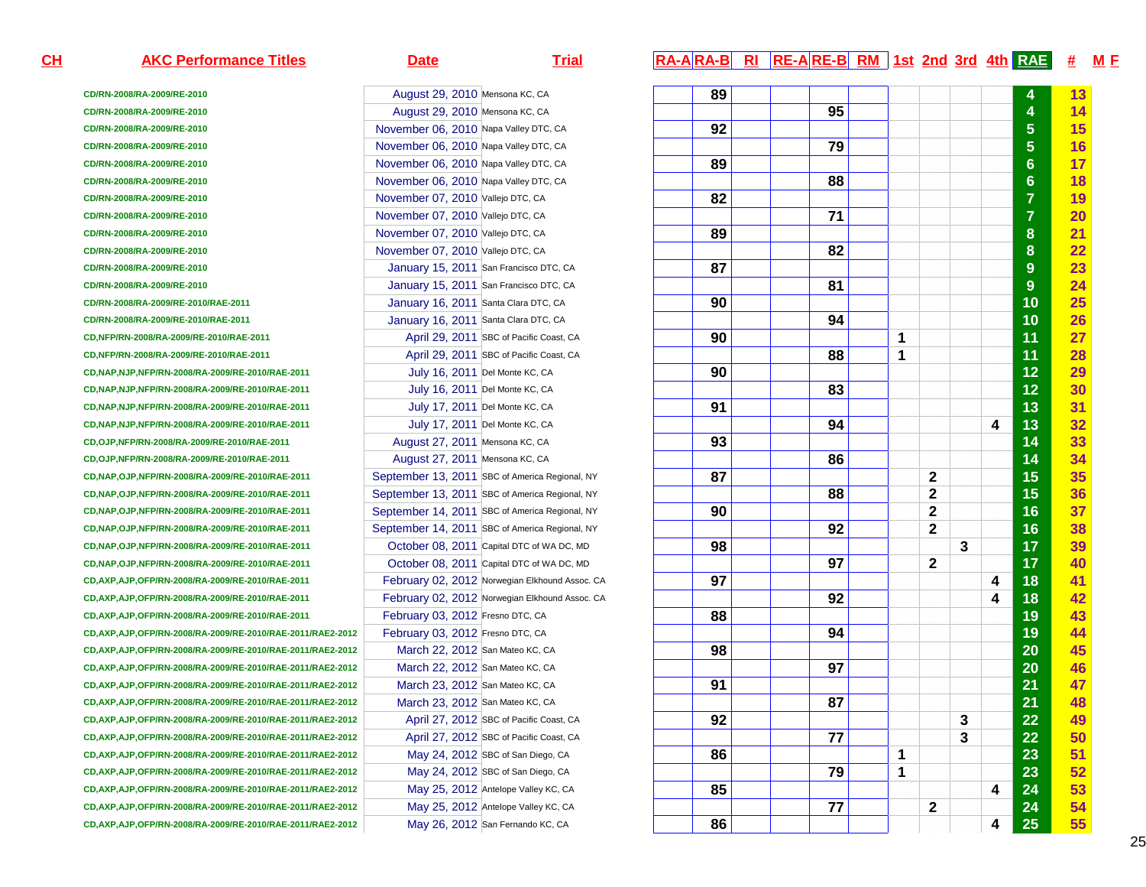### **AKC Performance Titles Date Date Trial RA-A RA-A R**

**CH**

**CD/RN-2008/RA-2009/RE-2010CD/RN-2008/RA-2009/RE-2010CD/RN-2008/RA-2009/RE-2010CD/RN-2008/RA-2009/RE-2010CD/RN-2008/RA-2009/RE-2010CD/RN-2008/RA-2009/RE-2010CD/RN-2008/RA-2009/RE-2010CD/RN-2008/RA-2009/RE-2010CD/RN-2008/RA-2009/RE-2010CD/RN-2008/RA-2009/RE-2010CD/RN-2008/RA-2009/RE-2010CD/RN-2008/RA-2009/RE-2010CD/RN-2008/RA-2009/RE-2010/RAE-2011CD/RN-2008/RA-2009/RE-2010/RAE-2011CD,NFP/RN-2008/RA-2009/RE-2010/RAE-2011CD,NFP/RN-2008/RA-2009/RE-2010/RAE-2011CD,NAP,NJP,NFP/RN-2008/RA-2009/RE-2010/RAE-2011CD,NAP,NJP,NFP/RN-2008/RA-2009/RE-2010/RAE-2011CD,NAP,NJP,NFP/RN-2008/RA-2009/RE-2010/RAE-2011CD,NAP,NJP,NFP/RN-2008/RA-2009/RE-2010/RAE-2011CD,OJP,NFP/RN-2008/RA-2009/RE-2010/RAE-2011CD,OJP,NFP/RN-2008/RA-2009/RE-2010/RAE-2011CD,NAP,OJP,NFP/RN-2008/RA-2009/RE-2010/RAE-2011CD,NAP,OJP,NFP/RN-2008/RA-2009/RE-2010/RAE-2011CD,NAP,OJP,NFP/RN-2008/RA-2009/RE-2010/RAE-2011CD,NAP,OJP,NFP/RN-2008/RA-2009/RE-2010/RAE-2011CD,NAP,OJP,NFP/RN-2008/RA-2009/RE-2010/RAE-2011CD,NAP,OJP,NFP/RN-2008/RA-2009/RE-2010/RAE-2011CD,AXP,AJP,OFP/RN-2008/RA-2009/RE-2010/RAE-2011CD,AXP,AJP,OFP/RN-2008/RA-2009/RE-2010/RAE-2011CD,AXP,AJP,OFP/RN-2008/RA-2009/RE-2010/RAE-2011CD,AXP,AJP,OFP/RN-2008/RA-2009/RE-2010/RAE-2011/RAE2-2012CD,AXP,AJP,OFP/RN-2008/RA-2009/RE-2010/RAE-2011/RAE2-2012CD,AXP,AJP,OFP/RN-2008/RA-2009/RE-2010/RAE-2011/RAE2-2012CD,AXP,AJP,OFP/RN-2008/RA-2009/RE-2010/RAE-2011/RAE2-2012CD,AXP,AJP,OFP/RN-2008/RA-2009/RE-2010/RAE-2011/RAE2-2012CD,AXP,AJP,OFP/RN-2008/RA-2009/RE-2010/RAE-2011/RAE2-2012CD,AXP,AJP,OFP/RN-2008/RA-2009/RE-2010/RAE-2011/RAE2-2012CD,AXP,AJP,OFP/RN-2008/RA-2009/RE-2010/RAE-2011/RAE2-2012CD,AXP,AJP,OFP/RN-2008/RA-2009/RE-2010/RAE-2011/RAE2-2012CD,AXP,AJP,OFP/RN-2008/RA-2009/RE-2010/RAE-2011/RAE2-2012CD,AXP,AJP,OFP/RN-2008/RA-2009/RE-2010/RAE-2011/RAE2-2012CD,AXP,AJP,OFP/RN-2008/RA-2009/RE-2010/RAE-2011/RAE2-2012**

August 29, 2010 Mensona KC, CA

August 29, 2010 Mensona KC, CA

November 06, 2010 Napa Valley DTC, CA

November 06, 2010 Napa Valley DTC, CA

November 06, 2010 Napa Valley DTC, CA

November 06, 2010 Napa Valley DTC, CA

November 07, 2010 Vallejo DTC, CA

November 07, 2010 Vallejo DTC, CA

November 07, 2010 Vallejo DTC, CA

November 07, 2010 Vallejo DTC, CA

January 15, 2011 San Francisco DTC, CA

January 15, 2011 San Francisco DTC, CA

January 16, 2011 Santa Clara DTC, CA

January 16, 2011 Santa Clara DTC, CA

July 16, 2011 Del Monte KC, CA

July 16, 2011 Del Monte KC, CA

July 17, 2011 Del Monte KC, CA

July 17, 2011 Del Monte KC, CA

September 13, 2011 SBC of America Regional, NY

September 13, 2011 SBC of America Regional, NY

September 14, 2011 SBC of America Regional, NY

September 14, 2011 SBC of America Regional, NY

October 08, 2011 Capital DTC of WA DC, MD

October 08, 2011 Capital DTC of WA DC, MD

February 02, 2012 Norwegian Elkhound Assoc. CA

February 02, 2012 Norwegian Elkhound Assoc. CA

February 03, 2012 Fresno DTC, CA

February 03, 2012 Fresno DTC, CA

March 22, 2012 San Mateo KC, CA

March 22, 2012 San Mateo KC, CA

March 23, 2012 San Mateo KC, CA

March 23, 2012 San Mateo KC, CA

April 27, 2012 SBC of Pacific Coast, CA

April 27, 2012 SBC of Pacific Coast, CA

May 24, 2012 SBC of San Diego, CA

May 24, 2012 SBC of San Diego, CA

May 25, 2012 Antelope Valley KC, CA

May 25, 2012 Antelope Valley KC, CA

May 26, 2012 San Fernando KC, CA

August 27, 2011 Mensona KC, CA

August 27, 2011 Mensona KC, CA

April 29, 2011 SBC of Pacific Coast, CA

April 29, 2011 SBC of Pacific Coast, CA

**15th RI RE-A RE-B RM 1st 2nd 3rd 4th RAE # MF** 

| СA              | 89 |    |   |             |   |   | 4              | 13 |
|-----------------|----|----|---|-------------|---|---|----------------|----|
| СA              |    | 95 |   |             |   |   | 4              | 14 |
| TC, CA          | 92 |    |   |             |   |   | 5              | 15 |
| TC, CA          |    | 79 |   |             |   |   | 5              | 16 |
| TC, CA          | 89 |    |   |             |   |   | $\bf{6}$       | 17 |
| TC, CA          |    | 88 |   |             |   |   | $\bf{6}$       | 18 |
| Α               | 82 |    |   |             |   |   | $\overline{7}$ | 19 |
| Α               |    | 71 |   |             |   |   | $\overline{7}$ | 20 |
| A               | 89 |    |   |             |   |   | 8              | 21 |
| A               |    | 82 |   |             |   |   | 8              | 22 |
| DTC, CA         | 87 |    |   |             |   |   | $\overline{9}$ | 23 |
| DTC, CA         |    | 81 |   |             |   |   | 9              | 24 |
| C, CA           | 90 |    |   |             |   |   | 10             | 25 |
| C, CA           |    | 94 |   |             |   |   | 10             | 26 |
| Coast, CA       | 90 |    | 1 |             |   |   | 11             | 27 |
| Coast, CA       |    | 88 | 1 |             |   |   | 11             | 28 |
| CA              | 90 |    |   |             |   |   | 12             | 29 |
| CA              |    | 83 |   |             |   |   | 12             | 30 |
| CA              | 91 |    |   |             |   |   | 13             | 31 |
| CA              |    | 94 |   |             |   | 4 | 13             | 32 |
| СA              | 93 |    |   |             |   |   | 14             | 33 |
| ĴА              |    | 86 |   |             |   |   | 14             | 34 |
| a Regional, NY  | 87 |    |   | $\mathbf 2$ |   |   | 15             | 35 |
| a Regional, NY  |    | 88 |   | $\mathbf 2$ |   |   | 15             | 36 |
| a Regional, NY  | 90 |    |   | $\mathbf 2$ |   |   | 16             | 37 |
| a Regional, NY  |    | 92 |   | $\mathbf 2$ |   |   | 16             | 38 |
| WA DC, MD       | 98 |    |   |             | 3 |   | 17             | 39 |
| WA DC, MD       |    | 97 |   | $\mathbf 2$ |   |   | 17             | 40 |
| hound Assoc. CA | 97 |    |   |             |   | 4 | 18             | 41 |
| hound Assoc. CA |    | 92 |   |             |   | 4 | 18             | 42 |
| Α               | 88 |    |   |             |   |   | 19             | 43 |
| Α               |    | 94 |   |             |   |   | 19             | 44 |
| CA              | 98 |    |   |             |   |   | 20             | 45 |
| CA              |    | 97 |   |             |   |   | 20             | 46 |
| CA              | 91 |    |   |             |   |   | 21             | 47 |
| CA              |    | 87 |   |             |   |   | 21             | 48 |
| Coast, CA       | 92 |    |   |             | 3 |   | 22             | 49 |
| Coast, CA       |    | 77 |   |             | 3 |   | 22             | 50 |
| ego, CA         | 86 |    | 1 |             |   |   | 23             | 51 |
| ego, CA         |    | 79 | 1 |             |   |   | 23             | 52 |
| KC, CA          | 85 |    |   |             |   | 4 | 24             | 53 |
| / KC, CA        |    | 77 |   | $\mathbf 2$ |   |   | 24             | 54 |
| KC, CA          | 86 |    |   |             |   | 4 | 25             | 55 |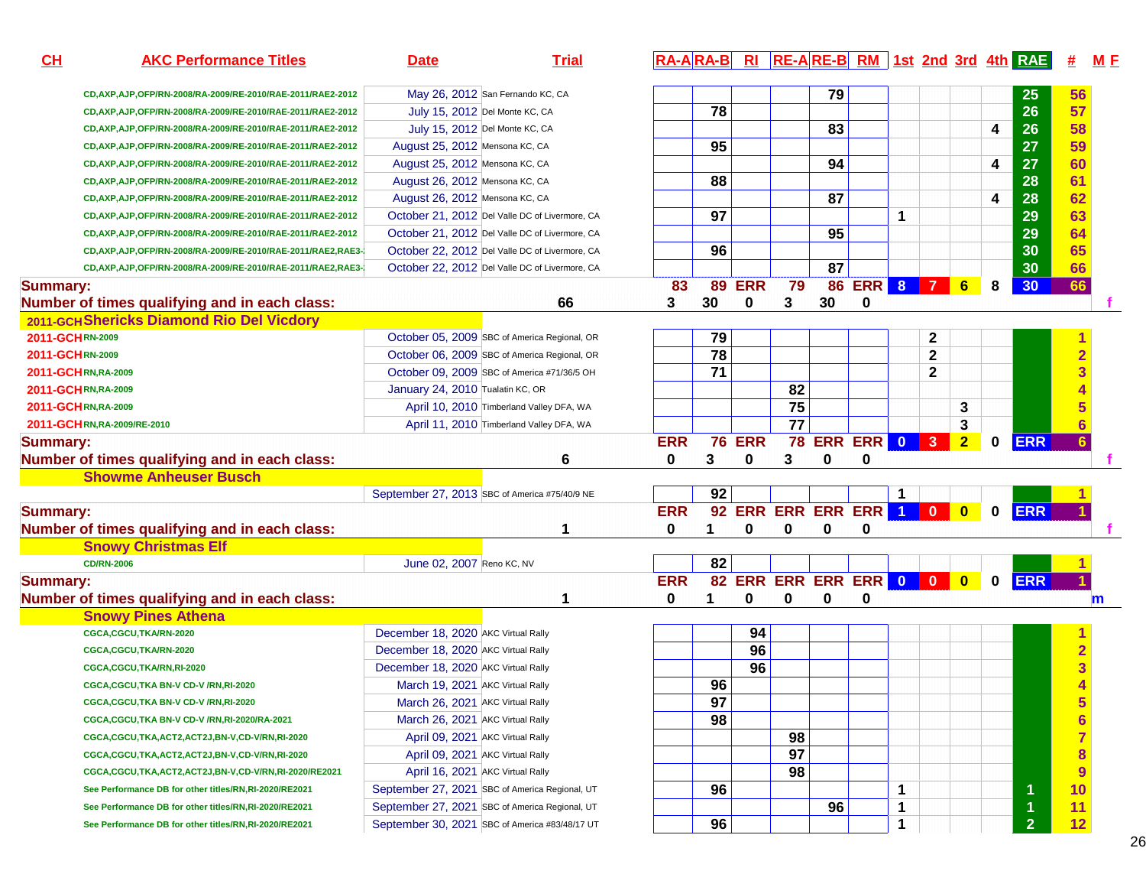| CH              | <b>AKC Performance Titles</b>                                  | <b>Date</b>                         | <b>Trial</b>                                   |            |    |               |                          |             |                     |   |                |                |             | RA-ARA-B RI RE-ARE-B RM 1st 2nd 3rd 4th RAE | 坓               | M E         |
|-----------------|----------------------------------------------------------------|-------------------------------------|------------------------------------------------|------------|----|---------------|--------------------------|-------------|---------------------|---|----------------|----------------|-------------|---------------------------------------------|-----------------|-------------|
|                 | CD, AXP, AJP, OFP/RN-2008/RA-2009/RE-2010/RAE-2011/RAE2-2012   |                                     | May 26, 2012 San Fernando KC, CA               |            |    |               |                          | 79          |                     |   |                |                |             | 25                                          | 56              |             |
|                 | CD, AXP, AJP, OFP/RN-2008/RA-2009/RE-2010/RAE-2011/RAE2-2012   |                                     | July 15, 2012 Del Monte KC, CA                 |            | 78 |               |                          |             |                     |   |                |                |             | 26                                          | 57              |             |
|                 | CD, AXP, AJP, OFP/RN-2008/RA-2009/RE-2010/RAE-2011/RAE2-2012   |                                     | July 15, 2012 Del Monte KC, CA                 |            |    |               |                          | 83          |                     |   |                |                | 4           | 26                                          | 58              |             |
|                 | CD, AXP, AJP, OFP/RN-2008/RA-2009/RE-2010/RAE-2011/RAE2-2012   | August 25, 2012 Mensona KC, CA      |                                                |            | 95 |               |                          |             |                     |   |                |                |             | 27                                          | 59              |             |
|                 | CD, AXP, AJP, OFP/RN-2008/RA-2009/RE-2010/RAE-2011/RAE2-2012   | August 25, 2012 Mensona KC, CA      |                                                |            |    |               |                          | 94          |                     |   |                |                | 4           | 27                                          | 60              |             |
|                 | CD, AXP, AJP, OFP/RN-2008/RA-2009/RE-2010/RAE-2011/RAE2-2012   | August 26, 2012 Mensona KC, CA      |                                                |            | 88 |               |                          |             |                     |   |                |                |             | 28                                          | 61              |             |
|                 | CD, AXP, AJP, OFP/RN-2008/RA-2009/RE-2010/RAE-2011/RAE2-2012   | August 26, 2012 Mensona KC, CA      |                                                |            |    |               |                          | 87          |                     |   |                |                | 4           | 28                                          | 62              |             |
|                 | CD, AXP, AJP, OFP/RN-2008/RA-2009/RE-2010/RAE-2011/RAE2-2012   |                                     | October 21, 2012 Del Valle DC of Livermore, CA |            | 97 |               |                          |             |                     | 1 |                |                |             | 29                                          | 63              |             |
|                 | CD, AXP, AJP, OFP/RN-2008/RA-2009/RE-2010/RAE-2011/RAE2-2012   |                                     | October 21, 2012 Del Valle DC of Livermore, CA |            |    |               |                          | 95          |                     |   |                |                |             | 29                                          | 64              |             |
|                 | CD, AXP, AJP, OFP/RN-2008/RA-2009/RE-2010/RAE-2011/RAE2, RAE3- |                                     | October 22, 2012 Del Valle DC of Livermore, CA |            | 96 |               |                          |             |                     |   |                |                |             | 30                                          | 65              |             |
|                 | CD, AXP, AJP, OFP/RN-2008/RA-2009/RE-2010/RAE-2011/RAE2, RAE3- |                                     | October 22, 2012 Del Valle DC of Livermore, CA |            |    |               |                          | 87          |                     |   |                |                |             | 30                                          | 66              |             |
| <b>Summary:</b> |                                                                |                                     |                                                | 83         | 89 | <b>ERR</b>    | 79                       | 86          | <b>ERR</b>          | 8 | $\overline{7}$ | 6              | 8           | 30                                          | 66              |             |
|                 | Number of times qualifying and in each class:                  |                                     | 66                                             | 3          | 30 | 0             | 3                        | 30          | 0                   |   |                |                |             |                                             |                 |             |
|                 | 2011-GCH Shericks Diamond Rio Del Vicdory                      |                                     |                                                |            |    |               |                          |             |                     |   |                |                |             |                                             |                 |             |
| 2011-GCHRN-2009 |                                                                |                                     | October 05, 2009 SBC of America Regional, OR   |            | 79 |               |                          |             |                     |   | $\mathbf 2$    |                |             |                                             |                 |             |
| 2011-GCHRN-2009 |                                                                |                                     | October 06, 2009 SBC of America Regional, OR   |            | 78 |               |                          |             |                     |   | $\mathbf{2}$   |                |             |                                             | $\overline{2}$  |             |
|                 | 2011-GCHRN, RA-2009                                            |                                     | October 09, 2009 SBC of America #71/36/5 OH    |            | 71 |               |                          |             |                     |   | $\mathbf{2}$   |                |             |                                             |                 |             |
|                 | 2011-GCHRN, RA-2009                                            | January 24, 2010 Tualatin KC, OR    |                                                |            |    |               | 82                       |             |                     |   |                |                |             |                                             |                 |             |
|                 | 2011-GCHRN,RA-2009                                             |                                     | April 10, 2010 Timberland Valley DFA, WA       |            |    |               | 75                       |             |                     |   |                | 3              |             |                                             |                 |             |
|                 | 2011-GCHRN, RA-2009/RE-2010                                    |                                     | April 11, 2010 Timberland Valley DFA, WA       |            |    |               | $\overline{77}$          |             |                     |   |                | 3              |             |                                             |                 |             |
| <b>Summary:</b> |                                                                |                                     |                                                | <b>ERR</b> |    | <b>76 ERR</b> |                          |             | <b>78 ERR ERR 0</b> |   | $\vert$ 3      | $\overline{2}$ | $\bf{0}$    | <b>ERR</b>                                  |                 |             |
|                 | Number of times qualifying and in each class:                  |                                     | 6                                              | 0          | 3  | 0             | 3                        | $\mathbf 0$ | 0                   |   |                |                |             |                                             |                 |             |
|                 | <b>Showme Anheuser Busch</b>                                   |                                     |                                                |            |    |               |                          |             |                     |   |                |                |             |                                             |                 |             |
|                 |                                                                |                                     | September 27, 2013 SBC of America #75/40/9 NE  |            | 92 |               |                          |             |                     |   |                |                |             |                                             |                 |             |
| <b>Summary:</b> |                                                                |                                     |                                                | <b>ERR</b> | 92 |               | ERR ERR ERR ERR 1        |             |                     |   | $\overline{0}$ | $\bullet$      | $\mathbf 0$ | <b>ERR</b>                                  |                 |             |
|                 | Number of times qualifying and in each class:                  |                                     | 1                                              | 0          | 1  | 0             | 0                        | 0           | 0                   |   |                |                |             |                                             |                 |             |
|                 | <b>Snowy Christmas Elf</b>                                     |                                     |                                                |            |    |               |                          |             |                     |   |                |                |             |                                             |                 |             |
|                 | <b>CD/RN-2006</b>                                              | June 02, 2007 Reno KC, NV           |                                                |            | 82 |               |                          |             |                     |   |                |                |             |                                             |                 |             |
| <b>Summary:</b> |                                                                |                                     |                                                | <b>ERR</b> |    |               | 82 ERR ERR ERR ERR 0 0 0 |             |                     |   |                |                | $\mathbf 0$ | <b>ERR</b>                                  |                 |             |
|                 | Number of times qualifying and in each class:                  |                                     | 1                                              | $\bf{0}$   | 1  | 0             | $\mathbf{0}$             | 0           | 0                   |   |                |                |             |                                             |                 | $\mathbf m$ |
|                 | <b>Snowy Pines Athena</b>                                      |                                     |                                                |            |    |               |                          |             |                     |   |                |                |             |                                             |                 |             |
|                 | CGCA,CGCU,TKA/RN-2020                                          | December 18, 2020 AKC Virtual Rally |                                                |            |    | 94            |                          |             |                     |   |                |                |             |                                             |                 |             |
|                 | CGCA,CGCU,TKA/RN-2020                                          | December 18, 2020 AKC Virtual Rally |                                                |            |    | 96            |                          |             |                     |   |                |                |             |                                             | $\overline{2}$  |             |
|                 | CGCA,CGCU,TKA/RN,RI-2020                                       | December 18, 2020 AKC Virtual Rally |                                                |            |    | 96            |                          |             |                     |   |                |                |             |                                             |                 |             |
|                 | CGCA, CGCU, TKA BN-V CD-V /RN, RI-2020                         | March 19, 2021 AKC Virtual Rally    |                                                |            | 96 |               |                          |             |                     |   |                |                |             |                                             |                 |             |
|                 | CGCA,CGCU,TKA BN-V CD-V /RN,RI-2020                            | March 26, 2021 AKC Virtual Rally    |                                                |            | 97 |               |                          |             |                     |   |                |                |             |                                             | 5               |             |
|                 | CGCA,CGCU,TKA BN-V CD-V /RN,RI-2020/RA-2021                    | March 26, 2021 AKC Virtual Rally    |                                                |            | 98 |               |                          |             |                     |   |                |                |             |                                             | 6               |             |
|                 | CGCA,CGCU,TKA,ACT2,ACT2J,BN-V,CD-V/RN,RI-2020                  | April 09, 2021 AKC Virtual Rally    |                                                |            |    |               | 98                       |             |                     |   |                |                |             |                                             |                 |             |
|                 | CGCA,CGCU,TKA,ACT2,ACT2J,BN-V,CD-V/RN,RI-2020                  | April 09, 2021 AKC Virtual Rally    |                                                |            |    |               | 97                       |             |                     |   |                |                |             |                                             | 8               |             |
|                 | CGCA,CGCU,TKA,ACT2,ACT2J,BN-V,CD-V/RN,RI-2020/RE2021           | April 16, 2021 AKC Virtual Rally    |                                                |            |    |               | 98                       |             |                     |   |                |                |             |                                             | 9               |             |
|                 | See Performance DB for other titles/RN,RI-2020/RE2021          |                                     | September 27, 2021 SBC of America Regional, UT |            | 96 |               |                          |             |                     | 1 |                |                |             |                                             | 10              |             |
|                 | See Performance DB for other titles/RN,RI-2020/RE2021          |                                     | September 27, 2021 SBC of America Regional, UT |            |    |               |                          | 96          |                     | 1 |                |                |             |                                             | 11              |             |
|                 | See Performance DB for other titles/RN,RI-2020/RE2021          |                                     | September 30, 2021 SBC of America #83/48/17 UT |            | 96 |               |                          |             |                     | 1 |                |                |             | $\overline{2}$                              | 12 <sub>2</sub> |             |
|                 |                                                                |                                     |                                                |            |    |               |                          |             |                     |   |                |                |             |                                             |                 |             |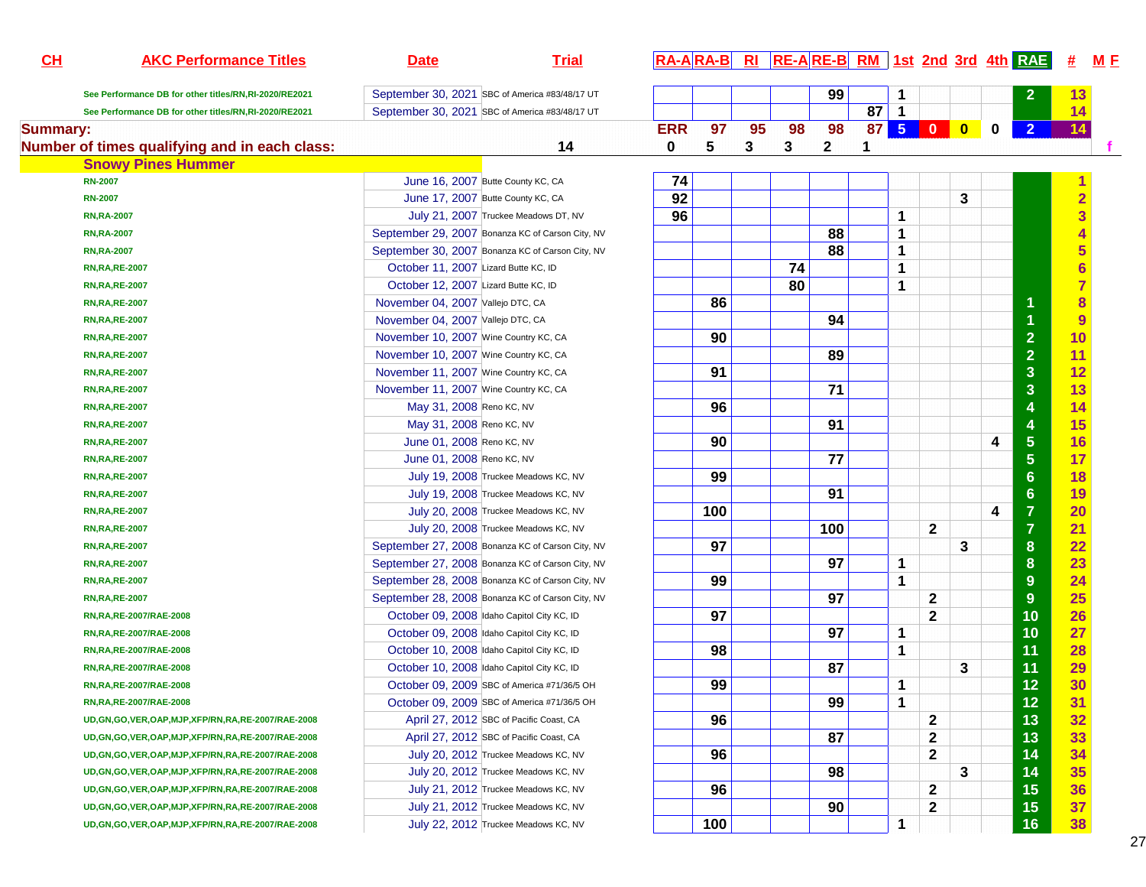| CL              | <b>AKC Performance Titles</b>                           | <b>Date</b>                           | <b>Trial</b>                                     |            | $RA-A$ $RA-B$ |    | RI RE-ARE-B RM 1st 2nd 3rd 4th RAE |                 |                 |                |              |           |             |                         | #                       | <u>M E</u> |
|-----------------|---------------------------------------------------------|---------------------------------------|--------------------------------------------------|------------|---------------|----|------------------------------------|-----------------|-----------------|----------------|--------------|-----------|-------------|-------------------------|-------------------------|------------|
|                 | See Performance DB for other titles/RN,RI-2020/RE2021   |                                       | September 30, 2021 SBC of America #83/48/17 UT   |            |               |    |                                    | 99              |                 |                |              |           |             | 2                       | 13                      |            |
|                 | See Performance DB for other titles/RN,RI-2020/RE2021   |                                       | September 30, 2021 SBC of America #83/48/17 UT   |            |               |    |                                    |                 | 87              | $\mathbf{1}$   |              |           |             |                         | 14                      |            |
| <b>Summary:</b> |                                                         |                                       |                                                  | <b>ERR</b> | 97            | 95 | 98                                 | 98              | 87 <sup>°</sup> | 5 <sub>5</sub> | $\bullet$    | $\bullet$ | $\mathbf 0$ | $\overline{2}$          | 14                      |            |
|                 | Number of times qualifying and in each class:           |                                       | 14                                               | $\bf{0}$   | 5             | 3  | 3                                  | $\mathbf{2}$    | 1               |                |              |           |             |                         |                         |            |
|                 | <b>Snowy Pines Hummer</b>                               |                                       |                                                  |            |               |    |                                    |                 |                 |                |              |           |             |                         |                         |            |
|                 | <b>RN-2007</b>                                          |                                       | June 16, 2007 Butte County KC, CA                | 74         |               |    |                                    |                 |                 |                |              |           |             |                         |                         |            |
|                 | <b>RN-2007</b>                                          |                                       | June 17, 2007 Butte County KC, CA                | 92         |               |    |                                    |                 |                 |                |              | 3         |             |                         | $\overline{\mathbf{2}}$ |            |
|                 | <b>RN, RA-2007</b>                                      |                                       | July 21, 2007 Truckee Meadows DT, NV             | 96         |               |    |                                    |                 |                 | 1              |              |           |             |                         | $\overline{\mathbf{3}}$ |            |
|                 | <b>RN, RA-2007</b>                                      |                                       | September 29, 2007 Bonanza KC of Carson City, NV |            |               |    |                                    | 88              |                 | 1              |              |           |             |                         |                         |            |
|                 | <b>RN, RA-2007</b>                                      |                                       | September 30, 2007 Bonanza KC of Carson City, NV |            |               |    |                                    | 88              |                 | 1              |              |           |             |                         | 5                       |            |
|                 | <b>RN, RA, RE-2007</b>                                  | October 11, 2007 Lizard Butte KC, ID  |                                                  |            |               |    | 74                                 |                 |                 | 1              |              |           |             |                         | $\overline{\mathbf{6}}$ |            |
|                 | <b>RN, RA, RE-2007</b>                                  | October 12, 2007 Lizard Butte KC, ID  |                                                  |            |               |    | 80                                 |                 |                 | 1              |              |           |             |                         | $\overline{7}$          |            |
|                 | <b>RN, RA, RE-2007</b>                                  | November 04, 2007 Vallejo DTC, CA     |                                                  |            | 86            |    |                                    |                 |                 |                |              |           |             | 1                       | $\overline{\mathbf{8}}$ |            |
|                 | <b>RN, RA, RE-2007</b>                                  | November 04, 2007 Vallejo DTC, CA     |                                                  |            |               |    |                                    | 94              |                 |                |              |           |             | 1                       | $\overline{9}$          |            |
|                 | <b>RN, RA, RE-2007</b>                                  | November 10, 2007 Wine Country KC, CA |                                                  |            | 90            |    |                                    |                 |                 |                |              |           |             | $\overline{2}$          | 10                      |            |
|                 | <b>RN, RA, RE-2007</b>                                  | November 10, 2007 Wine Country KC, CA |                                                  |            |               |    |                                    | 89              |                 |                |              |           |             | $\overline{2}$          | 11                      |            |
|                 | <b>RN, RA, RE-2007</b>                                  | November 11, 2007 Wine Country KC, CA |                                                  |            | 91            |    |                                    |                 |                 |                |              |           |             | $\overline{\mathbf{3}}$ | 12                      |            |
|                 | <b>RN, RA, RE-2007</b>                                  | November 11, 2007 Wine Country KC, CA |                                                  |            |               |    |                                    | 71              |                 |                |              |           |             | $\overline{\mathbf{3}}$ | 13                      |            |
|                 | <b>RN, RA, RE-2007</b>                                  | May 31, 2008 Reno KC, NV              |                                                  |            | 96            |    |                                    |                 |                 |                |              |           |             | 4                       | 14                      |            |
|                 | <b>RN, RA, RE-2007</b>                                  | May 31, 2008 Reno KC, NV              |                                                  |            |               |    |                                    | 91              |                 |                |              |           |             | 4                       | 15                      |            |
|                 | <b>RN, RA, RE-2007</b>                                  | June 01, 2008 Reno KC, NV             |                                                  |            | 90            |    |                                    |                 |                 |                |              |           | 4           | $\overline{\mathbf{5}}$ | 16                      |            |
|                 | <b>RN, RA, RE-2007</b>                                  | June 01, 2008 Reno KC, NV             |                                                  |            |               |    |                                    | $\overline{77}$ |                 |                |              |           |             | $5\phantom{1}$          | 17                      |            |
|                 | <b>RN, RA, RE-2007</b>                                  |                                       | July 19, 2008 Truckee Meadows KC, NV             |            | 99            |    |                                    |                 |                 |                |              |           |             | $6\phantom{1}6$         | 18                      |            |
|                 | <b>RN, RA, RE-2007</b>                                  |                                       | July 19, 2008 Truckee Meadows KC, NV             |            |               |    |                                    | 91              |                 |                |              |           |             | $6\phantom{1}$          | 19                      |            |
|                 | <b>RN, RA, RE-2007</b>                                  |                                       | July 20, 2008 Truckee Meadows KC, NV             |            | 100           |    |                                    |                 |                 |                |              |           | 4           | $\overline{7}$          | 20                      |            |
|                 | <b>RN, RA, RE-2007</b>                                  |                                       | July 20, 2008 Truckee Meadows KC, NV             |            |               |    |                                    | 100             |                 |                | $\mathbf{2}$ |           |             | $\overline{7}$          | 21                      |            |
|                 | <b>RN, RA, RE-2007</b>                                  |                                       | September 27, 2008 Bonanza KC of Carson City, NV |            | 97            |    |                                    |                 |                 |                |              | 3         |             | $\boldsymbol{8}$        | 22                      |            |
|                 | <b>RN, RA, RE-2007</b>                                  |                                       | September 27, 2008 Bonanza KC of Carson City, NV |            |               |    |                                    | 97              |                 | 1              |              |           |             | $\boldsymbol{8}$        | 23                      |            |
|                 | <b>RN, RA, RE-2007</b>                                  |                                       | September 28, 2008 Bonanza KC of Carson City, NV |            | 99            |    |                                    |                 |                 | 1              |              |           |             | 9                       | 24                      |            |
|                 | <b>RN, RA, RE-2007</b>                                  |                                       | September 28, 2008 Bonanza KC of Carson City, NV |            |               |    |                                    | 97              |                 |                | $\mathbf{2}$ |           |             | 9                       | 25                      |            |
|                 | RN, RA, RE-2007/RAE-2008                                |                                       | October 09, 2008 Idaho Capitol City KC, ID       |            | 97            |    |                                    |                 |                 |                | $\mathbf{2}$ |           |             | 10                      | 26                      |            |
|                 | RN, RA, RE-2007/RAE-2008                                |                                       | October 09, 2008 Idaho Capitol City KC, ID       |            |               |    |                                    | 97              |                 | 1              |              |           |             | 10                      | 27                      |            |
|                 | RN, RA, RE-2007/RAE-2008                                |                                       | October 10, 2008 Idaho Capitol City KC, ID       |            | 98            |    |                                    |                 |                 | 1              |              |           |             | 11                      | 28                      |            |
|                 | RN, RA, RE-2007/RAE-2008                                |                                       | October 10, 2008 Idaho Capitol City KC, ID       |            |               |    |                                    | 87              |                 |                |              | 3         |             | 11                      | 29                      |            |
|                 | RN, RA, RE-2007/RAE-2008                                |                                       | October 09, 2009 SBC of America #71/36/5 OH      |            | 99            |    |                                    |                 |                 | 1              |              |           |             | 12                      | 30                      |            |
|                 | RN,RA,RE-2007/RAE-2008                                  |                                       | October 09, 2009 SBC of America #71/36/5 OH      |            |               |    |                                    | 99              |                 | 1              |              |           |             | 12                      | 31                      |            |
|                 | UD, GN, GO, VER, OAP, MJP, XFP/RN, RA, RE-2007/RAE-2008 |                                       | April 27, 2012 SBC of Pacific Coast, CA          |            | 96            |    |                                    |                 |                 |                | $\mathbf{2}$ |           |             | 13                      | 32                      |            |
|                 | UD, GN, GO, VER, OAP, MJP, XFP/RN, RA, RE-2007/RAE-2008 |                                       | April 27, 2012 SBC of Pacific Coast, CA          |            |               |    |                                    | 87              |                 |                | $\mathbf{2}$ |           |             | 13                      | 33                      |            |
|                 | UD, GN, GO, VER, OAP, MJP, XFP/RN, RA, RE-2007/RAE-2008 |                                       | July 20, 2012 Truckee Meadows KC, NV             |            | 96            |    |                                    |                 |                 |                | $\mathbf{2}$ |           |             | 14                      | 34                      |            |
|                 | UD, GN, GO, VER, OAP, MJP, XFP/RN, RA, RE-2007/RAE-2008 |                                       | July 20, 2012 Truckee Meadows KC, NV             |            |               |    |                                    | 98              |                 |                |              | 3         |             | 14                      | 35                      |            |
|                 | UD, GN, GO, VER, OAP, MJP, XFP/RN, RA, RE-2007/RAE-2008 |                                       | July 21, 2012 Truckee Meadows KC, NV             |            | 96            |    |                                    |                 |                 |                | $\mathbf{2}$ |           |             | 15                      | 36                      |            |
|                 | UD, GN, GO, VER, OAP, MJP, XFP/RN, RA, RE-2007/RAE-2008 |                                       | July 21, 2012 Truckee Meadows KC, NV             |            |               |    |                                    | 90              |                 |                | $\mathbf 2$  |           |             | 15                      | 37                      |            |
|                 | UD, GN, GO, VER, OAP, MJP, XFP/RN, RA, RE-2007/RAE-2008 |                                       | July 22, 2012 Truckee Meadows KC, NV             |            | 100           |    |                                    |                 |                 | 1              |              |           |             | 16                      | 38                      |            |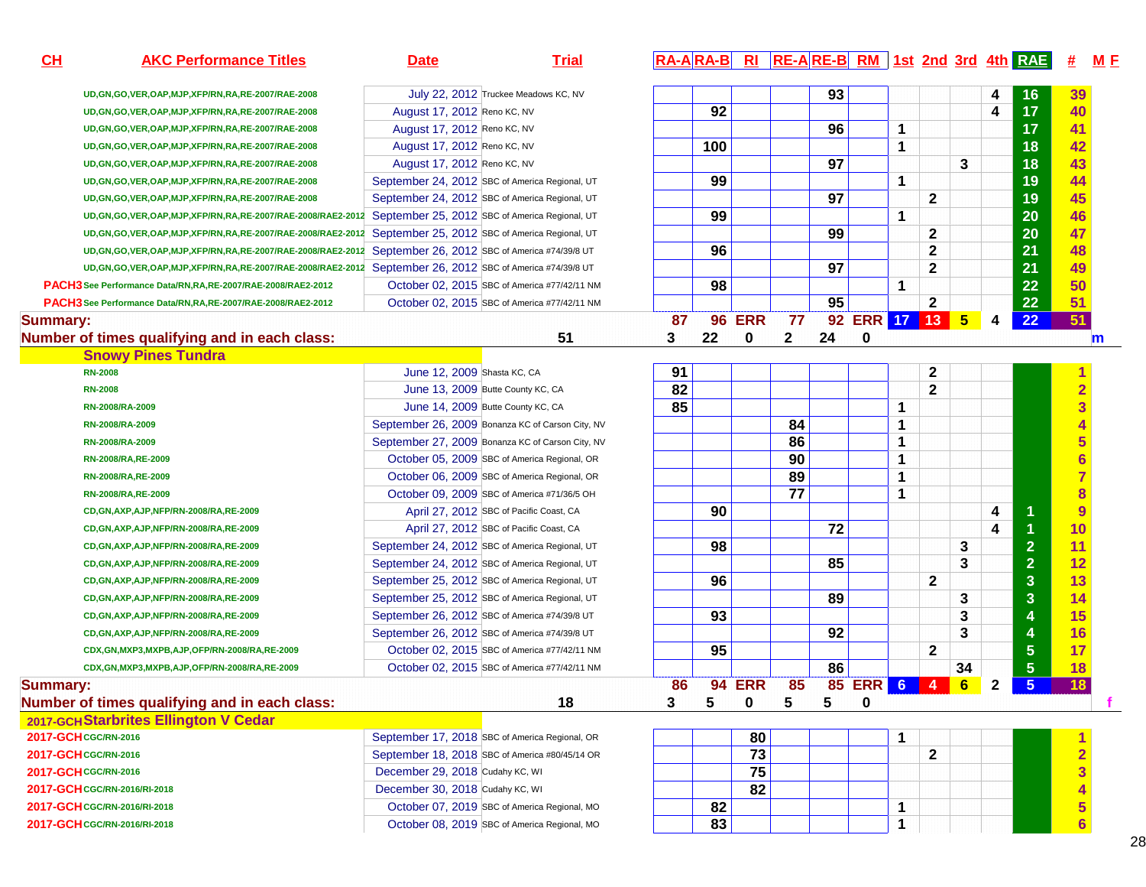| CH              | <b>AKC Performance Titles</b>                                     | <b>Date</b>                     | <b>Trial</b>                                     |    |     |               |              |    |               |                 |              |    |              | RA-ARA-B RI RE-ARE-B RM 1st 2nd 3rd 4th RAE | 坓                       | M E          |
|-----------------|-------------------------------------------------------------------|---------------------------------|--------------------------------------------------|----|-----|---------------|--------------|----|---------------|-----------------|--------------|----|--------------|---------------------------------------------|-------------------------|--------------|
|                 | UD, GN, GO, VER, OAP, MJP, XFP/RN, RA, RE-2007/RAE-2008           |                                 | July 22, 2012 Truckee Meadows KC, NV             |    |     |               |              | 93 |               |                 |              |    | 4            | 16                                          | 39                      |              |
|                 | UD, GN, GO, VER, OAP, MJP, XFP/RN, RA, RE-2007/RAE-2008           | August 17, 2012 Reno KC, NV     |                                                  |    | 92  |               |              |    |               |                 |              |    | 4            | 17                                          | 40                      |              |
|                 | UD, GN, GO, VER, OAP, MJP, XFP/RN, RA, RE-2007/RAE-2008           | August 17, 2012 Reno KC, NV     |                                                  |    |     |               |              | 96 |               | 1               |              |    |              | 17                                          | 41                      |              |
|                 | UD, GN, GO, VER, OAP, MJP, XFP/RN, RA, RE-2007/RAE-2008           | August 17, 2012 Reno KC, NV     |                                                  |    | 100 |               |              |    |               | $\mathbf 1$     |              |    |              | 18                                          | 42                      |              |
|                 | UD, GN, GO, VER, OAP, MJP, XFP/RN, RA, RE-2007/RAE-2008           | August 17, 2012 Reno KC, NV     |                                                  |    |     |               |              | 97 |               |                 |              | 3  |              | 18                                          | 43                      |              |
|                 | UD, GN, GO, VER, OAP, MJP, XFP/RN, RA, RE-2007/RAE-2008           |                                 | September 24, 2012 SBC of America Regional, UT   |    | 99  |               |              |    |               | 1               |              |    |              | 19                                          | 44                      |              |
|                 | UD, GN, GO, VER, OAP, MJP, XFP/RN, RA, RE-2007/RAE-2008           |                                 | September 24, 2012 SBC of America Regional, UT   |    |     |               |              | 97 |               |                 | $\mathbf{2}$ |    |              | 19                                          | 45                      |              |
|                 | UD, GN, GO, VER, OAP, MJP, XFP/RN, RA, RE-2007/RAE-2008/RAE2-2012 |                                 | September 25, 2012 SBC of America Regional, UT   |    | 99  |               |              |    |               | $\mathbf 1$     |              |    |              | 20                                          | 46                      |              |
|                 | UD, GN, GO, VER, OAP, MJP, XFP/RN, RA, RE-2007/RAE-2008/RAE2-2012 |                                 | September 25, 2012 SBC of America Regional, UT   |    |     |               |              | 99 |               |                 | 2            |    |              | 20                                          | 47                      |              |
|                 | UD, GN, GO, VER, OAP, MJP, XFP/RN, RA, RE-2007/RAE-2008/RAE2-2012 |                                 | September 26, 2012 SBC of America #74/39/8 UT    |    | 96  |               |              |    |               |                 | 2            |    |              | 21                                          | 48                      |              |
|                 | UD, GN, GO, VER, OAP, MJP, XFP/RN, RA, RE-2007/RAE-2008/RAE2-2012 |                                 | September 26, 2012 SBC of America #74/39/8 UT    |    |     |               |              | 97 |               |                 | $\mathbf{2}$ |    |              | 21                                          | 49                      |              |
|                 | PACH3 See Performance Data/RN, RA, RE-2007/RAE-2008/RAE2-2012     |                                 | October 02, 2015 SBC of America #77/42/11 NM     |    | 98  |               |              |    |               | $\mathbf 1$     |              |    |              | 22                                          | 50                      |              |
|                 | PACH3 See Performance Data/RN, RA, RE-2007/RAE-2008/RAE2-2012     |                                 | October 02, 2015 SBC of America #77/42/11 NM     |    |     |               |              | 95 |               |                 | $\mathbf 2$  |    |              | 22                                          | 51                      |              |
| <b>Summary:</b> |                                                                   |                                 |                                                  | 87 | 96  | <b>ERR</b>    | 77           | 92 | ERR 17 13 5   |                 |              |    | 4            | 22                                          | 51                      |              |
|                 | Number of times qualifying and in each class:                     |                                 | 51                                               | 3  | 22  | 0             | $\mathbf{2}$ | 24 | 0             |                 |              |    |              |                                             |                         | $\mathbf{m}$ |
|                 | <b>Snowy Pines Tundra</b>                                         |                                 |                                                  |    |     |               |              |    |               |                 |              |    |              |                                             |                         |              |
|                 | <b>RN-2008</b>                                                    | June 12, 2009 Shasta KC, CA     |                                                  | 91 |     |               |              |    |               |                 | 2            |    |              |                                             |                         |              |
|                 | <b>RN-2008</b>                                                    |                                 | June 13, 2009 Butte County KC, CA                | 82 |     |               |              |    |               |                 | $\mathbf{2}$ |    |              |                                             | $\overline{\mathbf{2}}$ |              |
|                 | RN-2008/RA-2009                                                   |                                 | June 14, 2009 Butte County KC, CA                | 85 |     |               |              |    |               | $\mathbf 1$     |              |    |              |                                             | 3                       |              |
|                 | RN-2008/RA-2009                                                   |                                 | September 26, 2009 Bonanza KC of Carson City, NV |    |     |               | 84           |    |               | 1               |              |    |              |                                             |                         |              |
|                 | RN-2008/RA-2009                                                   |                                 | September 27, 2009 Bonanza KC of Carson City, NV |    |     |               | 86           |    |               | 1               |              |    |              |                                             | 5                       |              |
|                 | RN-2008/RA, RE-2009                                               |                                 | October 05, 2009 SBC of America Regional, OR     |    |     |               | 90           |    |               | 1               |              |    |              |                                             | $\overline{\mathbf{6}}$ |              |
|                 | RN-2008/RA, RE-2009                                               |                                 | October 06, 2009 SBC of America Regional, OR     |    |     |               | 89           |    |               | 1               |              |    |              |                                             | $\overline{7}$          |              |
|                 | RN-2008/RA, RE-2009                                               |                                 | October 09, 2009 SBC of America #71/36/5 OH      |    |     |               | 77           |    |               | 1               |              |    |              |                                             | $\overline{\mathbf{8}}$ |              |
|                 | CD, GN, AXP, AJP, NFP/RN-2008/RA, RE-2009                         |                                 | April 27, 2012 SBC of Pacific Coast, CA          |    | 90  |               |              |    |               |                 |              |    | 4            | $\mathbf{1}$                                | 9                       |              |
|                 | CD,GN,AXP,AJP,NFP/RN-2008/RA,RE-2009                              |                                 | April 27, 2012 SBC of Pacific Coast, CA          |    |     |               |              | 72 |               |                 |              |    | 4            | 1                                           | 10                      |              |
|                 | CD,GN,AXP,AJP,NFP/RN-2008/RA,RE-2009                              |                                 | September 24, 2012 SBC of America Regional, UT   |    | 98  |               |              |    |               |                 |              | 3  |              | $\overline{2}$                              | 11                      |              |
|                 | CD, GN, AXP, AJP, NFP/RN-2008/RA, RE-2009                         |                                 | September 24, 2012 SBC of America Regional, UT   |    |     |               |              | 85 |               |                 |              | 3  |              | $\overline{2}$                              | 12                      |              |
|                 | CD, GN, AXP, AJP, NFP/RN-2008/RA, RE-2009                         |                                 | September 25, 2012 SBC of America Regional, UT   |    | 96  |               |              |    |               |                 | $\mathbf{2}$ |    |              | $\overline{\mathbf{3}}$                     | 13                      |              |
|                 | CD, GN, AXP, AJP, NFP/RN-2008/RA, RE-2009                         |                                 | September 25, 2012 SBC of America Regional, UT   |    |     |               |              | 89 |               |                 |              | 3  |              | $\overline{\mathbf{3}}$                     | 14                      |              |
|                 | CD, GN, AXP, AJP, NFP/RN-2008/RA, RE-2009                         |                                 | September 26, 2012 SBC of America #74/39/8 UT    |    | 93  |               |              |    |               |                 |              | 3  |              | $\overline{4}$                              | 15                      |              |
|                 | CD, GN, AXP, AJP, NFP/RN-2008/RA, RE-2009                         |                                 | September 26, 2012 SBC of America #74/39/8 UT    |    |     |               |              | 92 |               |                 |              | 3  |              | $\overline{4}$                              | 16                      |              |
|                 | CDX,GN,MXP3,MXPB,AJP,OFP/RN-2008/RA,RE-2009                       |                                 | October 02, 2015 SBC of America #77/42/11 NM     |    | 95  |               |              |    |               |                 | $\mathbf{2}$ |    |              | $5\phantom{.0}$                             | 17                      |              |
|                 | CDX, GN, MXP3, MXPB, AJP, OFP/RN-2008/RA, RE-2009                 |                                 | October 02, 2015 SBC of America #77/42/11 NM     |    |     |               |              | 86 |               |                 |              | 34 |              | $\sqrt{5}$                                  | <b>18</b>               |              |
| <b>Summary:</b> |                                                                   |                                 |                                                  | 86 |     | <b>94 ERR</b> | 85           |    | <b>85 ERR</b> | $6\overline{6}$ | 4            | 6  | $\mathbf{2}$ | $5\phantom{.0}$                             | 18                      |              |
|                 | Number of times qualifying and in each class:                     |                                 | 18                                               | 3  | 5   | 0             | 5            | 5  | 0             |                 |              |    |              |                                             |                         |              |
|                 | 2017-GCH Starbrites Ellington V Cedar                             |                                 |                                                  |    |     |               |              |    |               |                 |              |    |              |                                             |                         |              |
|                 | 2017-GCH CGC/RN-2016                                              |                                 | September 17, 2018 SBC of America Regional, OR   |    |     | 80            |              |    |               | $\mathbf 1$     |              |    |              |                                             |                         |              |
|                 | 2017-GCH CGC/RN-2016                                              |                                 | September 18, 2018 SBC of America #80/45/14 OR   |    |     | 73            |              |    |               |                 | $\mathbf{2}$ |    |              |                                             | 2                       |              |
|                 | 2017-GCH CGC/RN-2016                                              | December 29, 2018 Cudahy KC, WI |                                                  |    |     | 75            |              |    |               |                 |              |    |              |                                             | 3                       |              |
|                 | 2017-GCH CGC/RN-2016/RI-2018                                      | December 30, 2018 Cudahy KC, WI |                                                  |    |     | 82            |              |    |               |                 |              |    |              |                                             |                         |              |
|                 | 2017-GCH CGC/RN-2016/RI-2018                                      |                                 | October 07, 2019 SBC of America Regional, MO     |    | 82  |               |              |    |               | 1               |              |    |              |                                             | 5                       |              |
|                 | 2017-GCH CGC/RN-2016/RI-2018                                      |                                 | October 08, 2019 SBC of America Regional, MO     |    | 83  |               |              |    |               | 1               |              |    |              |                                             | 6 <sup>1</sup>          |              |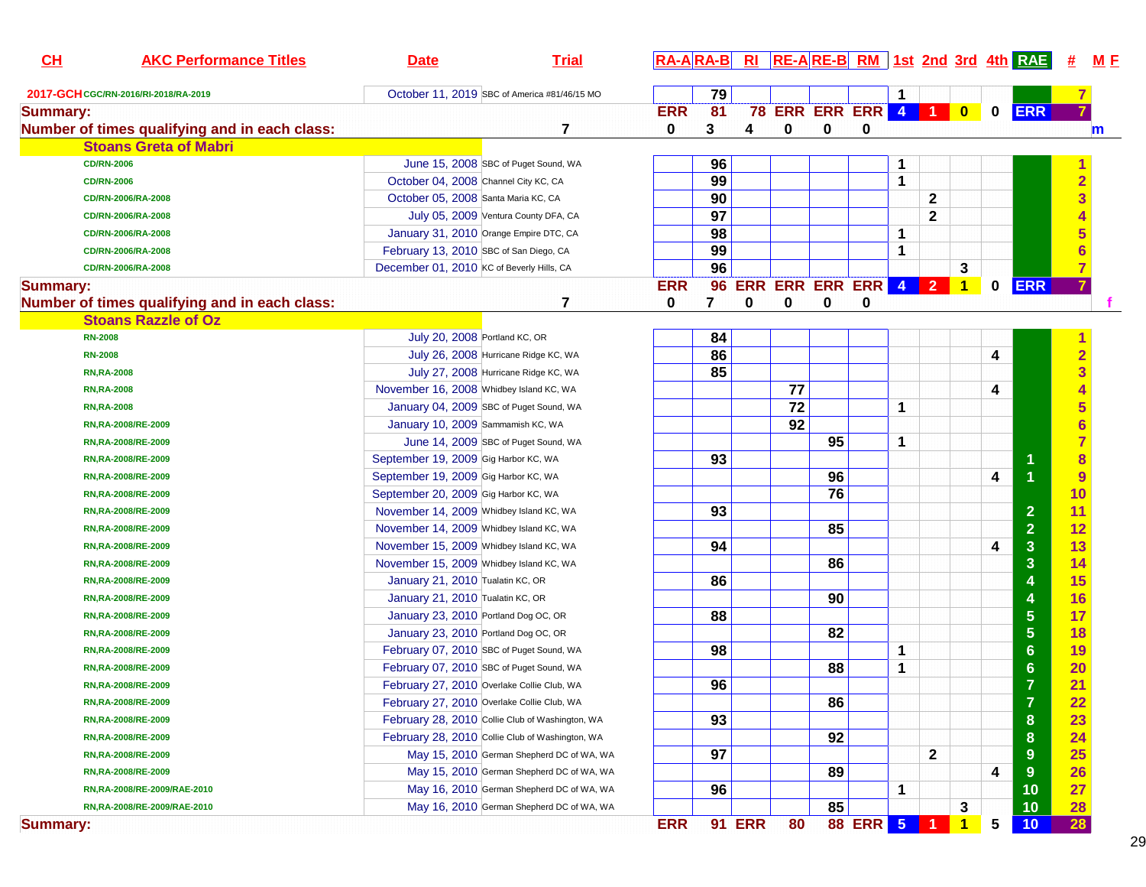| CH              | <b>AKC Performance Titles</b>                 | <b>Date</b>                               | <b>Trial</b>                                    |            |                 |               |    |    |                         |   |                      |                |             | RA-ARA-B RI RE-ARE-B RM 1st 2nd 3rd 4th RAE | #              | <u>M F</u> |
|-----------------|-----------------------------------------------|-------------------------------------------|-------------------------------------------------|------------|-----------------|---------------|----|----|-------------------------|---|----------------------|----------------|-------------|---------------------------------------------|----------------|------------|
|                 | 2017-GCH CGC/RN-2016/RI-2018/RA-2019          |                                           | October 11, 2019 SBC of America #81/46/15 MO    |            | 79              |               |    |    |                         | 1 |                      |                |             |                                             |                |            |
| <b>Summary:</b> |                                               |                                           |                                                 | <b>ERR</b> | $\overline{81}$ |               |    |    | <b>78 ERR ERR ERR 4</b> |   | $\blacksquare$       | $\bullet$      | $\mathbf 0$ | <b>ERR</b>                                  |                |            |
|                 | Number of times qualifying and in each class: |                                           | 7                                               | 0          | 3               | 4             | 0  | 0  | 0                       |   |                      |                |             |                                             |                | m          |
|                 | <b>Stoans Greta of Mabri</b>                  |                                           |                                                 |            |                 |               |    |    |                         |   |                      |                |             |                                             |                |            |
|                 | <b>CD/RN-2006</b>                             |                                           | June 15, 2008 SBC of Puget Sound, WA            |            | 96              |               |    |    |                         |   |                      |                |             |                                             |                |            |
|                 | <b>CD/RN-2006</b>                             | October 04, 2008 Channel City KC, CA      |                                                 |            | 99              |               |    |    |                         | 1 |                      |                |             |                                             | $\overline{2}$ |            |
|                 | CD/RN-2006/RA-2008                            | October 05, 2008 Santa Maria KC, CA       |                                                 |            | 90              |               |    |    |                         |   | $\mathbf{2}$         |                |             |                                             | 3              |            |
|                 | CD/RN-2006/RA-2008                            |                                           | July 05, 2009 Ventura County DFA, CA            |            | 97              |               |    |    |                         |   | $\mathbf{2}$         |                |             |                                             |                |            |
|                 | CD/RN-2006/RA-2008                            |                                           | January 31, 2010 Orange Empire DTC, CA          |            | 98              |               |    |    |                         | 1 |                      |                |             |                                             |                |            |
|                 | CD/RN-2006/RA-2008                            | February 13, 2010 SBC of San Diego, CA    |                                                 |            | 99              |               |    |    |                         | 1 |                      |                |             |                                             |                |            |
|                 | CD/RN-2006/RA-2008                            | December 01, 2010 KC of Beverly Hills, CA |                                                 |            | 96              |               |    |    |                         |   |                      | 3              |             |                                             |                |            |
| <b>Summary:</b> |                                               |                                           |                                                 | <b>ERR</b> | 96              |               |    |    | ERR ERR ERR ERR 4       |   | 2 <sup>7</sup>       | $\overline{1}$ | $\mathbf 0$ | <b>ERR</b>                                  |                |            |
|                 | Number of times qualifying and in each class: |                                           | 7                                               | 0          | 7               | 0             | 0  | 0  | 0                       |   |                      |                |             |                                             |                |            |
|                 | <b>Stoans Razzle of Oz</b>                    |                                           |                                                 |            |                 |               |    |    |                         |   |                      |                |             |                                             |                |            |
|                 | <b>RN-2008</b>                                | July 20, 2008 Portland KC, OR             |                                                 |            | 84              |               |    |    |                         |   |                      |                |             |                                             |                |            |
|                 | <b>RN-2008</b>                                |                                           | July 26, 2008 Hurricane Ridge KC, WA            |            | 86              |               |    |    |                         |   |                      |                | 4           |                                             | $\overline{2}$ |            |
|                 | <b>RN, RA-2008</b>                            |                                           | July 27, 2008 Hurricane Ridge KC, WA            |            | 85              |               |    |    |                         |   |                      |                |             |                                             | 3              |            |
|                 | <b>RN, RA-2008</b>                            | November 16, 2008 Whidbey Island KC, WA   |                                                 |            |                 |               | 77 |    |                         |   |                      |                | 4           |                                             |                |            |
|                 | <b>RN, RA-2008</b>                            |                                           | January 04, 2009 SBC of Puget Sound, WA         |            |                 |               | 72 |    |                         | 1 |                      |                |             |                                             |                |            |
|                 | RN, RA-2008/RE-2009                           | January 10, 2009 Sammamish KC, WA         |                                                 |            |                 |               | 92 |    |                         |   |                      |                |             |                                             |                |            |
|                 | RN, RA-2008/RE-2009                           |                                           | June 14, 2009 SBC of Puget Sound, WA            |            |                 |               |    | 95 |                         | 1 |                      |                |             |                                             |                |            |
|                 | RN, RA-2008/RE-2009                           | September 19, 2009 Gig Harbor KC, WA      |                                                 |            | 93              |               |    |    |                         |   |                      |                |             |                                             | 8              |            |
|                 | RN, RA-2008/RE-2009                           | September 19, 2009 Gig Harbor KC, WA      |                                                 |            |                 |               |    | 96 |                         |   |                      |                | 4           | и                                           | 9              |            |
|                 | RN, RA-2008/RE-2009                           | September 20, 2009 Gig Harbor KC, WA      |                                                 |            |                 |               |    | 76 |                         |   |                      |                |             |                                             | 10             |            |
|                 | RN, RA-2008/RE-2009                           | November 14, 2009 Whidbey Island KC, WA   |                                                 |            | 93              |               |    |    |                         |   |                      |                |             | $\overline{2}$                              | 11             |            |
|                 | RN, RA-2008/RE-2009                           | November 14, 2009 Whidbey Island KC, WA   |                                                 |            |                 |               |    | 85 |                         |   |                      |                |             | $\overline{2}$                              | 12             |            |
|                 | RN, RA-2008/RE-2009                           | November 15, 2009 Whidbey Island KC, WA   |                                                 |            | 94              |               |    |    |                         |   |                      |                | 4           | 3                                           | 13             |            |
|                 | RN, RA-2008/RE-2009                           | November 15, 2009 Whidbey Island KC, WA   |                                                 |            |                 |               |    | 86 |                         |   |                      |                |             | 3                                           | 14             |            |
|                 | RN, RA-2008/RE-2009                           | January 21, 2010 Tualatin KC, OR          |                                                 |            | 86              |               |    |    |                         |   |                      |                |             | 4                                           | 15             |            |
|                 | RN, RA-2008/RE-2009                           | January 21, 2010 Tualatin KC, OR          |                                                 |            |                 |               |    | 90 |                         |   |                      |                |             | 4                                           | 16             |            |
|                 | RN, RA-2008/RE-2009                           | January 23, 2010 Portland Dog OC, OR      |                                                 |            | 88              |               |    |    |                         |   |                      |                |             | 5                                           | 17             |            |
|                 | RN, RA-2008/RE-2009                           | January 23, 2010 Portland Dog OC, OR      |                                                 |            |                 |               |    | 82 |                         |   |                      |                |             | $5\phantom{1}$                              | 18             |            |
|                 | RN, RA-2008/RE-2009                           |                                           | February 07, 2010 SBC of Puget Sound, WA        |            | 98              |               |    |    |                         | 1 |                      |                |             | $6\phantom{1}6$                             | 19             |            |
|                 | RN, RA-2008/RE-2009                           |                                           | February 07, 2010 SBC of Puget Sound, WA        |            |                 |               |    | 88 |                         | 1 |                      |                |             | $6\phantom{1}$                              | 20             |            |
|                 | RN, RA-2008/RE-2009                           |                                           | February 27, 2010 Overlake Collie Club, WA      |            | 96              |               |    |    |                         |   |                      |                |             | $\overline{7}$                              | 21             |            |
|                 | RN, RA-2008/RE-2009                           |                                           | February 27, 2010 Overlake Collie Club, WA      |            |                 |               |    | 86 |                         |   |                      |                |             |                                             | <u>22</u>      |            |
|                 | RN, RA-2008/RE-2009                           |                                           | February 28, 2010 Collie Club of Washington, WA |            | 93              |               |    |    |                         |   |                      |                |             | $\boldsymbol{8}$                            | 23             |            |
|                 | RN, RA-2008/RE-2009                           |                                           | February 28, 2010 Collie Club of Washington, WA |            |                 |               |    | 92 |                         |   |                      |                |             | 8                                           | 24             |            |
|                 | RN, RA-2008/RE-2009                           |                                           | May 15, 2010 German Shepherd DC of WA, WA       |            | 97              |               |    |    |                         |   | $\mathbf 2$          |                |             | $\boldsymbol{9}$                            | 25             |            |
|                 | RN, RA-2008/RE-2009                           |                                           | May 15, 2010 German Shepherd DC of WA, WA       |            |                 |               |    | 89 |                         |   |                      |                | 4           | 9                                           | 26             |            |
|                 | RN, RA-2008/RE-2009/RAE-2010                  |                                           | May 16, 2010 German Shepherd DC of WA, WA       |            | 96              |               |    |    |                         | 1 |                      |                |             | 10                                          | 27             |            |
|                 | RN,RA-2008/RE-2009/RAE-2010                   |                                           | May 16, 2010 German Shepherd DC of WA, WA       |            |                 |               |    | 85 |                         |   |                      | 3              |             | 10                                          | 28             |            |
| <b>Summary:</b> |                                               |                                           |                                                 | <b>ERR</b> |                 | <b>91 ERR</b> | 80 |    | 88 ERR 5                |   | $\blacktriangleleft$ | $\mathbf{1}$   | 5           | 10                                          | 28             |            |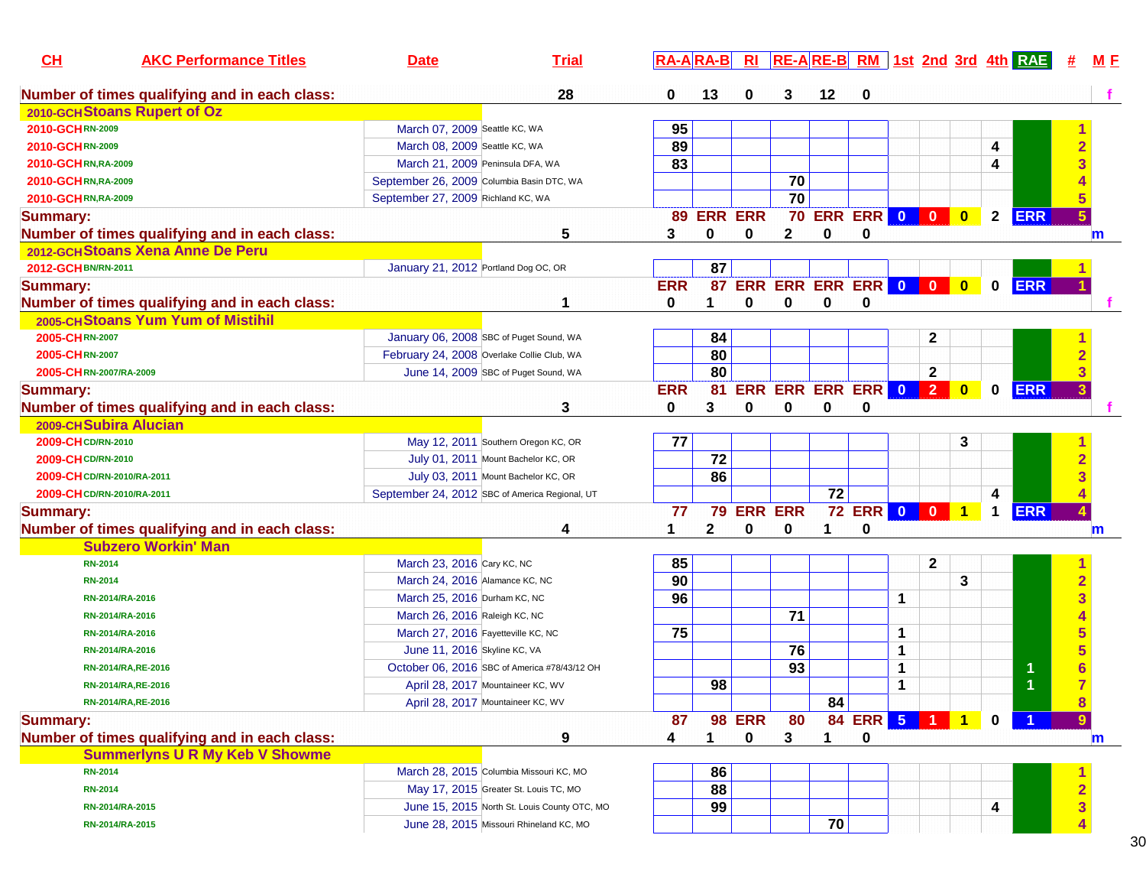| CH<br><b>AKC Performance Titles</b>           | <b>Date</b>                               | <b>Trial</b>                                   |            | <b>RA-ARA-B</b> | R <sub>l</sub> |                 |                       |               |       |                   |                         |              | RE-ARE-B RM 1st 2nd 3rd 4th RAE |   | M E |
|-----------------------------------------------|-------------------------------------------|------------------------------------------------|------------|-----------------|----------------|-----------------|-----------------------|---------------|-------|-------------------|-------------------------|--------------|---------------------------------|---|-----|
| Number of times qualifying and in each class: |                                           | 28                                             | 0          | 13              | 0              | 3               | 12                    | 0             |       |                   |                         |              |                                 |   |     |
| 2010-GCH Stoans Rupert of Oz                  |                                           |                                                |            |                 |                |                 |                       |               |       |                   |                         |              |                                 |   |     |
| 2010-GCHRN-2009                               | March 07, 2009 Seattle KC, WA             |                                                | 95         |                 |                |                 |                       |               |       |                   |                         |              |                                 |   |     |
| 2010-GCHRN-2009                               | March 08, 2009 Seattle KC, WA             |                                                | 89         |                 |                |                 |                       |               |       |                   |                         | 4            |                                 |   |     |
| 2010-GCHRN, RA-2009                           | March 21, 2009 Peninsula DFA, WA          |                                                | 83         |                 |                |                 |                       |               |       |                   |                         | 4            |                                 |   |     |
| 2010-GCHRN, RA-2009                           | September 26, 2009 Columbia Basin DTC, WA |                                                |            |                 |                | $\overline{70}$ |                       |               |       |                   |                         |              |                                 |   |     |
| 2010-GCHRN, RA-2009                           | September 27, 2009 Richland KC, WA        |                                                |            |                 |                | $\overline{70}$ |                       |               |       |                   |                         |              |                                 |   |     |
| <b>Summary:</b>                               |                                           |                                                |            | 89 ERR ERR      |                |                 | <b>70 ERR ERR 0 0</b> |               |       |                   | $\mathbf{0}$            | $\mathbf{2}$ | <b>ERR</b>                      |   |     |
| Number of times qualifying and in each class: |                                           | 5                                              | 3          | 0               | 0              | $\mathbf{2}$    | 0                     | 0             |       |                   |                         |              |                                 |   | m   |
| 2012-GCH Stoans Xena Anne De Peru             |                                           |                                                |            |                 |                |                 |                       |               |       |                   |                         |              |                                 |   |     |
| 2012-GCH BN/RN-2011                           | January 21, 2012 Portland Dog OC, OR      |                                                |            | 87              |                |                 |                       |               |       |                   |                         |              |                                 |   |     |
| <b>Summary:</b>                               |                                           |                                                | <b>ERR</b> | 87              | <b>ERR</b>     |                 | ERR ERR ERR 0 0       |               |       |                   | $\overline{\mathbf{0}}$ | $\mathbf 0$  | <b>ERR</b>                      |   |     |
| Number of times qualifying and in each class: |                                           | 1                                              | 0          | 1.              | $\bf{0}$       | 0               | 0                     | 0             |       |                   |                         |              |                                 |   |     |
| 2005-CHStoans Yum Yum of Mistihil             |                                           |                                                |            |                 |                |                 |                       |               |       |                   |                         |              |                                 |   |     |
| 2005-CHRN-2007                                |                                           | January 06, 2008 SBC of Puget Sound, WA        |            | 84              |                |                 |                       |               |       | 2                 |                         |              |                                 |   |     |
| 2005-CHRN-2007                                |                                           | February 24, 2008 Overlake Collie Club, WA     |            | 80              |                |                 |                       |               |       |                   |                         |              |                                 |   |     |
| 2005-CHRN-2007/RA-2009                        |                                           | June 14, 2009 SBC of Puget Sound, WA           |            | 80              |                |                 |                       |               |       | $\overline{2}$    |                         |              |                                 |   |     |
| <b>Summary:</b>                               |                                           |                                                | <b>ERR</b> | 81              |                |                 | ERR ERR ERR ERR 0     |               |       | $\vert$ 2 $\vert$ | $\bf{0}$                | $\mathbf{0}$ | <b>ERR</b>                      |   |     |
| Number of times qualifying and in each class: |                                           | 3                                              | 0          | 3               | 0              | 0               | 0                     | 0             |       |                   |                         |              |                                 |   |     |
| 2009-CH Subira Alucian                        |                                           |                                                |            |                 |                |                 |                       |               |       |                   |                         |              |                                 |   |     |
| 2009-CH CD/RN-2010                            |                                           | May 12, 2011 Southern Oregon KC, OR            | 77         |                 |                |                 |                       |               |       |                   | 3                       |              |                                 |   |     |
| 2009-CH CD/RN-2010                            |                                           | July 01, 2011 Mount Bachelor KC, OR            |            | 72              |                |                 |                       |               |       |                   |                         |              |                                 |   |     |
| 2009-CH CD/RN-2010/RA-2011                    |                                           | July 03, 2011 Mount Bachelor KC, OR            |            | 86              |                |                 |                       |               |       |                   |                         |              |                                 |   |     |
| 2009-CH CD/RN-2010/RA-2011                    |                                           | September 24, 2012 SBC of America Regional, UT |            |                 |                |                 | $\overline{72}$       |               |       |                   |                         | 4            |                                 |   |     |
| <b>Summary:</b>                               |                                           |                                                | 77         |                 | 79 ERR ERR     |                 |                       | <b>72 ERR</b> | $0$ 0 |                   |                         | 1            | <b>ERR</b>                      |   |     |
| Number of times qualifying and in each class: |                                           | 4                                              | 1          | $\mathbf{2}$    | 0              | 0               | 1                     | 0             |       |                   |                         |              |                                 |   | m   |
| <b>Subzero Workin' Man</b>                    |                                           |                                                |            |                 |                |                 |                       |               |       |                   |                         |              |                                 |   |     |
| <b>RN-2014</b>                                | March 23, 2016 Cary KC, NC                |                                                | 85         |                 |                |                 |                       |               |       | 2                 |                         |              |                                 |   |     |
| <b>RN-2014</b>                                | March 24, 2016 Alamance KC, NC            |                                                | 90         |                 |                |                 |                       |               |       |                   | 3                       |              |                                 |   |     |
| RN-2014/RA-2016                               | March 25, 2016 Durham KC, NC              |                                                | 96         |                 |                |                 |                       |               | 1     |                   |                         |              |                                 |   |     |
| RN-2014/RA-2016                               | March 26, 2016 Raleigh KC, NC             |                                                |            |                 |                | $\overline{71}$ |                       |               |       |                   |                         |              |                                 |   |     |
| RN-2014/RA-2016                               | March 27, 2016 Fayetteville KC, NC        |                                                | 75         |                 |                |                 |                       |               | 1     |                   |                         |              |                                 |   |     |
| RN-2014/RA-2016                               | June 11, 2016 Skyline KC, VA              |                                                |            |                 |                | 76              |                       |               | 1     |                   |                         |              |                                 |   |     |
| RN-2014/RA, RE-2016                           |                                           | October 06, 2016 SBC of America #78/43/12 OH   |            |                 |                | 93              |                       |               | 1     |                   |                         |              |                                 |   |     |
| RN-2014/RA, RE-2016                           |                                           | April 28, 2017 Mountaineer KC, WV              |            | 98              |                |                 |                       |               | 1     |                   |                         |              |                                 |   |     |
| RN-2014/RA, RE-2016                           |                                           | April 28, 2017 Mountaineer KC, WV              |            |                 |                |                 | 84                    |               |       |                   |                         |              |                                 | 8 |     |
| <b>Summary:</b>                               |                                           |                                                | 87         |                 | <b>98 ERR</b>  | 80              |                       | 84 ERR 5 1 1  |       |                   |                         | $\bf{0}$     |                                 | 9 |     |
| Number of times qualifying and in each class: |                                           | 9                                              | 4          |                 | 0              | 3               | 1                     | 0             |       |                   |                         |              |                                 |   | m   |
| <b>Summerlyns U R My Keb V Showme</b>         |                                           |                                                |            |                 |                |                 |                       |               |       |                   |                         |              |                                 |   |     |
| <b>RN-2014</b>                                |                                           | March 28, 2015 Columbia Missouri KC, MO        |            | 86              |                |                 |                       |               |       |                   |                         |              |                                 |   |     |
| <b>RN-2014</b>                                |                                           | May 17, 2015 Greater St. Louis TC, MO          |            | 88              |                |                 |                       |               |       |                   |                         |              |                                 |   |     |
| RN-2014/RA-2015                               |                                           | June 15, 2015 North St. Louis County OTC, MO   |            | 99              |                |                 |                       |               |       |                   |                         | 4            |                                 |   |     |
| RN-2014/RA-2015                               |                                           | June 28, 2015 Missouri Rhineland KC, MO        |            |                 |                |                 | 70                    |               |       |                   |                         |              |                                 |   |     |
|                                               |                                           |                                                |            |                 |                |                 |                       |               |       |                   |                         |              |                                 |   |     |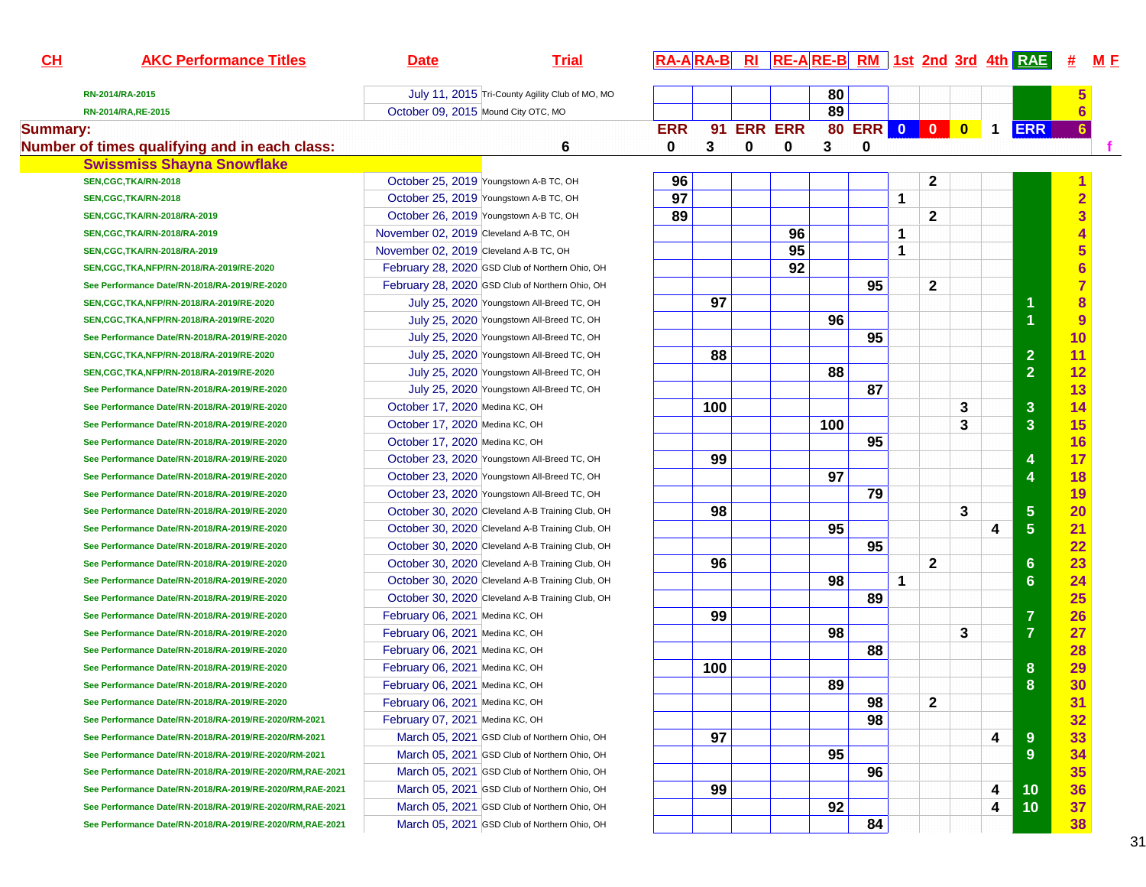| $CH$            | <b>AKC Performance Titles</b>                            | <b>Date</b>                            | <b>Trial</b>                                     |            |     |   |            |     |              |             |              |   |             | $R_A - A R_A - B$ RI $R_E - A R_E - B R_M$ 1st 2nd 3rd 4th RAE | <u>#</u>                | M E |
|-----------------|----------------------------------------------------------|----------------------------------------|--------------------------------------------------|------------|-----|---|------------|-----|--------------|-------------|--------------|---|-------------|----------------------------------------------------------------|-------------------------|-----|
|                 | RN-2014/RA-2015                                          |                                        | July 11, 2015 Tri-County Agility Club of MO, MO  |            |     |   |            | 80  |              |             |              |   |             |                                                                |                         |     |
|                 | RN-2014/RA, RE-2015                                      | October 09, 2015 Mound City OTC, MO    |                                                  |            |     |   |            | 89  |              |             |              |   |             |                                                                | 6                       |     |
| <b>Summary:</b> |                                                          |                                        |                                                  | <b>ERR</b> |     |   | 91 ERR ERR |     | 80 ERR 0 0 0 |             |              |   | $\mathbf 1$ | <b>ERR</b>                                                     | $6\phantom{1}$          |     |
|                 | Number of times qualifying and in each class:            |                                        | 6                                                | 0          | 3   | 0 | 0          | 3   | 0            |             |              |   |             |                                                                |                         |     |
|                 | <b>Swissmiss Shayna Snowflake</b>                        |                                        |                                                  |            |     |   |            |     |              |             |              |   |             |                                                                |                         |     |
|                 | SEN, CGC, TKA/RN-2018                                    |                                        | October 25, 2019 Youngstown A-B TC, OH           | 96         |     |   |            |     |              |             | 2            |   |             |                                                                |                         |     |
|                 | SEN, CGC, TKA/RN-2018                                    |                                        | October 25, 2019 Youngstown A-B TC, OH           | 97         |     |   |            |     |              | $\mathbf 1$ |              |   |             |                                                                | $\overline{\mathbf{2}}$ |     |
|                 | SEN, CGC, TKA/RN-2018/RA-2019                            |                                        | October 26, 2019 Youngstown A-B TC, OH           | 89         |     |   |            |     |              |             | $\mathbf{2}$ |   |             |                                                                | 3                       |     |
|                 | SEN, CGC, TKA/RN-2018/RA-2019                            | November 02, 2019 Cleveland A-B TC, OH |                                                  |            |     |   | 96         |     |              | 1           |              |   |             |                                                                |                         |     |
|                 | SEN, CGC, TKA/RN-2018/RA-2019                            | November 02, 2019 Cleveland A-B TC, OH |                                                  |            |     |   | 95         |     |              | 1           |              |   |             |                                                                |                         |     |
|                 | SEN, CGC, TKA, NFP/RN-2018/RA-2019/RE-2020               |                                        | February 28, 2020 GSD Club of Northern Ohio, OH  |            |     |   | 92         |     |              |             |              |   |             |                                                                | $\overline{\bf{6}}$     |     |
|                 | See Performance Date/RN-2018/RA-2019/RE-2020             |                                        | February 28, 2020 GSD Club of Northern Ohio, OH  |            |     |   |            |     | 95           |             | 2            |   |             |                                                                |                         |     |
|                 | SEN, CGC, TKA, NFP/RN-2018/RA-2019/RE-2020               |                                        | July 25, 2020 Youngstown All-Breed TC, OH        |            | 97  |   |            |     |              |             |              |   |             | 1                                                              | 8                       |     |
|                 | SEN, CGC, TKA, NFP/RN-2018/RA-2019/RE-2020               |                                        | July 25, 2020 Youngstown All-Breed TC, OH        |            |     |   |            | 96  |              |             |              |   |             | $\overline{1}$                                                 | 9                       |     |
|                 | See Performance Date/RN-2018/RA-2019/RE-2020             |                                        | July 25, 2020 Youngstown All-Breed TC, OH        |            |     |   |            |     | 95           |             |              |   |             |                                                                | 10                      |     |
|                 | SEN, CGC, TKA, NFP/RN-2018/RA-2019/RE-2020               |                                        | July 25, 2020 Youngstown All-Breed TC, OH        |            | 88  |   |            |     |              |             |              |   |             | $\overline{2}$                                                 | 11                      |     |
|                 | SEN, CGC, TKA, NFP/RN-2018/RA-2019/RE-2020               |                                        | July 25, 2020 Youngstown All-Breed TC, OH        |            |     |   |            | 88  |              |             |              |   |             | $\overline{2}$                                                 | 12                      |     |
|                 | See Performance Date/RN-2018/RA-2019/RE-2020             |                                        | July 25, 2020 Youngstown All-Breed TC, OH        |            |     |   |            |     | 87           |             |              |   |             |                                                                | 13                      |     |
|                 | See Performance Date/RN-2018/RA-2019/RE-2020             | October 17, 2020 Medina KC, OH         |                                                  |            | 100 |   |            |     |              |             |              | 3 |             | 3                                                              | 14                      |     |
|                 | See Performance Date/RN-2018/RA-2019/RE-2020             | October 17, 2020 Medina KC, OH         |                                                  |            |     |   |            | 100 |              |             |              | 3 |             | 3                                                              | 15                      |     |
|                 | See Performance Date/RN-2018/RA-2019/RE-2020             | October 17, 2020 Medina KC, OH         |                                                  |            |     |   |            |     | 95           |             |              |   |             |                                                                | 16                      |     |
|                 | See Performance Date/RN-2018/RA-2019/RE-2020             |                                        | October 23, 2020 Youngstown All-Breed TC, OH     |            | 99  |   |            |     |              |             |              |   |             | 4                                                              | 17                      |     |
|                 | See Performance Date/RN-2018/RA-2019/RE-2020             |                                        | October 23, 2020 Youngstown All-Breed TC, OH     |            |     |   |            | 97  |              |             |              |   |             | $\overline{\mathbf{4}}$                                        | 18                      |     |
|                 | See Performance Date/RN-2018/RA-2019/RE-2020             |                                        | October 23, 2020 Youngstown All-Breed TC, OH     |            |     |   |            |     | 79           |             |              |   |             |                                                                | 19                      |     |
|                 | See Performance Date/RN-2018/RA-2019/RE-2020             |                                        | October 30, 2020 Cleveland A-B Training Club, OH |            | 98  |   |            |     |              |             |              | 3 |             | 5                                                              | 20                      |     |
|                 | See Performance Date/RN-2018/RA-2019/RE-2020             |                                        | October 30, 2020 Cleveland A-B Training Club, OH |            |     |   |            | 95  |              |             |              |   | 4           | $\overline{5}$                                                 | 21                      |     |
|                 | See Performance Date/RN-2018/RA-2019/RE-2020             |                                        | October 30, 2020 Cleveland A-B Training Club, OH |            |     |   |            |     | 95           |             |              |   |             |                                                                | 22                      |     |
|                 | See Performance Date/RN-2018/RA-2019/RE-2020             |                                        | October 30, 2020 Cleveland A-B Training Club, OH |            | 96  |   |            |     |              |             | 2            |   |             | $6\phantom{a}$                                                 | 23                      |     |
|                 | See Performance Date/RN-2018/RA-2019/RE-2020             |                                        | October 30, 2020 Cleveland A-B Training Club, OH |            |     |   |            | 98  |              | $\mathbf 1$ |              |   |             | $6\phantom{1}6$                                                | 24                      |     |
|                 | See Performance Date/RN-2018/RA-2019/RE-2020             |                                        | October 30, 2020 Cleveland A-B Training Club, OH |            |     |   |            |     | 89           |             |              |   |             |                                                                | 25                      |     |
|                 | See Performance Date/RN-2018/RA-2019/RE-2020             | February 06, 2021 Medina KC, OH        |                                                  |            | 99  |   |            |     |              |             |              |   |             | $\overline{7}$                                                 | 26                      |     |
|                 | See Performance Date/RN-2018/RA-2019/RE-2020             | February 06, 2021 Medina KC, OH        |                                                  |            |     |   |            | 98  |              |             |              | 3 |             | $\overline{7}$                                                 | 27                      |     |
|                 | See Performance Date/RN-2018/RA-2019/RE-2020             | February 06, 2021 Medina KC, OH        |                                                  |            |     |   |            |     | 88           |             |              |   |             |                                                                | 28                      |     |
|                 | See Performance Date/RN-2018/RA-2019/RE-2020             | February 06, 2021 Medina KC, OH        |                                                  |            | 100 |   |            |     |              |             |              |   |             | 8                                                              | 29                      |     |
|                 | See Performance Date/RN-2018/RA-2019/RE-2020             | February 06, 2021 Medina KC, OH        |                                                  |            |     |   |            | 89  |              |             |              |   |             | 8                                                              | 30                      |     |
|                 | See Performance Date/RN-2018/RA-2019/RE-2020             | February 06, 2021 Medina KC, OH        |                                                  |            |     |   |            |     | 98           |             | $\mathbf 2$  |   |             |                                                                | 31                      |     |
|                 | See Performance Date/RN-2018/RA-2019/RE-2020/RM-2021     | February 07, 2021 Medina KC, OH        |                                                  |            |     |   |            |     | 98           |             |              |   |             |                                                                | 32                      |     |
|                 | See Performance Date/RN-2018/RA-2019/RE-2020/RM-2021     |                                        | March 05, 2021 GSD Club of Northern Ohio, OH     |            | 97  |   |            |     |              |             |              |   | 4           | 9                                                              | 33                      |     |
|                 | See Performance Date/RN-2018/RA-2019/RE-2020/RM-2021     |                                        | March 05, 2021 GSD Club of Northern Ohio, OH     |            |     |   |            | 95  |              |             |              |   |             | 9                                                              | 34                      |     |
|                 | See Performance Date/RN-2018/RA-2019/RE-2020/RM,RAE-2021 |                                        | March 05, 2021 GSD Club of Northern Ohio, OH     |            |     |   |            |     | 96           |             |              |   |             |                                                                | 35                      |     |
|                 | See Performance Date/RN-2018/RA-2019/RE-2020/RM,RAE-2021 |                                        | March 05, 2021 GSD Club of Northern Ohio, OH     |            | 99  |   |            |     |              |             |              |   | 4           | 10                                                             | 36                      |     |
|                 | See Performance Date/RN-2018/RA-2019/RE-2020/RM,RAE-2021 |                                        | March 05, 2021 GSD Club of Northern Ohio, OH     |            |     |   |            | 92  |              |             |              |   | 4           | 10                                                             | 37                      |     |
|                 | See Performance Date/RN-2018/RA-2019/RE-2020/RM,RAE-2021 |                                        | March 05, 2021 GSD Club of Northern Ohio, OH     |            |     |   |            |     | 84           |             |              |   |             |                                                                | 38                      |     |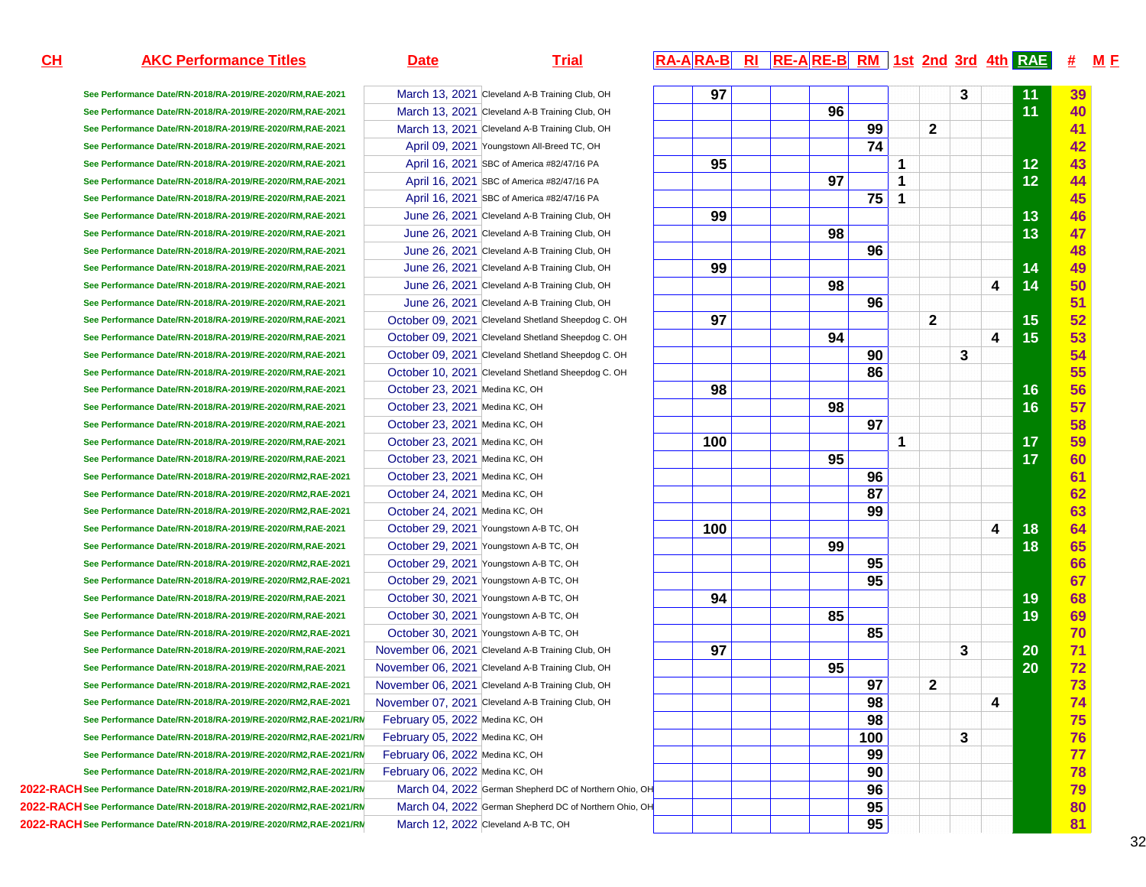### **AKC Performance Titles Date Date Trial RA-A RA-A R**

**See Performance Date/RN-2018/RA-2019/RE-2020/RM,RAE-2021See Performance Date/RN-2018/RA-2019/RE-2020/RM,RAE-2021See Performance Date/RN-2018/RA-2019/RE-2020/RM,RAE-2021See Performance Date/RN-2018/RA-2019/RE-2020/RM,RAE-2021See Performance Date/RN-2018/RA-2019/RE-2020/RM,RAE-2021See Performance Date/RN-2018/RA-2019/RE-2020/RM,RAE-2021See Performance Date/RN-2018/RA-2019/RE-2020/RM,RAE-2021See Performance Date/RN-2018/RA-2019/RE-2020/RM,RAE-2021See Performance Date/RN-2018/RA-2019/RE-2020/RM,RAE-2021See Performance Date/RN-2018/RA-2019/RE-2020/RM,RAE-2021See Performance Date/RN-2018/RA-2019/RE-2020/RM,RAE-2021See Performance Date/RN-2018/RA-2019/RE-2020/RM,RAE-2021See Performance Date/RN-2018/RA-2019/RE-2020/RM,RAE-2021See Performance Date/RN-2018/RA-2019/RE-2020/RM,RAE-2021See Performance Date/RN-2018/RA-2019/RE-2020/RM,RAE-2021See Performance Date/RN-2018/RA-2019/RE-2020/RM,RAE-2021See Performance Date/RN-2018/RA-2019/RE-2020/RM,RAE-2021See Performance Date/RN-2018/RA-2019/RE-2020/RM,RAE-2021See Performance Date/RN-2018/RA-2019/RE-2020/RM,RAE-2021See Performance Date/RN-2018/RA-2019/RE-2020/RM,RAE-2021See Performance Date/RN-2018/RA-2019/RE-2020/RM,RAE-2021See Performance Date/RN-2018/RA-2019/RE-2020/RM,RAE-2021See Performance Date/RN-2018/RA-2019/RE-2020/RM2,RAE-2021See Performance Date/RN-2018/RA-2019/RE-2020/RM2,RAE-2021See Performance Date/RN-2018/RA-2019/RE-2020/RM2,RAE-2021See Performance Date/RN-2018/RA-2019/RE-2020/RM,RAE-2021See Performance Date/RN-2018/RA-2019/RE-2020/RM,RAE-2021See Performance Date/RN-2018/RA-2019/RE-2020/RM2,RAE-2021See Performance Date/RN-2018/RA-2019/RE-2020/RM2,RAE-2021See Performance Date/RN-2018/RA-2019/RE-2020/RM,RAE-2021See Performance Date/RN-2018/RA-2019/RE-2020/RM,RAE-2021See Performance Date/RN-2018/RA-2019/RE-2020/RM2,RAE-2021See Performance Date/RN-2018/RA-2019/RE-2020/RM,RAE-2021See Performance Date/RN-2018/RA-2019/RE-2020/RM,RAE-2021See Performance Date/RN-2018/RA-2019/RE-2020/RM2,RAE-2021See Performance Date/RN-2018/RA-2019/RE-2020/RM2,RAE-2021**See Performance Date/RN-2018/RA-2019/RE-2020/RM2,RAE-2021/RN February 05, 2022 Medina KC, OH See Performance Date/RN-2018/RA-2019/RE-2020/RM2,RAE-2021/RN February 05, 2022 Medina KC, OH See Performance Date/RN-2018/RA-2019/RE-2020/RM2,RAE-2021/RM February 06, 2022 Medina KC, OH See Performance Date/RN-2018/RA-2019/RE-2020/RM2,RAE-2021/RN February 06, 2022 Medina KC, OH **2022-RACHSee Performance Date/RN-2018/RA-2019/RE-2020/RM2,RAE-2021/RM3-20222022-RACHSee Performance Date/RN-2018/RA-2019/RE-2020/RM2,RAE-2021/RM3-2022**

**2022-RACHSee Performance Date/RN-2018/RA-2019/RE-2020/RM2,RAE-2021/RM3-2022**

 March 04, 2022 German Shepherd DC of Northern Ohio, OH March 04, 2022 German Shepherd DC of Northern Ohio, OHMarch 12, 2022 Cleveland A-B TC, OH

March 13, 2021 Cleveland A-B Training Club, OH

March 13, 2021 Cleveland A-B Training Club, OH

March 13, 2021 Cleveland A-B Training Club, OH

April 09, 2021 Youngstown All-Breed TC, OH

April 16, 2021 SBC of America #82/47/16 PA

April 16, 2021 SBC of America #82/47/16 PA

April 16, 2021 SBC of America #82/47/16 PA

June 26, 2021 Cleveland A-B Training Club, OH

June 26, 2021 Cleveland A-B Training Club, OH

June 26, 2021 Cleveland A-B Training Club, OH

June 26, 2021 Cleveland A-B Training Club, OH

June 26, 2021 Cleveland A-B Training Club, OH

June 26, 2021 Cleveland A-B Training Club, OH

October 09, 2021 Cleveland Shetland Sheepdog C. OH

October 09, 2021 Cleveland Shetland Sheepdog C. OH

October 09, 2021 Cleveland Shetland Sheepdog C. OH

October 10, 2021 Cleveland Shetland Sheepdog C. OH

October 23, 2021 Medina KC, OH

October 23, 2021 Medina KC, OH

October 23, 2021 Medina KC, OH

October 23, 2021 Medina KC, OH

October 23, 2021 Medina KC, OH

October 23, 2021 Medina KC, OH

October 24, 2021 Medina KC, OH

October 24, 2021 Medina KC, OH

October 29, 2021 Youngstown A-B TC, OH

October 29, 2021 Youngstown A-B TC, OH

October 29, 2021 Youngstown A-B TC, OH

October 29, 2021 Youngstown A-B TC, OH

October 30, 2021 Youngstown A-B TC, OH

October 30, 2021 Youngstown A-B TC, OH

October 30, 2021 Youngstown A-B TC, OH

November 06, 2021 Cleveland A-B Training Club, OH

November 06, 2021 Cleveland A-B Training Club, OH

November 06, 2021 Cleveland A-B Training Club, OH

November 07, 2021 Cleveland A-B Training Club, OH

## **15th RI RE-A RE-B RM 1st 2nd 3rd 4th RAE # MF**

|     |                      |                      |                            |                         |                              |   |    | 39                                                 |
|-----|----------------------|----------------------|----------------------------|-------------------------|------------------------------|---|----|----------------------------------------------------|
|     |                      |                      |                            |                         |                              |   |    | 40                                                 |
|     |                      |                      |                            |                         |                              |   |    | 41                                                 |
|     |                      |                      |                            |                         |                              |   |    | 42                                                 |
|     |                      |                      |                            |                         |                              |   |    | 43                                                 |
|     |                      |                      |                            |                         |                              |   |    | 44                                                 |
|     |                      |                      |                            |                         |                              |   |    | 45                                                 |
|     |                      |                      |                            |                         |                              |   |    | 46                                                 |
|     |                      |                      |                            |                         |                              |   |    | 47                                                 |
|     |                      |                      |                            |                         |                              |   |    | 48                                                 |
|     |                      |                      |                            |                         |                              |   |    | 49                                                 |
|     |                      |                      |                            |                         |                              | 4 | 14 | 50                                                 |
|     |                      |                      |                            |                         |                              |   |    | 51                                                 |
| 97  |                      |                      |                            |                         |                              |   |    | 52                                                 |
|     | 94                   |                      |                            |                         |                              | 4 |    | 53                                                 |
|     |                      | 90                   |                            |                         | 3                            |   |    | 54                                                 |
|     |                      | 86                   |                            |                         |                              |   |    | 55                                                 |
| 98  |                      |                      |                            |                         |                              |   | 16 | 56                                                 |
|     | 98                   |                      |                            |                         |                              |   | 16 | 57                                                 |
|     |                      | 97                   |                            |                         |                              |   |    | 58                                                 |
| 100 |                      |                      | 1                          |                         |                              |   | 17 | 59                                                 |
|     | 95                   |                      |                            |                         |                              |   | 17 | 60                                                 |
|     |                      | 96                   |                            |                         |                              |   |    | 61                                                 |
|     |                      | 87                   |                            |                         |                              |   |    | 62                                                 |
|     |                      | 99                   |                            |                         |                              |   |    | 63                                                 |
| 100 |                      |                      |                            |                         |                              | 4 | 18 | 64                                                 |
|     | 99                   |                      |                            |                         |                              |   | 18 | 65                                                 |
|     |                      | 95                   |                            |                         |                              |   |    | 66                                                 |
|     |                      | 95                   |                            |                         |                              |   |    | 67                                                 |
| 94  |                      |                      |                            |                         |                              |   | 19 | 68                                                 |
|     | 85                   |                      |                            |                         |                              |   | 19 | 69                                                 |
|     |                      | 85                   |                            |                         |                              |   |    | 70                                                 |
| 97  |                      |                      |                            |                         | 3                            |   | 20 | 71                                                 |
|     | 95                   |                      |                            |                         |                              |   | 20 | 72                                                 |
|     |                      | 97                   |                            | $\overline{\mathbf{2}}$ |                              |   |    | 73                                                 |
|     |                      | 98                   |                            |                         |                              | 4 |    | 74                                                 |
|     |                      | 98                   |                            |                         |                              |   |    | 75                                                 |
|     |                      | 100                  |                            |                         | 3                            |   |    | 76                                                 |
|     |                      | 99                   |                            |                         |                              |   |    | 77                                                 |
|     |                      | 90                   |                            |                         |                              |   |    | 78                                                 |
|     |                      | 96                   |                            |                         |                              |   |    | 79                                                 |
|     |                      | 95                   |                            |                         |                              |   |    | 80                                                 |
|     |                      | 95                   |                            |                         |                              |   |    | 81                                                 |
|     | 97<br>95<br>99<br>99 | 96<br>97<br>98<br>98 | 99<br>74<br>75<br>96<br>96 | 1<br>1<br>1             | $\mathbf{2}$<br>$\mathbf{2}$ | 3 |    | 11<br>11<br>12<br>12<br>13<br>13<br>14<br>15<br>15 |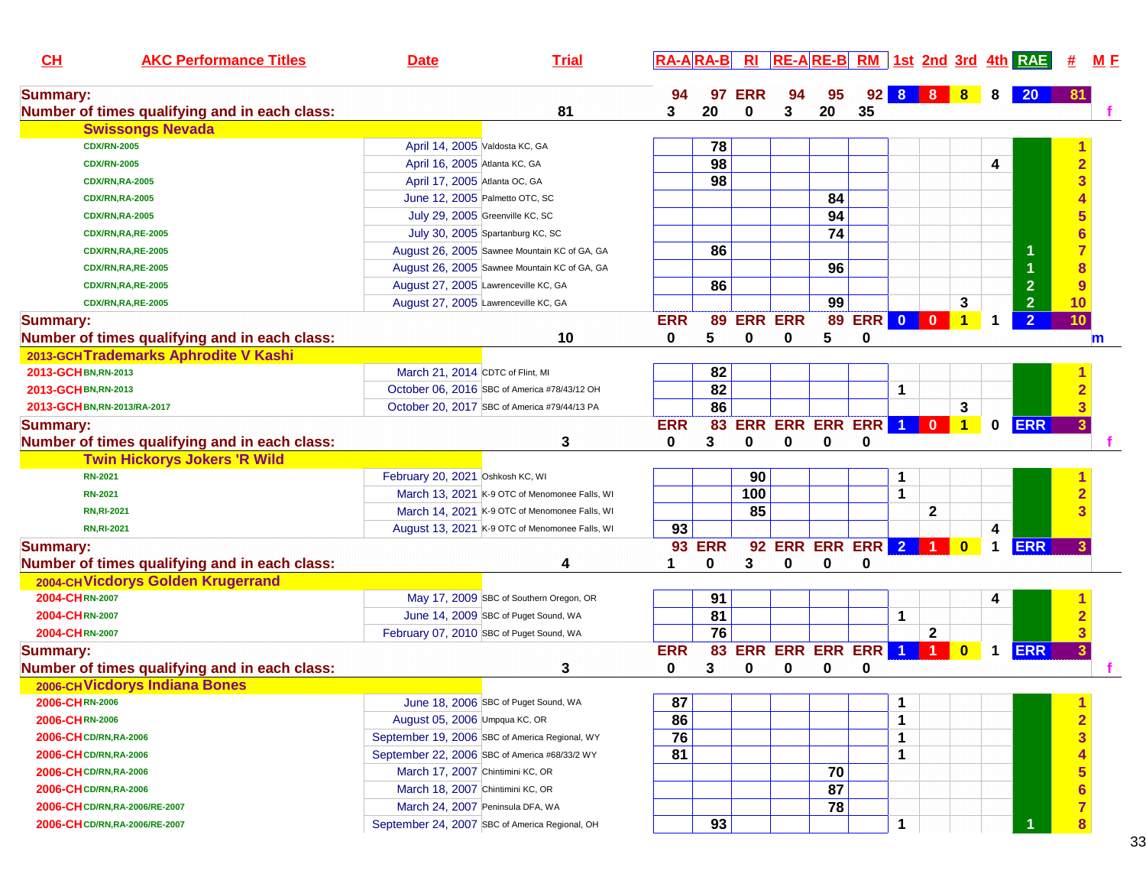| CL<br><b>AKC Performance Titles</b>           | <b>Date</b>                      | <b>Trial</b>                                   | $RA-A$ $RA-B$ |                 | $R_{\rm I}$    |                          |    |         |   |              |                |             | $RE-A$ RE-B RM 1st 2nd 3rd 4th RAE |                         | <u>M E</u>  |
|-----------------------------------------------|----------------------------------|------------------------------------------------|---------------|-----------------|----------------|--------------------------|----|---------|---|--------------|----------------|-------------|------------------------------------|-------------------------|-------------|
| <b>Summary:</b>                               |                                  |                                                | 94            | 97              | <b>ERR</b>     | 94                       | 95 | 92      |   | 8 8          | 8              | 8           | <b>20</b>                          | 81                      |             |
| Number of times qualifying and in each class: |                                  | 81                                             | 3             | 20              | 0              | 3                        | 20 | 35      |   |              |                |             |                                    |                         |             |
| <b>Swissongs Nevada</b>                       |                                  |                                                |               |                 |                |                          |    |         |   |              |                |             |                                    |                         |             |
| <b>CDX/RN-2005</b>                            | April 14, 2005 Valdosta KC, GA   |                                                |               | 78              |                |                          |    |         |   |              |                |             |                                    |                         |             |
| <b>CDX/RN-2005</b>                            | April 16, 2005 Atlanta KC, GA    |                                                |               | 98              |                |                          |    |         |   |              |                | 4           |                                    |                         |             |
| <b>CDX/RN,RA-2005</b>                         | April 17, 2005 Atlanta OC, GA    |                                                |               | 98              |                |                          |    |         |   |              |                |             |                                    |                         |             |
| <b>CDX/RN,RA-2005</b>                         |                                  | June 12, 2005 Palmetto OTC, SC                 |               |                 |                |                          | 84 |         |   |              |                |             |                                    |                         |             |
| <b>CDX/RN,RA-2005</b>                         |                                  | July 29, 2005 Greenville KC, SC                |               |                 |                |                          | 94 |         |   |              |                |             |                                    |                         |             |
| <b>CDX/RN,RA,RE-2005</b>                      |                                  | July 30, 2005 Spartanburg KC, SC               |               |                 |                |                          | 74 |         |   |              |                |             |                                    |                         |             |
| <b>CDX/RN,RA,RE-2005</b>                      |                                  | August 26, 2005 Sawnee Mountain KC of GA, GA   |               | 86              |                |                          |    |         |   |              |                |             | 1                                  |                         |             |
| <b>CDX/RN,RA,RE-2005</b>                      |                                  | August 26, 2005 Sawnee Mountain KC of GA, GA   |               |                 |                |                          | 96 |         |   |              |                |             |                                    | 8                       |             |
| <b>CDX/RN,RA,RE-2005</b>                      |                                  | August 27, 2005 Lawrenceville KC, GA           |               | 86              |                |                          |    |         |   |              |                |             | $\overline{2}$                     | 9                       |             |
| <b>CDX/RN,RA,RE-2005</b>                      |                                  | August 27, 2005 Lawrenceville KC, GA           |               |                 |                |                          | 99 |         |   |              | 3              |             | $\overline{2}$                     | 10                      |             |
| <b>Summary:</b>                               |                                  |                                                | <b>ERR</b>    | 89              | <b>ERR ERR</b> |                          | 89 | ERR 0 0 |   |              | $\mathbf 1$    | -1          | $\overline{2}$                     | 10                      |             |
| Number of times qualifying and in each class: |                                  | 10                                             | 0             | 5               | 0              | 0                        | 5  | 0       |   |              |                |             |                                    |                         | $\mathbf m$ |
| 2013-GCHTrademarks Aphrodite V Kashi          |                                  |                                                |               |                 |                |                          |    |         |   |              |                |             |                                    |                         |             |
| 2013-GCH BN, RN-2013                          | March 21, 2014 CDTC of Flint, MI |                                                |               | 82              |                |                          |    |         |   |              |                |             |                                    |                         |             |
| 2013-GCHBN, RN-2013                           |                                  | October 06, 2016 SBC of America #78/43/12 OH   |               | 82              |                |                          |    |         | 1 |              |                |             |                                    |                         |             |
| 2013-GCH BN, RN-2013/RA-2017                  |                                  | October 20, 2017 SBC of America #79/44/13 PA   |               | 86              |                |                          |    |         |   |              | 3              |             |                                    |                         |             |
| <b>Summary:</b>                               |                                  |                                                | <b>ERR</b>    | 83              |                | <b>ERR ERR ERR ERR 1</b> |    |         |   | $\mathbf{0}$ | $\blacksquare$ | $\mathbf 0$ | <b>ERR</b>                         |                         |             |
| Number of times qualifying and in each class: |                                  | 3                                              | 0             | 3               | 0              | 0                        | 0  | 0       |   |              |                |             |                                    |                         |             |
| <b>Twin Hickorys Jokers 'R Wild</b>           |                                  |                                                |               |                 |                |                          |    |         |   |              |                |             |                                    |                         |             |
| <b>RN-2021</b>                                | February 20, 2021 Oshkosh KC, WI |                                                |               |                 | 90             |                          |    |         |   |              |                |             |                                    |                         |             |
| <b>RN-2021</b>                                |                                  | March 13, 2021 K-9 OTC of Menomonee Falls, WI  |               |                 | 100            |                          |    |         | 1 |              |                |             |                                    |                         |             |
| <b>RN, RI-2021</b>                            |                                  | March 14, 2021 K-9 OTC of Menomonee Falls, WI  |               |                 | 85             |                          |    |         |   | $\mathbf 2$  |                |             |                                    |                         |             |
| <b>RN, RI-2021</b>                            |                                  | August 13, 2021 K-9 OTC of Menomonee Falls, WI | 93            |                 |                |                          |    |         |   |              |                | 4           |                                    |                         |             |
| <b>Summary:</b>                               |                                  |                                                |               | <b>93 ERR</b>   |                | 92 ERR ERR ERR 2         |    |         |   | -1.          |                | 1           | <b>ERR</b>                         |                         |             |
| Number of times qualifying and in each class: |                                  | 4                                              | 1             | 0               | 3              | 0                        | 0  | 0       |   |              |                |             |                                    |                         |             |
| 2004-CHVicdorys Golden Krugerrand             |                                  |                                                |               |                 |                |                          |    |         |   |              |                |             |                                    |                         |             |
| 2004-CHRN-2007                                |                                  | May 17, 2009 SBC of Southern Oregon, OR        |               | 91              |                |                          |    |         |   |              |                | 4           |                                    |                         |             |
| 2004-CHRN-2007                                |                                  | June 14, 2009 SBC of Puget Sound, WA           |               | 81              |                |                          |    |         | 1 |              |                |             |                                    |                         |             |
| 2004-CHRN-2007                                |                                  | February 07, 2010 SBC of Puget Sound, WA       |               | $\overline{76}$ |                |                          |    |         |   | $\mathbf{2}$ |                |             |                                    |                         |             |
| <b>Summary:</b>                               |                                  |                                                | <b>ERR</b>    | 83              |                | <b>ERR ERR ERR ERR 1</b> |    |         |   | 1            |                | 1           | <b>ERR</b>                         |                         |             |
| Number of times qualifying and in each class: |                                  | 3                                              | 0             | 3               | 0              | 0                        | 0  | 0       |   |              |                |             |                                    |                         |             |
| 2006-CH Vicdorys Indiana Bones                |                                  |                                                |               |                 |                |                          |    |         |   |              |                |             |                                    |                         |             |
| 2006-CHRN-2006                                |                                  | June 18, 2006 SBC of Puget Sound, WA           | 87            |                 |                |                          |    |         | 1 |              |                |             |                                    |                         |             |
| 2006-CHRN-2006                                | August 05, 2006 Umpqua KC, OR    |                                                | 86            |                 |                |                          |    |         | 1 |              |                |             |                                    | $\overline{2}$          |             |
| <b>2006-CH CD/RN, RA-2006</b>                 |                                  | September 19, 2006 SBC of America Regional, WY | 76            |                 |                |                          |    |         | 1 |              |                |             |                                    | 3                       |             |
| <b>2006-CH CD/RN, RA-2006</b>                 |                                  | September 22, 2006 SBC of America #68/33/2 WY  | 81            |                 |                |                          |    |         | 1 |              |                |             |                                    |                         |             |
| 2006-CH CD/RN, RA-2006                        | March 17, 2007 Chintimini KC, OR |                                                |               |                 |                |                          | 70 |         |   |              |                |             |                                    |                         |             |
| <b>2006-CH CD/RN, RA-2006</b>                 | March 18, 2007 Chintimini KC, OR |                                                |               |                 |                |                          | 87 |         |   |              |                |             |                                    |                         |             |
| 2006-CH CD/RN, RA-2006/RE-2007                |                                  | March 24, 2007 Peninsula DFA, WA               |               |                 |                |                          | 78 |         |   |              |                |             |                                    |                         |             |
| 2006-CH CD/RN, RA-2006/RE-2007                |                                  | September 24, 2007 SBC of America Regional, OH |               | 93              |                |                          |    |         | 1 |              |                |             |                                    | $\overline{\mathbf{8}}$ |             |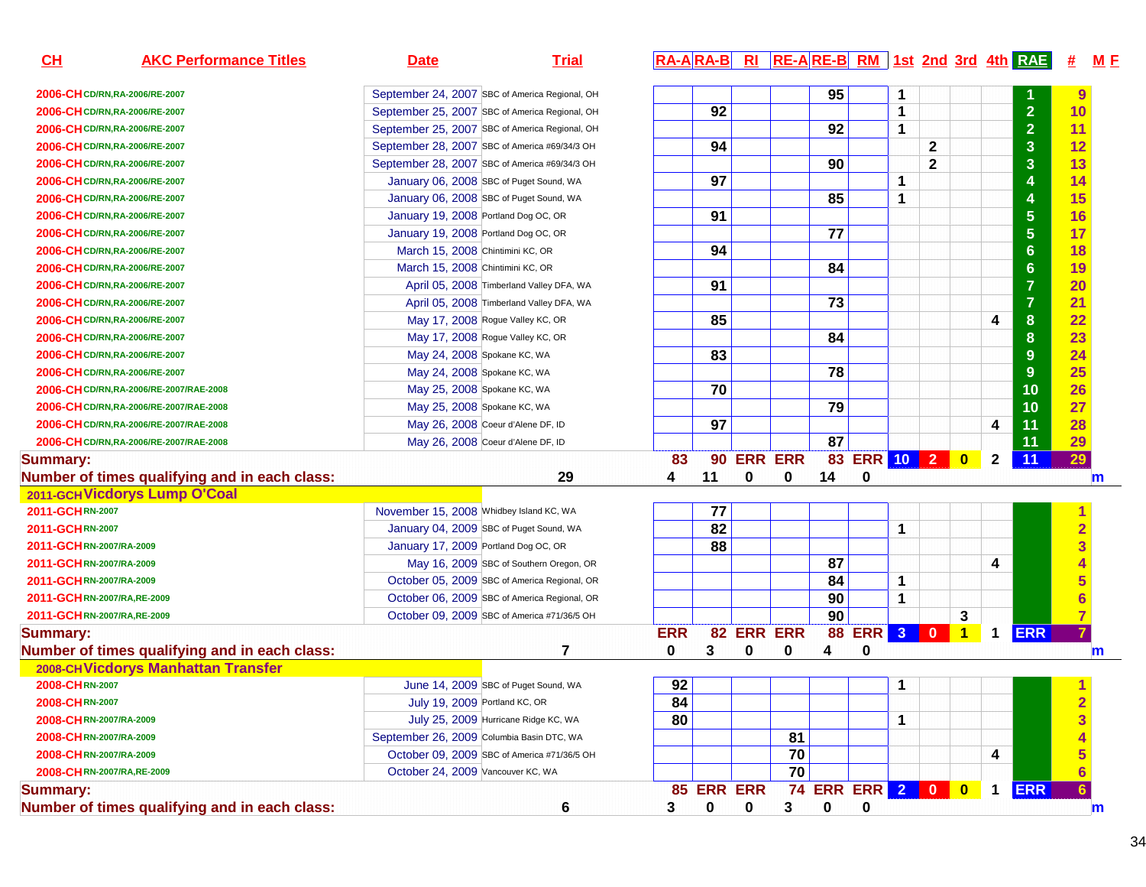| CH                          | <b>AKC Performance Titles</b>                 | <b>Date</b>                                    | <b>Trial</b> |            |            |                |    |    |                         |             |              |                |              | RA-ARA-B RI RE-ARE-B RM 1st 2nd 3rd 4th RAE | 坓                       | <u>M F</u>   |
|-----------------------------|-----------------------------------------------|------------------------------------------------|--------------|------------|------------|----------------|----|----|-------------------------|-------------|--------------|----------------|--------------|---------------------------------------------|-------------------------|--------------|
|                             | 2006-CH CD/RN, RA-2006/RE-2007                | September 24, 2007 SBC of America Regional, OH |              |            |            |                |    | 95 |                         | 1           |              |                |              |                                             | 9                       |              |
|                             | 2006-CH CD/RN, RA-2006/RE-2007                | September 25, 2007 SBC of America Regional, OH |              |            | 92         |                |    |    |                         | 1           |              |                |              | $\overline{2}$                              | 10                      |              |
|                             | 2006-CH CD/RN, RA-2006/RE-2007                | September 25, 2007 SBC of America Regional, OH |              |            |            |                |    | 92 |                         | $\mathbf 1$ |              |                |              | $\overline{2}$                              | 11                      |              |
|                             | 2006-CH CD/RN, RA-2006/RE-2007                | September 28, 2007 SBC of America #69/34/3 OH  |              |            | 94         |                |    |    |                         |             | $\mathbf{2}$ |                |              | $\mathbf{3}$                                | 12                      |              |
|                             | 2006-CH CD/RN, RA-2006/RE-2007                | September 28, 2007 SBC of America #69/34/3 OH  |              |            |            |                |    | 90 |                         |             | $\mathbf{2}$ |                |              | $\overline{\mathbf{3}}$                     | 13                      |              |
|                             | 2006-CH CD/RN, RA-2006/RE-2007                | January 06, 2008 SBC of Puget Sound, WA        |              |            | 97         |                |    |    |                         | 1           |              |                |              | 4                                           | 14                      |              |
|                             | 2006-CH CD/RN, RA-2006/RE-2007                | January 06, 2008 SBC of Puget Sound, WA        |              |            |            |                |    | 85 |                         | $\mathbf 1$ |              |                |              | 4                                           | 15                      |              |
|                             | 2006-CH CD/RN, RA-2006/RE-2007                | January 19, 2008 Portland Dog OC, OR           |              |            | 91         |                |    |    |                         |             |              |                |              | $5\phantom{1}$                              | 16                      |              |
|                             | 2006-CH CD/RN, RA-2006/RE-2007                | January 19, 2008 Portland Dog OC, OR           |              |            |            |                |    | 77 |                         |             |              |                |              | $5\phantom{.0}$                             | 17                      |              |
|                             | 2006-CH CD/RN, RA-2006/RE-2007                | March 15, 2008 Chintimini KC, OR               |              |            | 94         |                |    |    |                         |             |              |                |              | 6                                           | 18                      |              |
|                             | 2006-CH CD/RN, RA-2006/RE-2007                | March 15, 2008 Chintimini KC, OR               |              |            |            |                |    | 84 |                         |             |              |                |              | $6\phantom{1}$                              | 19                      |              |
|                             | 2006-CH CD/RN, RA-2006/RE-2007                | April 05, 2008 Timberland Valley DFA, WA       |              |            | 91         |                |    |    |                         |             |              |                |              | $\overline{7}$                              | 20                      |              |
|                             | 2006-CH CD/RN, RA-2006/RE-2007                | April 05, 2008 Timberland Valley DFA, WA       |              |            |            |                |    | 73 |                         |             |              |                |              | $\overline{7}$                              | 21                      |              |
|                             | 2006-CH CD/RN, RA-2006/RE-2007                | May 17, 2008 Rogue Valley KC, OR               |              |            | 85         |                |    |    |                         |             |              |                | 4            | 8                                           | 22                      |              |
|                             | 2006-CH CD/RN, RA-2006/RE-2007                | May 17, 2008 Rogue Valley KC, OR               |              |            |            |                |    | 84 |                         |             |              |                |              | $\boldsymbol{8}$                            | 23                      |              |
|                             | 2006-CH CD/RN, RA-2006/RE-2007                | May 24, 2008 Spokane KC, WA                    |              |            | 83         |                |    |    |                         |             |              |                |              | 9                                           | 24                      |              |
|                             | 2006-CH CD/RN, RA-2006/RE-2007                | May 24, 2008 Spokane KC, WA                    |              |            |            |                |    | 78 |                         |             |              |                |              | 9                                           | 25                      |              |
|                             | 2006-CHCD/RN,RA-2006/RE-2007/RAE-2008         | May 25, 2008 Spokane KC, WA                    |              |            | 70         |                |    |    |                         |             |              |                |              | 10                                          | 26                      |              |
|                             | 2006-CH CD/RN, RA-2006/RE-2007/RAE-2008       | May 25, 2008 Spokane KC, WA                    |              |            |            |                |    | 79 |                         |             |              |                |              | 10                                          | 27                      |              |
|                             | 2006-CH CD/RN, RA-2006/RE-2007/RAE-2008       | May 26, 2008 Coeur d'Alene DF, ID              |              |            | 97         |                |    |    |                         |             |              |                | 4            | 11                                          | 28                      |              |
|                             | 2006-CH CD/RN, RA-2006/RE-2007/RAE-2008       | May 26, 2008 Coeur d'Alene DF, ID              |              |            |            |                |    | 87 |                         |             |              |                |              | 11                                          | 29                      |              |
| <b>Summary:</b>             |                                               |                                                |              | 83         | 90         | <b>ERR ERR</b> |    | 83 | ERR 10 2 0              |             |              |                | $\mathbf{2}$ | 11                                          | 29                      |              |
|                             | Number of times qualifying and in each class: |                                                | 29           | 4          | 11         | 0              | 0  | 14 | 0                       |             |              |                |              |                                             |                         | $\mathbf m$  |
|                             | 2011-GCH Vicdorys Lump O'Coal                 |                                                |              |            |            |                |    |    |                         |             |              |                |              |                                             |                         |              |
| 2011-GCHRN-2007             |                                               | November 15, 2008 Whidbey Island KC, WA        |              |            | 77         |                |    |    |                         |             |              |                |              |                                             |                         |              |
| 2011-GCHRN-2007             |                                               | January 04, 2009 SBC of Puget Sound, WA        |              |            | 82         |                |    |    |                         | $\mathbf 1$ |              |                |              |                                             | $\overline{\mathbf{2}}$ |              |
| 2011-GCHRN-2007/RA-2009     |                                               | January 17, 2009 Portland Dog OC, OR           |              |            | 88         |                |    |    |                         |             |              |                |              |                                             | 3                       |              |
| 2011-GCHRN-2007/RA-2009     |                                               | May 16, 2009 SBC of Southern Oregon, OR        |              |            |            |                |    | 87 |                         |             |              |                | 4            |                                             | 4                       |              |
| 2011-GCHRN-2007/RA-2009     |                                               | October 05, 2009 SBC of America Regional, OR   |              |            |            |                |    | 84 |                         | $\mathbf 1$ |              |                |              |                                             | 5                       |              |
| 2011-GCHRN-2007/RA,RE-2009  |                                               | October 06, 2009 SBC of America Regional, OR   |              |            |            |                |    | 90 |                         | 1           |              |                |              |                                             | $6\phantom{a}$          |              |
| 2011-GCHRN-2007/RA, RE-2009 |                                               | October 09, 2009 SBC of America #71/36/5 OH    |              |            |            |                |    | 90 |                         |             |              | 3              |              |                                             | $\overline{7}$          |              |
| <b>Summary:</b>             |                                               |                                                |              | <b>ERR</b> |            | 82 ERR ERR     |    | 88 | <b>ERR</b> 3            |             | $\bullet$    | $\overline{1}$ | $\mathbf 1$  | <b>ERR</b>                                  | 7                       |              |
|                             | Number of times qualifying and in each class: |                                                | 7            | 0          | 3          | 0              | 0  | 4  | 0                       |             |              |                |              |                                             |                         | $\mathbf{m}$ |
|                             | 2008-CH Vicdorys Manhattan Transfer           |                                                |              |            |            |                |    |    |                         |             |              |                |              |                                             |                         |              |
| 2008-CHRN-2007              |                                               | June 14, 2009 SBC of Puget Sound, WA           |              | 92         |            |                |    |    |                         | 1           |              |                |              |                                             |                         |              |
| 2008-CHRN-2007              |                                               | July 19, 2009 Portland KC, OR                  |              | 84         |            |                |    |    |                         |             |              |                |              |                                             | $\mathbf{z}$            |              |
| 2008-CHRN-2007/RA-2009      |                                               | July 25, 2009 Hurricane Ridge KC, WA           |              | 80         |            |                |    |    |                         | $\mathbf 1$ |              |                |              |                                             | 3                       |              |
| 2008-CHRN-2007/RA-2009      |                                               | September 26, 2009 Columbia Basin DTC, WA      |              |            |            |                | 81 |    |                         |             |              |                |              |                                             |                         |              |
| 2008-CHRN-2007/RA-2009      |                                               | October 09, 2009 SBC of America #71/36/5 OH    |              |            |            |                | 70 |    |                         |             |              |                | 4            |                                             |                         |              |
| 2008-CHRN-2007/RA, RE-2009  |                                               | October 24, 2009 Vancouver KC, WA              |              |            |            |                | 70 |    |                         |             |              |                |              |                                             | $6\phantom{1}$          |              |
| <b>Summary:</b>             |                                               |                                                |              |            | 85 ERR ERR |                |    |    | <b>74 ERR ERR 2 0 0</b> |             |              |                | $\mathbf 1$  | <b>ERR</b>                                  | 6.                      |              |
|                             | Number of times qualifying and in each class: |                                                | 6            | 3.         | 0          | 0              | 3  | 0  | 0                       |             |              |                |              |                                             |                         | m            |
|                             |                                               |                                                |              |            |            |                |    |    |                         |             |              |                |              |                                             |                         |              |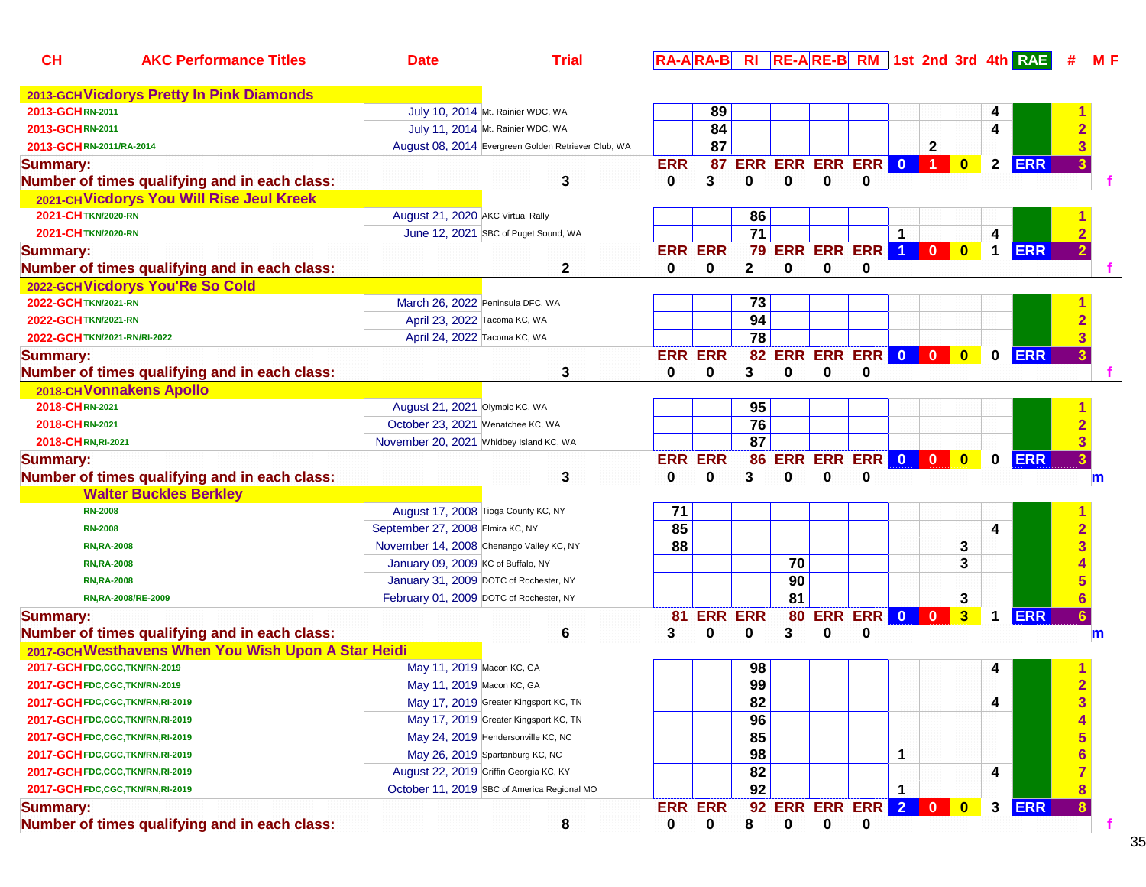| CL<br><b>AKC Performance Titles</b>                | <b>Date</b>                      | <b>Trial</b>                                        |                |                |                 |    |                       |          |                 |                         |                         |              | $R\overline{A-A}$ $R\overline{A-B}$ $RI$ $RE-A$ $RE-B$ $RM$ 1st 2nd 3rd 4th $RAE$ |                 | M E |
|----------------------------------------------------|----------------------------------|-----------------------------------------------------|----------------|----------------|-----------------|----|-----------------------|----------|-----------------|-------------------------|-------------------------|--------------|-----------------------------------------------------------------------------------|-----------------|-----|
| 2013-GCH Vicdorys Pretty In Pink Diamonds          |                                  |                                                     |                |                |                 |    |                       |          |                 |                         |                         |              |                                                                                   |                 |     |
| 2013-GCHRN-2011                                    |                                  | July 10, 2014 Mt. Rainier WDC, WA                   |                | 89             |                 |    |                       |          |                 |                         |                         | 4            |                                                                                   |                 |     |
| 2013-GCHRN-2011                                    |                                  | July 11, 2014 Mt. Rainier WDC, WA                   |                | 84             |                 |    |                       |          |                 |                         |                         | 4            |                                                                                   |                 |     |
| 2013-GCHRN-2011/RA-2014                            |                                  | August 08, 2014 Evergreen Golden Retriever Club, WA |                | 87             |                 |    |                       |          |                 | $\mathbf{2}$            |                         |              |                                                                                   |                 |     |
| <b>Summary:</b>                                    |                                  |                                                     | <b>ERR</b>     | 87             |                 |    | ERR ERR ERR ERR 0 1   |          |                 |                         | $\mathbf{0}$            | $\mathbf{2}$ | <b>ERR</b>                                                                        |                 |     |
| Number of times qualifying and in each class:      |                                  | 3                                                   | 0              | 3              | 0               | 0  | 0                     | 0        |                 |                         |                         |              |                                                                                   |                 |     |
| 2021-CHVicdorys You Will Rise Jeul Kreek           |                                  |                                                     |                |                |                 |    |                       |          |                 |                         |                         |              |                                                                                   |                 |     |
| 2021-CHTKN/2020-RN                                 |                                  | August 21, 2020 AKC Virtual Rally                   |                |                | 86              |    |                       |          |                 |                         |                         |              |                                                                                   |                 |     |
| 2021-CHTKN/2020-RN                                 |                                  | June 12, 2021 SBC of Puget Sound, WA                |                |                | $\overline{71}$ |    |                       |          | $\mathbf 1$     |                         |                         | 4            |                                                                                   |                 |     |
| <b>Summary:</b>                                    |                                  |                                                     | <b>ERR ERR</b> |                |                 |    | <b>79 ERR ERR ERR</b> |          | $\vert 1 \vert$ | $\mathbf{0}$            | $\overline{\mathbf{0}}$ | $\mathbf 1$  | <b>ERR</b>                                                                        |                 |     |
| Number of times qualifying and in each class:      |                                  | 2                                                   | 0              | 0              | $\mathbf 2$     | 0  | 0                     | 0        |                 |                         |                         |              |                                                                                   |                 |     |
| 2022-GCHVicdorys You'Re So Cold                    |                                  |                                                     |                |                |                 |    |                       |          |                 |                         |                         |              |                                                                                   |                 |     |
| 2022-GCH TKN/2021-RN                               |                                  | March 26, 2022 Peninsula DFC, WA                    |                |                | 73              |    |                       |          |                 |                         |                         |              |                                                                                   |                 |     |
| 2022-GCH TKN/2021-RN                               |                                  | April 23, 2022 Tacoma KC, WA                        |                |                | 94              |    |                       |          |                 |                         |                         |              |                                                                                   |                 |     |
| 2022-GCH TKN/2021-RN/RI-2022                       |                                  | April 24, 2022 Tacoma KC, WA                        |                |                | $\overline{78}$ |    |                       |          |                 |                         |                         |              |                                                                                   |                 |     |
| <b>Summary:</b>                                    |                                  |                                                     | <b>ERR ERR</b> |                |                 |    | 82 ERR ERR ERR 0 0    |          |                 |                         | $\bullet$               | $\mathbf 0$  | <b>ERR</b>                                                                        |                 |     |
| Number of times qualifying and in each class:      |                                  | 3                                                   | 0              | 0              | 3               | 0  | 0                     | 0        |                 |                         |                         |              |                                                                                   |                 |     |
| 2018-CH Vonnakens Apollo                           |                                  |                                                     |                |                |                 |    |                       |          |                 |                         |                         |              |                                                                                   |                 |     |
| 2018-CHRN-2021                                     |                                  | August 21, 2021 Olympic KC, WA                      |                |                | 95              |    |                       |          |                 |                         |                         |              |                                                                                   |                 |     |
| 2018-CHRN-2021                                     |                                  | October 23, 2021 Wenatchee KC, WA                   |                |                | 76              |    |                       |          |                 |                         |                         |              |                                                                                   |                 |     |
| 2018-CHRN, RI-2021                                 |                                  | November 20, 2021 Whidbey Island KC, WA             |                |                | 87              |    |                       |          |                 |                         |                         |              |                                                                                   |                 |     |
| <b>Summary:</b>                                    |                                  |                                                     | <b>ERR ERR</b> |                | 86              |    | ERR ERR ERR 0 0       |          |                 |                         | $\bullet$               | $\mathbf 0$  | <b>ERR</b>                                                                        | 3 <sup>1</sup>  |     |
| Number of times qualifying and in each class:      |                                  | 3                                                   | 0              | 0              | 3               | 0  | 0                     | 0        |                 |                         |                         |              |                                                                                   |                 | m   |
| <b>Walter Buckles Berkley</b>                      |                                  |                                                     |                |                |                 |    |                       |          |                 |                         |                         |              |                                                                                   |                 |     |
| <b>RN-2008</b>                                     |                                  | August 17, 2008 Tioga County KC, NY                 | 71             |                |                 |    |                       |          |                 |                         |                         |              |                                                                                   |                 |     |
| <b>RN-2008</b>                                     | September 27, 2008 Elmira KC, NY |                                                     | 85             |                |                 |    |                       |          |                 |                         |                         | 4            |                                                                                   | $\overline{2}$  |     |
| <b>RN, RA-2008</b>                                 |                                  | November 14, 2008 Chenango Valley KC, NY            | 88             |                |                 |    |                       |          |                 |                         | 3                       |              |                                                                                   |                 |     |
| <b>RN,RA-2008</b>                                  |                                  | January 09, 2009 KC of Buffalo, NY                  |                |                |                 | 70 |                       |          |                 |                         | 3                       |              |                                                                                   |                 |     |
| <b>RN, RA-2008</b>                                 |                                  | January 31, 2009 DOTC of Rochester, NY              |                |                |                 | 90 |                       |          |                 |                         |                         |              |                                                                                   |                 |     |
| RN, RA-2008/RE-2009                                |                                  | February 01, 2009 DOTC of Rochester, NY             |                |                |                 | 81 |                       |          |                 |                         | 3                       |              |                                                                                   |                 |     |
| <b>Summary:</b>                                    |                                  |                                                     | 81             | <b>ERR ERR</b> |                 |    | 80 ERR ERR 0          |          |                 | $\overline{\mathbf{0}}$ | $\overline{\mathbf{3}}$ | $\mathbf 1$  | <b>ERR</b>                                                                        | 6 <sup>1</sup>  |     |
| Number of times qualifying and in each class:      |                                  | 6                                                   | 3              | 0              | 0               | 3  | 0                     | 0        |                 |                         |                         |              |                                                                                   |                 | m   |
| 2017-GCHWesthavens When You Wish Upon A Star Heidi |                                  |                                                     |                |                |                 |    |                       |          |                 |                         |                         |              |                                                                                   |                 |     |
| 2017-GCH FDC, CGC, TKN/RN-2019                     |                                  | May 11, 2019 Macon KC, GA                           |                |                | 98              |    |                       |          |                 |                         |                         | 4            |                                                                                   |                 |     |
| 2017-GCH FDC, CGC, TKN/RN-2019                     |                                  | May 11, 2019 Macon KC, GA                           |                |                | 99              |    |                       |          |                 |                         |                         |              |                                                                                   |                 |     |
| 2017-GCH FDC,CGC, TKN/RN, RI-2019                  |                                  | May 17, 2019 Greater Kingsport KC, TN               |                |                | 82              |    |                       |          |                 |                         |                         | 4            |                                                                                   | 3               |     |
| 2017-GCH FDC, CGC, TKN/RN, RI-2019                 |                                  | May 17, 2019 Greater Kingsport KC, TN               |                |                | 96              |    |                       |          |                 |                         |                         |              |                                                                                   | 4               |     |
| 2017-GCH FDC, CGC, TKN/RN, RI-2019                 |                                  | May 24, 2019 Hendersonville KC, NC                  |                |                | 85              |    |                       |          |                 |                         |                         |              |                                                                                   |                 |     |
| 2017-GCH FDC, CGC, TKN/RN, RI-2019                 |                                  | May 26, 2019 Spartanburg KC, NC                     |                |                | 98              |    |                       |          | 1               |                         |                         |              |                                                                                   | $6\phantom{1}6$ |     |
| 2017-GCH FDC, CGC, TKN/RN, RI-2019                 |                                  | August 22, 2019 Griffin Georgia KC, KY              |                |                | 82              |    |                       |          |                 |                         |                         | 4            |                                                                                   | $\overline{7}$  |     |
| 2017-GCH FDC, CGC, TKN/RN, RI-2019                 |                                  | October 11, 2019 SBC of America Regional MO         |                |                | 92              |    |                       |          | $\mathbf{1}$    |                         |                         |              |                                                                                   | 8               |     |
| <b>Summary:</b>                                    |                                  |                                                     | <b>ERR ERR</b> |                |                 |    | 92 ERR ERR ERR 2 0    |          |                 |                         | $\bullet$               | 3            | <b>ERR</b>                                                                        | 8               |     |
| Number of times qualifying and in each class:      |                                  | 8                                                   | 0              | 0              | 8               | 0  | 0                     | $\bf{0}$ |                 |                         |                         |              |                                                                                   |                 |     |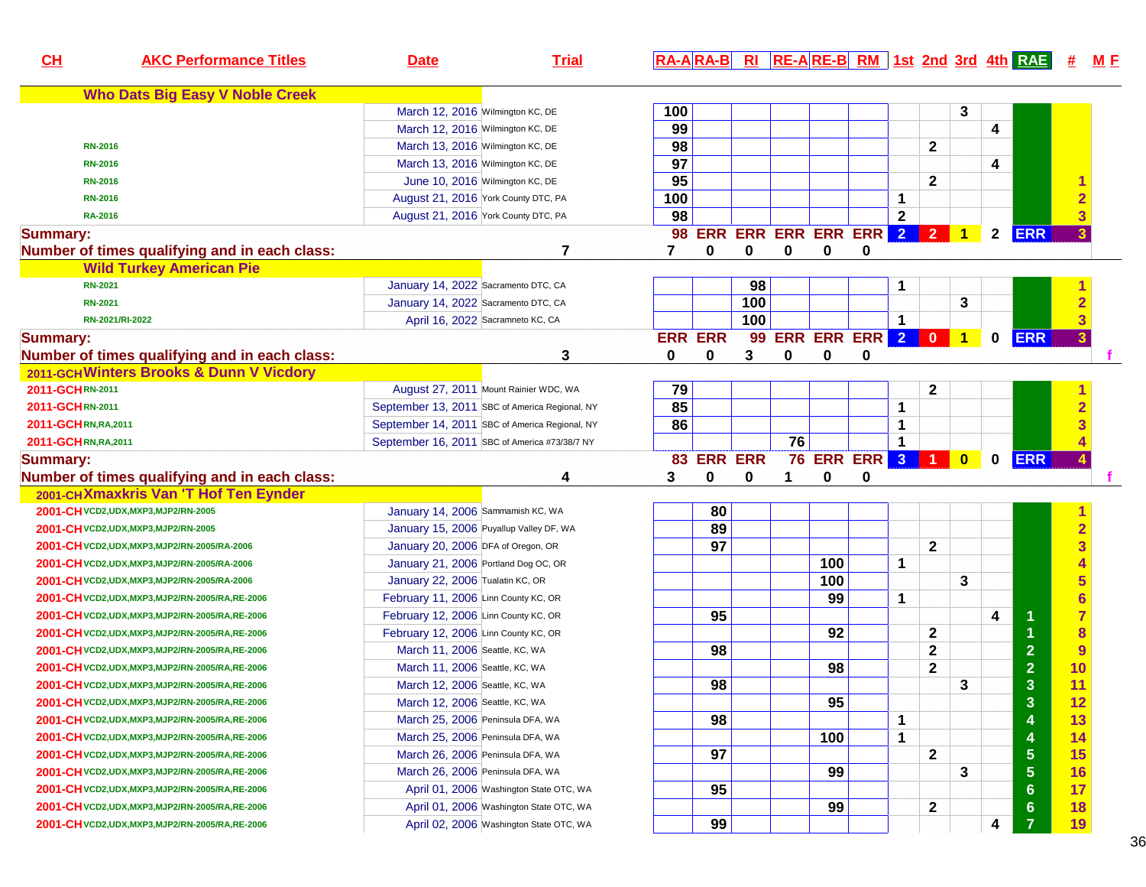| CH                   | <b>AKC Performance Titles</b>                     | <b>Date</b>                          | <b>Trial</b>                                   |                |                            |     |    |     |                       |                |              |                |              | RA-ARA-B RI RE-ARE-B RM 1st 2nd 3rd 4th RAE |                         | <u>M F</u> |
|----------------------|---------------------------------------------------|--------------------------------------|------------------------------------------------|----------------|----------------------------|-----|----|-----|-----------------------|----------------|--------------|----------------|--------------|---------------------------------------------|-------------------------|------------|
|                      | <b>Who Dats Big Easy V Noble Creek</b>            |                                      |                                                |                |                            |     |    |     |                       |                |              |                |              |                                             |                         |            |
|                      |                                                   | March 12, 2016 Wilmington KC, DE     |                                                | 100            |                            |     |    |     |                       |                |              | 3              |              |                                             |                         |            |
|                      |                                                   | March 12, 2016 Wilmington KC, DE     |                                                | 99             |                            |     |    |     |                       |                |              |                | 4            |                                             |                         |            |
|                      | <b>RN-2016</b>                                    | March 13, 2016 Wilmington KC, DE     |                                                | 98             |                            |     |    |     |                       |                | $\mathbf{2}$ |                |              |                                             |                         |            |
|                      | <b>RN-2016</b>                                    | March 13, 2016 Wilmington KC, DE     |                                                | 97             |                            |     |    |     |                       |                |              |                | 4            |                                             |                         |            |
|                      | <b>RN-2016</b>                                    |                                      | June 10, 2016 Wilmington KC, DE                | 95             |                            |     |    |     |                       |                | $\mathbf{2}$ |                |              |                                             |                         |            |
|                      | <b>RN-2016</b>                                    |                                      | August 21, 2016 York County DTC, PA            | 100            |                            |     |    |     |                       | $\mathbf 1$    |              |                |              |                                             |                         |            |
|                      | <b>RA-2016</b>                                    |                                      | August 21, 2016 York County DTC, PA            | 98             |                            |     |    |     |                       | $\overline{2}$ |              |                |              |                                             | 3                       |            |
| <b>Summary:</b>      |                                                   |                                      |                                                |                | 98 ERR ERR ERR ERR ERR 2 2 |     |    |     |                       |                |              | 1              | $\mathbf{2}$ | <b>ERR</b>                                  |                         |            |
|                      | Number of times qualifying and in each class:     |                                      | 7                                              | 7              | 0                          | 0   | 0  | 0   | 0                     |                |              |                |              |                                             |                         |            |
|                      | <b>Wild Turkey American Pie</b>                   |                                      |                                                |                |                            |     |    |     |                       |                |              |                |              |                                             |                         |            |
|                      | <b>RN-2021</b>                                    | January 14, 2022 Sacramento DTC, CA  |                                                |                |                            | 98  |    |     |                       | 1              |              |                |              |                                             |                         |            |
|                      | <b>RN-2021</b>                                    | January 14, 2022 Sacramento DTC, CA  |                                                |                |                            | 100 |    |     |                       |                |              | 3              |              |                                             |                         |            |
|                      | RN-2021/RI-2022                                   |                                      | April 16, 2022 Sacramneto KC, CA               |                |                            | 100 |    |     |                       | $\mathbf{1}$   |              |                |              |                                             | 3                       |            |
| <b>Summary:</b>      |                                                   |                                      |                                                | <b>ERR ERR</b> |                            | 99  |    |     | ERR ERR ERR 2 0       |                |              | $\overline{1}$ | $\mathbf{0}$ | <b>ERR</b>                                  |                         |            |
|                      | Number of times qualifying and in each class:     |                                      | 3                                              | 0              | 0                          | 3   | 0  | 0   | 0                     |                |              |                |              |                                             |                         |            |
|                      | 2011-GCHWinters Brooks & Dunn V Vicdory           |                                      |                                                |                |                            |     |    |     |                       |                |              |                |              |                                             |                         |            |
| 2011-GCHRN-2011      |                                                   |                                      | August 27, 2011 Mount Rainier WDC, WA          | 79             |                            |     |    |     |                       |                | $\mathbf 2$  |                |              |                                             |                         |            |
| 2011-GCHRN-2011      |                                                   |                                      | September 13, 2011 SBC of America Regional, NY | 85             |                            |     |    |     |                       | 1              |              |                |              |                                             |                         |            |
| 2011-GCHRN, RA, 2011 |                                                   |                                      | September 14, 2011 SBC of America Regional, NY | 86             |                            |     |    |     |                       | 1              |              |                |              |                                             |                         |            |
| 2011-GCHRN, RA, 2011 |                                                   |                                      | September 16, 2011 SBC of America #73/38/7 NY  |                |                            |     | 76 |     |                       | $\mathbf{1}$   |              |                |              |                                             |                         |            |
| <b>Summary:</b>      |                                                   |                                      |                                                |                | 83 ERR ERR                 |     |    |     | <b>76 ERR ERR 3 1</b> |                |              | $\mathbf{0}$   | $\mathbf{0}$ | <b>ERR</b>                                  |                         |            |
|                      | Number of times qualifying and in each class:     |                                      | 4                                              | 3              | 0                          | 0   | 1. | 0   | 0                     |                |              |                |              |                                             |                         |            |
|                      | 2001-CHXmaxkris Van 'T Hof Ten Eynder             |                                      |                                                |                |                            |     |    |     |                       |                |              |                |              |                                             |                         |            |
|                      | 2001-CH VCD2, UDX, MXP3, MJP2/RN-2005             | January 14, 2006 Sammamish KC, WA    |                                                |                | 80                         |     |    |     |                       |                |              |                |              |                                             |                         |            |
|                      | 2001-CH VCD2, UDX, MXP3, MJP2/RN-2005             |                                      | January 15, 2006 Puyallup Valley DF, WA        |                | 89                         |     |    |     |                       |                |              |                |              |                                             | $\overline{2}$          |            |
|                      | 2001-CH VCD2, UDX, MXP3, MJP2/RN-2005/RA-2006     | January 20, 2006 DFA of Oregon, OR   |                                                |                | 97                         |     |    |     |                       |                | $\mathbf{2}$ |                |              |                                             | $\overline{\mathbf{3}}$ |            |
|                      | 2001-CH VCD2, UDX, MXP3, MJP2/RN-2005/RA-2006     | January 21, 2006 Portland Dog OC, OR |                                                |                |                            |     |    | 100 |                       | $\mathbf 1$    |              |                |              |                                             |                         |            |
|                      |                                                   | January 22, 2006 Tualatin KC, OR     |                                                |                |                            |     |    | 100 |                       |                |              | 3              |              |                                             | 5                       |            |
|                      |                                                   | February 11, 2006 Linn County KC, OR |                                                |                |                            |     |    | 99  |                       | 1              |              |                |              |                                             | $6\phantom{a}$          |            |
|                      |                                                   | February 12, 2006 Linn County KC, OR |                                                |                | 95                         |     |    |     |                       |                |              |                | 4            |                                             | $\overline{7}$          |            |
|                      |                                                   | February 12, 2006 Linn County KC, OR |                                                |                |                            |     |    | 92  |                       |                | $\mathbf{2}$ |                |              |                                             | 8                       |            |
|                      |                                                   | March 11, 2006 Seattle, KC, WA       |                                                |                | 98                         |     |    |     |                       |                | $\mathbf{2}$ |                |              | $\overline{2}$                              | 9                       |            |
|                      |                                                   | March 11, 2006 Seattle, KC, WA       |                                                |                |                            |     |    | 98  |                       |                | $\mathbf{2}$ |                |              | $\overline{2}$                              | 10                      |            |
|                      |                                                   | March 12, 2006 Seattle, KC, WA       |                                                |                | 98                         |     |    |     |                       |                |              | 3              |              | 3                                           | 11                      |            |
|                      | 2001-CHVCD2,UDX,MXP3,MJP2/RN-2005/RA,RE-2006      | March 12, 2006 Seattle, KC, WA       |                                                |                |                            |     |    | 95  |                       |                |              |                |              | 3                                           | 12                      |            |
|                      | 2001-CHVCD2,UDX,MXP3,MJP2/RN-2005/RA,RE-2006      | March 25, 2006 Peninsula DFA, WA     |                                                |                | 98                         |     |    |     |                       | 1              |              |                |              | 4                                           | 13                      |            |
|                      | 2001-CHVCD2,UDX,MXP3,MJP2/RN-2005/RA,RE-2006      | March 25, 2006 Peninsula DFA, WA     |                                                |                |                            |     |    | 100 |                       | 1              |              |                |              | 4                                           | 14                      |            |
|                      | 2001-CHVCD2,UDX,MXP3,MJP2/RN-2005/RA,RE-2006      | March 26, 2006 Peninsula DFA, WA     |                                                |                | 97                         |     |    |     |                       |                | 2            |                |              | $\overline{\mathbf{5}}$                     | 15                      |            |
|                      | 2001-CHVCD2,UDX,MXP3,MJP2/RN-2005/RA,RE-2006      | March 26, 2006 Peninsula DFA, WA     |                                                |                |                            |     |    | 99  |                       |                |              | 3              |              | $\overline{\mathbf{5}}$                     | 16                      |            |
|                      | 2001-CHVCD2,UDX,MXP3,MJP2/RN-2005/RA,RE-2006      |                                      | April 01, 2006 Washington State OTC, WA        |                | 95                         |     |    |     |                       |                |              |                |              | $6\phantom{1}$                              | 17                      |            |
|                      | 2001-CH vCD2, UDX, MXP3, MJP2/RN-2005/RA, RE-2006 |                                      | April 01, 2006 Washington State OTC, WA        |                |                            |     |    | 99  |                       |                | 2            |                |              | $6\phantom{1}$                              | 18                      |            |
|                      | 2001-CH VCD2, UDX, MXP3, MJP2/RN-2005/RA, RE-2006 |                                      | April 02, 2006 Washington State OTC, WA        |                | 99                         |     |    |     |                       |                |              |                | 4            | 7                                           | 19                      |            |